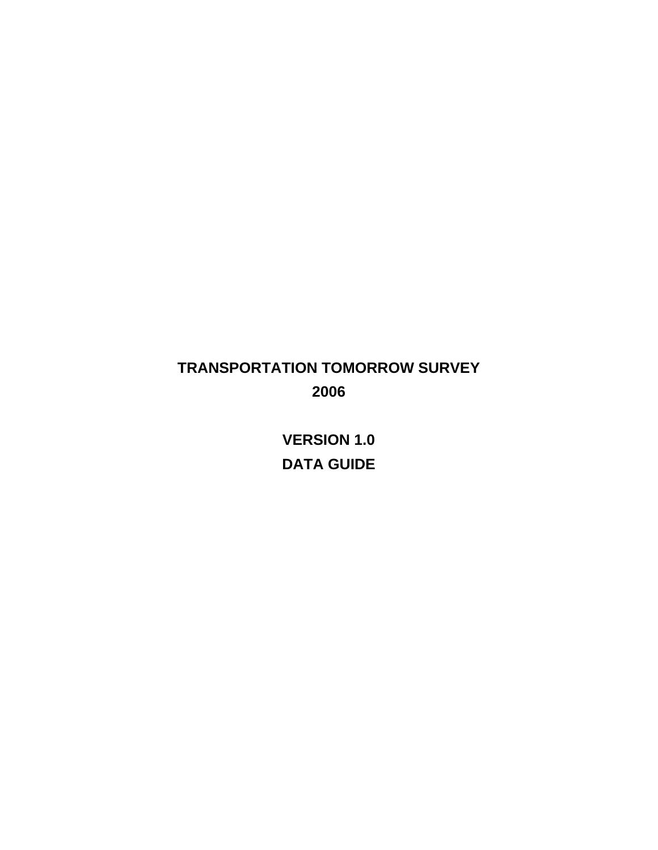# **TRANSPORTATION TOMORROW SURVEY 2006**

**VERSION 1.0 DATA GUIDE**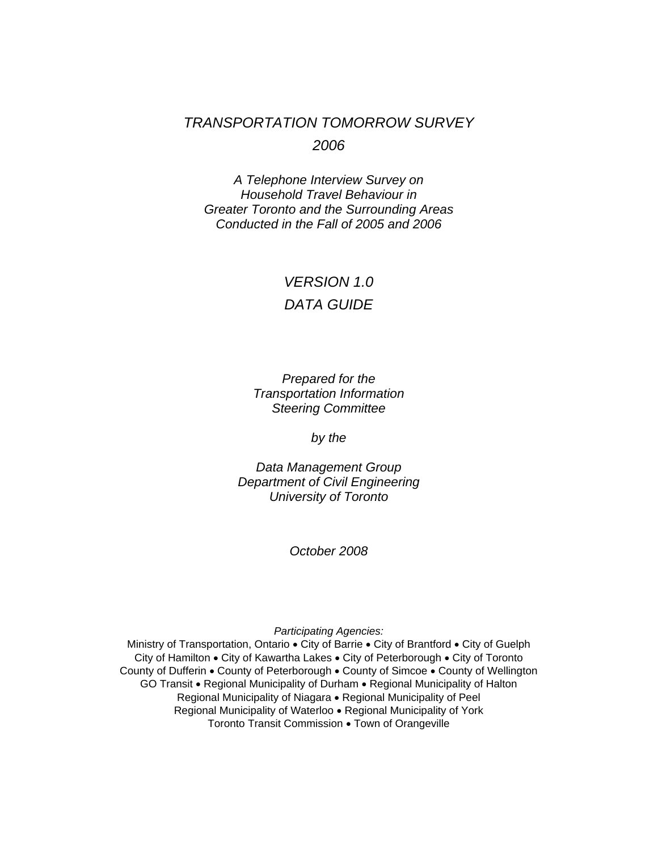## *TRANSPORTATION TOMORROW SURVEY 2006*

*A Telephone Interview Survey on Household Travel Behaviour in Greater Toronto and the Surrounding Areas Conducted in the Fall of 2005 and 2006* 

## *VERSION 1.0 DATA GUIDE*

*Prepared for the Transportation Information Steering Committee* 

*by the* 

*Data Management Group Department of Civil Engineering University of Toronto* 

*October 2008* 

*Participating Agencies:*

Ministry of Transportation, Ontario • City of Barrie • City of Brantford • City of Guelph City of Hamilton • City of Kawartha Lakes • City of Peterborough • City of Toronto County of Dufferin • County of Peterborough • County of Simcoe • County of Wellington GO Transit • Regional Municipality of Durham • Regional Municipality of Halton Regional Municipality of Niagara • Regional Municipality of Peel Regional Municipality of Waterloo • Regional Municipality of York Toronto Transit Commission • Town of Orangeville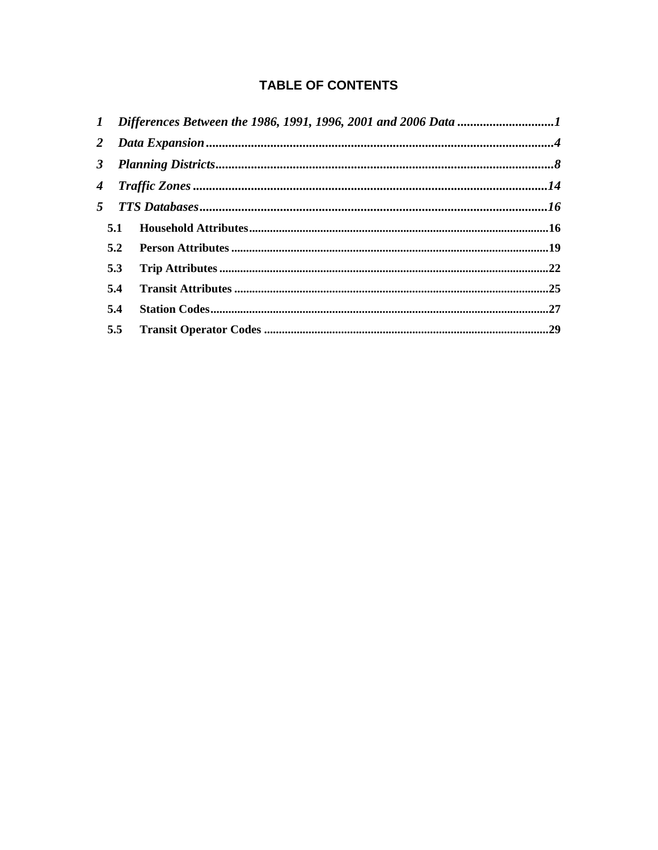## **TABLE OF CONTENTS**

|     | 1 Differences Between the 1986, 1991, 1996, 2001 and 2006 Data 1 |  |  |  |  |  |
|-----|------------------------------------------------------------------|--|--|--|--|--|
|     |                                                                  |  |  |  |  |  |
|     |                                                                  |  |  |  |  |  |
|     |                                                                  |  |  |  |  |  |
|     |                                                                  |  |  |  |  |  |
| 5.1 |                                                                  |  |  |  |  |  |
| 5.2 |                                                                  |  |  |  |  |  |
| 5.3 |                                                                  |  |  |  |  |  |
| 5.4 |                                                                  |  |  |  |  |  |
| 5.4 |                                                                  |  |  |  |  |  |
| 5.5 |                                                                  |  |  |  |  |  |
|     |                                                                  |  |  |  |  |  |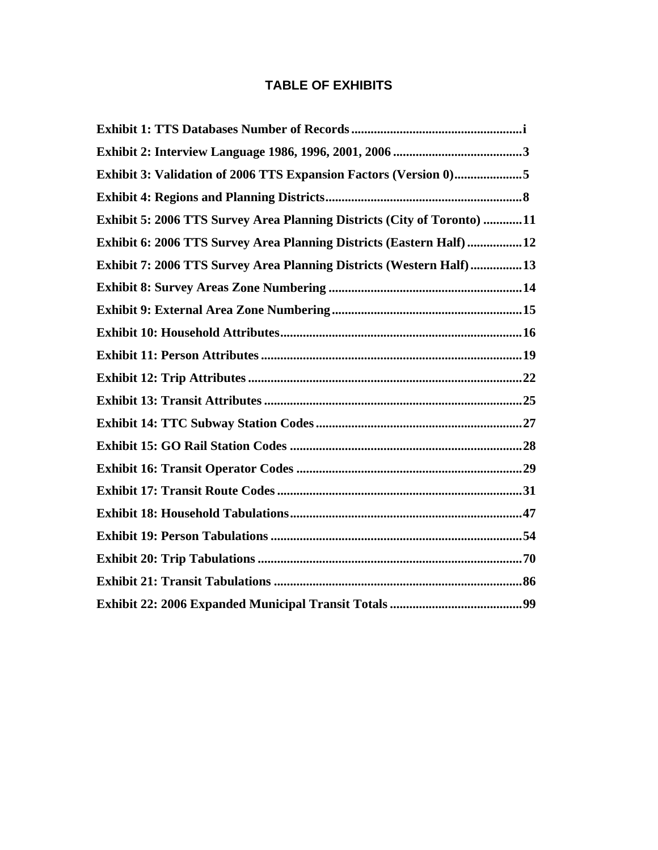## **TABLE OF EXHIBITS**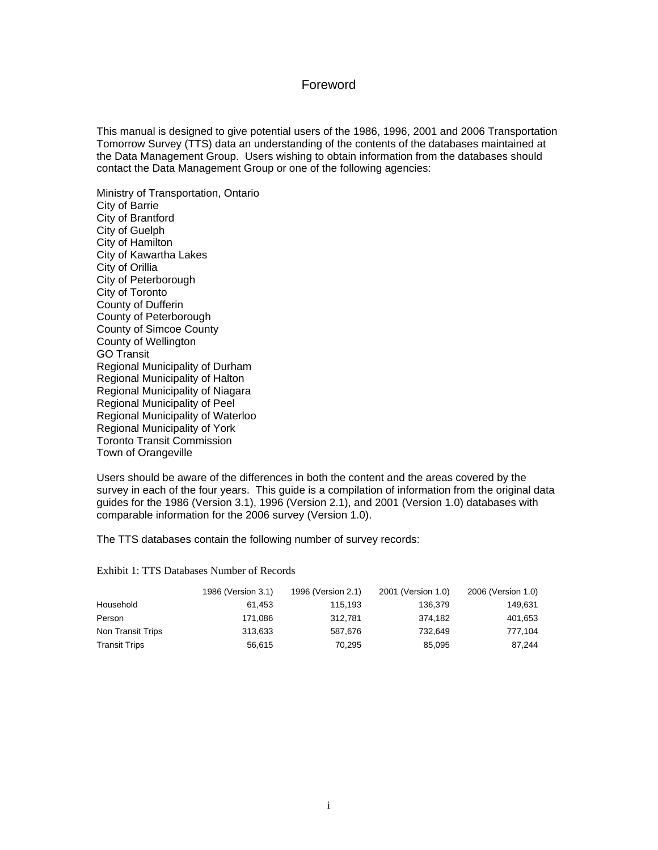#### Foreword

This manual is designed to give potential users of the 1986, 1996, 2001 and 2006 Transportation Tomorrow Survey (TTS) data an understanding of the contents of the databases maintained at the Data Management Group. Users wishing to obtain information from the databases should contact the Data Management Group or one of the following agencies:

Ministry of Transportation, Ontario City of Barrie City of Brantford City of Guelph City of Hamilton City of Kawartha Lakes City of Orillia City of Peterborough City of Toronto County of Dufferin County of Peterborough County of Simcoe County County of Wellington GO Transit Regional Municipality of Durham Regional Municipality of Halton Regional Municipality of Niagara Regional Municipality of Peel Regional Municipality of Waterloo Regional Municipality of York Toronto Transit Commission Town of Orangeville

Users should be aware of the differences in both the content and the areas covered by the survey in each of the four years. This guide is a compilation of information from the original data guides for the 1986 (Version 3.1), 1996 (Version 2.1), and 2001 (Version 1.0) databases with comparable information for the 2006 survey (Version 1.0).

The TTS databases contain the following number of survey records:

<span id="page-4-0"></span>Exhibit 1: TTS Databases Number of Records

|                      | 1986 (Version 3.1) | 1996 (Version 2.1) | 2001 (Version 1.0) | 2006 (Version 1.0) |
|----------------------|--------------------|--------------------|--------------------|--------------------|
| Household            | 61.453             | 115.193            | 136.379            | 149.631            |
| Person               | 171.086            | 312.781            | 374.182            | 401,653            |
| Non Transit Trips    | 313.633            | 587.676            | 732.649            | 777.104            |
| <b>Transit Trips</b> | 56.615             | 70.295             | 85.095             | 87.244             |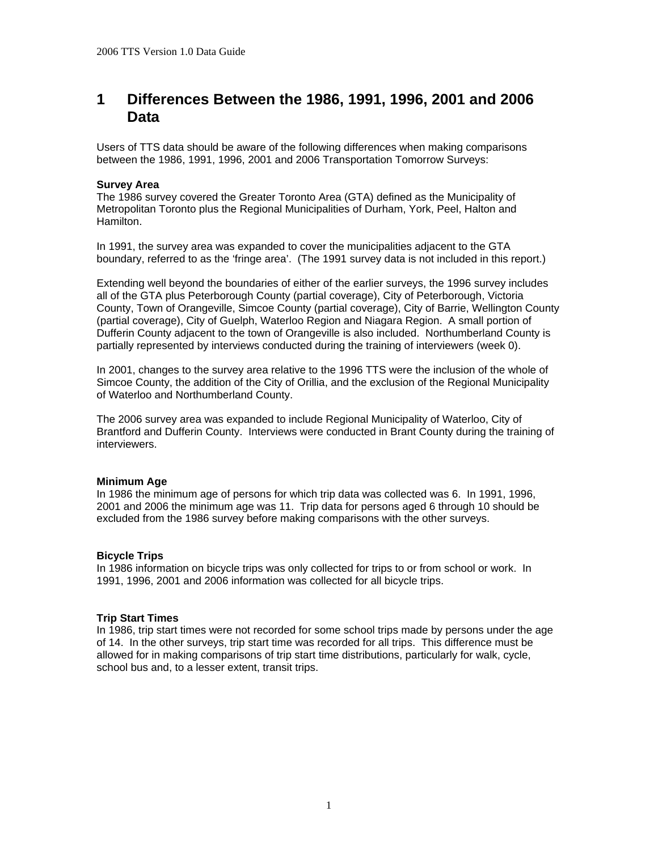## <span id="page-5-0"></span>**1 Differences Between the 1986, 1991, 1996, 2001 and 2006 Data**

Users of TTS data should be aware of the following differences when making comparisons between the 1986, 1991, 1996, 2001 and 2006 Transportation Tomorrow Surveys:

#### **Survey Area**

The 1986 survey covered the Greater Toronto Area (GTA) defined as the Municipality of Metropolitan Toronto plus the Regional Municipalities of Durham, York, Peel, Halton and Hamilton.

In 1991, the survey area was expanded to cover the municipalities adjacent to the GTA boundary, referred to as the 'fringe area'. (The 1991 survey data is not included in this report.)

Extending well beyond the boundaries of either of the earlier surveys, the 1996 survey includes all of the GTA plus Peterborough County (partial coverage), City of Peterborough, Victoria County, Town of Orangeville, Simcoe County (partial coverage), City of Barrie, Wellington County (partial coverage), City of Guelph, Waterloo Region and Niagara Region. A small portion of Dufferin County adjacent to the town of Orangeville is also included. Northumberland County is partially represented by interviews conducted during the training of interviewers (week 0).

In 2001, changes to the survey area relative to the 1996 TTS were the inclusion of the whole of Simcoe County, the addition of the City of Orillia, and the exclusion of the Regional Municipality of Waterloo and Northumberland County.

The 2006 survey area was expanded to include Regional Municipality of Waterloo, City of Brantford and Dufferin County. Interviews were conducted in Brant County during the training of interviewers.

#### **Minimum Age**

In 1986 the minimum age of persons for which trip data was collected was 6. In 1991, 1996, 2001 and 2006 the minimum age was 11. Trip data for persons aged 6 through 10 should be excluded from the 1986 survey before making comparisons with the other surveys.

#### **Bicycle Trips**

In 1986 information on bicycle trips was only collected for trips to or from school or work. In 1991, 1996, 2001 and 2006 information was collected for all bicycle trips.

#### **Trip Start Times**

In 1986, trip start times were not recorded for some school trips made by persons under the age of 14. In the other surveys, trip start time was recorded for all trips. This difference must be allowed for in making comparisons of trip start time distributions, particularly for walk, cycle, school bus and, to a lesser extent, transit trips.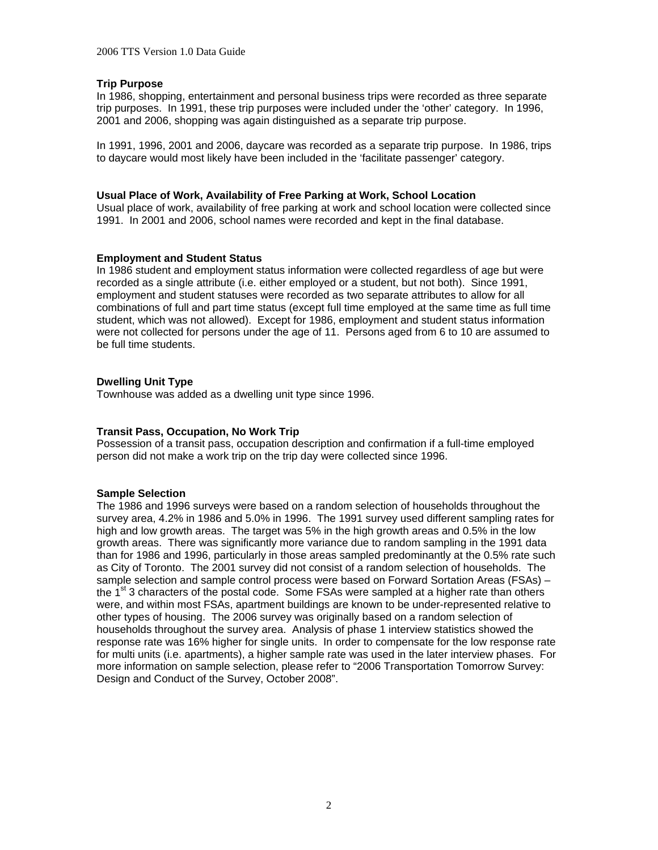#### **Trip Purpose**

In 1986, shopping, entertainment and personal business trips were recorded as three separate trip purposes. In 1991, these trip purposes were included under the 'other' category. In 1996, 2001 and 2006, shopping was again distinguished as a separate trip purpose.

In 1991, 1996, 2001 and 2006, daycare was recorded as a separate trip purpose. In 1986, trips to daycare would most likely have been included in the 'facilitate passenger' category.

#### **Usual Place of Work, Availability of Free Parking at Work, School Location**

Usual place of work, availability of free parking at work and school location were collected since 1991. In 2001 and 2006, school names were recorded and kept in the final database.

#### **Employment and Student Status**

In 1986 student and employment status information were collected regardless of age but were recorded as a single attribute (i.e. either employed or a student, but not both). Since 1991, employment and student statuses were recorded as two separate attributes to allow for all combinations of full and part time status (except full time employed at the same time as full time student, which was not allowed). Except for 1986, employment and student status information were not collected for persons under the age of 11. Persons aged from 6 to 10 are assumed to be full time students.

#### **Dwelling Unit Type**

Townhouse was added as a dwelling unit type since 1996.

#### **Transit Pass, Occupation, No Work Trip**

Possession of a transit pass, occupation description and confirmation if a full-time employed person did not make a work trip on the trip day were collected since 1996.

#### **Sample Selection**

The 1986 and 1996 surveys were based on a random selection of households throughout the survey area, 4.2% in 1986 and 5.0% in 1996. The 1991 survey used different sampling rates for high and low growth areas. The target was 5% in the high growth areas and 0.5% in the low growth areas. There was significantly more variance due to random sampling in the 1991 data than for 1986 and 1996, particularly in those areas sampled predominantly at the 0.5% rate such as City of Toronto. The 2001 survey did not consist of a random selection of households. The sample selection and sample control process were based on Forward Sortation Areas (FSAs) – the  $1<sup>st</sup>$  3 characters of the postal code. Some FSAs were sampled at a higher rate than others were, and within most FSAs, apartment buildings are known to be under-represented relative to other types of housing. The 2006 survey was originally based on a random selection of households throughout the survey area. Analysis of phase 1 interview statistics showed the response rate was 16% higher for single units. In order to compensate for the low response rate for multi units (i.e. apartments), a higher sample rate was used in the later interview phases. For more information on sample selection, please refer to "2006 Transportation Tomorrow Survey: Design and Conduct of the Survey, October 2008".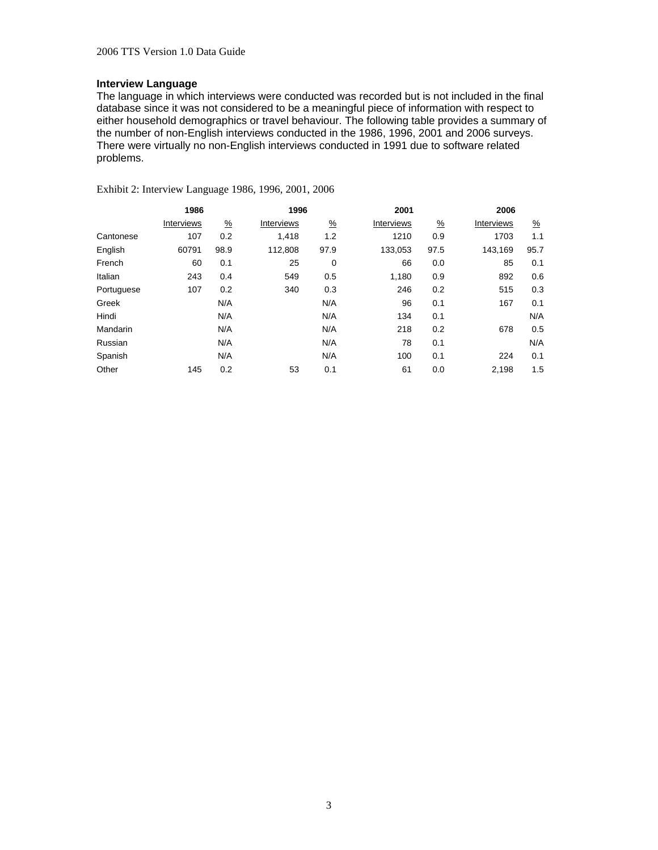#### **Interview Language**

The language in which interviews were conducted was recorded but is not included in the final database since it was not considered to be a meaningful piece of information with respect to either household demographics or travel behaviour. The following table provides a summary of the number of non-English interviews conducted in the 1986, 1996, 2001 and 2006 surveys. There were virtually no non-English interviews conducted in 1991 due to software related problems.

<span id="page-7-0"></span>Exhibit 2: Interview Language 1986, 1996, 2001, 2006

|            | 1986       |               |            | 1996          |            |               | 2006       |               |  |
|------------|------------|---------------|------------|---------------|------------|---------------|------------|---------------|--|
|            | Interviews | $\frac{9}{6}$ | Interviews | $\frac{9}{6}$ | Interviews | $\frac{9}{6}$ | Interviews | $\frac{9}{6}$ |  |
| Cantonese  | 107        | 0.2           | 1.418      | 1.2           | 1210       | 0.9           | 1703       | 1.1           |  |
| English    | 60791      | 98.9          | 112,808    | 97.9          | 133,053    | 97.5          | 143,169    | 95.7          |  |
| French     | 60         | 0.1           | 25         | 0             | 66         | 0.0           | 85         | 0.1           |  |
| Italian    | 243        | 0.4           | 549        | 0.5           | 1,180      | 0.9           | 892        | 0.6           |  |
| Portuguese | 107        | 0.2           | 340        | 0.3           | 246        | 0.2           | 515        | 0.3           |  |
| Greek      |            | N/A           |            | N/A           | 96         | 0.1           | 167        | 0.1           |  |
| Hindi      |            | N/A           |            | N/A           | 134        | 0.1           |            | N/A           |  |
| Mandarin   |            | N/A           |            | N/A           | 218        | 0.2           | 678        | 0.5           |  |
| Russian    |            | N/A           |            | N/A           | 78         | 0.1           |            | N/A           |  |
| Spanish    |            | N/A           |            | N/A           | 100        | 0.1           | 224        | 0.1           |  |
| Other      | 145        | 0.2           | 53         | 0.1           | 61         | 0.0           | 2,198      | 1.5           |  |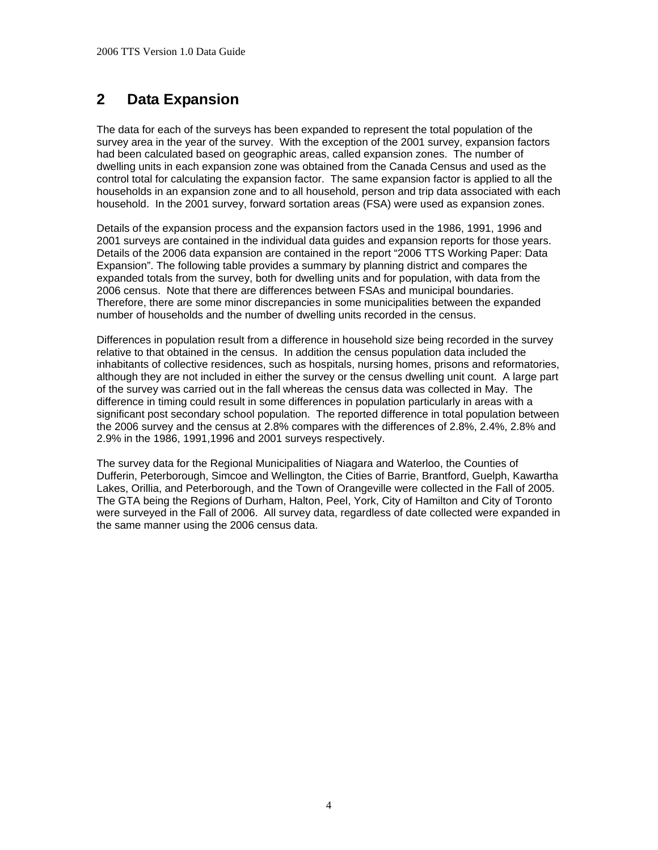## <span id="page-8-0"></span>**2 Data Expansion**

The data for each of the surveys has been expanded to represent the total population of the survey area in the year of the survey. With the exception of the 2001 survey, expansion factors had been calculated based on geographic areas, called expansion zones. The number of dwelling units in each expansion zone was obtained from the Canada Census and used as the control total for calculating the expansion factor. The same expansion factor is applied to all the households in an expansion zone and to all household, person and trip data associated with each household. In the 2001 survey, forward sortation areas (FSA) were used as expansion zones.

Details of the expansion process and the expansion factors used in the 1986, 1991, 1996 and 2001 surveys are contained in the individual data guides and expansion reports for those years. Details of the 2006 data expansion are contained in the report "2006 TTS Working Paper: Data Expansion". The following table provides a summary by planning district and compares the expanded totals from the survey, both for dwelling units and for population, with data from the 2006 census. Note that there are differences between FSAs and municipal boundaries. Therefore, there are some minor discrepancies in some municipalities between the expanded number of households and the number of dwelling units recorded in the census.

Differences in population result from a difference in household size being recorded in the survey relative to that obtained in the census. In addition the census population data included the inhabitants of collective residences, such as hospitals, nursing homes, prisons and reformatories, although they are not included in either the survey or the census dwelling unit count. A large part of the survey was carried out in the fall whereas the census data was collected in May. The difference in timing could result in some differences in population particularly in areas with a significant post secondary school population. The reported difference in total population between the 2006 survey and the census at 2.8% compares with the differences of 2.8%, 2.4%, 2.8% and 2.9% in the 1986, 1991,1996 and 2001 surveys respectively.

The survey data for the Regional Municipalities of Niagara and Waterloo, the Counties of Dufferin, Peterborough, Simcoe and Wellington, the Cities of Barrie, Brantford, Guelph, Kawartha Lakes, Orillia, and Peterborough, and the Town of Orangeville were collected in the Fall of 2005. The GTA being the Regions of Durham, Halton, Peel, York, City of Hamilton and City of Toronto were surveyed in the Fall of 2006. All survey data, regardless of date collected were expanded in the same manner using the 2006 census data.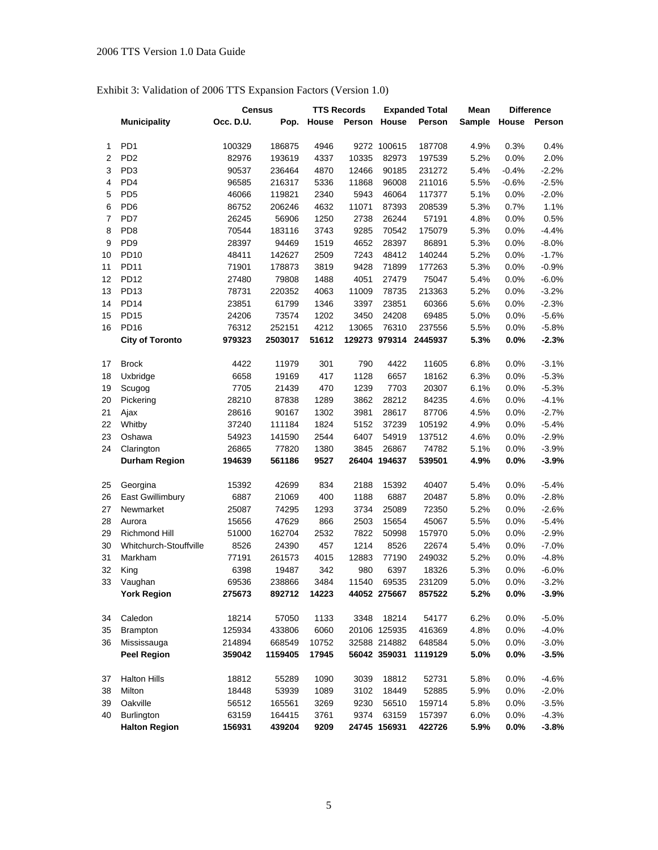## <span id="page-9-0"></span>Exhibit 3: Validation of 2006 TTS Expansion Factors (Version 1.0)

|    |                        | <b>Census</b> |         | <b>TTS Records</b> |              | <b>Expanded Total</b> |         | Mean   |         | <b>Difference</b> |
|----|------------------------|---------------|---------|--------------------|--------------|-----------------------|---------|--------|---------|-------------------|
|    | <b>Municipality</b>    | Occ. D.U.     | Pop.    | House              | Person House |                       | Person  | Sample | House   | Person            |
|    |                        |               |         |                    |              |                       |         |        |         |                   |
| 1  | PD <sub>1</sub>        | 100329        | 186875  | 4946               |              | 9272 100615           | 187708  | 4.9%   | 0.3%    | 0.4%              |
| 2  | PD <sub>2</sub>        | 82976         | 193619  | 4337               | 10335        | 82973                 | 197539  | 5.2%   | 0.0%    | 2.0%              |
| 3  | PD <sub>3</sub>        | 90537         | 236464  | 4870               | 12466        | 90185                 | 231272  | 5.4%   | $-0.4%$ | $-2.2%$           |
| 4  | PD <sub>4</sub>        | 96585         | 216317  | 5336               | 11868        | 96008                 | 211016  | 5.5%   | $-0.6%$ | $-2.5%$           |
| 5  | PD <sub>5</sub>        | 46066         | 119821  | 2340               | 5943         | 46064                 | 117377  | 5.1%   | 0.0%    | $-2.0%$           |
| 6  | PD <sub>6</sub>        | 86752         | 206246  | 4632               | 11071        | 87393                 | 208539  | 5.3%   | 0.7%    | 1.1%              |
| 7  | PD7                    | 26245         | 56906   | 1250               | 2738         | 26244                 | 57191   | 4.8%   | 0.0%    | 0.5%              |
| 8  | PD <sub>8</sub>        | 70544         | 183116  | 3743               | 9285         | 70542                 | 175079  | 5.3%   | 0.0%    | $-4.4%$           |
| 9  | PD <sub>9</sub>        | 28397         | 94469   | 1519               | 4652         | 28397                 | 86891   | 5.3%   | 0.0%    | $-8.0%$           |
| 10 | <b>PD10</b>            | 48411         | 142627  | 2509               | 7243         | 48412                 | 140244  | 5.2%   | 0.0%    | $-1.7%$           |
| 11 | <b>PD11</b>            | 71901         | 178873  | 3819               | 9428         | 71899                 | 177263  | 5.3%   | 0.0%    | $-0.9%$           |
| 12 | <b>PD12</b>            | 27480         | 79808   | 1488               | 4051         | 27479                 | 75047   | 5.4%   | 0.0%    | $-6.0%$           |
| 13 | PD13                   | 78731         | 220352  | 4063               | 11009        | 78735                 | 213363  | 5.2%   | 0.0%    | $-3.2%$           |
| 14 | <b>PD14</b>            | 23851         | 61799   | 1346               | 3397         | 23851                 | 60366   | 5.6%   | 0.0%    | $-2.3%$           |
| 15 | <b>PD15</b>            | 24206         | 73574   | 1202               | 3450         | 24208                 | 69485   | 5.0%   | 0.0%    | $-5.6%$           |
| 16 | <b>PD16</b>            | 76312         | 252151  | 4212               | 13065        | 76310                 | 237556  | 5.5%   | 0.0%    | $-5.8%$           |
|    | <b>City of Toronto</b> | 979323        | 2503017 | 51612              |              | 129273 979314         | 2445937 | 5.3%   | 0.0%    | $-2.3%$           |
|    |                        |               |         |                    |              |                       |         |        |         |                   |
| 17 | <b>Brock</b>           | 4422          | 11979   | 301                | 790          | 4422                  | 11605   | 6.8%   | 0.0%    | $-3.1%$           |
| 18 | Uxbridge               | 6658          | 19169   | 417                | 1128         | 6657                  | 18162   | 6.3%   | 0.0%    | $-5.3%$           |
| 19 | Scugog                 | 7705          | 21439   | 470                | 1239         | 7703                  | 20307   | 6.1%   | 0.0%    | $-5.3%$           |
| 20 | Pickering              | 28210         | 87838   | 1289               | 3862         | 28212                 | 84235   | 4.6%   | 0.0%    | $-4.1%$           |
| 21 | Ajax                   | 28616         | 90167   | 1302               | 3981         | 28617                 | 87706   | 4.5%   | 0.0%    | $-2.7%$           |
| 22 | Whitby                 | 37240         | 111184  | 1824               | 5152         | 37239                 | 105192  | 4.9%   | 0.0%    | $-5.4%$           |
| 23 | Oshawa                 | 54923         | 141590  | 2544               | 6407         | 54919                 | 137512  | 4.6%   | 0.0%    | $-2.9%$           |
| 24 | Clarington             | 26865         | 77820   | 1380               | 3845         | 26867                 | 74782   | 5.1%   | 0.0%    | $-3.9%$           |
|    | <b>Durham Region</b>   | 194639        | 561186  | 9527               |              | 26404 194637          | 539501  | 4.9%   | 0.0%    | $-3.9%$           |
|    |                        |               |         |                    |              |                       |         |        |         |                   |
| 25 | Georgina               | 15392         | 42699   | 834                | 2188         | 15392                 | 40407   | 5.4%   | 0.0%    | $-5.4%$           |
| 26 | East Gwillimbury       | 6887          | 21069   | 400                | 1188         | 6887                  | 20487   | 5.8%   | 0.0%    | $-2.8%$           |
| 27 | Newmarket              | 25087         | 74295   | 1293               | 3734         | 25089                 | 72350   | 5.2%   | 0.0%    | $-2.6%$           |
| 28 | Aurora                 | 15656         | 47629   | 866                | 2503         | 15654                 | 45067   | 5.5%   | 0.0%    | $-5.4%$           |
| 29 | Richmond Hill          | 51000         | 162704  | 2532               | 7822         | 50998                 | 157970  | 5.0%   | 0.0%    | $-2.9%$           |
| 30 | Whitchurch-Stouffville | 8526          | 24390   | 457                | 1214         | 8526                  | 22674   | 5.4%   | 0.0%    | $-7.0%$           |
| 31 | Markham                | 77191         | 261573  | 4015               | 12883        | 77190                 | 249032  | 5.2%   | $0.0\%$ | $-4.8%$           |
| 32 | King                   | 6398          | 19487   | 342                | 980          | 6397                  | 18326   | 5.3%   | 0.0%    | $-6.0%$           |
| 33 | Vaughan                | 69536         | 238866  | 3484               | 11540        | 69535                 | 231209  | 5.0%   | 0.0%    | $-3.2%$           |
|    | <b>York Region</b>     | 275673        | 892712  | 14223              |              | 44052 275667          | 857522  | 5.2%   | 0.0%    | $-3.9%$           |
| 34 | Caledon                | 18214         | 57050   | 1133               | 3348         | 18214                 | 54177   | 6.2%   | 0.0%    | $-5.0%$           |
| 35 | <b>Brampton</b>        | 125934        | 433806  | 6060               |              | 20106 125935          | 416369  | 4.8%   | 0.0%    | $-4.0%$           |
| 36 | Mississauga            | 214894        | 668549  | 10752              |              | 32588 214882          | 648584  | 5.0%   | 0.0%    | $-3.0%$           |
|    | <b>Peel Region</b>     | 359042        | 1159405 | 17945              |              | 56042 359031          | 1119129 | 5.0%   | $0.0\%$ | $-3.5%$           |
|    |                        |               |         |                    |              |                       |         |        |         |                   |
| 37 | <b>Halton Hills</b>    | 18812         | 55289   | 1090               | 3039         | 18812                 | 52731   | 5.8%   | $0.0\%$ | $-4.6%$           |
| 38 | Milton                 | 18448         | 53939   | 1089               | 3102         | 18449                 | 52885   | 5.9%   | 0.0%    | $-2.0%$           |
| 39 | Oakville               | 56512         | 165561  | 3269               | 9230         | 56510                 | 159714  | 5.8%   | 0.0%    | $-3.5%$           |
| 40 | Burlington             | 63159         | 164415  | 3761               | 9374         | 63159                 | 157397  | 6.0%   | 0.0%    | $-4.3%$           |
|    | <b>Halton Region</b>   | 156931        | 439204  | 9209               |              | 24745 156931          | 422726  | 5.9%   | 0.0%    | $-3.8%$           |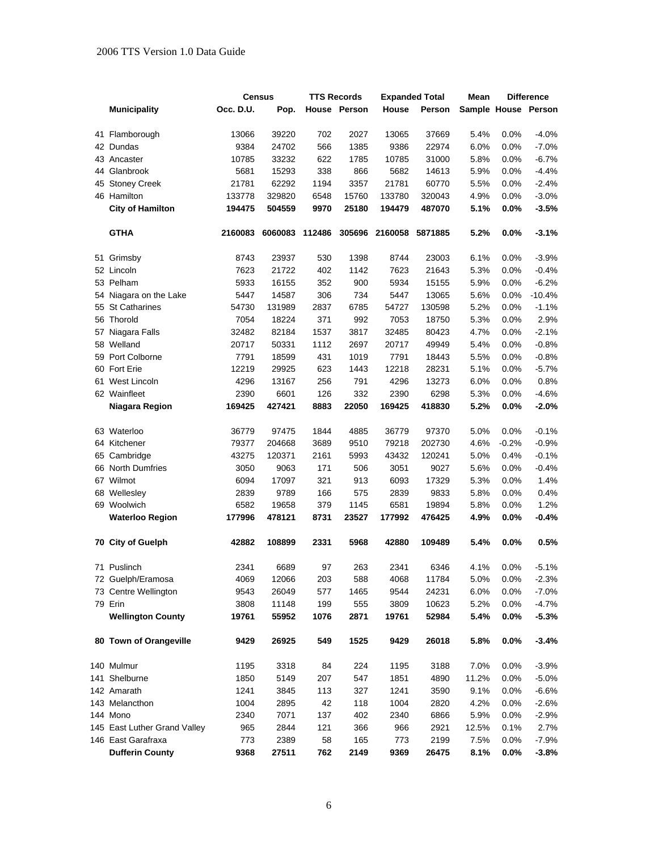#### 2006 TTS Version 1.0 Data Guide

|    |                              | Census    |         | <b>TTS Records</b> |              | <b>Expanded Total</b> |         | Mean                |         | <b>Difference</b> |  |
|----|------------------------------|-----------|---------|--------------------|--------------|-----------------------|---------|---------------------|---------|-------------------|--|
|    | <b>Municipality</b>          | Occ. D.U. | Pop.    |                    | House Person | House                 | Person  | Sample House Person |         |                   |  |
|    | 41 Flamborough               | 13066     | 39220   | 702                | 2027         | 13065                 | 37669   | 5.4%                | 0.0%    | $-4.0%$           |  |
|    | 42 Dundas                    | 9384      | 24702   | 566                | 1385         | 9386                  | 22974   | 6.0%                | 0.0%    | $-7.0\%$          |  |
|    | 43 Ancaster                  | 10785     | 33232   | 622                | 1785         | 10785                 | 31000   | 5.8%                | 0.0%    | $-6.7%$           |  |
|    | 44 Glanbrook                 | 5681      | 15293   | 338                | 866          | 5682                  | 14613   | 5.9%                | 0.0%    | $-4.4%$           |  |
| 45 | <b>Stoney Creek</b>          | 21781     | 62292   | 1194               | 3357         | 21781                 | 60770   | 5.5%                | 0.0%    | $-2.4%$           |  |
|    | 46 Hamilton                  | 133778    | 329820  | 6548               | 15760        | 133780                | 320043  | 4.9%                | 0.0%    | $-3.0%$           |  |
|    | <b>City of Hamilton</b>      | 194475    | 504559  | 9970               | 25180        | 194479                | 487070  | 5.1%                | 0.0%    | $-3.5%$           |  |
|    | <b>GTHA</b>                  | 2160083   | 6060083 | 112486             |              | 305696 2160058        | 5871885 | 5.2%                | $0.0\%$ | $-3.1%$           |  |
|    | 51 Grimsby                   | 8743      | 23937   | 530                | 1398         | 8744                  | 23003   | 6.1%                | 0.0%    | $-3.9%$           |  |
|    | 52 Lincoln                   | 7623      | 21722   | 402                | 1142         | 7623                  | 21643   | 5.3%                | 0.0%    | $-0.4%$           |  |
|    | 53 Pelham                    | 5933      | 16155   | 352                | 900          | 5934                  | 15155   | 5.9%                | 0.0%    | $-6.2%$           |  |
|    | 54 Niagara on the Lake       | 5447      | 14587   | 306                | 734          | 5447                  | 13065   | 5.6%                | 0.0%    | $-10.4%$          |  |
|    | 55 St Catharines             | 54730     | 131989  | 2837               | 6785         | 54727                 | 130598  | 5.2%                | 0.0%    | $-1.1%$           |  |
|    | 56 Thorold                   | 7054      | 18224   | 371                | 992          | 7053                  | 18750   | 5.3%                | 0.0%    | 2.9%              |  |
|    | 57 Niagara Falls             | 32482     | 82184   | 1537               | 3817         | 32485                 | 80423   | 4.7%                | 0.0%    | $-2.1%$           |  |
|    | 58 Welland                   | 20717     | 50331   | 1112               | 2697         | 20717                 | 49949   | 5.4%                | 0.0%    | $-0.8%$           |  |
|    | 59 Port Colborne             | 7791      | 18599   | 431                | 1019         | 7791                  | 18443   | 5.5%                | 0.0%    | $-0.8%$           |  |
|    | 60 Fort Erie                 | 12219     | 29925   | 623                | 1443         | 12218                 | 28231   | 5.1%                | 0.0%    | $-5.7%$           |  |
|    | 61 West Lincoln              | 4296      | 13167   | 256                | 791          | 4296                  | 13273   | 6.0%                | 0.0%    | 0.8%              |  |
|    | 62 Wainfleet                 | 2390      | 6601    | 126                | 332          | 2390                  | 6298    | 5.3%                | $0.0\%$ | $-4.6%$           |  |
|    | Niagara Region               | 169425    | 427421  | 8883               | 22050        | 169425                | 418830  | 5.2%                | 0.0%    | $-2.0%$           |  |
|    | 63 Waterloo                  | 36779     | 97475   | 1844               | 4885         | 36779                 | 97370   | 5.0%                | $0.0\%$ | $-0.1%$           |  |
|    | 64 Kitchener                 | 79377     | 204668  | 3689               | 9510         | 79218                 | 202730  | 4.6%                | $-0.2%$ | $-0.9%$           |  |
|    | 65 Cambridge                 | 43275     | 120371  | 2161               | 5993         | 43432                 | 120241  | 5.0%                | 0.4%    | $-0.1%$           |  |
|    | 66 North Dumfries            | 3050      | 9063    | 171                | 506          | 3051                  | 9027    | 5.6%                | 0.0%    | $-0.4%$           |  |
|    | 67 Wilmot                    | 6094      | 17097   | 321                | 913          | 6093                  | 17329   | 5.3%                | 0.0%    | 1.4%              |  |
|    | 68 Wellesley                 | 2839      | 9789    | 166                | 575          | 2839                  | 9833    | 5.8%                | 0.0%    | 0.4%              |  |
|    | 69 Woolwich                  | 6582      | 19658   | 379                | 1145         | 6581                  | 19894   | 5.8%                | 0.0%    | 1.2%              |  |
|    | <b>Waterloo Region</b>       | 177996    | 478121  | 8731               | 23527        | 177992                | 476425  | 4.9%                | 0.0%    | $-0.4%$           |  |
|    | 70 City of Guelph            | 42882     | 108899  | 2331               | 5968         | 42880                 | 109489  | 5.4%                | 0.0%    | 0.5%              |  |
|    | 71 Puslinch                  | 2341      | 6689    | 97                 | 263          | 2341                  | 6346    | 4.1%                | 0.0%    | $-5.1%$           |  |
|    | 72 Guelph/Eramosa            | 4069      | 12066   | 203                | 588          | 4068                  | 11784   | 5.0%                | $0.0\%$ | $-2.3%$           |  |
|    | 73 Centre Wellington         | 9543      | 26049   | 577                | 1465         | 9544                  | 24231   | 6.0%                | 0.0%    | $-7.0%$           |  |
|    | 79 Erin                      | 3808      | 11148   | 199                | 555          | 3809                  | 10623   | 5.2%                | 0.0%    | $-4.7%$           |  |
|    | <b>Wellington County</b>     | 19761     | 55952   | 1076               | 2871         | 19761                 | 52984   | 5.4%                | 0.0%    | $-5.3%$           |  |
|    | 80 Town of Orangeville       | 9429      | 26925   | 549                | 1525         | 9429                  | 26018   | 5.8%                | 0.0%    | $-3.4%$           |  |
|    | 140 Mulmur                   | 1195      | 3318    | 84                 | 224          | 1195                  | 3188    | 7.0%                | 0.0%    | $-3.9%$           |  |
|    | 141 Shelburne                | 1850      | 5149    | 207                | 547          | 1851                  | 4890    | 11.2%               | 0.0%    | $-5.0%$           |  |
|    | 142 Amarath                  | 1241      | 3845    | 113                | 327          | 1241                  | 3590    | 9.1%                | $0.0\%$ | $-6.6%$           |  |
|    | 143 Melancthon               | 1004      | 2895    | 42                 | 118          | 1004                  | 2820    | 4.2%                | 0.0%    | $-2.6%$           |  |
|    | 144 Mono                     | 2340      | 7071    | 137                | 402          | 2340                  | 6866    | 5.9%                | 0.0%    | $-2.9%$           |  |
|    | 145 East Luther Grand Valley | 965       | 2844    | 121                | 366          | 966                   | 2921    | 12.5%               | 0.1%    | 2.7%              |  |
|    | 146 East Garafraxa           | 773       | 2389    | 58                 | 165          | 773                   | 2199    | 7.5%                | 0.0%    | $-7.9%$           |  |
|    | <b>Dufferin County</b>       | 9368      | 27511   | 762                | 2149         | 9369                  | 26475   | 8.1%                | 0.0%    | $-3.8%$           |  |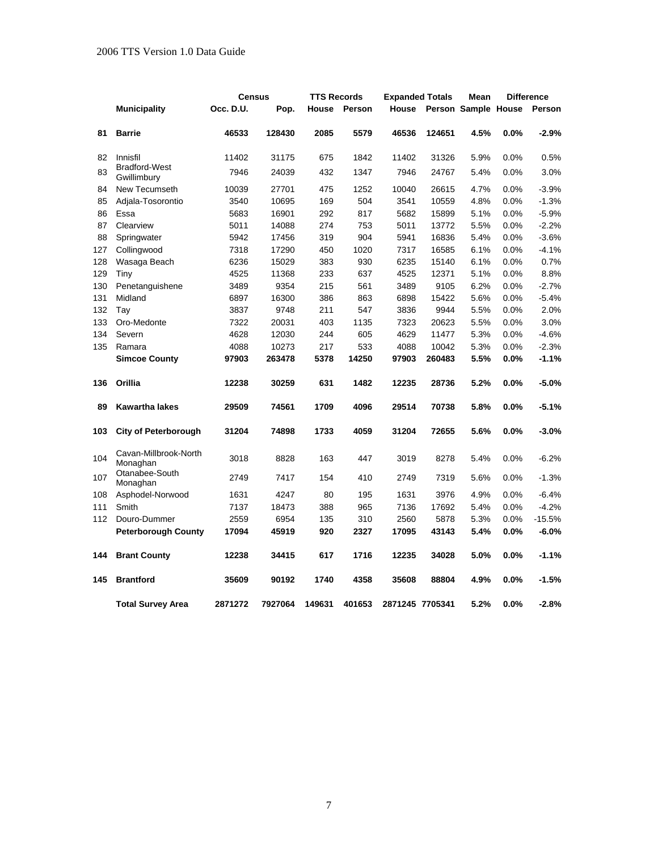|     |                                     | <b>Census</b> |         | <b>TTS Records</b> |        | <b>Expanded Totals</b> |        | Mean                |         | <b>Difference</b> |
|-----|-------------------------------------|---------------|---------|--------------------|--------|------------------------|--------|---------------------|---------|-------------------|
|     | <b>Municipality</b>                 | Occ. D.U.     | Pop.    | House              | Person | House                  |        | Person Sample House |         | Person            |
| 81  | <b>Barrie</b>                       | 46533         | 128430  | 2085               | 5579   | 46536                  | 124651 | 4.5%                | 0.0%    | $-2.9%$           |
| 82  | Innisfil                            | 11402         | 31175   | 675                | 1842   | 11402                  | 31326  | 5.9%                | 0.0%    | 0.5%              |
| 83  | <b>Bradford-West</b><br>Gwillimbury | 7946          | 24039   | 432                | 1347   | 7946                   | 24767  | 5.4%                | 0.0%    | 3.0%              |
| 84  | New Tecumseth                       | 10039         | 27701   | 475                | 1252   | 10040                  | 26615  | 4.7%                | 0.0%    | $-3.9%$           |
| 85  | Adjala-Tosorontio                   | 3540          | 10695   | 169                | 504    | 3541                   | 10559  | 4.8%                | 0.0%    | $-1.3%$           |
| 86  | Essa                                | 5683          | 16901   | 292                | 817    | 5682                   | 15899  | 5.1%                | 0.0%    | $-5.9%$           |
| 87  | Clearview                           | 5011          | 14088   | 274                | 753    | 5011                   | 13772  | 5.5%                | 0.0%    | $-2.2%$           |
| 88  | Springwater                         | 5942          | 17456   | 319                | 904    | 5941                   | 16836  | 5.4%                | 0.0%    | $-3.6%$           |
| 127 | Collingwood                         | 7318          | 17290   | 450                | 1020   | 7317                   | 16585  | 6.1%                | 0.0%    | $-4.1%$           |
| 128 | Wasaga Beach                        | 6236          | 15029   | 383                | 930    | 6235                   | 15140  | 6.1%                | 0.0%    | 0.7%              |
| 129 | Tiny                                | 4525          | 11368   | 233                | 637    | 4525                   | 12371  | 5.1%                | 0.0%    | 8.8%              |
| 130 | Penetanguishene                     | 3489          | 9354    | 215                | 561    | 3489                   | 9105   | 6.2%                | 0.0%    | $-2.7%$           |
| 131 | Midland                             | 6897          | 16300   | 386                | 863    | 6898                   | 15422  | 5.6%                | 0.0%    | $-5.4%$           |
| 132 | Tay                                 | 3837          | 9748    | 211                | 547    | 3836                   | 9944   | 5.5%                | 0.0%    | 2.0%              |
| 133 | Oro-Medonte                         | 7322          | 20031   | 403                | 1135   | 7323                   | 20623  | 5.5%                | 0.0%    | 3.0%              |
| 134 | Severn                              | 4628          | 12030   | 244                | 605    | 4629                   | 11477  | 5.3%                | $0.0\%$ | $-4.6%$           |
| 135 | Ramara                              | 4088          | 10273   | 217                | 533    | 4088                   | 10042  | 5.3%                | 0.0%    | $-2.3%$           |
|     | <b>Simcoe County</b>                | 97903         | 263478  | 5378               | 14250  | 97903                  | 260483 | 5.5%                | 0.0%    | $-1.1%$           |
| 136 | Orillia                             | 12238         | 30259   | 631                | 1482   | 12235                  | 28736  | 5.2%                | 0.0%    | $-5.0%$           |
| 89  | <b>Kawartha lakes</b>               | 29509         | 74561   | 1709               | 4096   | 29514                  | 70738  | 5.8%                | 0.0%    | $-5.1%$           |
| 103 | <b>City of Peterborough</b>         | 31204         | 74898   | 1733               | 4059   | 31204                  | 72655  | 5.6%                | 0.0%    | $-3.0%$           |
| 104 | Cavan-Millbrook-North<br>Monaghan   | 3018          | 8828    | 163                | 447    | 3019                   | 8278   | 5.4%                | 0.0%    | $-6.2%$           |
| 107 | Otanabee-South<br>Monaghan          | 2749          | 7417    | 154                | 410    | 2749                   | 7319   | 5.6%                | 0.0%    | $-1.3%$           |
| 108 | Asphodel-Norwood                    | 1631          | 4247    | 80                 | 195    | 1631                   | 3976   | 4.9%                | 0.0%    | $-6.4%$           |
| 111 | Smith                               | 7137          | 18473   | 388                | 965    | 7136                   | 17692  | 5.4%                | 0.0%    | $-4.2%$           |
| 112 | Douro-Dummer                        | 2559          | 6954    | 135                | 310    | 2560                   | 5878   | 5.3%                | 0.0%    | $-15.5%$          |
|     | <b>Peterborough County</b>          | 17094         | 45919   | 920                | 2327   | 17095                  | 43143  | 5.4%                | $0.0\%$ | $-6.0%$           |
| 144 | <b>Brant County</b>                 | 12238         | 34415   | 617                | 1716   | 12235                  | 34028  | 5.0%                | 0.0%    | $-1.1%$           |
| 145 | <b>Brantford</b>                    | 35609         | 90192   | 1740               | 4358   | 35608                  | 88804  | 4.9%                | $0.0\%$ | $-1.5%$           |
|     | <b>Total Survey Area</b>            | 2871272       | 7927064 | 149631             | 401653 | 2871245 7705341        |        | 5.2%                | 0.0%    | $-2.8%$           |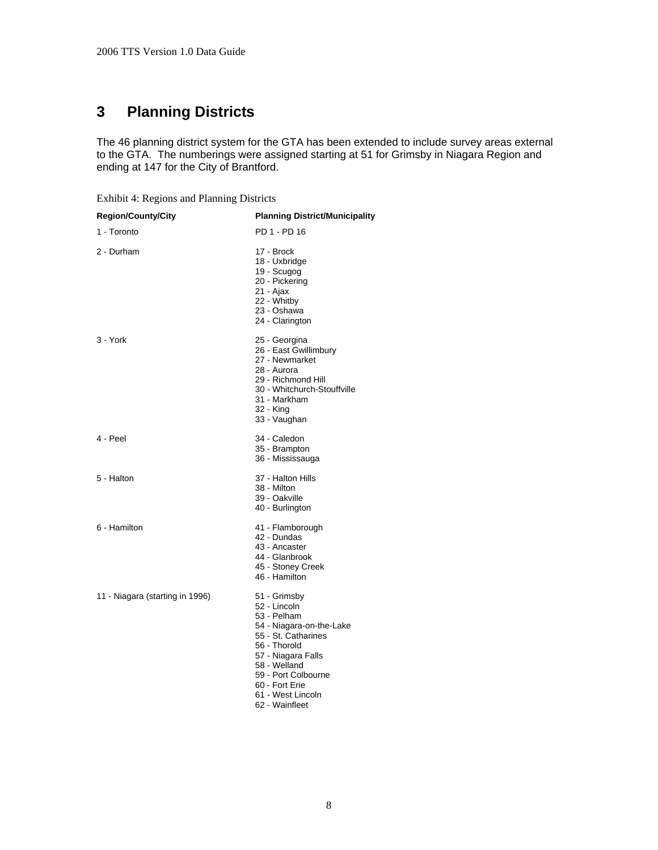# <span id="page-12-0"></span>**3 Planning Districts**

The 46 planning district system for the GTA has been extended to include survey areas external to the GTA. The numberings were assigned starting at 51 for Grimsby in Niagara Region and ending at 147 for the City of Brantford.

<span id="page-12-1"></span>Exhibit 4: Regions and Planning Districts

| <b>Region/County/City</b>       | <b>Planning District/Municipality</b>                                                                                                                                                                                                |
|---------------------------------|--------------------------------------------------------------------------------------------------------------------------------------------------------------------------------------------------------------------------------------|
| 1 - Toronto                     | PD 1 - PD 16                                                                                                                                                                                                                         |
| 2 - Durham                      | 17 - Brock<br>18 - Uxbridge<br>19 - Scugog<br>20 - Pickering<br>21 - Ajax<br>22 - Whitby<br>23 - Oshawa<br>24 - Clarington                                                                                                           |
| 3 - York                        | 25 - Georgina<br>26 - East Gwillimbury<br>27 - Newmarket<br>28 - Aurora<br>29 - Richmond Hill<br>30 - Whitchurch-Stouffville<br>31 - Markham<br>32 - King<br>33 - Vaughan                                                            |
| 4 - Peel                        | 34 - Caledon<br>35 - Brampton<br>36 - Mississauga                                                                                                                                                                                    |
| 5 - Halton                      | 37 - Halton Hills<br>38 - Milton<br>39 - Oakville<br>40 - Burlington                                                                                                                                                                 |
| 6 - Hamilton                    | 41 - Flamborough<br>42 - Dundas<br>43 - Ancaster<br>44 - Glanbrook<br>45 - Stoney Creek<br>46 - Hamilton                                                                                                                             |
| 11 - Niagara (starting in 1996) | 51 - Grimsby<br>52 - Lincoln<br>53 - Pelham<br>54 - Niagara-on-the-Lake<br>55 - St. Catharines<br>56 - Thorold<br>57 - Niagara Falls<br>58 - Welland<br>59 - Port Colbourne<br>60 - Fort Erie<br>61 - West Lincoln<br>62 - Wainfleet |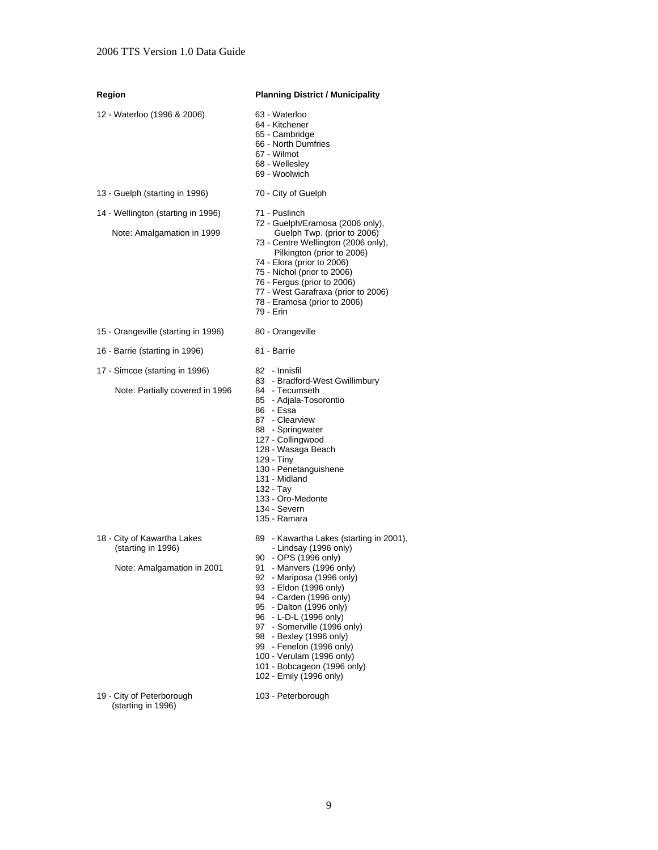| Region                                                                          | <b>Planning District / Municipality</b>                                                                                                                                                                                                                                                                                                                                                                                                  |
|---------------------------------------------------------------------------------|------------------------------------------------------------------------------------------------------------------------------------------------------------------------------------------------------------------------------------------------------------------------------------------------------------------------------------------------------------------------------------------------------------------------------------------|
| 12 - Waterloo (1996 & 2006)                                                     | 63 - Waterloo<br>64 - Kitchener<br>65 - Cambridge<br>66 - North Dumfries<br>67 - Wilmot<br>68 - Wellesley<br>69 - Woolwich                                                                                                                                                                                                                                                                                                               |
| 13 - Guelph (starting in 1996)                                                  | 70 - City of Guelph                                                                                                                                                                                                                                                                                                                                                                                                                      |
| 14 - Wellington (starting in 1996)<br>Note: Amalgamation in 1999                | 71 - Puslinch<br>72 - Guelph/Eramosa (2006 only),<br>Guelph Twp. (prior to 2006)<br>73 - Centre Wellington (2006 only),<br>Pilkington (prior to 2006)<br>74 - Elora (prior to 2006)<br>75 - Nichol (prior to 2006)<br>76 - Fergus (prior to 2006)<br>77 - West Garafraxa (prior to 2006)<br>78 - Eramosa (prior to 2006)<br>79 - Erin                                                                                                    |
| 15 - Orangeville (starting in 1996)                                             | 80 - Orangeville                                                                                                                                                                                                                                                                                                                                                                                                                         |
| 16 - Barrie (starting in 1996)                                                  | 81 - Barrie                                                                                                                                                                                                                                                                                                                                                                                                                              |
| 17 - Simcoe (starting in 1996)<br>Note: Partially covered in 1996               | 82 - Innisfil<br>83 - Bradford-West Gwillimbury<br>84 - Tecumseth<br>85 - Adjala-Tosorontio<br>86 - Essa<br>87 - Clearview<br>88 - Springwater<br>127 - Collingwood<br>128 - Wasaga Beach<br>129 - Tiny<br>130 - Penetanguishene<br>131 - Midland<br>132 - Tay<br>133 - Oro-Medonte<br>134 - Severn<br>135 - Ramara                                                                                                                      |
| 18 - City of Kawartha Lakes<br>(starting in 1996)<br>Note: Amalgamation in 2001 | 89 - Kawartha Lakes (starting in 2001),<br>- Lindsay (1996 only)<br>90 - OPS (1996 only)<br>91 - Manvers (1996 only)<br>92 - Mariposa (1996 only)<br>93 - Eldon (1996 only)<br>94 - Carden (1996 only)<br>95 - Dalton (1996 only)<br>96 - L-D-L (1996 only)<br>97 - Somerville (1996 only)<br>98 - Bexley (1996 only)<br>99 - Fenelon (1996 only)<br>100 - Verulam (1996 only)<br>101 - Bobcageon (1996 only)<br>102 - Emily (1996 only) |
| 19 - City of Peterborough<br>(starting in 1996)                                 | 103 - Peterborough                                                                                                                                                                                                                                                                                                                                                                                                                       |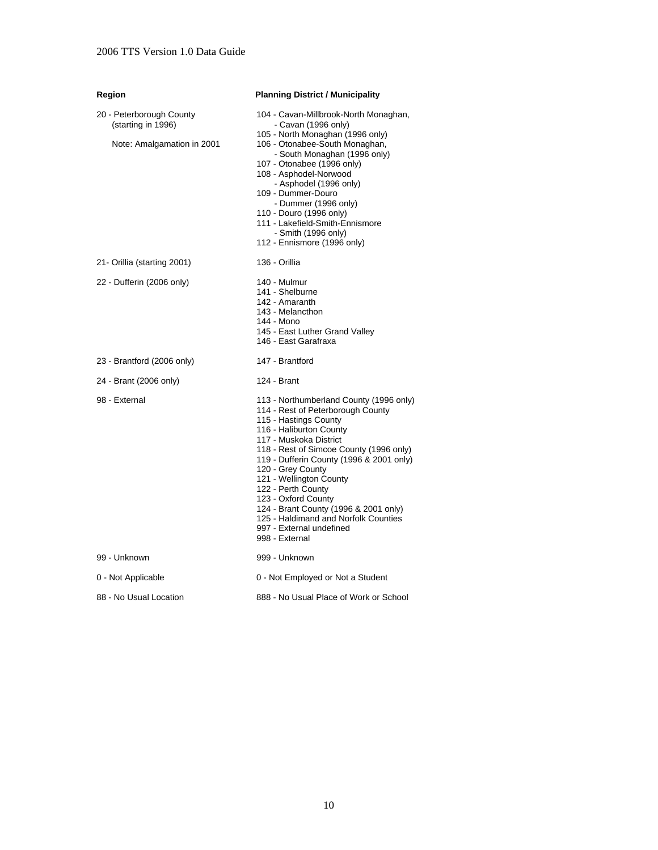#### **Region Planning District / Municipality**  20 - Peterborough County (starting in 1996) Note: Amalgamation in 2001 104 - Cavan-Millbrook-North Monaghan, - Cavan (1996 only) 105 - North Monaghan (1996 only) 106 - Otonabee-South Monaghan, - South Monaghan (1996 only) 107 - Otonabee (1996 only) 108 - Asphodel-Norwood - Asphodel (1996 only) 109 - Dummer-Douro - Dummer (1996 only) 110 - Douro (1996 only) 111 - Lakefield-Smith-Ennismore - Smith (1996 only) 112 - Ennismore (1996 only) 21- Orillia (starting 2001) 136 - Orillia 22 - Dufferin (2006 only) 140 - Mulmur 141 - Shelburne 142 - Amaranth 143 - Melancthon 144 - Mono 145 - East Luther Grand Valley 146 - East Garafraxa 23 - Brantford (2006 only) 147 - Brantford 24 - Brant (2006 only) 124 - Brant 98 - External **113 - Northumberland County (1996 only)** 114 - Rest of Peterborough County 115 - Hastings County 116 - Haliburton County 117 - Muskoka District 118 - Rest of Simcoe County (1996 only) 119 - Dufferin County (1996 & 2001 only) 120 - Grey County 121 - Wellington County 122 - Perth County 123 - Oxford County 124 - Brant County (1996 & 2001 only) 125 - Haldimand and Norfolk Counties 997 - External undefined 998 - External 99 - Unknown 999 - Unknown 0 - Not Applicable 0 - Not Employed or Not a Student

88 - No Usual Location 888 - No Usual Place of Work or School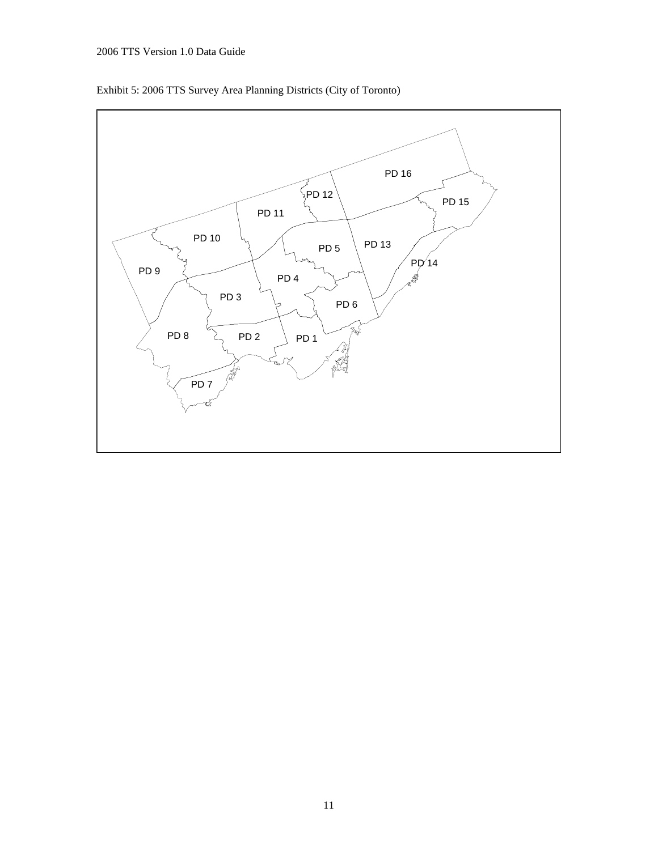<span id="page-15-0"></span>

Exhibit 5: 2006 TTS Survey Area Planning Districts (City of Toronto)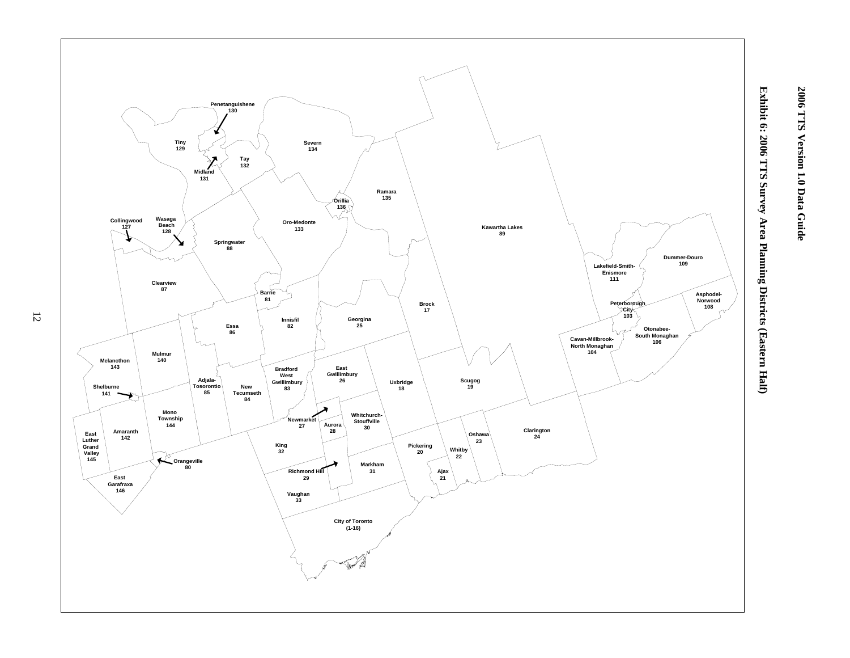

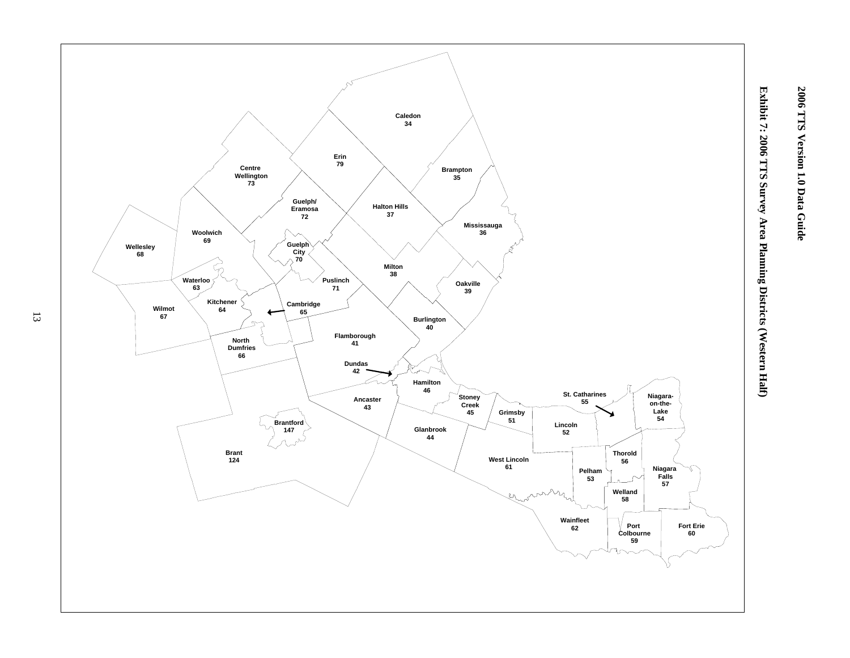

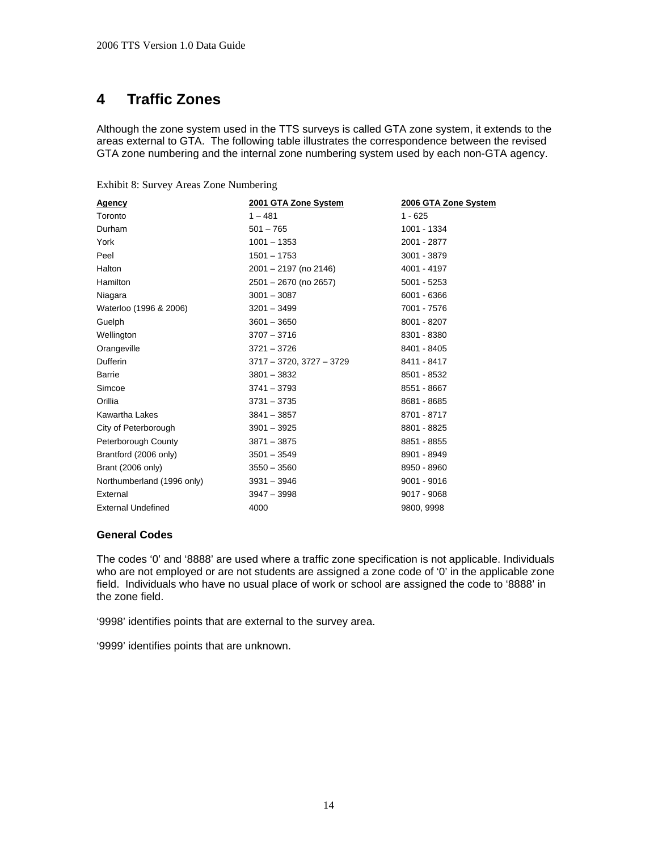## <span id="page-18-0"></span>**4 Traffic Zones**

Although the zone system used in the TTS surveys is called GTA zone system, it extends to the areas external to GTA. The following table illustrates the correspondence between the revised GTA zone numbering and the internal zone numbering system used by each non-GTA agency.

<span id="page-18-1"></span>

| Agency                     | 2001 GTA Zone System          | 2006 GTA Zone System |
|----------------------------|-------------------------------|----------------------|
| Toronto                    | $1 - 481$                     | $1 - 625$            |
| Durham                     | $501 - 765$                   | 1001 - 1334          |
| York                       | $1001 - 1353$                 | 2001 - 2877          |
| Peel                       | $1501 - 1753$                 | 3001 - 3879          |
| Halton                     | 2001 - 2197 (no 2146)         | 4001 - 4197          |
| Hamilton                   | 2501 - 2670 (no 2657)         | $5001 - 5253$        |
| Niagara                    | $3001 - 3087$                 | 6001 - 6366          |
| Waterloo (1996 & 2006)     | $3201 - 3499$                 | 7001 - 7576          |
| Guelph                     | $3601 - 3650$                 | 8001 - 8207          |
| Wellington                 | $3707 - 3716$                 | 8301 - 8380          |
| Orangeville                | $3721 - 3726$                 | 8401 - 8405          |
| Dufferin                   | $3717 - 3720$ , $3727 - 3729$ | 8411 - 8417          |
| <b>Barrie</b>              | $3801 - 3832$                 | 8501 - 8532          |
| Simcoe                     | $3741 - 3793$                 | 8551 - 8667          |
| Orillia                    | $3731 - 3735$                 | 8681 - 8685          |
| Kawartha Lakes             | $3841 - 3857$                 | 8701 - 8717          |
| City of Peterborough       | $3901 - 3925$                 | 8801 - 8825          |
| Peterborough County        | $3871 - 3875$                 | 8851 - 8855          |
| Brantford (2006 only)      | $3501 - 3549$                 | 8901 - 8949          |
| Brant (2006 only)          | $3550 - 3560$                 | 8950 - 8960          |
| Northumberland (1996 only) | $3931 - 3946$                 | $9001 - 9016$        |
| External                   | $3947 - 3998$                 | 9017 - 9068          |
| <b>External Undefined</b>  | 4000                          | 9800, 9998           |

#### **General Codes**

The codes '0' and '8888' are used where a traffic zone specification is not applicable. Individuals who are not employed or are not students are assigned a zone code of '0' in the applicable zone field. Individuals who have no usual place of work or school are assigned the code to '8888' in the zone field.

'9998' identifies points that are external to the survey area.

'9999' identifies points that are unknown.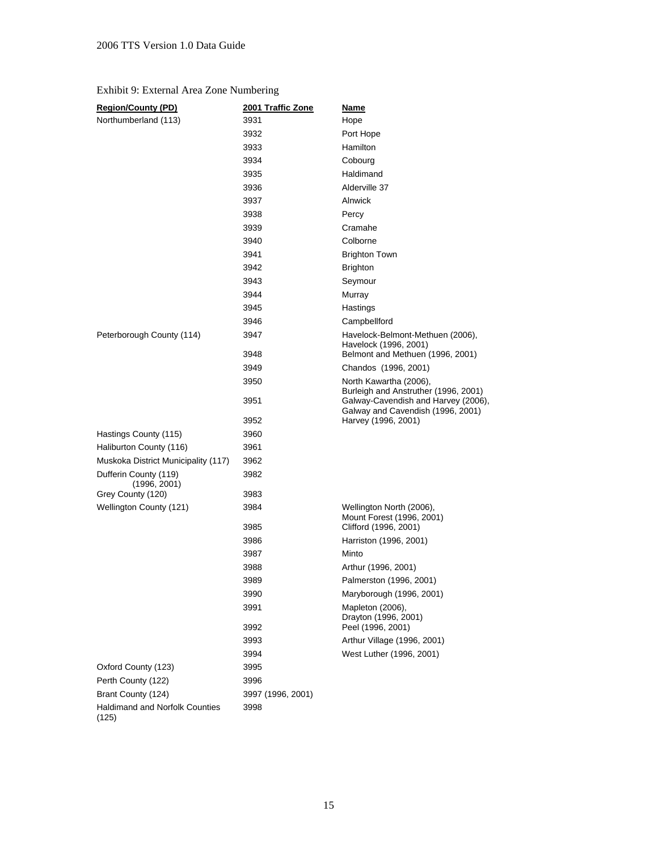### Exhibit 9: External Area Zone Numbering

| <b>Region/County (PD)</b>             | 2001 Traffic Zone | <b>Name</b>                                                                    |
|---------------------------------------|-------------------|--------------------------------------------------------------------------------|
| Northumberland (113)                  | 3931              | Hope                                                                           |
|                                       | 3932              | Port Hope                                                                      |
|                                       | 3933              | Hamilton                                                                       |
|                                       | 3934              | Cobourg                                                                        |
|                                       | 3935              | Haldimand                                                                      |
|                                       | 3936              | Alderville 37                                                                  |
|                                       | 3937              | Alnwick                                                                        |
|                                       | 3938              | Percy                                                                          |
|                                       | 3939              | Cramahe                                                                        |
|                                       | 3940              | Colborne                                                                       |
|                                       | 3941              | <b>Brighton Town</b>                                                           |
|                                       | 3942              | <b>Brighton</b>                                                                |
|                                       | 3943              | Seymour                                                                        |
|                                       | 3944              | Murray                                                                         |
|                                       | 3945              | Hastings                                                                       |
|                                       | 3946              | Campbellford                                                                   |
| Peterborough County (114)             | 3947              | Havelock-Belmont-Methuen (2006),<br>Havelock (1996, 2001)                      |
|                                       | 3948              | Belmont and Methuen (1996, 2001)                                               |
|                                       | 3949              | Chandos (1996, 2001)                                                           |
|                                       | 3950              | North Kawartha (2006),<br>Burleigh and Anstruther (1996, 2001)                 |
|                                       | 3951              | Galway-Cavendish and Harvey (2006),<br>Galway and Cavendish (1996, 2001)       |
|                                       | 3952              | Harvey (1996, 2001)                                                            |
| Hastings County (115)                 | 3960              |                                                                                |
| Haliburton County (116)               | 3961              |                                                                                |
| Muskoka District Municipality (117)   | 3962              |                                                                                |
| Dufferin County (119)<br>(1996, 2001) | 3982              |                                                                                |
| Grey County (120)                     | 3983              |                                                                                |
| Wellington County (121)               | 3984<br>3985      | Wellington North (2006),<br>Mount Forest (1996, 2001)<br>Clifford (1996, 2001) |
|                                       | 3986              | Harriston (1996, 2001)                                                         |
|                                       | 3987              | Minto                                                                          |
|                                       | 3988              | Arthur (1996, 2001)                                                            |
|                                       | 3989              | Palmerston (1996, 2001)                                                        |
|                                       | 3990              | Maryborough (1996, 2001)                                                       |
|                                       | 3991              | Mapleton (2006),                                                               |
|                                       | 3992              | Drayton (1996, 2001)<br>Peel (1996, 2001)                                      |
|                                       | 3993              | Arthur Village (1996, 2001)                                                    |
|                                       | 3994              | West Luther (1996, 2001)                                                       |
| Oxford County (123)                   | 3995              |                                                                                |
| Perth County (122)                    | 3996              |                                                                                |
| Brant County (124)                    | 3997 (1996, 2001) |                                                                                |
| <b>Haldimand and Norfolk Counties</b> | 3998              |                                                                                |
| (125)                                 |                   |                                                                                |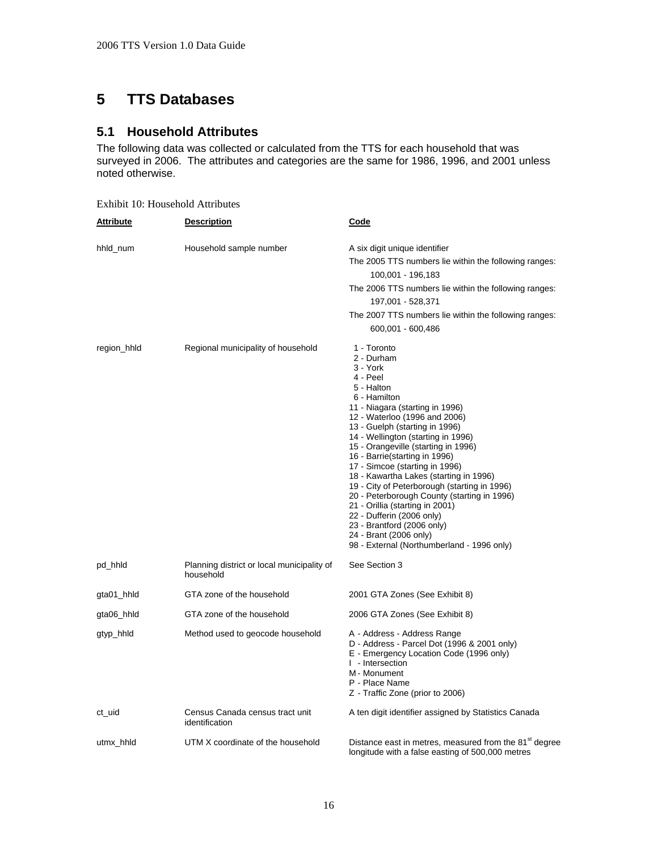## <span id="page-20-0"></span>**5 TTS Databases**

### <span id="page-20-1"></span>**5.1 Household Attributes**

The following data was collected or calculated from the TTS for each household that was surveyed in 2006. The attributes and categories are the same for 1986, 1996, and 2001 unless noted otherwise.

Exhibit 10: Household Attributes

| <b>Attribute</b> | <b>Description</b>                                      | <u>Code</u>                                                                                                                                                                                                                                                                                                                                                                                                                                                                                                                                                                                                                                          |
|------------------|---------------------------------------------------------|------------------------------------------------------------------------------------------------------------------------------------------------------------------------------------------------------------------------------------------------------------------------------------------------------------------------------------------------------------------------------------------------------------------------------------------------------------------------------------------------------------------------------------------------------------------------------------------------------------------------------------------------------|
| hhld_num         | Household sample number                                 | A six digit unique identifier<br>The 2005 TTS numbers lie within the following ranges:<br>100,001 - 196,183<br>The 2006 TTS numbers lie within the following ranges:<br>197,001 - 528,371<br>The 2007 TTS numbers lie within the following ranges:<br>600,001 - 600,486                                                                                                                                                                                                                                                                                                                                                                              |
| region_hhld      | Regional municipality of household                      | 1 - Toronto<br>2 - Durham<br>3 - York<br>4 - Peel<br>5 - Halton<br>6 - Hamilton<br>11 - Niagara (starting in 1996)<br>12 - Waterloo (1996 and 2006)<br>13 - Guelph (starting in 1996)<br>14 - Wellington (starting in 1996)<br>15 - Orangeville (starting in 1996)<br>16 - Barrie(starting in 1996)<br>17 - Simcoe (starting in 1996)<br>18 - Kawartha Lakes (starting in 1996)<br>19 - City of Peterborough (starting in 1996)<br>20 - Peterborough County (starting in 1996)<br>21 - Orillia (starting in 2001)<br>22 - Dufferin (2006 only)<br>23 - Brantford (2006 only)<br>24 - Brant (2006 only)<br>98 - External (Northumberland - 1996 only) |
| pd_hhld          | Planning district or local municipality of<br>household | See Section 3                                                                                                                                                                                                                                                                                                                                                                                                                                                                                                                                                                                                                                        |
| gta01_hhld       | GTA zone of the household                               | 2001 GTA Zones (See Exhibit 8)                                                                                                                                                                                                                                                                                                                                                                                                                                                                                                                                                                                                                       |
| gta06_hhld       | GTA zone of the household                               | 2006 GTA Zones (See Exhibit 8)                                                                                                                                                                                                                                                                                                                                                                                                                                                                                                                                                                                                                       |
| gtyp_hhld        | Method used to geocode household                        | A - Address - Address Range<br>D - Address - Parcel Dot (1996 & 2001 only)<br>E - Emergency Location Code (1996 only)<br>I - Intersection<br>M - Monument<br>P - Place Name<br>Z - Traffic Zone (prior to 2006)                                                                                                                                                                                                                                                                                                                                                                                                                                      |
| ct_uid           | Census Canada census tract unit<br>identification       | A ten digit identifier assigned by Statistics Canada                                                                                                                                                                                                                                                                                                                                                                                                                                                                                                                                                                                                 |
| utmx_hhld        | UTM X coordinate of the household                       | Distance east in metres, measured from the 81 <sup>st</sup> degree<br>longitude with a false easting of 500,000 metres                                                                                                                                                                                                                                                                                                                                                                                                                                                                                                                               |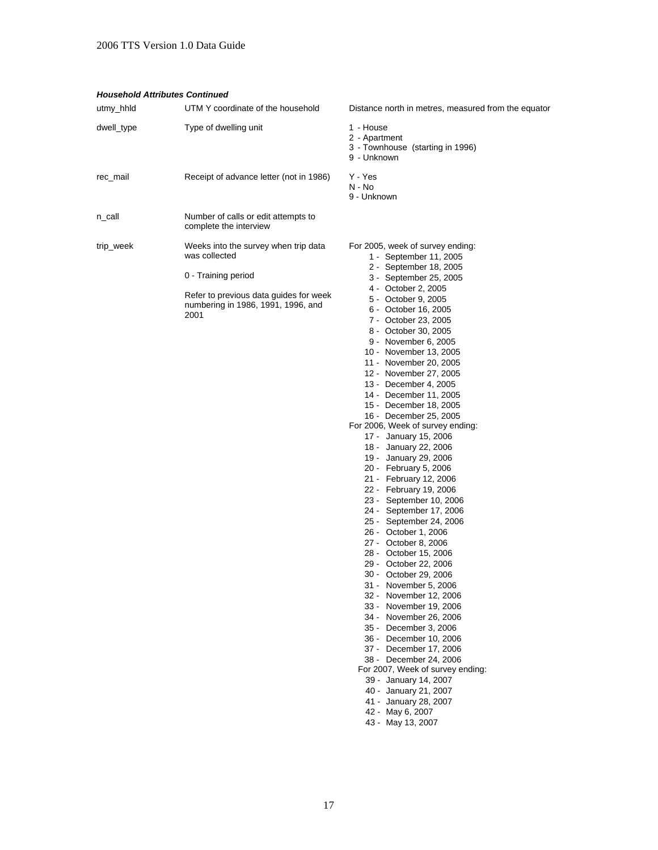#### *Household Attributes Continued*

| utmy_hhld  | UTM Y coordinate of the household                                                                                                                                    | Distance north in metres, measured from the equator                                                                                                                                                                                                                                                                                                                                                                                                                                                                                                                                                                                                                                                                                                                                                                                                                                                                                                                                                                                                                                                                                                                                                                             |
|------------|----------------------------------------------------------------------------------------------------------------------------------------------------------------------|---------------------------------------------------------------------------------------------------------------------------------------------------------------------------------------------------------------------------------------------------------------------------------------------------------------------------------------------------------------------------------------------------------------------------------------------------------------------------------------------------------------------------------------------------------------------------------------------------------------------------------------------------------------------------------------------------------------------------------------------------------------------------------------------------------------------------------------------------------------------------------------------------------------------------------------------------------------------------------------------------------------------------------------------------------------------------------------------------------------------------------------------------------------------------------------------------------------------------------|
| dwell_type | Type of dwelling unit                                                                                                                                                | 1 - House<br>2 - Apartment<br>3 - Townhouse (starting in 1996)<br>9 - Unknown                                                                                                                                                                                                                                                                                                                                                                                                                                                                                                                                                                                                                                                                                                                                                                                                                                                                                                                                                                                                                                                                                                                                                   |
| rec_mail   | Receipt of advance letter (not in 1986)                                                                                                                              | Y - Yes<br>N - No<br>9 - Unknown                                                                                                                                                                                                                                                                                                                                                                                                                                                                                                                                                                                                                                                                                                                                                                                                                                                                                                                                                                                                                                                                                                                                                                                                |
| n_call     | Number of calls or edit attempts to<br>complete the interview                                                                                                        |                                                                                                                                                                                                                                                                                                                                                                                                                                                                                                                                                                                                                                                                                                                                                                                                                                                                                                                                                                                                                                                                                                                                                                                                                                 |
| trip_week  | Weeks into the survey when trip data<br>was collected<br>0 - Training period<br>Refer to previous data guides for week<br>numbering in 1986, 1991, 1996, and<br>2001 | For 2005, week of survey ending:<br>1 - September 11, 2005<br>2 - September 18, 2005<br>3 - September 25, 2005<br>4 - October 2, 2005<br>5 - October 9, 2005<br>6 - October 16, 2005<br>7 - October 23, 2005<br>8 - October 30, 2005<br>9 - November 6, 2005<br>10 - November 13, 2005<br>11 - November 20, 2005<br>12 - November 27, 2005<br>13 - December 4, 2005<br>14 - December 11, 2005<br>15 - December 18, 2005<br>16 - December 25, 2005<br>For 2006, Week of survey ending:<br>17 - January 15, 2006<br>18 - January 22, 2006<br>19 - January 29, 2006<br>20 - February 5, 2006<br>21 - February 12, 2006<br>22 - February 19, 2006<br>23 - September 10, 2006<br>24 - September 17, 2006<br>25 - September 24, 2006<br>26 - October 1, 2006<br>27 - October 8, 2006<br>28 - October 15, 2006<br>29 - October 22, 2006<br>30 - October 29, 2006<br>31 - November 5, 2006<br>32 - November 12, 2006<br>33 - November 19, 2006<br>34 - November 26, 2006<br>35 - December 3, 2006<br>36 - December 10, 2006<br>37 - December 17, 2006<br>38 - December 24, 2006<br>For 2007, Week of survey ending:<br>39 - January 14, 2007<br>40 - January 21, 2007<br>41 - January 28, 2007<br>42 - May 6, 2007<br>43 - May 13, 2007 |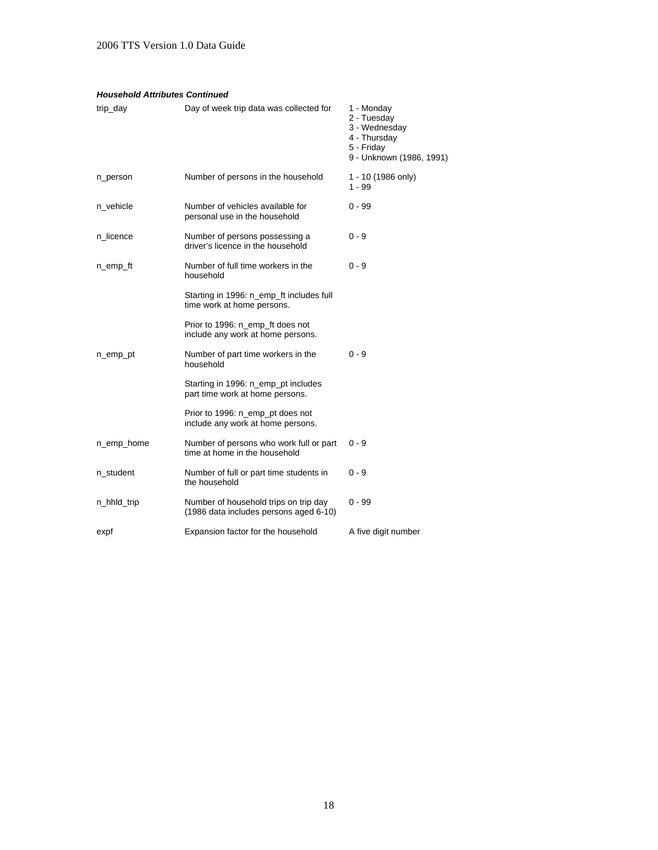#### *Household Attributes Continued*

| trip_day    | Day of week trip data was collected for                                         | 1 - Monday<br>2 - Tuesday<br>3 - Wednesday<br>4 - Thursday<br>5 - Friday<br>9 - Unknown (1986, 1991) |
|-------------|---------------------------------------------------------------------------------|------------------------------------------------------------------------------------------------------|
| n_person    | Number of persons in the household                                              | 1 - 10 (1986 only)<br>$1 - 99$                                                                       |
| n_vehicle   | Number of vehicles available for<br>personal use in the household               | $0 - 99$                                                                                             |
| n_licence   | Number of persons possessing a<br>driver's licence in the household             | $0 - 9$                                                                                              |
| n_emp_ft    | Number of full time workers in the<br>household                                 | $0 - 9$                                                                                              |
|             | Starting in 1996: n_emp_ft includes full<br>time work at home persons.          |                                                                                                      |
|             | Prior to 1996: n_emp_ft does not<br>include any work at home persons.           |                                                                                                      |
| n_emp_pt    | Number of part time workers in the<br>household                                 | $0 - 9$                                                                                              |
|             | Starting in 1996: n_emp_pt includes<br>part time work at home persons.          |                                                                                                      |
|             | Prior to 1996: n_emp_pt does not<br>include any work at home persons.           |                                                                                                      |
| n_emp_home  | Number of persons who work full or part<br>time at home in the household        | $0 - 9$                                                                                              |
| n_student   | Number of full or part time students in<br>the household                        | $0 - 9$                                                                                              |
| n_hhld_trip | Number of household trips on trip day<br>(1986 data includes persons aged 6-10) | 0 - 99                                                                                               |
| expf        | Expansion factor for the household                                              | A five digit number                                                                                  |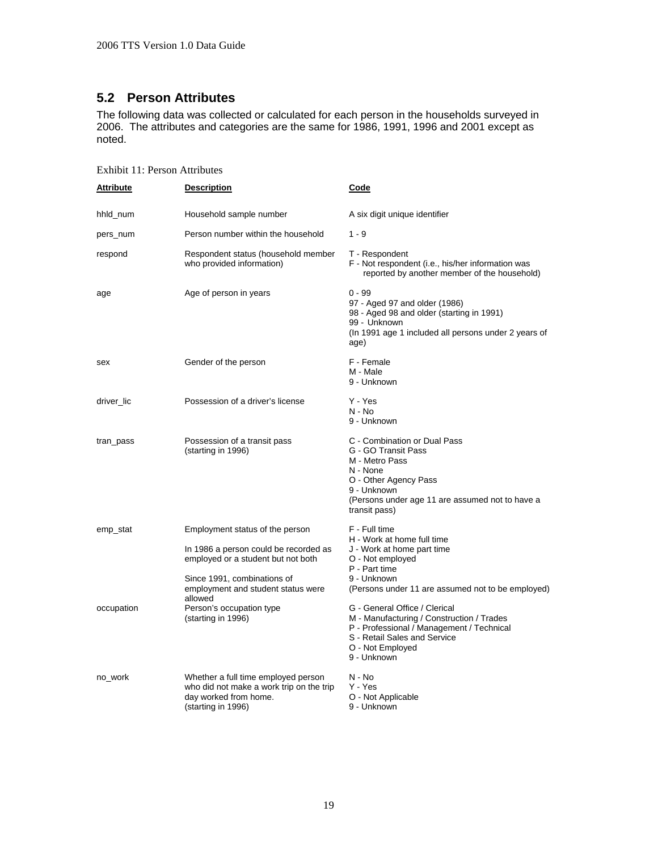### <span id="page-23-0"></span>**5.2 Person Attributes**

The following data was collected or calculated for each person in the households surveyed in 2006. The attributes and categories are the same for 1986, 1991, 1996 and 2001 except as noted.

| <b>Attribute</b> | <u>Description</u>                                                                                                                                                                  | Code                                                                                                                                                                                          |
|------------------|-------------------------------------------------------------------------------------------------------------------------------------------------------------------------------------|-----------------------------------------------------------------------------------------------------------------------------------------------------------------------------------------------|
| hhld_num         | Household sample number                                                                                                                                                             | A six digit unique identifier                                                                                                                                                                 |
| pers_num         | Person number within the household                                                                                                                                                  | $1 - 9$                                                                                                                                                                                       |
| respond          | Respondent status (household member<br>who provided information)                                                                                                                    | T - Respondent<br>F - Not respondent (i.e., his/her information was<br>reported by another member of the household)                                                                           |
| age              | Age of person in years                                                                                                                                                              | $0 - 99$<br>97 - Aged 97 and older (1986)<br>98 - Aged 98 and older (starting in 1991)<br>99 - Unknown<br>(In 1991 age 1 included all persons under 2 years of<br>age)                        |
| sex              | Gender of the person                                                                                                                                                                | F - Female<br>M - Male<br>9 - Unknown                                                                                                                                                         |
| driver_lic       | Possession of a driver's license                                                                                                                                                    | Y - Yes<br>$N - No$<br>9 - Unknown                                                                                                                                                            |
| tran_pass        | Possession of a transit pass<br>(starting in 1996)                                                                                                                                  | C - Combination or Dual Pass<br>G - GO Transit Pass<br>M - Metro Pass<br>N - None<br>O - Other Agency Pass<br>9 - Unknown<br>(Persons under age 11 are assumed not to have a<br>transit pass) |
| emp_stat         | Employment status of the person<br>In 1986 a person could be recorded as<br>employed or a student but not both<br>Since 1991, combinations of<br>employment and student status were | F - Full time<br>H - Work at home full time<br>J - Work at home part time<br>O - Not employed<br>P - Part time<br>9 - Unknown<br>(Persons under 11 are assumed not to be employed)            |
| occupation       | allowed<br>Person's occupation type<br>(starting in 1996)                                                                                                                           | G - General Office / Clerical<br>M - Manufacturing / Construction / Trades<br>P - Professional / Management / Technical<br>S - Retail Sales and Service<br>O - Not Employed<br>9 - Unknown    |
| no_work          | Whether a full time employed person<br>who did not make a work trip on the trip<br>day worked from home.<br>(starting in 1996)                                                      | $N - No$<br>Y - Yes<br>O - Not Applicable<br>9 - Unknown                                                                                                                                      |

Exhibit 11: Person Attributes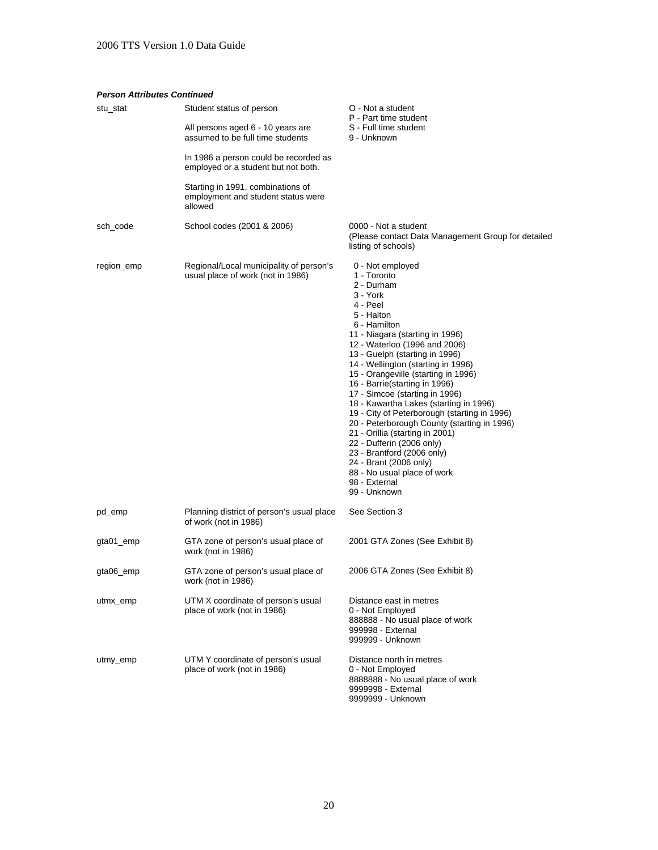#### *Person Attributes Continued*

| stu_stat   | Student status of person<br>All persons aged 6 - 10 years are<br>assumed to be full time students | O - Not a student<br>P - Part time student<br>S - Full time student<br>9 - Unknown                                                                                                                                                                                                                                                                                                                                                                                                                                                                                                                                                                                                         |
|------------|---------------------------------------------------------------------------------------------------|--------------------------------------------------------------------------------------------------------------------------------------------------------------------------------------------------------------------------------------------------------------------------------------------------------------------------------------------------------------------------------------------------------------------------------------------------------------------------------------------------------------------------------------------------------------------------------------------------------------------------------------------------------------------------------------------|
|            | In 1986 a person could be recorded as<br>employed or a student but not both.                      |                                                                                                                                                                                                                                                                                                                                                                                                                                                                                                                                                                                                                                                                                            |
|            | Starting in 1991, combinations of<br>employment and student status were<br>allowed                |                                                                                                                                                                                                                                                                                                                                                                                                                                                                                                                                                                                                                                                                                            |
| sch_code   | School codes (2001 & 2006)                                                                        | 0000 - Not a student<br>(Please contact Data Management Group for detailed<br>listing of schools)                                                                                                                                                                                                                                                                                                                                                                                                                                                                                                                                                                                          |
| region_emp | Regional/Local municipality of person's<br>usual place of work (not in 1986)                      | 0 - Not employed<br>1 - Toronto<br>2 - Durham<br>3 - York<br>4 - Peel<br>5 - Halton<br>6 - Hamilton<br>11 - Niagara (starting in 1996)<br>12 - Waterloo (1996 and 2006)<br>13 - Guelph (starting in 1996)<br>14 - Wellington (starting in 1996)<br>15 - Orangeville (starting in 1996)<br>16 - Barrie(starting in 1996)<br>17 - Simcoe (starting in 1996)<br>18 - Kawartha Lakes (starting in 1996)<br>19 - City of Peterborough (starting in 1996)<br>20 - Peterborough County (starting in 1996)<br>21 - Orillia (starting in 2001)<br>22 - Dufferin (2006 only)<br>23 - Brantford (2006 only)<br>24 - Brant (2006 only)<br>88 - No usual place of work<br>98 - External<br>99 - Unknown |
| pd_emp     | Planning district of person's usual place<br>of work (not in 1986)                                | See Section 3                                                                                                                                                                                                                                                                                                                                                                                                                                                                                                                                                                                                                                                                              |
| gta01_emp  | GTA zone of person's usual place of<br>work (not in 1986)                                         | 2001 GTA Zones (See Exhibit 8)                                                                                                                                                                                                                                                                                                                                                                                                                                                                                                                                                                                                                                                             |
| gta06_emp  | GTA zone of person's usual place of<br>work (not in 1986)                                         | 2006 GTA Zones (See Exhibit 8)                                                                                                                                                                                                                                                                                                                                                                                                                                                                                                                                                                                                                                                             |
| utmx_emp   | UTM X coordinate of person's usual<br>place of work (not in 1986)                                 | Distance east in metres<br>0 - Not Employed<br>888888 - No usual place of work<br>999998 - External<br>999999 - Unknown                                                                                                                                                                                                                                                                                                                                                                                                                                                                                                                                                                    |
| utmy_emp   | UTM Y coordinate of person's usual<br>place of work (not in 1986)                                 | Distance north in metres<br>0 - Not Employed<br>8888888 - No usual place of work<br>9999998 - External                                                                                                                                                                                                                                                                                                                                                                                                                                                                                                                                                                                     |

9999999 - Unknown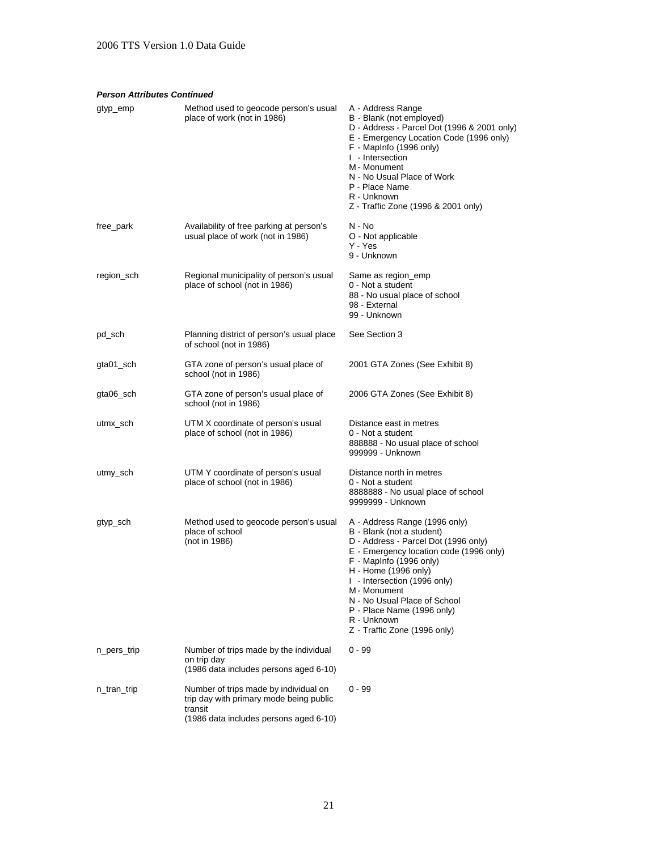#### *Person Attributes Continued*

| gtyp_emp    | Method used to geocode person's usual<br>place of work (not in 1986)                                                                  | A - Address Range<br>B - Blank (not employed)<br>D - Address - Parcel Dot (1996 & 2001 only)<br>E - Emergency Location Code (1996 only)<br>F - MapInfo (1996 only)<br>I - Intersection<br>M - Monument<br>N - No Usual Place of Work<br>P - Place Name<br>R - Unknown<br>Z - Traffic Zone (1996 & 2001 only)                                                  |
|-------------|---------------------------------------------------------------------------------------------------------------------------------------|---------------------------------------------------------------------------------------------------------------------------------------------------------------------------------------------------------------------------------------------------------------------------------------------------------------------------------------------------------------|
| free_park   | Availability of free parking at person's<br>usual place of work (not in 1986)                                                         | N - No<br>O - Not applicable<br>Y - Yes<br>9 - Unknown                                                                                                                                                                                                                                                                                                        |
| region_sch  | Regional municipality of person's usual<br>place of school (not in 1986)                                                              | Same as region_emp<br>0 - Not a student<br>88 - No usual place of school<br>98 - External<br>99 - Unknown                                                                                                                                                                                                                                                     |
| pd_sch      | Planning district of person's usual place<br>of school (not in 1986)                                                                  | See Section 3                                                                                                                                                                                                                                                                                                                                                 |
| gta01_sch   | GTA zone of person's usual place of<br>school (not in 1986)                                                                           | 2001 GTA Zones (See Exhibit 8)                                                                                                                                                                                                                                                                                                                                |
| gta06_sch   | GTA zone of person's usual place of<br>school (not in 1986)                                                                           | 2006 GTA Zones (See Exhibit 8)                                                                                                                                                                                                                                                                                                                                |
| utmx_sch    | UTM X coordinate of person's usual<br>place of school (not in 1986)                                                                   | Distance east in metres<br>0 - Not a student<br>888888 - No usual place of school<br>999999 - Unknown                                                                                                                                                                                                                                                         |
| utmy_sch    | UTM Y coordinate of person's usual<br>place of school (not in 1986)                                                                   | Distance north in metres<br>0 - Not a student<br>8888888 - No usual place of school<br>9999999 - Unknown                                                                                                                                                                                                                                                      |
| gtyp_sch    | Method used to geocode person's usual<br>place of school<br>(not in 1986)                                                             | A - Address Range (1996 only)<br>B - Blank (not a student)<br>D - Address - Parcel Dot (1996 only)<br>E - Emergency location code (1996 only)<br>F - MapInfo (1996 only)<br>H - Home (1996 only)<br>I - Intersection (1996 only)<br>M - Monument<br>N - No Usual Place of School<br>P - Place Name (1996 only)<br>R - Unknown<br>Z - Traffic Zone (1996 only) |
| n_pers_trip | Number of trips made by the individual<br>on trip day<br>(1986 data includes persons aged 6-10)                                       | $0 - 99$                                                                                                                                                                                                                                                                                                                                                      |
| n_tran_trip | Number of trips made by individual on<br>trip day with primary mode being public<br>transit<br>(1986 data includes persons aged 6-10) | $0 - 99$                                                                                                                                                                                                                                                                                                                                                      |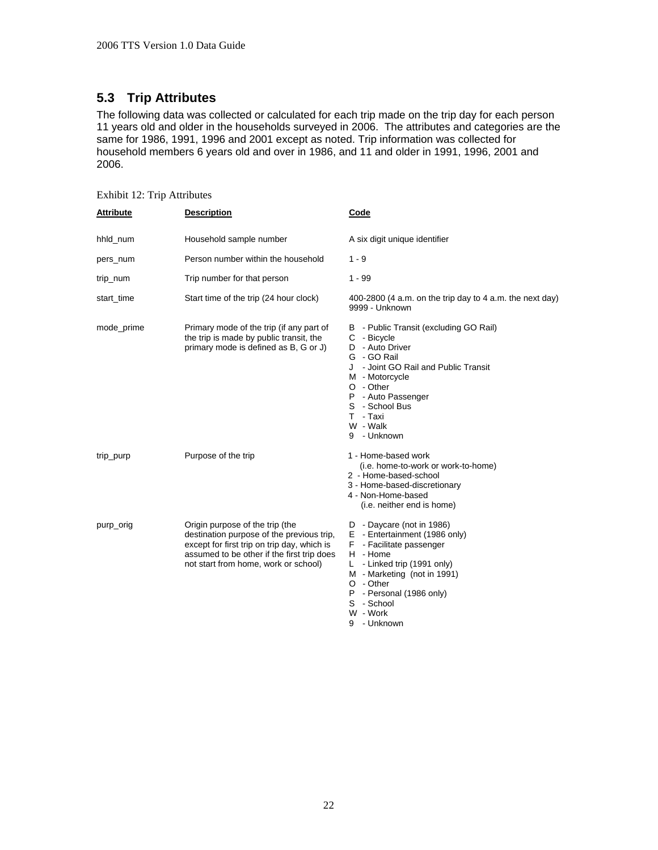### <span id="page-26-0"></span>**5.3 Trip Attributes**

The following data was collected or calculated for each trip made on the trip day for each person 11 years old and older in the households surveyed in 2006. The attributes and categories are the same for 1986, 1991, 1996 and 2001 except as noted. Trip information was collected for household members 6 years old and over in 1986, and 11 and older in 1991, 1996, 2001 and 2006.

| <b>Attribute</b> | <b>Description</b>                                                                                                                                                                                                | Code                                                                                                                                                                                                                                          |
|------------------|-------------------------------------------------------------------------------------------------------------------------------------------------------------------------------------------------------------------|-----------------------------------------------------------------------------------------------------------------------------------------------------------------------------------------------------------------------------------------------|
| hhld num         | Household sample number                                                                                                                                                                                           | A six digit unique identifier                                                                                                                                                                                                                 |
| pers_num         | Person number within the household                                                                                                                                                                                | $1 - 9$                                                                                                                                                                                                                                       |
| trip_num         | Trip number for that person                                                                                                                                                                                       | $1 - 99$                                                                                                                                                                                                                                      |
| start_time       | Start time of the trip (24 hour clock)                                                                                                                                                                            | 400-2800 (4 a.m. on the trip day to 4 a.m. the next day)<br>9999 - Unknown                                                                                                                                                                    |
| mode_prime       | Primary mode of the trip (if any part of<br>the trip is made by public transit, the<br>primary mode is defined as B, G or J)                                                                                      | B - Public Transit (excluding GO Rail)<br>C - Bicycle<br>D - Auto Driver<br>G - GO Rail<br>J - Joint GO Rail and Public Transit<br>M - Motorcycle<br>O - Other<br>P - Auto Passenger<br>S - School Bus<br>T - Taxi<br>W - Walk<br>9 - Unknown |
| trip_purp        | Purpose of the trip                                                                                                                                                                                               | 1 - Home-based work<br>(i.e. home-to-work or work-to-home)<br>2 - Home-based-school<br>3 - Home-based-discretionary<br>4 - Non-Home-based<br>(i.e. neither end is home)                                                                       |
| purp_orig        | Origin purpose of the trip (the<br>destination purpose of the previous trip,<br>except for first trip on trip day, which is<br>assumed to be other if the first trip does<br>not start from home, work or school) | D - Daycare (not in 1986)<br>E - Entertainment (1986 only)<br>- Facilitate passenger<br>F.<br>H - Home<br>L.<br>- Linked trip (1991 only)<br>M - Marketing (not in 1991)<br>O - Other<br>P - Personal (1986 only)<br>S - School<br>W - Work   |

9 - Unknown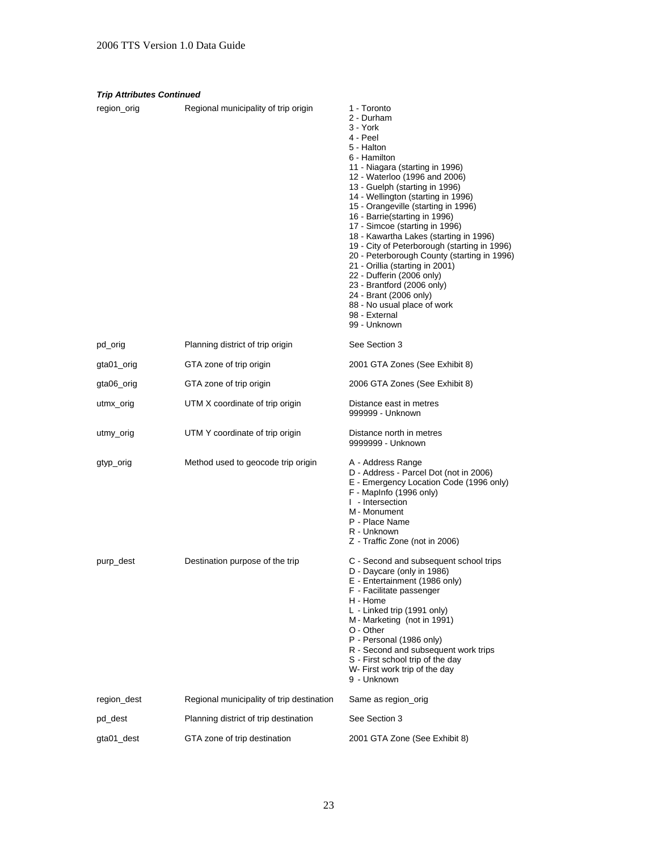| <b>Trip Attributes Continued</b> |                                           |                                                                                                                                                                                                                                                                                                                                                                                                                                                                                                                                                                                                                                                                         |  |
|----------------------------------|-------------------------------------------|-------------------------------------------------------------------------------------------------------------------------------------------------------------------------------------------------------------------------------------------------------------------------------------------------------------------------------------------------------------------------------------------------------------------------------------------------------------------------------------------------------------------------------------------------------------------------------------------------------------------------------------------------------------------------|--|
| region_orig                      | Regional municipality of trip origin      | 1 - Toronto<br>2 - Durham<br>3 - York<br>4 - Peel<br>5 - Halton<br>6 - Hamilton<br>11 - Niagara (starting in 1996)<br>12 - Waterloo (1996 and 2006)<br>13 - Guelph (starting in 1996)<br>14 - Wellington (starting in 1996)<br>15 - Orangeville (starting in 1996)<br>16 - Barrie (starting in 1996)<br>17 - Simcoe (starting in 1996)<br>18 - Kawartha Lakes (starting in 1996)<br>19 - City of Peterborough (starting in 1996)<br>20 - Peterborough County (starting in 1996)<br>21 - Orillia (starting in 2001)<br>22 - Dufferin (2006 only)<br>23 - Brantford (2006 only)<br>24 - Brant (2006 only)<br>88 - No usual place of work<br>98 - External<br>99 - Unknown |  |
| pd_orig                          | Planning district of trip origin          | See Section 3                                                                                                                                                                                                                                                                                                                                                                                                                                                                                                                                                                                                                                                           |  |
| gta01_orig                       | GTA zone of trip origin                   | 2001 GTA Zones (See Exhibit 8)                                                                                                                                                                                                                                                                                                                                                                                                                                                                                                                                                                                                                                          |  |
| gta06_orig                       | GTA zone of trip origin                   | 2006 GTA Zones (See Exhibit 8)                                                                                                                                                                                                                                                                                                                                                                                                                                                                                                                                                                                                                                          |  |
| utmx_orig                        | UTM X coordinate of trip origin           | Distance east in metres<br>999999 - Unknown                                                                                                                                                                                                                                                                                                                                                                                                                                                                                                                                                                                                                             |  |
| utmy_orig                        | UTM Y coordinate of trip origin           | Distance north in metres<br>9999999 - Unknown                                                                                                                                                                                                                                                                                                                                                                                                                                                                                                                                                                                                                           |  |
| gtyp_orig                        | Method used to geocode trip origin        | A - Address Range<br>D - Address - Parcel Dot (not in 2006)<br>E - Emergency Location Code (1996 only)<br>F - MapInfo (1996 only)<br>I - Intersection<br>M - Monument<br>P - Place Name<br>R - Unknown<br>Z - Traffic Zone (not in 2006)                                                                                                                                                                                                                                                                                                                                                                                                                                |  |
| purp_dest                        | Destination purpose of the trip           | C - Second and subsequent school trips<br>D - Daycare (only in 1986)<br>E - Entertainment (1986 only)<br>F - Facilitate passenger<br>H - Home<br>L - Linked trip (1991 only)<br>M - Marketing (not in 1991)<br>O - Other<br>P - Personal (1986 only)<br>R - Second and subsequent work trips<br>S - First school trip of the day<br>W- First work trip of the day<br>9 - Unknown                                                                                                                                                                                                                                                                                        |  |
| region_dest                      | Regional municipality of trip destination | Same as region_orig                                                                                                                                                                                                                                                                                                                                                                                                                                                                                                                                                                                                                                                     |  |
| pd_dest                          | Planning district of trip destination     | See Section 3                                                                                                                                                                                                                                                                                                                                                                                                                                                                                                                                                                                                                                                           |  |
| gta01_dest                       | GTA zone of trip destination              | 2001 GTA Zone (See Exhibit 8)                                                                                                                                                                                                                                                                                                                                                                                                                                                                                                                                                                                                                                           |  |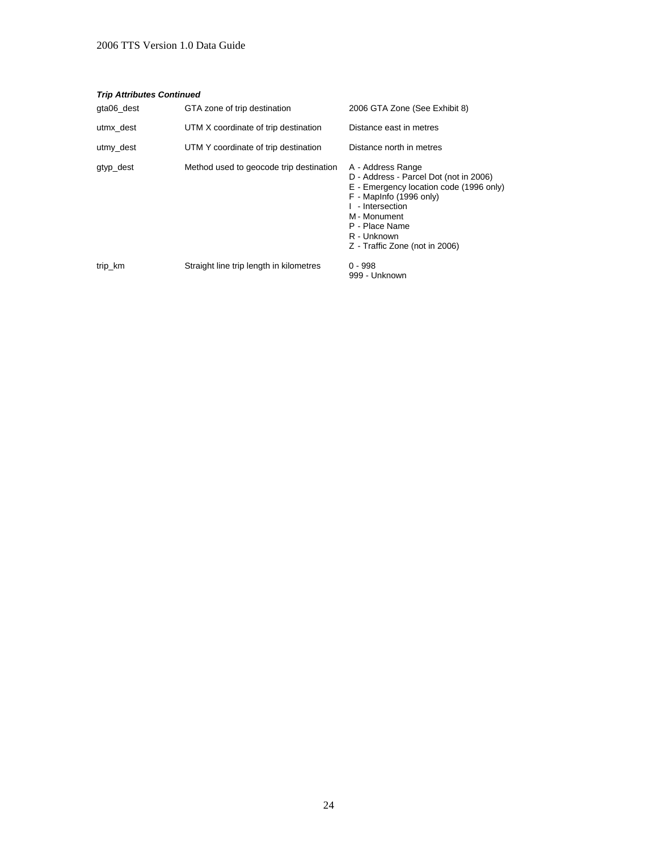#### *Trip Attributes Continued*

| gta06 dest | GTA zone of trip destination            | 2006 GTA Zone (See Exhibit 8)                                                                                                                                                                                                            |
|------------|-----------------------------------------|------------------------------------------------------------------------------------------------------------------------------------------------------------------------------------------------------------------------------------------|
| utmx dest  | UTM X coordinate of trip destination    | Distance east in metres                                                                                                                                                                                                                  |
| utmy_dest  | UTM Y coordinate of trip destination    | Distance north in metres                                                                                                                                                                                                                 |
| gtyp_dest  | Method used to geocode trip destination | A - Address Range<br>D - Address - Parcel Dot (not in 2006)<br>E - Emergency location code (1996 only)<br>F - MapInfo (1996 only)<br>I - Intersection<br>M - Monument<br>P - Place Name<br>R - Unknown<br>Z - Traffic Zone (not in 2006) |
| trip_km    | Straight line trip length in kilometres | $0 - 998$<br>999 - Unknown                                                                                                                                                                                                               |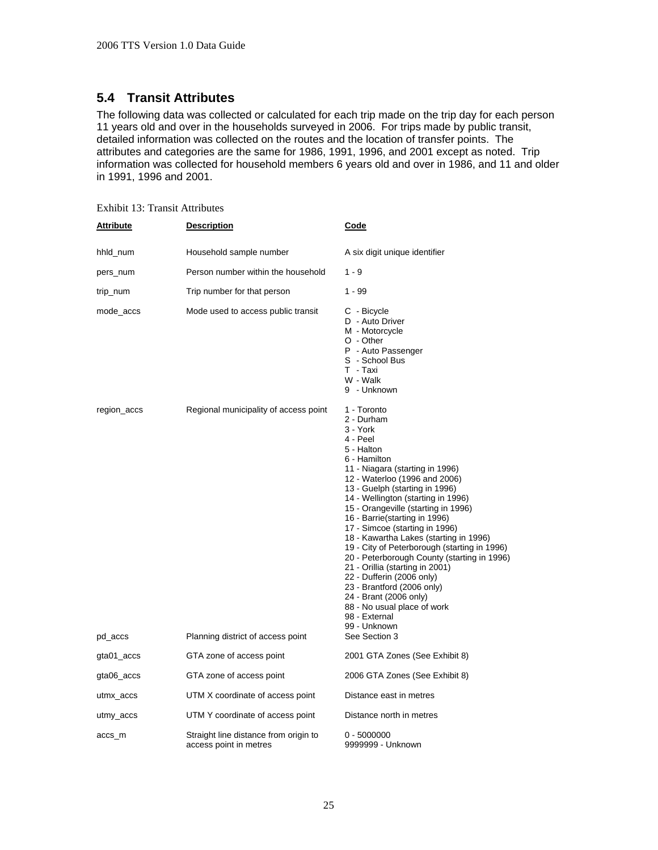### <span id="page-29-0"></span>**5.4 Transit Attributes**

The following data was collected or calculated for each trip made on the trip day for each person 11 years old and over in the households surveyed in 2006. For trips made by public transit, detailed information was collected on the routes and the location of transfer points. The attributes and categories are the same for 1986, 1991, 1996, and 2001 except as noted. Trip information was collected for household members 6 years old and over in 1986, and 11 and older in 1991, 1996 and 2001.

| <b>Attribute</b> | <b>Description</b>                                              | <u>Code</u>                                                                                                                                                                                                                                                                                                                                                                                                                                                                                                                                                                                                                                                             |
|------------------|-----------------------------------------------------------------|-------------------------------------------------------------------------------------------------------------------------------------------------------------------------------------------------------------------------------------------------------------------------------------------------------------------------------------------------------------------------------------------------------------------------------------------------------------------------------------------------------------------------------------------------------------------------------------------------------------------------------------------------------------------------|
| hhld_num         | Household sample number                                         | A six digit unique identifier                                                                                                                                                                                                                                                                                                                                                                                                                                                                                                                                                                                                                                           |
| pers_num         | Person number within the household                              | $1 - 9$                                                                                                                                                                                                                                                                                                                                                                                                                                                                                                                                                                                                                                                                 |
| trip_num         | Trip number for that person                                     | $1 - 99$                                                                                                                                                                                                                                                                                                                                                                                                                                                                                                                                                                                                                                                                |
| mode_accs        | Mode used to access public transit                              | C - Bicycle<br>D - Auto Driver<br>M - Motorcycle<br>O - Other<br>P - Auto Passenger<br>S - School Bus<br>T - Taxi<br>W - Walk<br>9 - Unknown                                                                                                                                                                                                                                                                                                                                                                                                                                                                                                                            |
| region_accs      | Regional municipality of access point                           | 1 - Toronto<br>2 - Durham<br>3 - York<br>4 - Peel<br>5 - Halton<br>6 - Hamilton<br>11 - Niagara (starting in 1996)<br>12 - Waterloo (1996 and 2006)<br>13 - Guelph (starting in 1996)<br>14 - Wellington (starting in 1996)<br>15 - Orangeville (starting in 1996)<br>16 - Barrie (starting in 1996)<br>17 - Simcoe (starting in 1996)<br>18 - Kawartha Lakes (starting in 1996)<br>19 - City of Peterborough (starting in 1996)<br>20 - Peterborough County (starting in 1996)<br>21 - Orillia (starting in 2001)<br>22 - Dufferin (2006 only)<br>23 - Brantford (2006 only)<br>24 - Brant (2006 only)<br>88 - No usual place of work<br>98 - External<br>99 - Unknown |
| pd_accs          | Planning district of access point                               | See Section 3                                                                                                                                                                                                                                                                                                                                                                                                                                                                                                                                                                                                                                                           |
| gta01_accs       | GTA zone of access point                                        | 2001 GTA Zones (See Exhibit 8)                                                                                                                                                                                                                                                                                                                                                                                                                                                                                                                                                                                                                                          |
| gta06_accs       | GTA zone of access point                                        | 2006 GTA Zones (See Exhibit 8)                                                                                                                                                                                                                                                                                                                                                                                                                                                                                                                                                                                                                                          |
| utmx_accs        | UTM X coordinate of access point                                | Distance east in metres                                                                                                                                                                                                                                                                                                                                                                                                                                                                                                                                                                                                                                                 |
| utmy_accs        | UTM Y coordinate of access point                                | Distance north in metres                                                                                                                                                                                                                                                                                                                                                                                                                                                                                                                                                                                                                                                |
| accs_m           | Straight line distance from origin to<br>access point in metres | $0 - 5000000$<br>9999999 - Unknown                                                                                                                                                                                                                                                                                                                                                                                                                                                                                                                                                                                                                                      |

Exhibit 13: Transit Attributes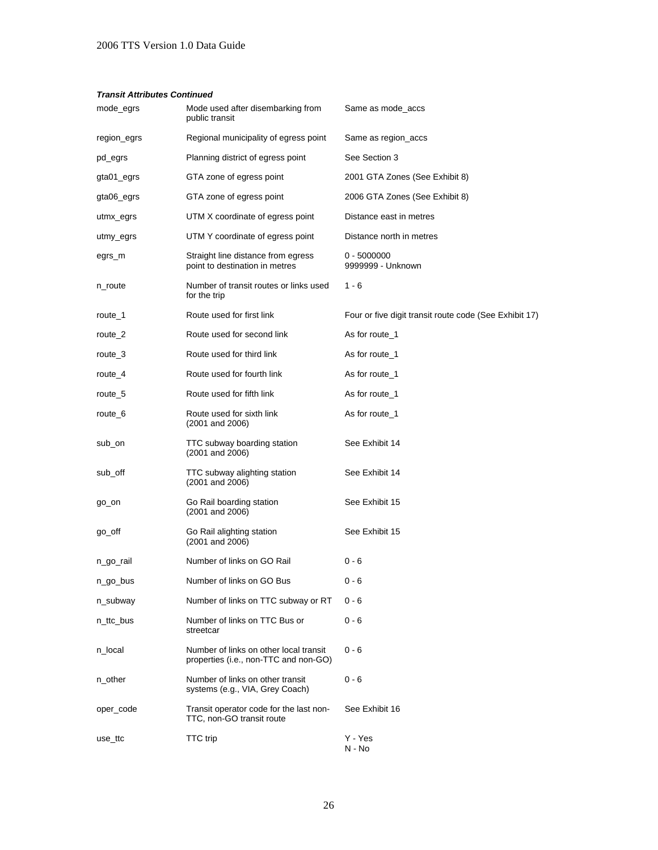#### *Transit Attributes Continued*

| mode_egrs   | Mode used after disembarking from<br>public transit                             | Same as mode_accs                                      |
|-------------|---------------------------------------------------------------------------------|--------------------------------------------------------|
| region_egrs | Regional municipality of egress point                                           | Same as region_accs                                    |
| pd_egrs     | Planning district of egress point                                               | See Section 3                                          |
| gta01_egrs  | GTA zone of egress point                                                        | 2001 GTA Zones (See Exhibit 8)                         |
| gta06_egrs  | GTA zone of egress point                                                        | 2006 GTA Zones (See Exhibit 8)                         |
| utmx_egrs   | UTM X coordinate of egress point                                                | Distance east in metres                                |
| utmy_egrs   | UTM Y coordinate of egress point                                                | Distance north in metres                               |
| egrs_m      | Straight line distance from egress<br>point to destination in metres            | $0 - 5000000$<br>9999999 - Unknown                     |
| n_route     | Number of transit routes or links used<br>for the trip                          | $1 - 6$                                                |
| route_1     | Route used for first link                                                       | Four or five digit transit route code (See Exhibit 17) |
| route 2     | Route used for second link                                                      | As for route_1                                         |
| route_3     | Route used for third link                                                       | As for route_1                                         |
| route_4     | Route used for fourth link                                                      | As for route 1                                         |
| route 5     | Route used for fifth link                                                       | As for route_1                                         |
| route 6     | Route used for sixth link<br>$(2001$ and $2006)$                                | As for route 1                                         |
| sub_on      | TTC subway boarding station<br>$(2001$ and $2006)$                              | See Exhibit 14                                         |
| sub_off     | TTC subway alighting station<br>$(2001$ and $2006)$                             | See Exhibit 14                                         |
| go_on       | Go Rail boarding station<br>$(2001$ and $2006)$                                 | See Exhibit 15                                         |
| go_off      | Go Rail alighting station<br>(2001 and 2006)                                    | See Exhibit 15                                         |
| n_go_rail   | Number of links on GO Rail                                                      | 0 - 6                                                  |
| n_go_bus    | Number of links on GO Bus                                                       | $0 - 6$                                                |
| n subway    | Number of links on TTC subway or RT                                             | $0 - 6$                                                |
| n_ttc_bus   | Number of links on TTC Bus or<br>streetcar                                      | $0 - 6$                                                |
| n_local     | Number of links on other local transit<br>properties (i.e., non-TTC and non-GO) | $0 - 6$                                                |
| n_other     | Number of links on other transit<br>systems (e.g., VIA, Grey Coach)             | $0 - 6$                                                |
| oper_code   | Transit operator code for the last non-<br>TTC, non-GO transit route            | See Exhibit 16                                         |
| use_ttc     | <b>TTC</b> trip                                                                 | Y - Yes<br>N - No                                      |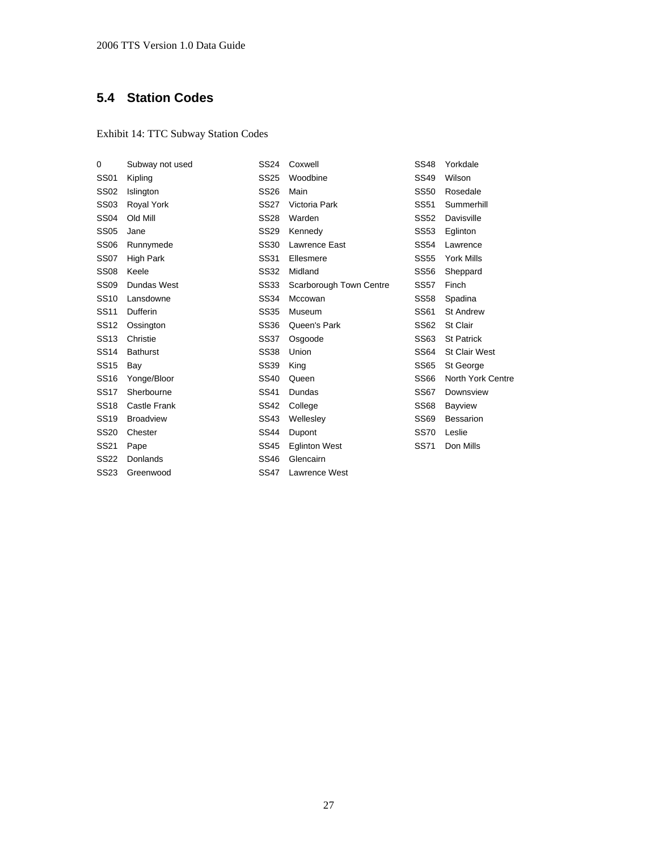## <span id="page-31-0"></span>**5.4 Station Codes**

### Exhibit 14: TTC Subway Station Codes

| 0           | Subway not used  | <b>SS24</b> | Coxwell                 | <b>SS48</b> | Yorkdale             |
|-------------|------------------|-------------|-------------------------|-------------|----------------------|
| <b>SS01</b> | Kipling          | <b>SS25</b> | Woodbine                | <b>SS49</b> | Wilson               |
| <b>SS02</b> | Islington        | <b>SS26</b> | Main                    | <b>SS50</b> | Rosedale             |
| <b>SS03</b> | Royal York       | <b>SS27</b> | Victoria Park           | <b>SS51</b> | Summerhill           |
| <b>SS04</b> | Old Mill         | <b>SS28</b> | Warden                  | <b>SS52</b> | Davisville           |
| <b>SS05</b> | Jane             | <b>SS29</b> | Kennedy                 | <b>SS53</b> | Eglinton             |
| <b>SS06</b> | Runnymede        | <b>SS30</b> | Lawrence East           | <b>SS54</b> | Lawrence             |
| <b>SS07</b> | High Park        | <b>SS31</b> | Ellesmere               | <b>SS55</b> | York Mills           |
| <b>SS08</b> | Keele            | <b>SS32</b> | Midland                 | <b>SS56</b> | Sheppard             |
| <b>SS09</b> | Dundas West      | <b>SS33</b> | Scarborough Town Centre | <b>SS57</b> | Finch                |
| <b>SS10</b> | Lansdowne        | <b>SS34</b> | Mccowan                 | <b>SS58</b> | Spadina              |
| <b>SS11</b> | Dufferin         | <b>SS35</b> | Museum                  | <b>SS61</b> | <b>St Andrew</b>     |
| <b>SS12</b> | Ossington        | <b>SS36</b> | Queen's Park            | <b>SS62</b> | St Clair             |
| <b>SS13</b> | Christie         | <b>SS37</b> | Osgoode                 | SS63        | <b>St Patrick</b>    |
| <b>SS14</b> | <b>Bathurst</b>  | <b>SS38</b> | Union                   | <b>SS64</b> | <b>St Clair West</b> |
| <b>SS15</b> | Bay              | <b>SS39</b> | King                    | <b>SS65</b> | St George            |
| <b>SS16</b> | Yonge/Bloor      | <b>SS40</b> | Queen                   | <b>SS66</b> | North York Centre    |
| <b>SS17</b> | Sherbourne       | <b>SS41</b> | Dundas                  | <b>SS67</b> | Downsview            |
| <b>SS18</b> | Castle Frank     | <b>SS42</b> | College                 | <b>SS68</b> | <b>Bayview</b>       |
| <b>SS19</b> | <b>Broadview</b> | <b>SS43</b> | Wellesley               | <b>SS69</b> | <b>Bessarion</b>     |
| <b>SS20</b> | Chester          | <b>SS44</b> | Dupont                  | <b>SS70</b> | Leslie               |
| <b>SS21</b> | Pape             | <b>SS45</b> | <b>Eglinton West</b>    | <b>SS71</b> | Don Mills            |
| <b>SS22</b> | Donlands         | <b>SS46</b> | Glencairn               |             |                      |
| SS23        | Greenwood        | <b>SS47</b> | Lawrence West           |             |                      |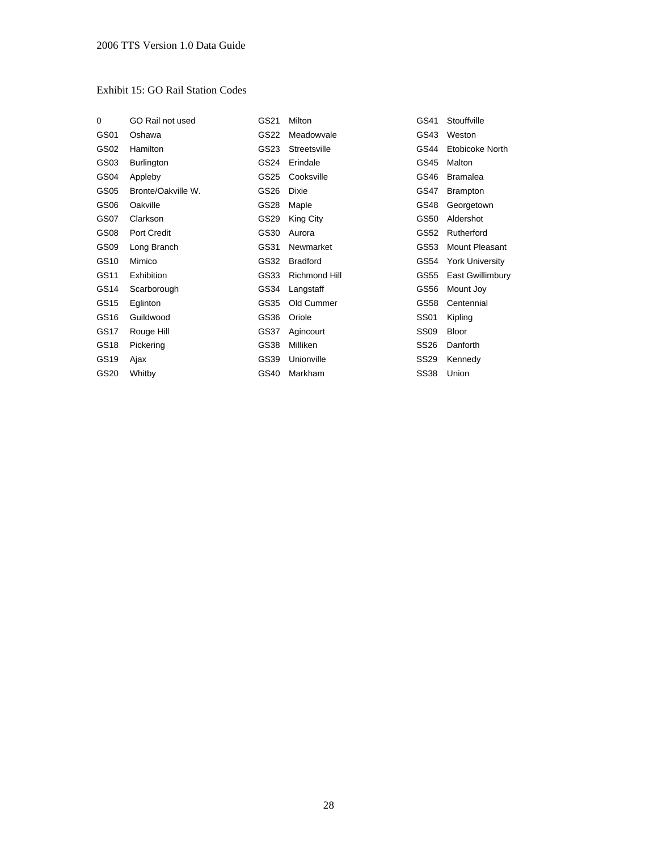#### Exhibit 15: GO Rail Station Codes

| 0                | GO Rail not used   | GS21 | Milton          | GS41        | Stouffville            |
|------------------|--------------------|------|-----------------|-------------|------------------------|
| GS01             | Oshawa             | GS22 | Meadowvale      | GS43        | Weston                 |
| GS <sub>02</sub> | <b>Hamilton</b>    | GS23 | Streetsville    | GS44        | Etobicoke North        |
| GS03             | Burlington         | GS24 | Erindale        | GS45        | Malton                 |
| GS04             | Appleby            | GS25 | Cooksville      | GS46        | <b>Bramalea</b>        |
| GS05             | Bronte/Oakville W. | GS26 | Dixie           | GS47        | <b>Brampton</b>        |
| GS <sub>06</sub> | Oakville           | GS28 | Maple           | GS48        | Georgetown             |
| GS07             | Clarkson           | GS29 | King City       | GS50        | Aldershot              |
| GS <sub>08</sub> | Port Credit        | GS30 | Aurora          | GS52        | Rutherford             |
| GS <sub>09</sub> | Long Branch        | GS31 | Newmarket       | GS53        | Mount Pleasant         |
| GS10             | Mimico             | GS32 | <b>Bradford</b> | GS54        | <b>York University</b> |
| GS11             | <b>Exhibition</b>  | GS33 | Richmond Hill   | GS55        | East Gwillimbury       |
| GS14             | Scarborough        | GS34 | Langstaff       | GS56        | Mount Joy              |
| GS15             | Eglinton           | GS35 | Old Cummer      | GS58        | Centennial             |
| GS16             | Guildwood          | GS36 | Oriole          | <b>SS01</b> | Kipling                |
| GS <sub>17</sub> | Rouge Hill         | GS37 | Agincourt       | <b>SS09</b> | Bloor                  |
| GS18             | Pickering          | GS38 | Milliken        | <b>SS26</b> | Danforth               |
| GS19             | Ajax               | GS39 | Unionville      | <b>SS29</b> | Kennedy                |
| GS20             | Whitby             | GS40 | Markham         | <b>SS38</b> | Union                  |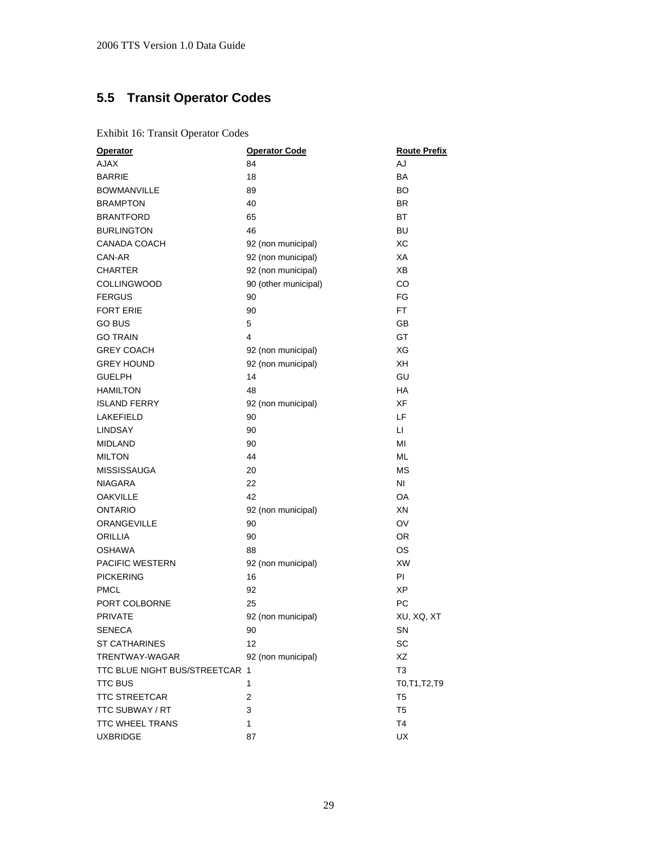# <span id="page-33-0"></span>**5.5 Transit Operator Codes**

Exhibit 16: Transit Operator Codes

| <b>Operator</b>                | <b>Operator Code</b> | <b>Route Prefix</b> |
|--------------------------------|----------------------|---------------------|
| <b>AJAX</b>                    | 84                   | <b>AJ</b>           |
| <b>BARRIE</b>                  | 18                   | <b>BA</b>           |
| <b>BOWMANVILLE</b>             | 89                   | BO                  |
| <b>BRAMPTON</b>                | 40                   | BR.                 |
| <b>BRANTFORD</b>               | 65                   | <b>BT</b>           |
| <b>BURLINGTON</b>              | 46                   | <b>BU</b>           |
| CANADA COACH                   | 92 (non municipal)   | XC                  |
| CAN-AR                         | 92 (non municipal)   | XA                  |
| <b>CHARTER</b>                 | 92 (non municipal)   | <b>XB</b>           |
| <b>COLLINGWOOD</b>             | 90 (other municipal) | CO                  |
| <b>FERGUS</b>                  | 90                   | FG                  |
| <b>FORT ERIE</b>               | 90                   | FT.                 |
| <b>GO BUS</b>                  | 5                    | GВ                  |
| <b>GO TRAIN</b>                | 4                    | GT                  |
| <b>GREY COACH</b>              | 92 (non municipal)   | XG                  |
| <b>GREY HOUND</b>              | 92 (non municipal)   | XН                  |
| <b>GUELPH</b>                  | 14                   | GU                  |
| <b>HAMILTON</b>                | 48                   | HA                  |
| <b>ISLAND FERRY</b>            | 92 (non municipal)   | XF                  |
| <b>LAKEFIELD</b>               | 90                   | LF                  |
| <b>LINDSAY</b>                 | 90                   | LI.                 |
| <b>MIDLAND</b>                 | 90                   | MI                  |
| <b>MILTON</b>                  | 44                   | <b>ML</b>           |
| <b>MISSISSAUGA</b>             | 20                   | <b>MS</b>           |
| <b>NIAGARA</b>                 | 22                   | NI                  |
| <b>OAKVILLE</b>                | 42                   | OA                  |
| <b>ONTARIO</b>                 | 92 (non municipal)   | XN                  |
| ORANGEVILLE                    | 90                   | OV                  |
| <b>ORILLIA</b>                 | 90                   | <b>OR</b>           |
| <b>OSHAWA</b>                  | 88                   | <b>OS</b>           |
| PACIFIC WESTERN                | 92 (non municipal)   | <b>XW</b>           |
| <b>PICKERING</b>               | 16                   | PI                  |
| <b>PMCL</b>                    | 92                   | ХP                  |
| PORT COLBORNE                  | 25                   | PC                  |
| <b>PRIVATE</b>                 | 92 (non municipal)   | XU, XQ, XT          |
| SENECA                         | 90                   | SN                  |
| <b>ST CATHARINES</b>           | 12                   | SC                  |
| TRENTWAY-WAGAR                 | 92 (non municipal)   | XZ                  |
| TTC BLUE NIGHT BUS/STREETCAR 1 |                      | T <sub>3</sub>      |
| <b>TTC BUS</b>                 | 1                    | T0, T1, T2, T9      |
| <b>TTC STREETCAR</b>           | 2                    | T <sub>5</sub>      |
| TTC SUBWAY / RT                | 3                    | T5                  |
| <b>TTC WHEEL TRANS</b>         | $\mathbf{1}$         | <b>T4</b>           |
| <b>UXBRIDGE</b>                | 87                   | <b>UX</b>           |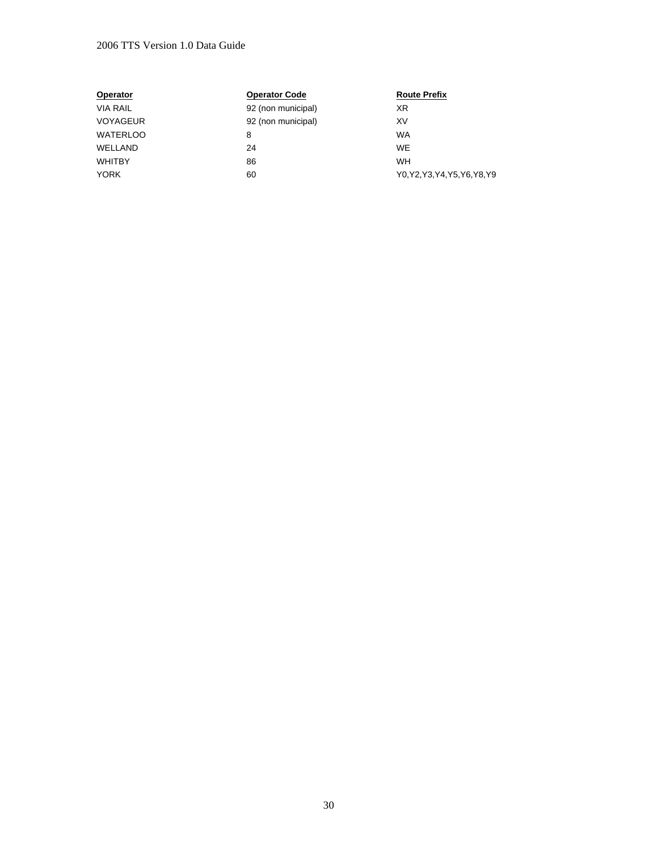#### 2006 TTS Version 1.0 Data Guide

| <b>Operator</b> | <b>Operator Code</b> | <b>Route Prefix</b>            |
|-----------------|----------------------|--------------------------------|
| <b>VIA RAIL</b> | 92 (non municipal)   | XR                             |
| <b>VOYAGEUR</b> | 92 (non municipal)   | XV                             |
| <b>WATERLOO</b> | 8                    | <b>WA</b>                      |
| WELLAND         | 24                   | <b>WE</b>                      |
| <b>WHITBY</b>   | 86                   | <b>WH</b>                      |
| <b>YORK</b>     | 60                   | Y0, Y2, Y3, Y4, Y5, Y6, Y8, Y9 |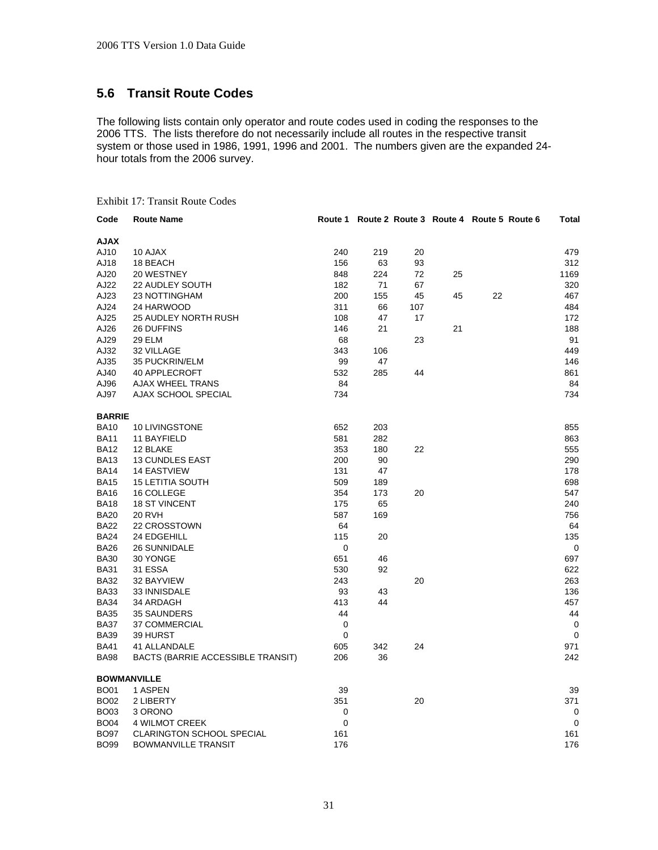### **5.6 Transit Route Codes**

The following lists contain only operator and route codes used in coding the responses to the 2006 TTS. The lists therefore do not necessarily include all routes in the respective transit system or those used in 1986, 1991, 1996 and 2001. The numbers given are the expanded 24 hour totals from the 2006 survey.

#### Exhibit 17: Transit Route Codes

| Code          | <b>Route Name</b>                 |             |     |     |    | Route 1 Route 2 Route 3 Route 4 Route 5 Route 6 | Total       |
|---------------|-----------------------------------|-------------|-----|-----|----|-------------------------------------------------|-------------|
| <b>AJAX</b>   |                                   |             |     |     |    |                                                 |             |
| AJ10          | 10 AJAX                           | 240         | 219 | 20  |    |                                                 | 479         |
| AJ18          | 18 BEACH                          | 156         | 63  | 93  |    |                                                 | 312         |
| AJ20          | 20 WESTNEY                        | 848         | 224 | 72  | 25 |                                                 | 1169        |
| AJ22          | <b>22 AUDLEY SOUTH</b>            | 182         | 71  | 67  |    |                                                 | 320         |
| AJ23          | 23 NOTTINGHAM                     | 200         | 155 | 45  | 45 | 22                                              | 467         |
|               |                                   |             |     |     |    |                                                 |             |
| AJ24          | 24 HARWOOD                        | 311         | 66  | 107 |    |                                                 | 484         |
| AJ25          | <b>25 AUDLEY NORTH RUSH</b>       | 108         | 47  | 17  |    |                                                 | 172         |
| AJ26          | <b>26 DUFFINS</b>                 | 146         | 21  |     | 21 |                                                 | 188         |
| AJ29          | <b>29 ELM</b>                     | 68          |     | 23  |    |                                                 | 91          |
| AJ32          | 32 VILLAGE                        | 343         | 106 |     |    |                                                 | 449         |
| AJ35          | 35 PUCKRIN/ELM                    | 99          | 47  |     |    |                                                 | 146         |
| AJ40          | 40 APPLECROFT                     | 532         | 285 | 44  |    |                                                 | 861         |
| AJ96          | AJAX WHEEL TRANS                  | 84          |     |     |    |                                                 | 84          |
| AJ97          | AJAX SCHOOL SPECIAL               | 734         |     |     |    |                                                 | 734         |
| <b>BARRIE</b> |                                   |             |     |     |    |                                                 |             |
| <b>BA10</b>   | 10 LIVINGSTONE                    | 652         | 203 |     |    |                                                 | 855         |
| <b>BA11</b>   | 11 BAYFIELD                       | 581         | 282 |     |    |                                                 | 863         |
| <b>BA12</b>   | 12 BLAKE                          | 353         | 180 | 22  |    |                                                 | 555         |
| <b>BA13</b>   | <b>13 CUNDLES EAST</b>            | 200         | 90  |     |    |                                                 | 290         |
| <b>BA14</b>   | <b>14 EASTVIEW</b>                | 131         | 47  |     |    |                                                 | 178         |
| <b>BA15</b>   | <b>15 LETITIA SOUTH</b>           | 509         | 189 |     |    |                                                 | 698         |
| <b>BA16</b>   | 16 COLLEGE                        | 354         | 173 | 20  |    |                                                 | 547         |
| <b>BA18</b>   | <b>18 ST VINCENT</b>              | 175         | 65  |     |    |                                                 | 240         |
| <b>BA20</b>   | <b>20 RVH</b>                     | 587         | 169 |     |    |                                                 | 756         |
| <b>BA22</b>   | 22 CROSSTOWN                      | 64          |     |     |    |                                                 | 64          |
| <b>BA24</b>   | 24 EDGEHILL                       | 115         | 20  |     |    |                                                 | 135         |
| <b>BA26</b>   | <b>26 SUNNIDALE</b>               | $\mathbf 0$ |     |     |    |                                                 | 0           |
| <b>BA30</b>   | 30 YONGE                          | 651         | 46  |     |    |                                                 | 697         |
| <b>BA31</b>   | 31 ESSA                           | 530         | 92  |     |    |                                                 | 622         |
| <b>BA32</b>   | 32 BAYVIEW                        | 243         |     | 20  |    |                                                 | 263         |
| <b>BA33</b>   | 33 INNISDALE                      | 93          | 43  |     |    |                                                 | 136         |
| <b>BA34</b>   | 34 ARDAGH                         | 413         | 44  |     |    |                                                 | 457         |
| <b>BA35</b>   | <b>35 SAUNDERS</b>                | 44          |     |     |    |                                                 | 44          |
| <b>BA37</b>   | <b>37 COMMERCIAL</b>              | 0           |     |     |    |                                                 | 0           |
| <b>BA39</b>   | 39 HURST                          | 0           |     |     |    |                                                 | $\mathbf 0$ |
| <b>BA41</b>   | 41 ALLANDALE                      | 605         | 342 | 24  |    |                                                 | 971         |
| <b>BA98</b>   | BACTS (BARRIE ACCESSIBLE TRANSIT) | 206         | 36  |     |    |                                                 | 242         |
|               |                                   |             |     |     |    |                                                 |             |
|               | <b>BOWMANVILLE</b>                |             |     |     |    |                                                 |             |
| <b>BO01</b>   | 1 ASPEN                           | 39          |     |     |    |                                                 | 39          |
| <b>BO02</b>   | 2 LIBERTY                         | 351         |     | 20  |    |                                                 | 371         |
| <b>BO03</b>   | 3 ORONO                           | 0           |     |     |    |                                                 | 0           |
| <b>BO04</b>   | <b>4 WILMOT CREEK</b>             | $\mathbf 0$ |     |     |    |                                                 | $\mathbf 0$ |
| <b>BO97</b>   | <b>CLARINGTON SCHOOL SPECIAL</b>  | 161         |     |     |    |                                                 | 161         |
| <b>BO99</b>   | <b>BOWMANVILLE TRANSIT</b>        | 176         |     |     |    |                                                 | 176         |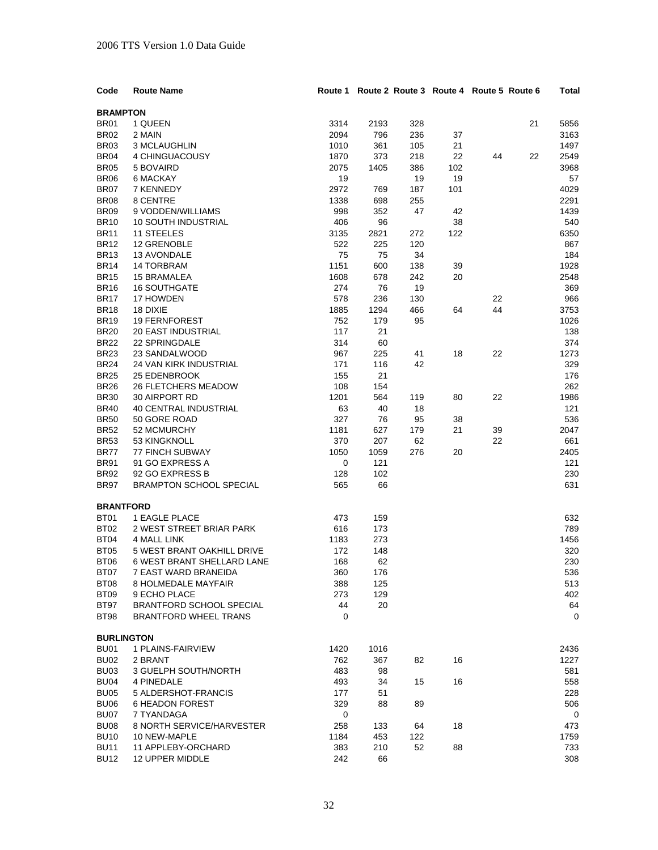| Code                | <b>Route Name</b>                  |            |          |     | Route 1 Route 2 Route 3 Route 4 Route 5 Route 6 |    |    | Total      |
|---------------------|------------------------------------|------------|----------|-----|-------------------------------------------------|----|----|------------|
| <b>BRAMPTON</b>     |                                    |            |          |     |                                                 |    |    |            |
| <b>BR01</b>         | 1 QUEEN                            | 3314       | 2193     | 328 |                                                 |    | 21 | 5856       |
| <b>BR02</b>         | 2 MAIN                             | 2094       | 796      | 236 | 37                                              |    |    | 3163       |
| BR <sub>03</sub>    | 3 MCLAUGHLIN                       | 1010       | 361      | 105 | 21                                              |    |    | 1497       |
| <b>BR04</b>         | 4 CHINGUACOUSY                     | 1870       | 373      | 218 | 22                                              | 44 | 22 | 2549       |
| <b>BR05</b>         | 5 BOVAIRD                          | 2075       | 1405     | 386 | 102                                             |    |    | 3968       |
| <b>BR06</b>         | 6 MACKAY                           | 19         |          | 19  | 19                                              |    |    | 57         |
| <b>BR07</b>         | 7 KENNEDY                          | 2972       | 769      | 187 | 101                                             |    |    | 4029       |
| <b>BR08</b>         | 8 CENTRE                           | 1338       | 698      | 255 |                                                 |    |    | 2291       |
| <b>BR09</b>         | 9 VODDEN/WILLIAMS                  | 998        | 352      | 47  | 42                                              |    |    | 1439       |
| <b>BR10</b>         | <b>10 SOUTH INDUSTRIAL</b>         | 406        | 96       |     | 38                                              |    |    | 540        |
| <b>BR11</b>         | 11 STEELES                         | 3135       | 2821     | 272 | 122                                             |    |    | 6350       |
| <b>BR12</b>         | 12 GRENOBLE                        | 522        | 225      | 120 |                                                 |    |    | 867        |
| <b>BR13</b>         | 13 AVONDALE                        | 75         | 75       | 34  |                                                 |    |    | 184        |
| <b>BR14</b>         | <b>14 TORBRAM</b>                  | 1151       | 600      | 138 | 39                                              |    |    | 1928       |
| <b>BR15</b>         | 15 BRAMALEA                        | 1608       | 678      | 242 | 20                                              |    |    | 2548       |
| <b>BR16</b>         | <b>16 SOUTHGATE</b>                | 274        | 76       | 19  |                                                 |    |    | 369        |
| <b>BR17</b>         | 17 HOWDEN                          | 578        | 236      | 130 |                                                 | 22 |    | 966        |
| <b>BR18</b>         | 18 DIXIE                           | 1885       | 1294     | 466 | 64                                              | 44 |    | 3753       |
| <b>BR19</b>         | <b>19 FERNFOREST</b>               | 752        | 179      | 95  |                                                 |    |    | 1026       |
| <b>BR20</b>         | <b>20 EAST INDUSTRIAL</b>          | 117        | 21       |     |                                                 |    |    | 138        |
| <b>BR22</b>         | 22 SPRINGDALE                      | 314        | 60       |     |                                                 |    |    | 374        |
| <b>BR23</b>         | 23 SANDALWOOD                      | 967        | 225      | 41  | 18                                              | 22 |    | 1273       |
| <b>BR24</b>         | 24 VAN KIRK INDUSTRIAL             | 171        | 116      | 42  |                                                 |    |    | 329        |
| <b>BR25</b>         | 25 EDENBROOK                       | 155        | 21       |     |                                                 |    |    | 176        |
| <b>BR26</b>         | <b>26 FLETCHERS MEADOW</b>         | 108        | 154      |     |                                                 |    |    | 262        |
| <b>BR30</b>         | 30 AIRPORT RD                      | 1201       | 564      | 119 | 80                                              | 22 |    | 1986       |
| <b>BR40</b>         | <b>40 CENTRAL INDUSTRIAL</b>       | 63         | 40       | 18  |                                                 |    |    | 121        |
| <b>BR50</b>         | 50 GORE ROAD                       | 327        | 76       | 95  | 38                                              |    |    | 536        |
| <b>BR52</b>         | 52 MCMURCHY                        | 1181       | 627      | 179 | 21                                              | 39 |    | 2047       |
| <b>BR53</b>         | 53 KINGKNOLL                       | 370        | 207      | 62  |                                                 | 22 |    | 661        |
| BR77                | <b>77 FINCH SUBWAY</b>             | 1050       | 1059     | 276 | 20                                              |    |    | 2405       |
| <b>BR91</b>         | 91 GO EXPRESS A                    | 0          | 121      |     |                                                 |    |    | 121        |
| <b>BR92</b>         | 92 GO EXPRESS B                    | 128        | 102      |     |                                                 |    |    | 230        |
| <b>BR97</b>         | <b>BRAMPTON SCHOOL SPECIAL</b>     | 565        | 66       |     |                                                 |    |    | 631        |
| <b>BRANTFORD</b>    |                                    |            |          |     |                                                 |    |    |            |
| BT01                | <b>1 EAGLE PLACE</b>               | 473        | 159      |     |                                                 |    |    | 632        |
| BT02                | 2 WEST STREET BRIAR PARK           | 616        | 173      |     |                                                 |    |    | 789        |
| <b>BT04</b>         | <b>4 MALL LINK</b>                 | 1183       | 273      |     |                                                 |    |    | 1456       |
| <b>BT05</b>         | 5 WEST BRANT OAKHILL DRIVE         | 172        | 148      |     |                                                 |    |    | 320        |
| <b>BT06</b>         | <b>6 WEST BRANT SHELLARD LANE</b>  | 168        | 62       |     |                                                 |    |    | 230        |
| BT07                | 7 EAST WARD BRANEIDA               | 360        | 176      |     |                                                 |    |    | 536        |
| BT08                | 8 HOLMEDALE MAYFAIR                | 388        | 125      |     |                                                 |    |    | 513        |
| BT09                | 9 ECHO PLACE                       | 273        | 129      |     |                                                 |    |    | 402        |
| BT97                | <b>BRANTFORD SCHOOL SPECIAL</b>    | 44         | 20       |     |                                                 |    |    | 64         |
| <b>BT98</b>         | <b>BRANTFORD WHEEL TRANS</b>       | 0          |          |     |                                                 |    |    | 0          |
|                     |                                    |            |          |     |                                                 |    |    |            |
| <b>BURLINGTON</b>   |                                    |            |          |     |                                                 |    |    |            |
| BU01                | 1 PLAINS-FAIRVIEW                  | 1420       | 1016     |     |                                                 |    |    | 2436       |
| <b>BU02</b>         | 2 BRANT                            | 762        | 367      | 82  | 16                                              |    |    | 1227       |
| BU03<br><b>BU04</b> | 3 GUELPH SOUTH/NORTH<br>4 PINEDALE | 483<br>493 | 98<br>34 | 15  | 16                                              |    |    | 581<br>558 |
| <b>BU05</b>         | 5 ALDERSHOT-FRANCIS                | 177        | 51       |     |                                                 |    |    | 228        |
| BU06                | <b>6 HEADON FOREST</b>             | 329        | 88       | 89  |                                                 |    |    | 506        |
| BU07                | 7 TYANDAGA                         | 0          |          |     |                                                 |    |    | 0          |
| <b>BU08</b>         | 8 NORTH SERVICE/HARVESTER          | 258        | 133      | 64  | 18                                              |    |    | 473        |
| <b>BU10</b>         | 10 NEW-MAPLE                       | 1184       | 453      | 122 |                                                 |    |    | 1759       |
| <b>BU11</b>         | 11 APPLEBY-ORCHARD                 | 383        | 210      | 52  | 88                                              |    |    | 733        |
| <b>BU12</b>         | 12 UPPER MIDDLE                    | 242        | 66       |     |                                                 |    |    | 308        |
|                     |                                    |            |          |     |                                                 |    |    |            |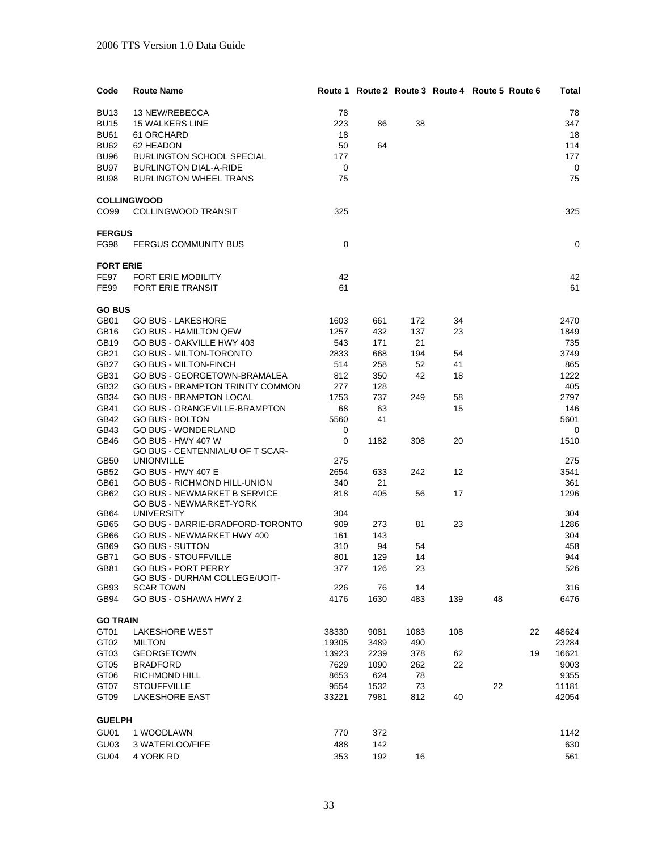| Code             | <b>Route Name</b>                                            |            |            |      |     | Route 1 Route 2 Route 3 Route 4 Route 5 Route 6 | Total       |
|------------------|--------------------------------------------------------------|------------|------------|------|-----|-------------------------------------------------|-------------|
| <b>BU13</b>      | 13 NEW/REBECCA                                               | 78         |            |      |     |                                                 | 78          |
| <b>BU15</b>      | <b>15 WALKERS LINE</b>                                       | 223        | 86         | 38   |     |                                                 | 347         |
| <b>BU61</b>      | 61 ORCHARD                                                   | 18         |            |      |     |                                                 | 18          |
| <b>BU62</b>      | 62 HEADON                                                    | 50         | 64         |      |     |                                                 | 114         |
| <b>BU96</b>      | <b>BURLINGTON SCHOOL SPECIAL</b>                             | 177        |            |      |     |                                                 | 177         |
| <b>BU97</b>      | <b>BURLINGTON DIAL-A-RIDE</b>                                | 0          |            |      |     |                                                 | 0           |
| <b>BU98</b>      | <b>BURLINGTON WHEEL TRANS</b>                                | 75         |            |      |     |                                                 | 75          |
|                  |                                                              |            |            |      |     |                                                 |             |
| CO <sub>99</sub> | <b>COLLINGWOOD</b><br><b>COLLINGWOOD TRANSIT</b>             | 325        |            |      |     |                                                 | 325         |
|                  |                                                              |            |            |      |     |                                                 |             |
| <b>FERGUS</b>    |                                                              |            |            |      |     |                                                 |             |
| <b>FG98</b>      | <b>FERGUS COMMUNITY BUS</b>                                  | 0          |            |      |     |                                                 | 0           |
| <b>FORT ERIE</b> |                                                              |            |            |      |     |                                                 |             |
| <b>FE97</b>      | <b>FORT ERIE MOBILITY</b>                                    | 42         |            |      |     |                                                 | 42          |
| <b>FE99</b>      | <b>FORT ERIE TRANSIT</b>                                     | 61         |            |      |     |                                                 | 61          |
| <b>GO BUS</b>    |                                                              |            |            |      |     |                                                 |             |
| GB01             | <b>GO BUS - LAKESHORE</b>                                    | 1603       | 661        | 172  | 34  |                                                 | 2470        |
| <b>GB16</b>      | <b>GO BUS - HAMILTON QEW</b>                                 | 1257       | 432        | 137  | 23  |                                                 | 1849        |
| GB19             | GO BUS - OAKVILLE HWY 403                                    | 543        | 171        | 21   |     |                                                 | 735         |
| GB21             | <b>GO BUS - MILTON-TORONTO</b>                               | 2833       | 668        | 194  | 54  |                                                 | 3749        |
| <b>GB27</b>      | <b>GO BUS - MILTON-FINCH</b>                                 | 514        | 258        | 52   | 41  |                                                 | 865         |
| GB31             | GO BUS - GEORGETOWN-BRAMALEA                                 | 812        | 350        | 42   | 18  |                                                 | 1222        |
| GB32             | <b>GO BUS - BRAMPTON TRINITY COMMON</b>                      | 277        | 128        |      |     |                                                 | 405         |
| GB34             | <b>GO BUS - BRAMPTON LOCAL</b>                               | 1753       | 737        | 249  | 58  |                                                 | 2797        |
| GB41             | GO BUS - ORANGEVILLE-BRAMPTON                                | 68         | 63         |      | 15  |                                                 | 146         |
| GB42             | <b>GO BUS - BOLTON</b>                                       | 5560       | 41         |      |     |                                                 | 5601        |
| GB43             | <b>GO BUS - WONDERLAND</b>                                   | 0          |            |      |     |                                                 | 0           |
| GB46             | GO BUS - HWY 407 W<br>GO BUS - CENTENNIAL/U OF T SCAR-       | 0          | 1182       | 308  | 20  |                                                 | 1510        |
| GB50             | <b>UNIONVILLE</b>                                            | 275        |            |      |     |                                                 | 275         |
| GB52             | <b>GO BUS - HWY 407 E</b>                                    | 2654       | 633        | 242  | 12  |                                                 | 3541        |
| GB61             | <b>GO BUS - RICHMOND HILL-UNION</b>                          | 340        | 21         |      |     |                                                 | 361         |
| GB62             | <b>GO BUS - NEWMARKET B SERVICE</b>                          | 818        | 405        | 56   | 17  |                                                 | 1296        |
|                  | <b>GO BUS - NEWMARKET-YORK</b>                               |            |            |      |     |                                                 |             |
| GB64             | <b>UNIVERSITY</b><br><b>GO BUS - BARRIE-BRADFORD-TORONTO</b> | 304        |            |      |     |                                                 | 304         |
| GB65<br>GB66     | GO BUS - NEWMARKET HWY 400                                   | 909<br>161 | 273<br>143 | 81   | 23  |                                                 | 1286<br>304 |
| GB69             | <b>GO BUS - SUTTON</b>                                       | 310        | 94         | 54   |     |                                                 | 458         |
| GB71             | <b>GO BUS - STOUFFVILLE</b>                                  | 801        | 129        | 14   |     |                                                 | 944         |
| GB81             | <b>GO BUS - PORT PERRY</b>                                   | 377        | 126        | 23   |     |                                                 | 526         |
|                  | GO BUS - DURHAM COLLEGE/UOIT-                                |            |            |      |     |                                                 |             |
| GB93             | <b>SCAR TOWN</b>                                             | 226        | 76         | 14   |     |                                                 | 316         |
| GB94             | GO BUS - OSHAWA HWY 2                                        | 4176       | 1630       | 483  | 139 | 48                                              | 6476        |
| <b>GO TRAIN</b>  |                                                              |            |            |      |     |                                                 |             |
| GT01             | <b>LAKESHORE WEST</b>                                        | 38330      | 9081       | 1083 | 108 |                                                 | 22<br>48624 |
| GT <sub>02</sub> | <b>MILTON</b>                                                | 19305      | 3489       | 490  |     |                                                 | 23284       |
| GT03             | <b>GEORGETOWN</b>                                            | 13923      | 2239       | 378  | 62  |                                                 | 16621<br>19 |
| GT05             | <b>BRADFORD</b>                                              | 7629       | 1090       | 262  | 22  |                                                 | 9003        |
| GT <sub>06</sub> | RICHMOND HILL                                                | 8653       | 624        | 78   |     |                                                 | 9355        |
| GT07             | <b>STOUFFVILLE</b>                                           | 9554       | 1532       | 73   |     | 22                                              | 11181       |
| GT <sub>09</sub> | <b>LAKESHORE EAST</b>                                        | 33221      | 7981       | 812  | 40  |                                                 | 42054       |
| <b>GUELPH</b>    |                                                              |            |            |      |     |                                                 |             |
| GU01             | 1 WOODLAWN                                                   | 770        | 372        |      |     |                                                 | 1142        |
| GU03             | 3 WATERLOO/FIFE                                              | 488        | 142        |      |     |                                                 | 630         |
| GU04             | 4 YORK RD                                                    | 353        | 192        | 16   |     |                                                 | 561         |
|                  |                                                              |            |            |      |     |                                                 |             |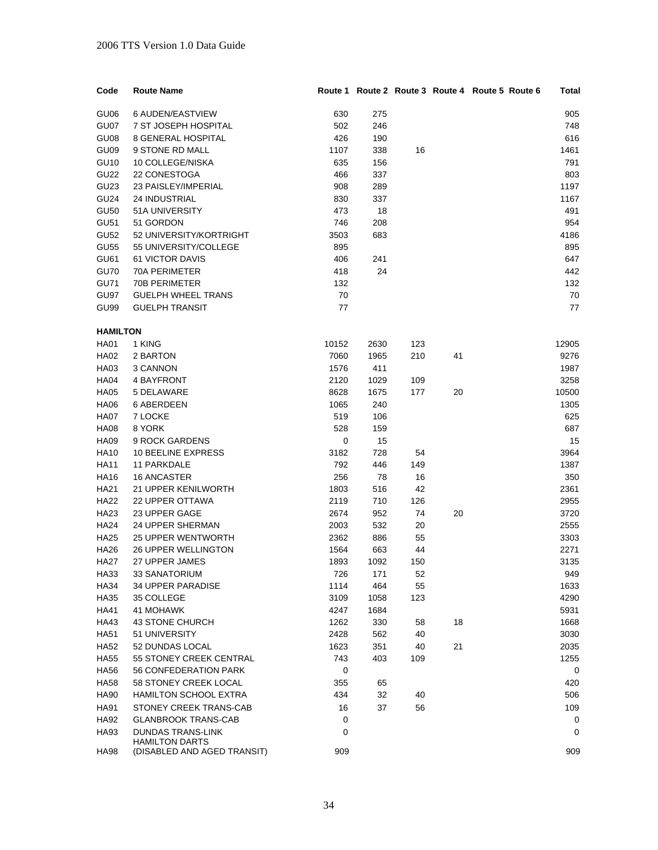| Code             | <b>Route Name</b>                                    |       |      |     |    | Route 1 Route 2 Route 3 Route 4 Route 5 Route 6 | Total |
|------------------|------------------------------------------------------|-------|------|-----|----|-------------------------------------------------|-------|
| GU06             | 6 AUDEN/EASTVIEW                                     | 630   | 275  |     |    |                                                 | 905   |
| GU07             | 7 ST JOSEPH HOSPITAL                                 | 502   | 246  |     |    |                                                 | 748   |
| GU08             | <b>8 GENERAL HOSPITAL</b>                            | 426   | 190  |     |    |                                                 | 616   |
| GU09             | 9 STONE RD MALL                                      | 1107  | 338  | 16  |    |                                                 | 1461  |
| <b>GU10</b>      | 10 COLLEGE/NISKA                                     | 635   | 156  |     |    |                                                 | 791   |
| <b>GU22</b>      | 22 CONESTOGA                                         | 466   | 337  |     |    |                                                 | 803   |
| GU <sub>23</sub> | 23 PAISLEY/IMPERIAL                                  | 908   | 289  |     |    |                                                 | 1197  |
| <b>GU24</b>      | <b>24 INDUSTRIAL</b>                                 | 830   | 337  |     |    |                                                 | 1167  |
| <b>GU50</b>      | 51A UNIVERSITY                                       | 473   | 18   |     |    |                                                 | 491   |
| <b>GU51</b>      | 51 GORDON                                            | 746   | 208  |     |    |                                                 | 954   |
| <b>GU52</b>      | 52 UNIVERSITY/KORTRIGHT                              | 3503  | 683  |     |    |                                                 | 4186  |
| <b>GU55</b>      | 55 UNIVERSITY/COLLEGE                                | 895   |      |     |    |                                                 | 895   |
| GU61             | 61 VICTOR DAVIS                                      | 406   | 241  |     |    |                                                 | 647   |
| <b>GU70</b>      | 70A PERIMETER                                        | 418   | 24   |     |    |                                                 | 442   |
| <b>GU71</b>      | 70B PERIMETER                                        | 132   |      |     |    |                                                 | 132   |
| GU97             | <b>GUELPH WHEEL TRANS</b>                            | 70    |      |     |    |                                                 | 70    |
| GU99             | <b>GUELPH TRANSIT</b>                                | 77    |      |     |    |                                                 | 77    |
|                  |                                                      |       |      |     |    |                                                 |       |
| <b>HAMILTON</b>  |                                                      |       |      |     |    |                                                 |       |
| <b>HA01</b>      | 1 KING                                               | 10152 | 2630 | 123 |    |                                                 | 12905 |
| <b>HA02</b>      | 2 BARTON                                             | 7060  | 1965 | 210 | 41 |                                                 | 9276  |
| HA03             | 3 CANNON                                             | 1576  | 411  |     |    |                                                 | 1987  |
| <b>HA04</b>      | 4 BAYFRONT                                           | 2120  | 1029 | 109 |    |                                                 | 3258  |
| <b>HA05</b>      | 5 DELAWARE                                           | 8628  | 1675 | 177 | 20 |                                                 | 10500 |
| <b>HA06</b>      | <b>6 ABERDEEN</b>                                    | 1065  | 240  |     |    |                                                 | 1305  |
| <b>HA07</b>      | 7 LOCKE                                              | 519   | 106  |     |    |                                                 | 625   |
| <b>HA08</b>      | 8 YORK                                               | 528   | 159  |     |    |                                                 | 687   |
| <b>HA09</b>      | 9 ROCK GARDENS                                       | 0     | 15   |     |    |                                                 | 15    |
| <b>HA10</b>      | <b>10 BEELINE EXPRESS</b>                            | 3182  | 728  | 54  |    |                                                 | 3964  |
| <b>HA11</b>      | 11 PARKDALE                                          | 792   | 446  | 149 |    |                                                 | 1387  |
| <b>HA16</b>      | <b>16 ANCASTER</b>                                   | 256   | 78   | 16  |    |                                                 | 350   |
| <b>HA21</b>      | 21 UPPER KENILWORTH                                  | 1803  | 516  | 42  |    |                                                 | 2361  |
| <b>HA22</b>      | <b>22 UPPER OTTAWA</b>                               | 2119  | 710  | 126 |    |                                                 | 2955  |
| HA23             | 23 UPPER GAGE                                        | 2674  | 952  | 74  | 20 |                                                 | 3720  |
| <b>HA24</b>      | 24 UPPER SHERMAN                                     | 2003  | 532  | 20  |    |                                                 | 2555  |
| <b>HA25</b>      | <b>25 UPPER WENTWORTH</b>                            | 2362  | 886  | 55  |    |                                                 | 3303  |
| <b>HA26</b>      | <b>26 UPPER WELLINGTON</b>                           | 1564  | 663  | 44  |    |                                                 | 2271  |
| <b>HA27</b>      | 27 UPPER JAMES                                       | 1893  | 1092 | 150 |    |                                                 | 3135  |
| HA33             | 33 SANATORIUM                                        | 726   | 171  | 52  |    |                                                 | 949   |
| <b>HA34</b>      | <b>34 UPPER PARADISE</b>                             | 1114  | 464  | 55  |    |                                                 | 1633  |
| <b>HA35</b>      | 35 COLLEGE                                           | 3109  | 1058 | 123 |    |                                                 | 4290  |
| <b>HA41</b>      | 41 MOHAWK                                            | 4247  | 1684 |     |    |                                                 | 5931  |
| <b>HA43</b>      | 43 STONE CHURCH                                      | 1262  | 330  | 58  | 18 |                                                 | 1668  |
| <b>HA51</b>      | 51 UNIVERSITY                                        | 2428  | 562  | 40  |    |                                                 | 3030  |
| <b>HA52</b>      | 52 DUNDAS LOCAL                                      | 1623  | 351  | 40  | 21 |                                                 | 2035  |
| <b>HA55</b>      | 55 STONEY CREEK CENTRAL                              | 743   | 403  | 109 |    |                                                 | 1255  |
| <b>HA56</b>      | 56 CONFEDERATION PARK                                | 0     |      |     |    |                                                 | 0     |
| <b>HA58</b>      | 58 STONEY CREEK LOCAL                                | 355   | 65   |     |    |                                                 | 420   |
| <b>HA90</b>      | HAMILTON SCHOOL EXTRA                                | 434   | 32   | 40  |    |                                                 | 506   |
| <b>HA91</b>      | STONEY CREEK TRANS-CAB                               | 16    | 37   | 56  |    |                                                 | 109   |
| <b>HA92</b>      | <b>GLANBROOK TRANS-CAB</b>                           | 0     |      |     |    |                                                 | 0     |
| HA93             | <b>DUNDAS TRANS-LINK</b>                             | 0     |      |     |    |                                                 | 0     |
| HA98             | <b>HAMILTON DARTS</b><br>(DISABLED AND AGED TRANSIT) | 909   |      |     |    |                                                 | 909   |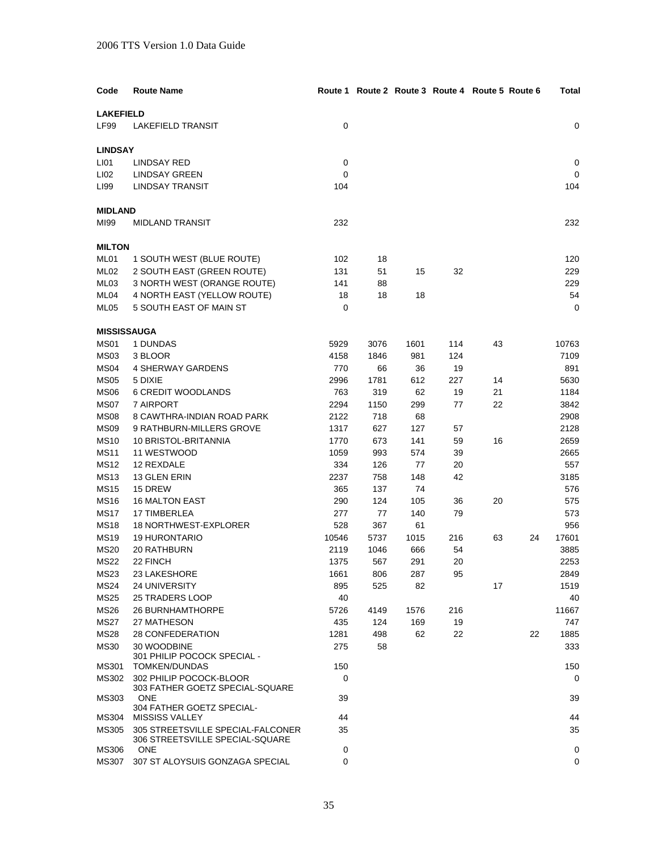| Code               | <b>Route Name</b>                             |             |      |      | Route 1 Route 2 Route 3 Route 4 Route 5 Route 6 |    |    | Total |
|--------------------|-----------------------------------------------|-------------|------|------|-------------------------------------------------|----|----|-------|
| <b>LAKEFIELD</b>   |                                               |             |      |      |                                                 |    |    |       |
| <b>LF99</b>        | <b>LAKEFIELD TRANSIT</b>                      | 0           |      |      |                                                 |    |    | 0     |
|                    |                                               |             |      |      |                                                 |    |    |       |
| <b>LINDSAY</b>     |                                               |             |      |      |                                                 |    |    |       |
| LI01               | LINDSAY RED                                   | $\mathbf 0$ |      |      |                                                 |    |    | 0     |
| LI02               | <b>LINDSAY GREEN</b>                          | 0           |      |      |                                                 |    |    | 0     |
| LI99               | <b>LINDSAY TRANSIT</b>                        | 104         |      |      |                                                 |    |    | 104   |
| <b>MIDLAND</b>     |                                               |             |      |      |                                                 |    |    |       |
| MI99               | MIDLAND TRANSIT                               | 232         |      |      |                                                 |    |    | 232   |
|                    |                                               |             |      |      |                                                 |    |    |       |
| <b>MILTON</b>      |                                               |             |      |      |                                                 |    |    |       |
| ML01               | 1 SOUTH WEST (BLUE ROUTE)                     | 102         | 18   |      |                                                 |    |    | 120   |
| ML02               | 2 SOUTH EAST (GREEN ROUTE)                    | 131         | 51   | 15   | 32                                              |    |    | 229   |
| ML03               | 3 NORTH WEST (ORANGE ROUTE)                   | 141         | 88   |      |                                                 |    |    | 229   |
| ML04               | 4 NORTH EAST (YELLOW ROUTE)                   | 18          | 18   | 18   |                                                 |    |    | 54    |
| ML05               | 5 SOUTH EAST OF MAIN ST                       | 0           |      |      |                                                 |    |    | 0     |
|                    |                                               |             |      |      |                                                 |    |    |       |
| <b>MISSISSAUGA</b> |                                               |             |      |      |                                                 |    |    |       |
| MS01               | 1 DUNDAS                                      | 5929        | 3076 | 1601 | 114                                             | 43 |    | 10763 |
| <b>MS03</b>        | 3 BLOOR                                       | 4158        | 1846 | 981  | 124                                             |    |    | 7109  |
| MS <sub>04</sub>   | <b>4 SHERWAY GARDENS</b>                      | 770         | 66   | 36   | 19                                              |    |    | 891   |
| <b>MS05</b>        | 5 DIXIE                                       | 2996        | 1781 | 612  | 227                                             | 14 |    | 5630  |
| <b>MS06</b>        | <b>6 CREDIT WOODLANDS</b>                     | 763         | 319  | 62   | 19                                              | 21 |    | 1184  |
| MS07               | 7 AIRPORT                                     | 2294        | 1150 | 299  | 77                                              | 22 |    | 3842  |
| <b>MS08</b>        | 8 CAWTHRA-INDIAN ROAD PARK                    | 2122        | 718  | 68   |                                                 |    |    | 2908  |
| <b>MS09</b>        | 9 RATHBURN-MILLERS GROVE                      | 1317        | 627  | 127  | 57                                              |    |    | 2128  |
| <b>MS10</b>        | 10 BRISTOL-BRITANNIA                          | 1770        | 673  | 141  | 59                                              | 16 |    | 2659  |
| <b>MS11</b>        | 11 WESTWOOD                                   | 1059        | 993  | 574  | 39                                              |    |    | 2665  |
| <b>MS12</b>        | 12 REXDALE                                    | 334         | 126  | 77   | 20                                              |    |    | 557   |
| <b>MS13</b>        | 13 GLEN ERIN                                  | 2237        | 758  | 148  | 42                                              |    |    | 3185  |
| <b>MS15</b>        | 15 DREW                                       | 365         | 137  | 74   |                                                 |    |    | 576   |
| <b>MS16</b>        | <b>16 MALTON EAST</b>                         | 290         | 124  | 105  | 36                                              | 20 |    | 575   |
| <b>MS17</b>        | 17 TIMBERLEA                                  | 277         | 77   | 140  | 79                                              |    |    | 573   |
| <b>MS18</b>        | 18 NORTHWEST-EXPLORER                         | 528         | 367  | 61   |                                                 |    |    | 956   |
| <b>MS19</b>        | <b>19 HURONTARIO</b>                          | 10546       | 5737 | 1015 | 216                                             | 63 | 24 | 17601 |
| <b>MS20</b>        | 20 RATHBURN                                   | 2119        | 1046 | 666  | 54                                              |    |    | 3885  |
| <b>MS22</b>        | 22 FINCH                                      | 1375        | 567  | 291  | 20                                              |    |    | 2253  |
| MS23               | 23 LAKESHORE                                  | 1661        | 806  | 287  | 95                                              |    |    | 2849  |
| <b>MS24</b>        | <b>24 UNIVERSITY</b>                          | 895         | 525  | 82   |                                                 | 17 |    | 1519  |
| <b>MS25</b>        | <b>25 TRADERS LOOP</b>                        | 40          |      |      |                                                 |    |    | 40    |
| <b>MS26</b>        | <b>26 BURNHAMTHORPE</b>                       | 5726        | 4149 | 1576 | 216                                             |    |    | 11667 |
| <b>MS27</b>        | 27 MATHESON                                   | 435         | 124  | 169  | 19                                              |    |    | 747   |
| <b>MS28</b>        | 28 CONFEDERATION                              | 1281        | 498  | 62   | 22                                              |    | 22 | 1885  |
| <b>MS30</b>        | 30 WOODBINE                                   | 275         | 58   |      |                                                 |    |    | 333   |
|                    | 301 PHILIP POCOCK SPECIAL -                   |             |      |      |                                                 |    |    |       |
| MS301              | TOMKEN/DUNDAS                                 | 150         |      |      |                                                 |    |    | 150   |
| MS302              | 302 PHILIP POCOCK-BLOOR                       | 0           |      |      |                                                 |    |    | 0     |
| MS303              | 303 FATHER GOETZ SPECIAL-SQUARE<br><b>ONE</b> | 39          |      |      |                                                 |    |    | 39    |
|                    | 304 FATHER GOETZ SPECIAL-                     |             |      |      |                                                 |    |    |       |
| MS304              | <b>MISSISS VALLEY</b>                         | 44          |      |      |                                                 |    |    | 44    |
| MS305              | 305 STREETSVILLE SPECIAL-FALCONER             | 35          |      |      |                                                 |    |    | 35    |
|                    | 306 STREETSVILLE SPECIAL-SQUARE               |             |      |      |                                                 |    |    |       |
| MS306              | <b>ONE</b>                                    | $\mathbf 0$ |      |      |                                                 |    |    | 0     |
| <b>MS307</b>       | 307 ST ALOYSUIS GONZAGA SPECIAL               | $\mathbf 0$ |      |      |                                                 |    |    | 0     |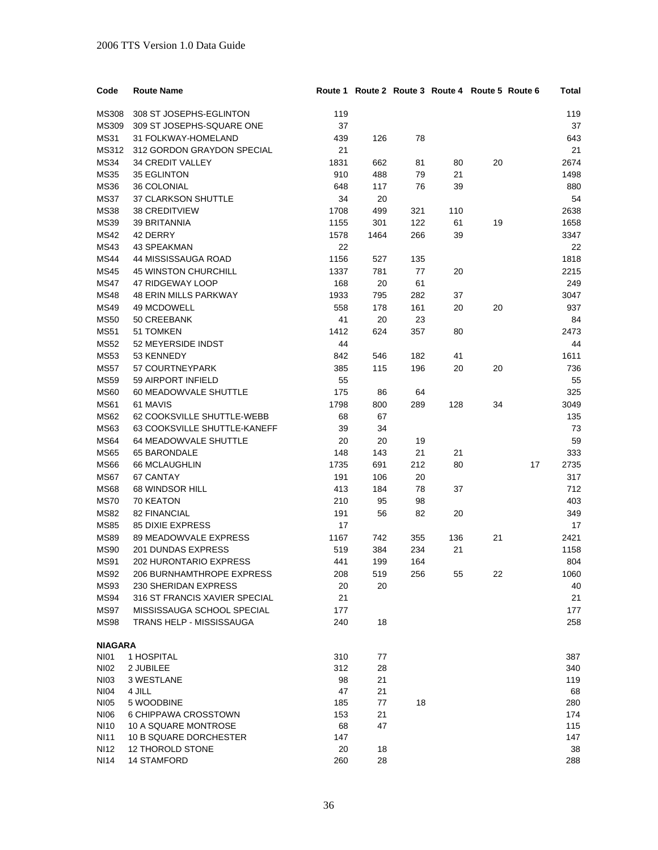| Code           | <b>Route Name</b>               |      |      |     | Route 1 Route 2 Route 3 Route 4 Route 5 Route 6 |    |    | Total |
|----------------|---------------------------------|------|------|-----|-------------------------------------------------|----|----|-------|
| <b>MS308</b>   | 308 ST JOSEPHS-EGLINTON         | 119  |      |     |                                                 |    |    | 119   |
| MS309          | 309 ST JOSEPHS-SQUARE ONE       | 37   |      |     |                                                 |    |    | 37    |
| <b>MS31</b>    | 31 FOLKWAY-HOMELAND             | 439  | 126  | 78  |                                                 |    |    | 643   |
| MS312          | 312 GORDON GRAYDON SPECIAL      | 21   |      |     |                                                 |    |    | 21    |
| <b>MS34</b>    | 34 CREDIT VALLEY                | 1831 | 662  | 81  | 80                                              | 20 |    | 2674  |
| <b>MS35</b>    | 35 EGLINTON                     | 910  | 488  | 79  | 21                                              |    |    | 1498  |
| <b>MS36</b>    | 36 COLONIAL                     | 648  | 117  | 76  | 39                                              |    |    | 880   |
| <b>MS37</b>    | 37 CLARKSON SHUTTLE             | 34   | 20   |     |                                                 |    |    | 54    |
| <b>MS38</b>    | <b>38 CREDITVIEW</b>            | 1708 | 499  | 321 | 110                                             |    |    | 2638  |
| <b>MS39</b>    | <b>39 BRITANNIA</b>             | 1155 | 301  | 122 | 61                                              | 19 |    | 1658  |
| <b>MS42</b>    | 42 DERRY                        | 1578 | 1464 | 266 | 39                                              |    |    | 3347  |
| <b>MS43</b>    | 43 SPEAKMAN                     | 22   |      |     |                                                 |    |    | 22    |
| <b>MS44</b>    | 44 MISSISSAUGA ROAD             | 1156 | 527  | 135 |                                                 |    |    | 1818  |
| <b>MS45</b>    | <b>45 WINSTON CHURCHILL</b>     | 1337 | 781  | 77  | 20                                              |    |    | 2215  |
| <b>MS47</b>    | 47 RIDGEWAY LOOP                | 168  | 20   | 61  |                                                 |    |    | 249   |
| <b>MS48</b>    | <b>48 ERIN MILLS PARKWAY</b>    | 1933 | 795  | 282 | 37                                              |    |    | 3047  |
| <b>MS49</b>    | 49 MCDOWELL                     | 558  | 178  | 161 | 20                                              | 20 |    | 937   |
| <b>MS50</b>    | 50 CREEBANK                     | 41   | 20   | 23  |                                                 |    |    | 84    |
| <b>MS51</b>    | 51 TOMKEN                       | 1412 | 624  | 357 | 80                                              |    |    | 2473  |
| <b>MS52</b>    | 52 MEYERSIDE INDST              | 44   |      |     |                                                 |    |    | 44    |
| <b>MS53</b>    | 53 KENNEDY                      | 842  | 546  | 182 | 41                                              |    |    | 1611  |
| <b>MS57</b>    | 57 COURTNEYPARK                 | 385  | 115  | 196 | 20                                              | 20 |    | 736   |
| <b>MS59</b>    | 59 AIRPORT INFIELD              | 55   |      |     |                                                 |    |    | 55    |
| <b>MS60</b>    | 60 MEADOWVALE SHUTTLE           | 175  | 86   | 64  |                                                 |    |    | 325   |
| <b>MS61</b>    | 61 MAVIS                        | 1798 | 800  | 289 | 128                                             | 34 |    | 3049  |
| <b>MS62</b>    | 62 COOKSVILLE SHUTTLE-WEBB      | 68   | 67   |     |                                                 |    |    | 135   |
| MS63           | 63 COOKSVILLE SHUTTLE-KANEFF    | 39   | 34   |     |                                                 |    |    | 73    |
| <b>MS64</b>    | 64 MEADOWVALE SHUTTLE           | 20   | 20   | 19  |                                                 |    |    | 59    |
| <b>MS65</b>    | 65 BARONDALE                    | 148  | 143  | 21  | 21                                              |    |    | 333   |
| <b>MS66</b>    | 66 MCLAUGHLIN                   | 1735 | 691  | 212 | 80                                              |    | 17 | 2735  |
| <b>MS67</b>    | 67 CANTAY                       | 191  | 106  | 20  |                                                 |    |    | 317   |
| <b>MS68</b>    | 68 WINDSOR HILL                 | 413  | 184  | 78  | 37                                              |    |    | 712   |
| <b>MS70</b>    | 70 KEATON                       | 210  | 95   | 98  |                                                 |    |    | 403   |
| <b>MS82</b>    | 82 FINANCIAL                    | 191  | 56   | 82  | 20                                              |    |    | 349   |
| <b>MS85</b>    | <b>85 DIXIE EXPRESS</b>         | 17   |      |     |                                                 |    |    | 17    |
| <b>MS89</b>    | 89 MEADOWVALE EXPRESS           | 1167 | 742  | 355 | 136                                             | 21 |    | 2421  |
| <b>MS90</b>    | <b>201 DUNDAS EXPRESS</b>       | 519  | 384  | 234 | 21                                              |    |    | 1158  |
| <b>MS91</b>    | <b>202 HURONTARIO EXPRESS</b>   | 441  | 199  | 164 |                                                 |    |    | 804   |
| <b>MS92</b>    | 206 BURNHAMTHROPE EXPRESS       | 208  | 519  | 256 | 55                                              | 22 |    | 1060  |
| <b>MS93</b>    | 230 SHERIDAN EXPRESS            | 20   | 20   |     |                                                 |    |    | 40    |
| MS94           | 316 ST FRANCIS XAVIER SPECIAL   | 21   |      |     |                                                 |    |    | 21    |
| MS97           | MISSISSAUGA SCHOOL SPECIAL      | 177  |      |     |                                                 |    |    | 177   |
| <b>MS98</b>    | <b>TRANS HELP - MISSISSAUGA</b> | 240  | 18   |     |                                                 |    |    | 258   |
| <b>NIAGARA</b> |                                 |      |      |     |                                                 |    |    |       |
| <b>NI01</b>    | 1 HOSPITAL                      | 310  | 77   |     |                                                 |    |    | 387   |
| <b>NI02</b>    | 2 JUBILEE                       | 312  | 28   |     |                                                 |    |    | 340   |
| <b>NI03</b>    | 3 WESTLANE                      | 98   | 21   |     |                                                 |    |    | 119   |
| NI04           | 4 JILL                          | 47   | 21   |     |                                                 |    |    | 68    |
| <b>NI05</b>    | 5 WOODBINE                      | 185  | 77   | 18  |                                                 |    |    | 280   |
| <b>NI06</b>    | 6 CHIPPAWA CROSSTOWN            | 153  | 21   |     |                                                 |    |    | 174   |
| NI10           | 10 A SQUARE MONTROSE            | 68   | 47   |     |                                                 |    |    | 115   |
| <b>NI11</b>    | 10 B SQUARE DORCHESTER          | 147  |      |     |                                                 |    |    | 147   |
| <b>NI12</b>    | 12 THOROLD STONE                | 20   | 18   |     |                                                 |    |    | 38    |
| <b>NI14</b>    | <b>14 STAMFORD</b>              | 260  | 28   |     |                                                 |    |    | 288   |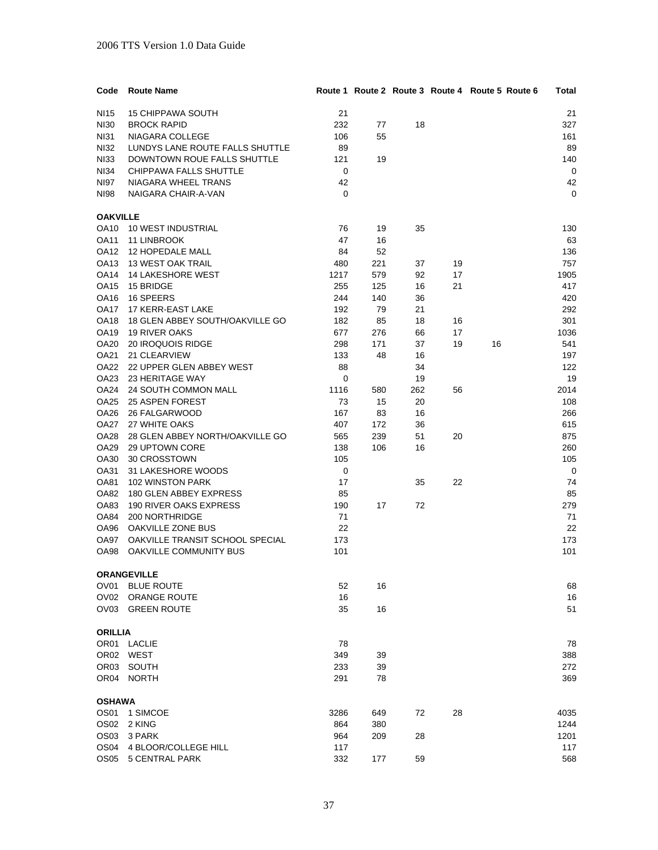| Code             | <b>Route Name</b>               |      |     |     |    | Route 1 Route 2 Route 3 Route 4 Route 5 Route 6 | Total |
|------------------|---------------------------------|------|-----|-----|----|-------------------------------------------------|-------|
| NI15             | <b>15 CHIPPAWA SOUTH</b>        | 21   |     |     |    |                                                 | 21    |
| <b>NI30</b>      | <b>BROCK RAPID</b>              | 232  | 77  | 18  |    |                                                 | 327   |
| <b>NI31</b>      | NIAGARA COLLEGE                 | 106  | 55  |     |    |                                                 | 161   |
| <b>NI32</b>      | LUNDYS LANE ROUTE FALLS SHUTTLE | 89   |     |     |    |                                                 | 89    |
| <b>NI33</b>      | DOWNTOWN ROUE FALLS SHUTTLE     | 121  | 19  |     |    |                                                 | 140   |
| NI34             | CHIPPAWA FALLS SHUTTLE          | 0    |     |     |    |                                                 | 0     |
| NI97             | NIAGARA WHEEL TRANS             | 42   |     |     |    |                                                 | 42    |
| <b>NI98</b>      | NAIGARA CHAIR-A-VAN             | 0    |     |     |    |                                                 | 0     |
| <b>OAKVILLE</b>  |                                 |      |     |     |    |                                                 |       |
| OA10             | 10 WEST INDUSTRIAL              | 76   | 19  | 35  |    |                                                 | 130   |
| OA11             | 11 LINBROOK                     | 47   | 16  |     |    |                                                 | 63    |
| OA12             | <b>12 HOPEDALE MALL</b>         | 84   | 52  |     |    |                                                 | 136   |
| OA13             | 13 WEST OAK TRAIL               | 480  | 221 | 37  | 19 |                                                 | 757   |
| OA14             | 14 LAKESHORE WEST               | 1217 | 579 | 92  | 17 |                                                 | 1905  |
| OA15             | 15 BRIDGE                       | 255  | 125 | 16  | 21 |                                                 | 417   |
| OA16             | 16 SPEERS                       | 244  | 140 | 36  |    |                                                 | 420   |
| OA17             | 17 KERR-EAST LAKE               | 192  | 79  | 21  |    |                                                 | 292   |
| OA18             | 18 GLEN ABBEY SOUTH/OAKVILLE GO | 182  | 85  | 18  | 16 |                                                 | 301   |
| OA19             | <b>19 RIVER OAKS</b>            | 677  | 276 | 66  | 17 |                                                 | 1036  |
| OA20             | 20 IROQUOIS RIDGE               | 298  | 171 | 37  | 19 | 16                                              | 541   |
| OA21             | 21 CLEARVIEW                    | 133  | 48  | 16  |    |                                                 | 197   |
| <b>OA22</b>      | 22 UPPER GLEN ABBEY WEST        | 88   |     | 34  |    |                                                 | 122   |
| OA23             | 23 HERITAGE WAY                 | 0    |     | 19  |    |                                                 | 19    |
| OA24             | 24 SOUTH COMMON MALL            | 1116 | 580 | 262 | 56 |                                                 | 2014  |
| OA25             | 25 ASPEN FOREST                 | 73   | 15  | 20  |    |                                                 | 108   |
| OA26             | 26 FALGARWOOD                   | 167  | 83  | 16  |    |                                                 | 266   |
| <b>OA27</b>      | 27 WHITE OAKS                   | 407  | 172 | 36  |    |                                                 | 615   |
| OA28             | 28 GLEN ABBEY NORTH/OAKVILLE GO | 565  | 239 | 51  | 20 |                                                 | 875   |
| OA29             | 29 UPTOWN CORE                  | 138  | 106 | 16  |    |                                                 | 260   |
| OA30             | 30 CROSSTOWN                    | 105  |     |     |    |                                                 | 105   |
| OA31             | 31 LAKESHORE WOODS              | 0    |     |     |    |                                                 | 0     |
| OA81             | 102 WINSTON PARK                | 17   |     | 35  | 22 |                                                 | 74    |
| OA82             | 180 GLEN ABBEY EXPRESS          | 85   |     |     |    |                                                 | 85    |
| OA83             | 190 RIVER OAKS EXPRESS          | 190  | 17  | 72  |    |                                                 | 279   |
| OA84             | 200 NORTHRIDGE                  | 71   |     |     |    |                                                 | 71    |
| OA96             | OAKVILLE ZONE BUS               | 22   |     |     |    |                                                 | 22    |
| OA97             | OAKVILLE TRANSIT SCHOOL SPECIAL | 173  |     |     |    |                                                 | 173   |
| OA98             | OAKVILLE COMMUNITY BUS          | 101  |     |     |    |                                                 | 101   |
|                  | <b>ORANGEVILLE</b>              |      |     |     |    |                                                 |       |
| OV <sub>01</sub> | <b>BLUE ROUTE</b>               | 52   | 16  |     |    |                                                 | 68    |
| OV02             | <b>ORANGE ROUTE</b>             | 16   |     |     |    |                                                 | 16    |
| OV03             | <b>GREEN ROUTE</b>              | 35   | 16  |     |    |                                                 | 51    |
| <b>ORILLIA</b>   |                                 |      |     |     |    |                                                 |       |
|                  | OR01 LACLIE                     | 78   |     |     |    |                                                 | 78    |
| OR02             | WEST                            | 349  | 39  |     |    |                                                 | 388   |
| OR <sub>03</sub> | SOUTH                           | 233  | 39  |     |    |                                                 | 272   |
|                  | OR04 NORTH                      | 291  | 78  |     |    |                                                 | 369   |
| <b>OSHAWA</b>    |                                 |      |     |     |    |                                                 |       |
| OS01             | 1 SIMCOE                        | 3286 | 649 | 72  | 28 |                                                 | 4035  |
| OS02             | 2 KING                          | 864  | 380 |     |    |                                                 | 1244  |
| OS <sub>03</sub> | 3 PARK                          | 964  | 209 | 28  |    |                                                 | 1201  |
| OS04             | 4 BLOOR/COLLEGE HILL            | 117  |     |     |    |                                                 | 117   |
| OS05             | 5 CENTRAL PARK                  | 332  | 177 | 59  |    |                                                 | 568   |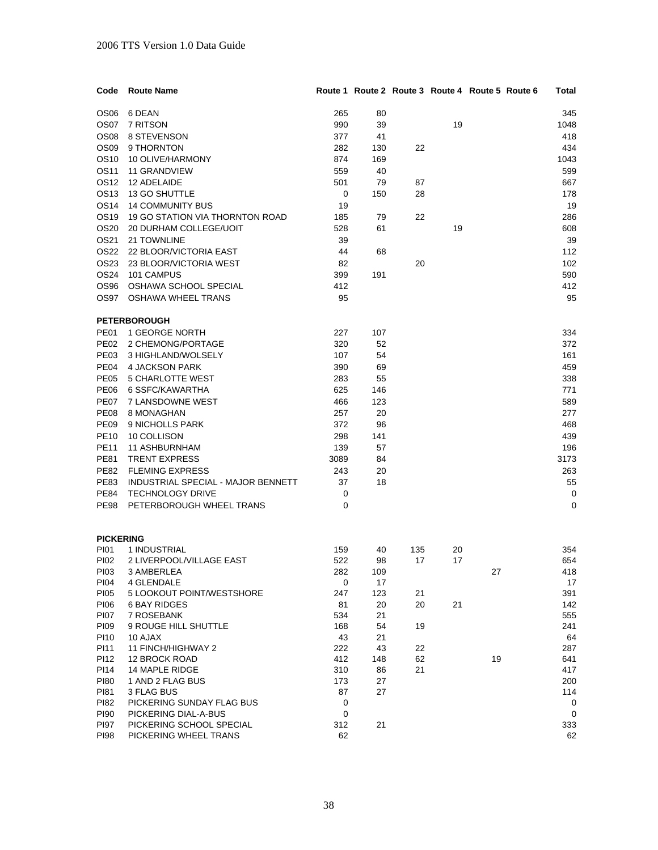| Code             | <b>Route Name</b>                  |                    |           |     | Route 1 Route 2 Route 3 Route 4 Route 5 Route 6 |    | Total      |
|------------------|------------------------------------|--------------------|-----------|-----|-------------------------------------------------|----|------------|
| OS <sub>06</sub> | 6 DEAN                             | 265                | 80        |     |                                                 |    | 345        |
| OS07             | 7 RITSON                           | 990                | 39        |     | 19                                              |    | 1048       |
| OS <sub>08</sub> | 8 STEVENSON                        | 377                | 41        |     |                                                 |    | 418        |
| OS <sub>09</sub> | 9 THORNTON                         | 282                | 130       | 22  |                                                 |    | 434        |
| OS10             | 10 OLIVE/HARMONY                   | 874                | 169       |     |                                                 |    | 1043       |
| OS11             | <b>11 GRANDVIEW</b>                | 559                | 40        |     |                                                 |    | 599        |
| OS12             | 12 ADELAIDE                        | 501                | 79        |     |                                                 |    | 667        |
| OS13             | 13 GO SHUTTLE                      |                    |           | 87  |                                                 |    |            |
|                  |                                    | 0                  | 150       | 28  |                                                 |    | 178        |
| <b>OS14</b>      | <b>14 COMMUNITY BUS</b>            | 19                 |           |     |                                                 |    | 19         |
| OS19             | 19 GO STATION VIA THORNTON ROAD    | 185                | 79        | 22  |                                                 |    | 286        |
| OS20             | 20 DURHAM COLLEGE/UOIT             | 528                | 61        |     | 19                                              |    | 608        |
| OS21             | 21 TOWNLINE                        | 39                 |           |     |                                                 |    | 39         |
|                  | OS22 22 BLOOR/VICTORIA EAST        | 44                 | 68        |     |                                                 |    | 112        |
| OS23             | 23 BLOOR/VICTORIA WEST             | 82                 |           | 20  |                                                 |    | 102        |
| OS24             | 101 CAMPUS                         | 399                | 191       |     |                                                 |    | 590        |
|                  | OS96 OSHAWA SCHOOL SPECIAL         | 412                |           |     |                                                 |    | 412        |
|                  | OS97 OSHAWA WHEEL TRANS            | 95                 |           |     |                                                 |    | 95         |
|                  | <b>PETERBOROUGH</b>                |                    |           |     |                                                 |    |            |
| PE01             | 1 GEORGE NORTH                     | 227                | 107       |     |                                                 |    | 334        |
|                  | PE02 2 CHEMONG/PORTAGE             | 320                | 52        |     |                                                 |    | 372        |
| PE03             | 3 HIGHLAND/WOLSELY                 | 107                | 54        |     |                                                 |    | 161        |
| <b>PE04</b>      | <b>4 JACKSON PARK</b>              | 390                | 69        |     |                                                 |    | 459        |
| PE05             | 5 CHARLOTTE WEST                   | 283                | 55        |     |                                                 |    | 338        |
| <b>PE06</b>      | 6 SSFC/KAWARTHA                    | 625                | 146       |     |                                                 |    | 771        |
| PE07             | 7 LANSDOWNE WEST                   | 466                | 123       |     |                                                 |    | 589        |
| <b>PE08</b>      | 8 MONAGHAN                         | 257                | 20        |     |                                                 |    | 277        |
| <b>PE09</b>      | 9 NICHOLLS PARK                    | 372                | 96        |     |                                                 |    | 468        |
| <b>PE10</b>      | 10 COLLISON                        | 298                | 141       |     |                                                 |    | 439        |
| <b>PE11</b>      | <b>11 ASHBURNHAM</b>               | 139                | 57        |     |                                                 |    | 196        |
| <b>PE81</b>      | <b>TRENT EXPRESS</b>               | 3089               | 84        |     |                                                 |    | 3173       |
| <b>PE82</b>      | <b>FLEMING EXPRESS</b>             | 243                | 20        |     |                                                 |    | 263        |
| <b>PE83</b>      | INDUSTRIAL SPECIAL - MAJOR BENNETT | 37                 | 18        |     |                                                 |    | 55         |
| PE84             | <b>TECHNOLOGY DRIVE</b>            |                    |           |     |                                                 |    |            |
| <b>PE98</b>      | PETERBOROUGH WHEEL TRANS           | 0<br>0             |           |     |                                                 |    | 0<br>0     |
|                  |                                    |                    |           |     |                                                 |    |            |
|                  |                                    |                    |           |     |                                                 |    |            |
| <b>PICKERING</b> |                                    |                    |           |     |                                                 |    |            |
| PI01             | 1 INDUSTRIAL                       | 159                | 40        | 135 | 20                                              |    | 354<br>654 |
| PI02             | 2 LIVERPOOL/VILLAGE EAST           | 522                | 98        | 17  | 17                                              |    |            |
| PI03<br>PI04     | 3 AMBERLEA<br>4 GLENDALE           | 282<br>$\mathbf 0$ | 109<br>17 |     |                                                 | 27 | 418<br>17  |
| <b>PI05</b>      | 5 LOOKOUT POINT/WESTSHORE          | 247                | 123       | 21  |                                                 |    | 391        |
| PI06             | <b>6 BAY RIDGES</b>                | 81                 | 20        | 20  | 21                                              |    | 142        |
| <b>PI07</b>      | 7 ROSEBANK                         | 534                | 21        |     |                                                 |    | 555        |
| PI09             | 9 ROUGE HILL SHUTTLE               | 168                | 54        | 19  |                                                 |    | 241        |
| PI10             | 10 AJAX                            | 43                 | 21        |     |                                                 |    | 64         |
| PI11             | 11 FINCH/HIGHWAY 2                 | 222                | 43        | 22  |                                                 |    | 287        |
| PI12             | 12 BROCK ROAD                      | 412                | 148       | 62  |                                                 | 19 | 641        |
| PI14             | 14 MAPLE RIDGE                     | 310                | 86        | 21  |                                                 |    | 417        |
| <b>PI80</b>      | 1 AND 2 FLAG BUS                   | 173                | 27        |     |                                                 |    | 200        |
| PI81             | 3 FLAG BUS                         | 87                 | 27        |     |                                                 |    | 114        |
| PI82             | PICKERING SUNDAY FLAG BUS          | 0                  |           |     |                                                 |    | 0          |
| PI90             | PICKERING DIAL-A-BUS               | 0                  |           |     |                                                 |    | 0          |
| <b>PI97</b>      | PICKERING SCHOOL SPECIAL           | 312                | 21        |     |                                                 |    | 333        |
| <b>PI98</b>      | PICKERING WHEEL TRANS              | 62                 |           |     |                                                 |    | 62         |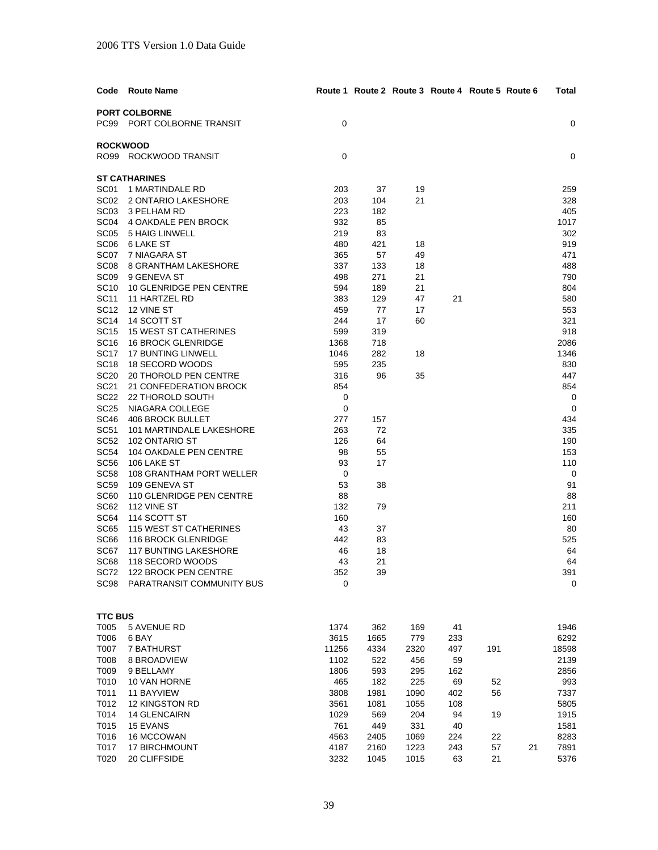| Code                       | <b>Route Name</b>                                         |               | Route 1 Route 2 Route 3 Route 4 Route 5 Route 6 |             |           |     |    | Total         |
|----------------------------|-----------------------------------------------------------|---------------|-------------------------------------------------|-------------|-----------|-----|----|---------------|
|                            | <b>PORT COLBORNE</b>                                      |               |                                                 |             |           |     |    |               |
|                            | PC99 PORT COLBORNE TRANSIT                                | 0             |                                                 |             |           |     |    | 0             |
|                            |                                                           |               |                                                 |             |           |     |    |               |
|                            | <b>ROCKWOOD</b>                                           |               |                                                 |             |           |     |    |               |
|                            | RO99 ROCKWOOD TRANSIT                                     | 0             |                                                 |             |           |     |    | 0             |
|                            | <b>ST CATHARINES</b>                                      |               |                                                 |             |           |     |    |               |
| SC01                       | 1 MARTINDALE RD                                           | 203           | 37                                              | 19          |           |     |    | 259           |
|                            | SC02 2 ONTARIO LAKESHORE                                  | 203           | 104                                             | 21          |           |     |    | 328           |
| SC <sub>03</sub>           | 3 PELHAM RD                                               | 223           | 182                                             |             |           |     |    | 405           |
| SC <sub>04</sub>           | 4 OAKDALE PEN BROCK                                       | 932           | 85                                              |             |           |     |    | 1017          |
| SC <sub>05</sub>           | 5 HAIG LINWELL                                            | 219           | 83                                              |             |           |     |    | 302           |
| SC <sub>06</sub>           | 6 LAKE ST                                                 | 480           | 421                                             | 18          |           |     |    | 919           |
| SC07                       | 7 NIAGARA ST                                              | 365           | 57                                              | 49          |           |     |    | 471           |
| SC <sub>08</sub>           | 8 GRANTHAM LAKESHORE                                      | 337           | 133                                             | 18          |           |     |    | 488           |
| SC <sub>09</sub>           | 9 GENEVA ST                                               | 498           | 271                                             | 21          |           |     |    | 790           |
| <b>SC10</b>                | 10 GLENRIDGE PEN CENTRE                                   | 594           | 189                                             | 21          |           |     |    | 804           |
| SC11                       | 11 HARTZEL RD                                             | 383           | 129                                             | 47          | 21        |     |    | 580           |
| <b>SC12</b>                | 12 VINE ST                                                | 459           | 77                                              | 17          |           |     |    | 553           |
| <b>SC14</b>                | 14 SCOTT ST                                               | 244           | 17                                              | 60          |           |     |    | 321           |
| <b>SC15</b><br><b>SC16</b> | <b>15 WEST ST CATHERINES</b><br><b>16 BROCK GLENRIDGE</b> | 599           | 319                                             |             |           |     |    | 918           |
| <b>SC17</b>                | <b>17 BUNTING LINWELL</b>                                 | 1368<br>1046  | 718<br>282                                      | 18          |           |     |    | 2086<br>1346  |
| <b>SC18</b>                | 18 SECORD WOODS                                           | 595           | 235                                             |             |           |     |    | 830           |
| <b>SC20</b>                | 20 THOROLD PEN CENTRE                                     | 316           | 96                                              | 35          |           |     |    | 447           |
| <b>SC21</b>                | 21 CONFEDERATION BROCK                                    | 854           |                                                 |             |           |     |    | 854           |
| <b>SC22</b>                | 22 THOROLD SOUTH                                          | 0             |                                                 |             |           |     |    | 0             |
| <b>SC25</b>                | NIAGARA COLLEGE                                           | 0             |                                                 |             |           |     |    | 0             |
| <b>SC46</b>                | 406 BROCK BULLET                                          | 277           | 157                                             |             |           |     |    | 434           |
| <b>SC51</b>                | 101 MARTINDALE LAKESHORE                                  | 263           | 72                                              |             |           |     |    | 335           |
| <b>SC52</b>                | 102 ONTARIO ST                                            | 126           | 64                                              |             |           |     |    | 190           |
| <b>SC54</b>                | 104 OAKDALE PEN CENTRE                                    | 98            | 55                                              |             |           |     |    | 153           |
| <b>SC56</b>                | 106 LAKE ST                                               | 93            | 17                                              |             |           |     |    | 110           |
| <b>SC58</b>                | 108 GRANTHAM PORT WELLER                                  | 0             |                                                 |             |           |     |    | 0             |
| <b>SC59</b>                | 109 GENEVA ST                                             | 53            | 38                                              |             |           |     |    | 91            |
| <b>SC60</b>                | 110 GLENRIDGE PEN CENTRE                                  | 88            |                                                 |             |           |     |    | 88            |
| SC62                       | 112 VINE ST                                               | 132           | 79                                              |             |           |     |    | 211           |
| SC64<br><b>SC65</b>        | 114 SCOTT ST                                              | 160           |                                                 |             |           |     |    | 160           |
| SC <sub>66</sub>           | 115 WEST ST CATHERINES<br>116 BROCK GLENRIDGE             | 43<br>442     | 37<br>83                                        |             |           |     |    | 80<br>525     |
| SC67                       | <b>117 BUNTING LAKESHORE</b>                              | 46            | 18                                              |             |           |     |    | 64            |
| SC68                       | 118 SECORD WOODS                                          | 43            | 21                                              |             |           |     |    | 64            |
| SC72                       | 122 BROCK PEN CENTRE                                      | 352           | 39                                              |             |           |     |    | 391           |
| SC98                       | PARATRANSIT COMMUNITY BUS                                 | 0             |                                                 |             |           |     |    | 0             |
|                            |                                                           |               |                                                 |             |           |     |    |               |
|                            |                                                           |               |                                                 |             |           |     |    |               |
| <b>TTC BUS</b>             |                                                           |               |                                                 |             |           |     |    |               |
| T005                       | 5 AVENUE RD                                               | 1374          | 362                                             | 169         | 41        |     |    | 1946          |
| T006<br>T007               | 6 BAY                                                     | 3615          | 1665                                            | 779         | 233       | 191 |    | 6292<br>18598 |
| T008                       | 7 BATHURST<br>8 BROADVIEW                                 | 11256<br>1102 | 4334<br>522                                     | 2320<br>456 | 497<br>59 |     |    | 2139          |
| T009                       | 9 BELLAMY                                                 | 1806          | 593                                             | 295         | 162       |     |    | 2856          |
| T010                       | 10 VAN HORNE                                              | 465           | 182                                             | 225         | 69        | 52  |    | 993           |
| T011                       | <b>11 BAYVIEW</b>                                         | 3808          | 1981                                            | 1090        | 402       | 56  |    | 7337          |
| T012                       | <b>12 KINGSTON RD</b>                                     | 3561          | 1081                                            | 1055        | 108       |     |    | 5805          |
| T014                       | <b>14 GLENCAIRN</b>                                       | 1029          | 569                                             | 204         | 94        | 19  |    | 1915          |
| T015                       | 15 EVANS                                                  | 761           | 449                                             | 331         | 40        |     |    | 1581          |
| T016                       | 16 MCCOWAN                                                | 4563          | 2405                                            | 1069        | 224       | 22  |    | 8283          |
| T017                       | <b>17 BIRCHMOUNT</b>                                      | 4187          | 2160                                            | 1223        | 243       | 57  | 21 | 7891          |
| T020                       | 20 CLIFFSIDE                                              | 3232          | 1045                                            | 1015        | 63        | 21  |    | 5376          |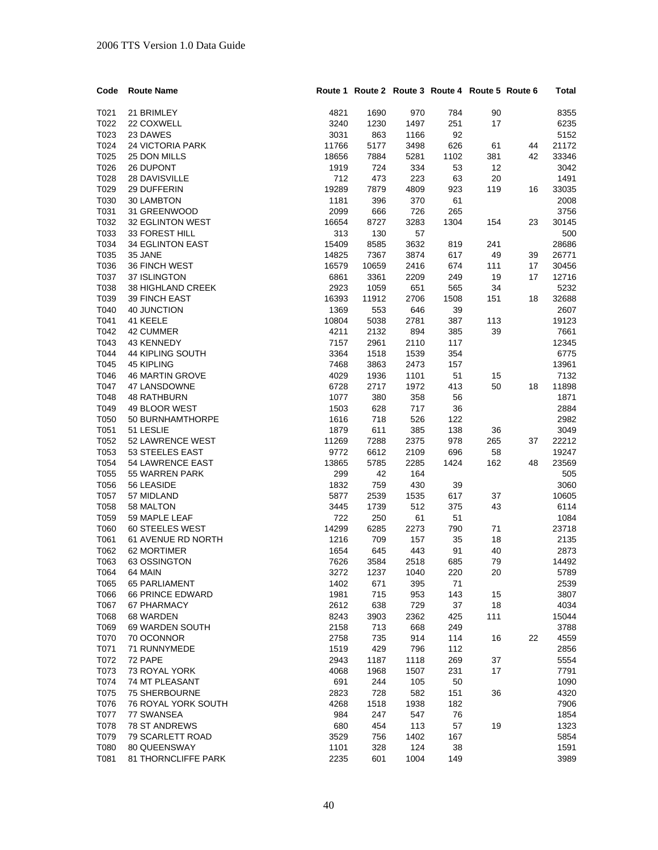| Code | <b>Route Name</b>          |       | Route 1 Route 2 Route 3 Route 4 Route 5 Route 6 |      |      |     |    | Total |
|------|----------------------------|-------|-------------------------------------------------|------|------|-----|----|-------|
| T021 | 21 BRIMLEY                 | 4821  | 1690                                            | 970  | 784  | 90  |    | 8355  |
| T022 | 22 COXWELL                 | 3240  | 1230                                            | 1497 | 251  | 17  |    | 6235  |
| T023 | 23 DAWES                   | 3031  | 863                                             | 1166 | 92   |     |    | 5152  |
| T024 | <b>24 VICTORIA PARK</b>    | 11766 | 5177                                            | 3498 | 626  | 61  | 44 | 21172 |
| T025 | 25 DON MILLS               | 18656 | 7884                                            | 5281 | 1102 | 381 | 42 | 33346 |
| T026 | 26 DUPONT                  | 1919  | 724                                             | 334  | 53   | 12  |    | 3042  |
| T028 | 28 DAVISVILLE              | 712   | 473                                             | 223  | 63   | 20  |    | 1491  |
| T029 | 29 DUFFERIN                | 19289 | 7879                                            | 4809 | 923  | 119 | 16 | 33035 |
| T030 | <b>30 LAMBTON</b>          | 1181  | 396                                             | 370  | 61   |     |    | 2008  |
| T031 | 31 GREENWOOD               | 2099  | 666                                             | 726  | 265  |     |    | 3756  |
| T032 | 32 EGLINTON WEST           | 16654 | 8727                                            | 3283 | 1304 | 154 | 23 | 30145 |
| T033 | 33 FOREST HILL             | 313   | 130                                             | 57   |      |     |    | 500   |
| T034 | 34 EGLINTON EAST           | 15409 | 8585                                            | 3632 | 819  | 241 |    | 28686 |
| T035 | 35 JANE                    | 14825 | 7367                                            | 3874 | 617  | 49  | 39 | 26771 |
| T036 | <b>36 FINCH WEST</b>       | 16579 | 10659                                           | 2416 | 674  | 111 | 17 | 30456 |
| T037 | 37 ISLINGTON               | 6861  | 3361                                            | 2209 | 249  | 19  | 17 | 12716 |
| T038 | <b>38 HIGHLAND CREEK</b>   | 2923  | 1059                                            | 651  | 565  | 34  |    | 5232  |
| T039 | 39 FINCH EAST              | 16393 | 11912                                           | 2706 | 1508 | 151 | 18 | 32688 |
| T040 | <b>40 JUNCTION</b>         | 1369  | 553                                             | 646  | 39   |     |    | 2607  |
| T041 | 41 KEELE                   | 10804 | 5038                                            | 2781 | 387  | 113 |    | 19123 |
| T042 | 42 CUMMER                  | 4211  | 2132                                            | 894  | 385  | 39  |    | 7661  |
| T043 | 43 KENNEDY                 | 7157  | 2961                                            | 2110 | 117  |     |    | 12345 |
| T044 | <b>44 KIPLING SOUTH</b>    | 3364  | 1518                                            | 1539 | 354  |     |    | 6775  |
| T045 | <b>45 KIPLING</b>          | 7468  | 3863                                            | 2473 | 157  |     |    | 13961 |
| T046 | <b>46 MARTIN GROVE</b>     | 4029  | 1936                                            | 1101 | 51   | 15  |    | 7132  |
| T047 | <b>47 LANSDOWNE</b>        | 6728  | 2717                                            | 1972 | 413  | 50  | 18 | 11898 |
| T048 | <b>48 RATHBURN</b>         | 1077  | 380                                             | 358  | 56   |     |    | 1871  |
| T049 | 49 BLOOR WEST              | 1503  | 628                                             | 717  | 36   |     |    | 2884  |
| T050 | 50 BURNHAMTHORPE           | 1616  | 718                                             | 526  | 122  |     |    | 2982  |
| T051 | 51 LESLIE                  | 1879  | 611                                             | 385  | 138  | 36  |    | 3049  |
| T052 | 52 LAWRENCE WEST           | 11269 | 7288                                            | 2375 | 978  | 265 | 37 | 22212 |
| T053 | 53 STEELES EAST            | 9772  | 6612                                            | 2109 | 696  | 58  |    | 19247 |
| T054 | 54 LAWRENCE EAST           | 13865 | 5785                                            | 2285 | 1424 | 162 | 48 | 23569 |
| T055 | 55 WARREN PARK             | 299   | 42                                              | 164  |      |     |    | 505   |
| T056 | 56 LEASIDE                 | 1832  | 759                                             | 430  | 39   |     |    | 3060  |
| T057 | 57 MIDLAND                 | 5877  | 2539                                            | 1535 | 617  | 37  |    | 10605 |
| T058 | 58 MALTON                  | 3445  | 1739                                            | 512  | 375  | 43  |    | 6114  |
| T059 | 59 MAPLE LEAF              | 722   | 250                                             | 61   | 51   |     |    | 1084  |
| T060 | 60 STEELES WEST            | 14299 | 6285                                            | 2273 | 790  | 71  |    | 23718 |
| T061 | 61 AVENUE RD NORTH         | 1216  | 709                                             | 157  | 35   | 18  |    | 2135  |
| T062 | 62 MORTIMER                | 1654  | 645                                             | 443  | 91   | 40  |    | 2873  |
| T063 | 63 OSSINGTON               | 7626  | 3584                                            | 2518 | 685  | 79  |    | 14492 |
| T064 | 64 MAIN                    | 3272  | 1237                                            | 1040 | 220  | 20  |    | 5789  |
| T065 | <b>65 PARLIAMENT</b>       | 1402  | 671                                             | 395  | 71   |     |    | 2539  |
| T066 | <b>66 PRINCE EDWARD</b>    | 1981  | 715                                             | 953  | 143  | 15  |    | 3807  |
| T067 | 67 PHARMACY                | 2612  | 638                                             | 729  | 37   | 18  |    | 4034  |
| T068 | 68 WARDEN                  | 8243  | 3903                                            | 2362 | 425  | 111 |    | 15044 |
| T069 | 69 WARDEN SOUTH            | 2158  | 713                                             | 668  | 249  |     |    | 3788  |
| T070 | 70 OCONNOR                 | 2758  | 735                                             | 914  | 114  | 16  | 22 | 4559  |
| T071 | 71 RUNNYMEDE               | 1519  | 429                                             | 796  | 112  |     |    | 2856  |
| T072 | 72 PAPE                    | 2943  | 1187                                            | 1118 | 269  | 37  |    | 5554  |
| T073 | 73 ROYAL YORK              | 4068  | 1968                                            | 1507 | 231  | 17  |    | 7791  |
| T074 | 74 MT PLEASANT             | 691   | 244                                             | 105  | 50   |     |    | 1090  |
| T075 | <b>75 SHERBOURNE</b>       | 2823  | 728                                             | 582  | 151  | 36  |    | 4320  |
| T076 | <b>76 ROYAL YORK SOUTH</b> | 4268  | 1518                                            | 1938 | 182  |     |    | 7906  |
| T077 | 77 SWANSEA                 | 984   | 247                                             | 547  | 76   |     |    | 1854  |
| T078 | <b>78 ST ANDREWS</b>       | 680   | 454                                             | 113  | 57   | 19  |    | 1323  |
| T079 | 79 SCARLETT ROAD           | 3529  | 756                                             | 1402 | 167  |     |    | 5854  |
| T080 | 80 QUEENSWAY               | 1101  | 328                                             | 124  | 38   |     |    | 1591  |
| T081 | 81 THORNCLIFFE PARK        | 2235  | 601                                             | 1004 | 149  |     |    | 3989  |
|      |                            |       |                                                 |      |      |     |    |       |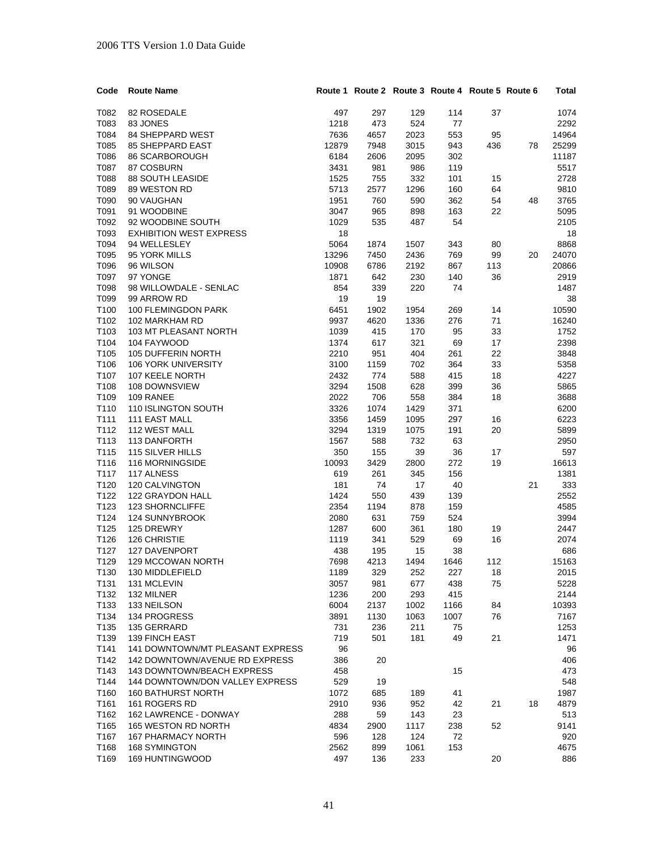| Code | <b>Route Name</b>                 |       | Route 1 Route 2 Route 3 Route 4 Route 5 Route 6 |      |      |     |    | Total |
|------|-----------------------------------|-------|-------------------------------------------------|------|------|-----|----|-------|
| T082 | 82 ROSEDALE                       | 497   | 297                                             | 129  | 114  | 37  |    | 1074  |
| T083 | 83 JONES                          | 1218  | 473                                             | 524  | 77   |     |    | 2292  |
| T084 | <b>84 SHEPPARD WEST</b>           | 7636  | 4657                                            | 2023 | 553  | 95  |    | 14964 |
| T085 | <b>85 SHEPPARD EAST</b>           | 12879 | 7948                                            | 3015 | 943  | 436 | 78 | 25299 |
| T086 | 86 SCARBOROUGH                    | 6184  | 2606                                            | 2095 | 302  |     |    | 11187 |
| T087 | 87 COSBURN                        | 3431  | 981                                             | 986  | 119  |     |    | 5517  |
| T088 | 88 SOUTH LEASIDE                  | 1525  | 755                                             | 332  | 101  | 15  |    | 2728  |
| T089 | 89 WESTON RD                      | 5713  | 2577                                            | 1296 | 160  | 64  |    | 9810  |
| T090 | 90 VAUGHAN                        | 1951  | 760                                             | 590  | 362  | 54  | 48 | 3765  |
| T091 | 91 WOODBINE                       | 3047  | 965                                             | 898  | 163  | 22  |    | 5095  |
| T092 | 92 WOODBINE SOUTH                 | 1029  | 535                                             | 487  | 54   |     |    | 2105  |
| T093 | <b>EXHIBITION WEST EXPRESS</b>    | 18    |                                                 |      |      |     |    | 18    |
| T094 | 94 WELLESLEY                      | 5064  | 1874                                            | 1507 | 343  | 80  |    | 8868  |
| T095 | 95 YORK MILLS                     | 13296 | 7450                                            | 2436 | 769  | 99  |    | 24070 |
| T096 | 96 WILSON                         | 10908 | 6786                                            | 2192 | 867  | 113 | 20 | 20866 |
| T097 | 97 YONGE                          | 1871  | 642                                             | 230  | 140  | 36  |    | 2919  |
| T098 | 98 WILLOWDALE - SENLAC            | 854   | 339                                             | 220  | 74   |     |    | 1487  |
|      |                                   |       |                                                 |      |      |     |    |       |
| T099 | 99 ARROW RD                       | 19    | 19                                              |      |      |     |    | 38    |
| T100 | 100 FLEMINGDON PARK               | 6451  | 1902                                            | 1954 | 269  | 14  |    | 10590 |
| T102 | 102 MARKHAM RD                    | 9937  | 4620                                            | 1336 | 276  | 71  |    | 16240 |
| T103 | <b>103 MT PLEASANT NORTH</b>      | 1039  | 415                                             | 170  | 95   | 33  |    | 1752  |
| T104 | 104 FAYWOOD                       | 1374  | 617                                             | 321  | 69   | 17  |    | 2398  |
| T105 | 105 DUFFERIN NORTH                | 2210  | 951                                             | 404  | 261  | 22  |    | 3848  |
| T106 | 106 YORK UNIVERSITY               | 3100  | 1159                                            | 702  | 364  | 33  |    | 5358  |
| T107 | 107 KEELE NORTH                   | 2432  | 774                                             | 588  | 415  | 18  |    | 4227  |
| T108 | 108 DOWNSVIEW                     | 3294  | 1508                                            | 628  | 399  | 36  |    | 5865  |
| T109 | 109 RANEE                         | 2022  | 706                                             | 558  | 384  | 18  |    | 3688  |
| T110 | 110 ISLINGTON SOUTH               | 3326  | 1074                                            | 1429 | 371  |     |    | 6200  |
| T111 | 111 EAST MALL                     | 3356  | 1459                                            | 1095 | 297  | 16  |    | 6223  |
| T112 | 112 WEST MALL                     | 3294  | 1319                                            | 1075 | 191  | 20  |    | 5899  |
| T113 | 113 DANFORTH                      | 1567  | 588                                             | 732  | 63   |     |    | 2950  |
| T115 | 115 SILVER HILLS                  | 350   | 155                                             | 39   | 36   | 17  |    | 597   |
| T116 | 116 MORNINGSIDE                   | 10093 | 3429                                            | 2800 | 272  | 19  |    | 16613 |
| T117 | 117 ALNESS                        | 619   | 261                                             | 345  | 156  |     |    | 1381  |
| T120 | 120 CALVINGTON                    | 181   | 74                                              | 17   | 40   |     | 21 | 333   |
| T122 | 122 GRAYDON HALL                  | 1424  | 550                                             | 439  | 139  |     |    | 2552  |
| T123 | <b>123 SHORNCLIFFE</b>            | 2354  | 1194                                            | 878  | 159  |     |    | 4585  |
| T124 | 124 SUNNYBROOK                    | 2080  | 631                                             | 759  | 524  |     |    | 3994  |
| T125 | 125 DREWRY                        | 1287  | 600                                             | 361  | 180  | 19  |    | 2447  |
| T126 | 126 CHRISTIE                      | 1119  | 341                                             | 529  | 69   | 16  |    | 2074  |
| T127 | <b>127 DAVENPORT</b>              | 438   | 195                                             | 15   | 38   |     |    | 686   |
| T129 | <b>129 MCCOWAN NORTH</b>          | 7698  | 4213                                            | 1494 | 1646 | 112 |    | 15163 |
| T130 | 130 MIDDLEFIELD                   | 1189  | 329                                             | 252  | 227  | 18  |    | 2015  |
| T131 | 131 MCLEVIN                       | 3057  | 981                                             | 677  | 438  | 75  |    | 5228  |
| T132 | 132 MILNER                        | 1236  | 200                                             | 293  | 415  |     |    | 2144  |
| T133 | 133 NEILSON                       | 6004  | 2137                                            | 1002 | 1166 | 84  |    | 10393 |
| T134 | 134 PROGRESS                      | 3891  | 1130                                            | 1063 | 1007 | 76  |    | 7167  |
| T135 | 135 GERRARD                       | 731   | 236                                             | 211  | 75   |     |    | 1253  |
| T139 | 139 FINCH EAST                    | 719   | 501                                             | 181  | 49   | 21  |    | 1471  |
| T141 | 141 DOWNTOWN/MT PLEASANT EXPRESS  | 96    |                                                 |      |      |     |    | 96    |
| T142 | 142 DOWNTOWN/AVENUE RD EXPRESS    | 386   | 20                                              |      |      |     |    | 406   |
| T143 | <b>143 DOWNTOWN/BEACH EXPRESS</b> | 458   |                                                 |      | 15   |     |    | 473   |
| T144 | 144 DOWNTOWN/DON VALLEY EXPRESS   | 529   | 19                                              |      |      |     |    | 548   |
| T160 | 160 BATHURST NORTH                | 1072  | 685                                             | 189  | 41   |     |    | 1987  |
| T161 | 161 ROGERS RD                     | 2910  | 936                                             | 952  | 42   | 21  | 18 | 4879  |
| T162 | 162 LAWRENCE - DONWAY             | 288   | 59                                              | 143  | 23   |     |    | 513   |
| T165 | 165 WESTON RD NORTH               | 4834  | 2900                                            | 1117 | 238  | 52  |    | 9141  |
| T167 | <b>167 PHARMACY NORTH</b>         | 596   | 128                                             | 124  | 72   |     |    | 920   |
| T168 | 168 SYMINGTON                     | 2562  | 899                                             | 1061 | 153  |     |    | 4675  |
| T169 | 169 HUNTINGWOOD                   | 497   | 136                                             | 233  |      | 20  |    | 886   |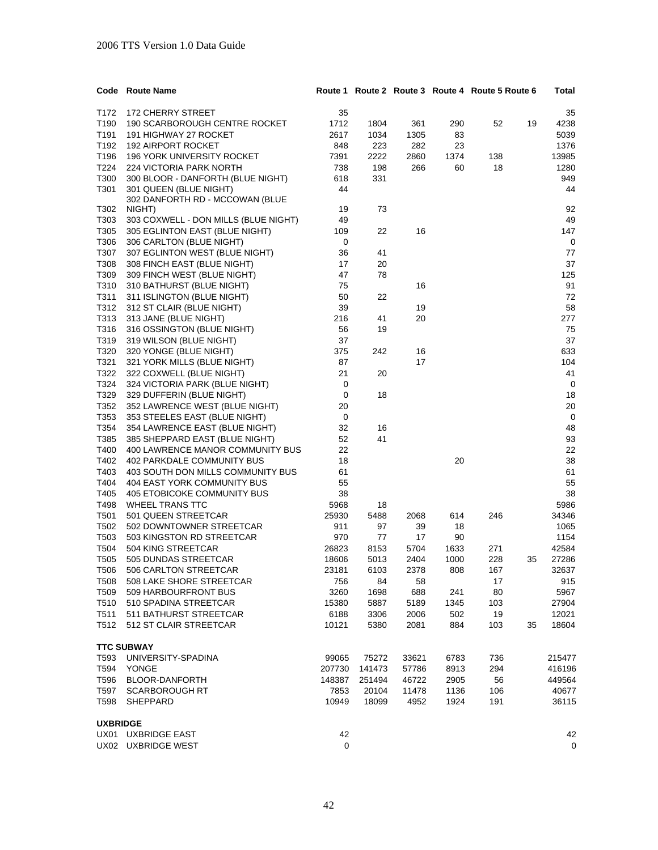|                  | Code Route Name                                   |        |        |       |      | Route 1 Route 2 Route 3 Route 4 Route 5 Route 6 |    | Total       |
|------------------|---------------------------------------------------|--------|--------|-------|------|-------------------------------------------------|----|-------------|
| T172             | 172 CHERRY STREET                                 | 35     |        |       |      |                                                 |    | 35          |
| T190             | 190 SCARBOROUGH CENTRE ROCKET                     | 1712   | 1804   | 361   | 290  | 52                                              | 19 | 4238        |
| T191             | 191 HIGHWAY 27 ROCKET                             | 2617   | 1034   |       |      |                                                 |    | 5039        |
| T192             |                                                   |        |        | 1305  | 83   |                                                 |    |             |
|                  | 192 AIRPORT ROCKET                                | 848    | 223    | 282   | 23   |                                                 |    | 1376        |
| T196             | 196 YORK UNIVERSITY ROCKET                        | 7391   | 2222   | 2860  | 1374 | 138                                             |    | 13985       |
| T224             | 224 VICTORIA PARK NORTH                           | 738    | 198    | 266   | 60   | 18                                              |    | 1280        |
| T300             | 300 BLOOR - DANFORTH (BLUE NIGHT)                 | 618    | 331    |       |      |                                                 |    | 949         |
| T301             | 301 QUEEN (BLUE NIGHT)                            | 44     |        |       |      |                                                 |    | 44          |
|                  | 302 DANFORTH RD - MCCOWAN (BLUE                   |        |        |       |      |                                                 |    |             |
| T302             | NIGHT)                                            | 19     | 73     |       |      |                                                 |    | 92          |
| T303             | 303 COXWELL - DON MILLS (BLUE NIGHT)              | 49     |        |       |      |                                                 |    | 49          |
| T305             | 305 EGLINTON EAST (BLUE NIGHT)                    | 109    | 22     | 16    |      |                                                 |    | 147         |
| T306             | 306 CARLTON (BLUE NIGHT)                          | 0      |        |       |      |                                                 |    | $\mathbf 0$ |
| T307             | 307 EGLINTON WEST (BLUE NIGHT)                    | 36     | 41     |       |      |                                                 |    | 77          |
| T308             | 308 FINCH EAST (BLUE NIGHT)                       | 17     | 20     |       |      |                                                 |    | 37          |
| T309             | 309 FINCH WEST (BLUE NIGHT)                       | 47     | 78     |       |      |                                                 |    | 125         |
| T310             | 310 BATHURST (BLUE NIGHT)                         | 75     |        | 16    |      |                                                 |    | 91          |
| T311             | 311 ISLINGTON (BLUE NIGHT)                        | 50     | 22     |       |      |                                                 |    | 72          |
| T312             | 312 ST CLAIR (BLUE NIGHT)                         | 39     |        | 19    |      |                                                 |    | 58          |
| T313             | 313 JANE (BLUE NIGHT)                             | 216    | 41     | 20    |      |                                                 |    | 277         |
| T316             | 316 OSSINGTON (BLUE NIGHT)                        | 56     | 19     |       |      |                                                 |    | 75          |
| T319             | 319 WILSON (BLUE NIGHT)                           | 37     |        |       |      |                                                 |    | 37          |
| T320             | 320 YONGE (BLUE NIGHT)                            | 375    | 242    | 16    |      |                                                 |    | 633         |
| T321             | 321 YORK MILLS (BLUE NIGHT)                       | 87     |        | 17    |      |                                                 |    | 104         |
| T322             | 322 COXWELL (BLUE NIGHT)                          | 21     | 20     |       |      |                                                 |    | 41          |
| T324             | 324 VICTORIA PARK (BLUE NIGHT)                    | 0      |        |       |      |                                                 |    | 0           |
| T329             | 329 DUFFERIN (BLUE NIGHT)                         | 0      | 18     |       |      |                                                 |    | 18          |
| T352             | 352 LAWRENCE WEST (BLUE NIGHT)                    | 20     |        |       |      |                                                 |    | 20          |
| T353             | 353 STEELES EAST (BLUE NIGHT)                     | 0      |        |       |      |                                                 |    | 0           |
| T354             | 354 LAWRENCE EAST (BLUE NIGHT)                    | 32     | 16     |       |      |                                                 |    | 48          |
| T385             | 385 SHEPPARD EAST (BLUE NIGHT)                    | 52     | 41     |       |      |                                                 |    | 93          |
| T400             | 400 LAWRENCE MANOR COMMUNITY BUS                  | 22     |        |       |      |                                                 |    | 22          |
| T402             | 402 PARKDALE COMMUNITY BUS                        | 18     |        |       | 20   |                                                 |    | 38          |
| T403             | 403 SOUTH DON MILLS COMMUNITY BUS                 | 61     |        |       |      |                                                 |    | 61          |
| T404             | 404 EAST YORK COMMUNITY BUS                       | 55     |        |       |      |                                                 |    | 55          |
| T405             | 405 ETOBICOKE COMMUNITY BUS                       | 38     |        |       |      |                                                 |    | 38          |
| T498             | <b>WHEEL TRANS TTC</b>                            | 5968   | 18     |       |      |                                                 |    | 5986        |
| T501             | 501 QUEEN STREETCAR                               | 25930  | 5488   | 2068  | 614  | 246                                             |    | 34346       |
| T502             | 502 DOWNTOWNER STREETCAR                          | 911    | 97     | 39    | 18   |                                                 |    | 1065        |
| T503             | 503 KINGSTON RD STREETCAR                         | 970    | 77     | 17    | 90   |                                                 |    | 1154        |
| T504             | 504 KING STREETCAR                                | 26823  | 8153   | 5704  | 1633 | 271                                             |    | 42584       |
| T <sub>505</sub> | 505 DUNDAS STREETCAR                              | 18606  | 5013   | 2404  | 1000 | 228                                             | 35 | 27286       |
|                  |                                                   |        |        |       |      |                                                 |    |             |
| T506             | 506 CARLION STREETCAR<br>508 LAKE SHORE STREETCAR | 23181  | 6103   | 2378  | 808  | 167                                             |    | 32637       |
| T508             |                                                   | 756    | 84     | 58    |      | 17                                              |    | 915         |
| T509             | 509 HARBOURFRONT BUS                              | 3260   | 1698   | 688   | 241  | 80                                              |    | 5967        |
| T510             | 510 SPADINA STREETCAR                             | 15380  | 5887   | 5189  | 1345 | 103                                             |    | 27904       |
| T511             | 511 BATHURST STREETCAR                            | 6188   | 3306   | 2006  | 502  | 19                                              |    | 12021       |
| T512             | 512 ST CLAIR STREETCAR                            | 10121  | 5380   | 2081  | 884  | 103                                             | 35 | 18604       |
|                  | <b>TTC SUBWAY</b>                                 |        |        |       |      |                                                 |    |             |
| T593             | UNIVERSITY-SPADINA                                | 99065  | 75272  | 33621 | 6783 | 736                                             |    | 215477      |
| T594             | <b>YONGE</b>                                      | 207730 | 141473 | 57786 | 8913 | 294                                             |    | 416196      |
| T596             | <b>BLOOR-DANFORTH</b>                             | 148387 | 251494 | 46722 | 2905 | 56                                              |    | 449564      |
| T597             | <b>SCARBOROUGH RT</b>                             | 7853   | 20104  | 11478 | 1136 | 106                                             |    | 40677       |
| T598             | SHEPPARD                                          | 10949  | 18099  | 4952  | 1924 | 191                                             |    | 36115       |
|                  |                                                   |        |        |       |      |                                                 |    |             |
| <b>UXBRIDGE</b>  |                                                   |        |        |       |      |                                                 |    |             |
|                  | UX01 UXBRIDGE EAST                                | 42     |        |       |      |                                                 |    | 42          |
|                  | UX02 UXBRIDGE WEST                                | 0      |        |       |      |                                                 |    | $\mathbf 0$ |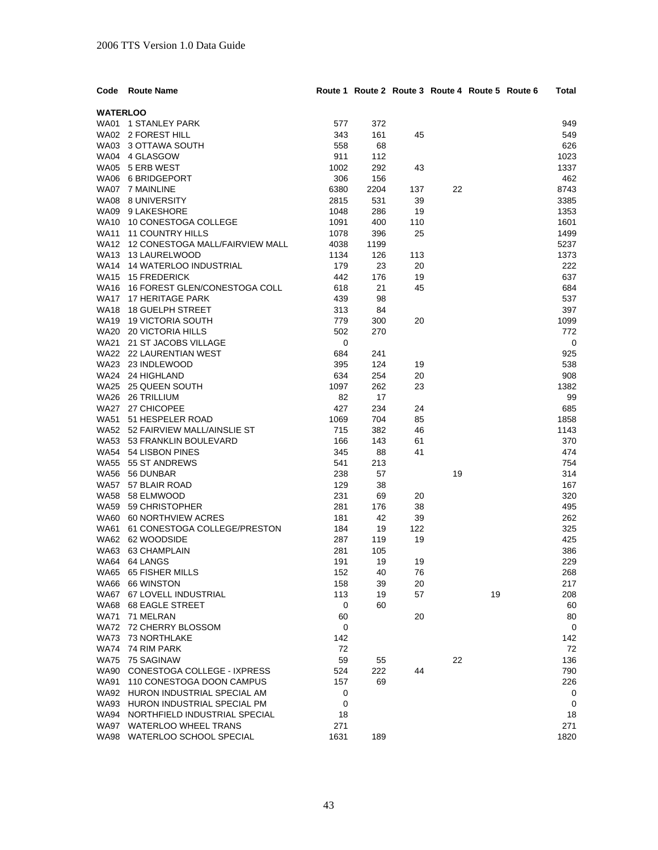| Code            | <b>Route Name</b>                                 |            | Route 1 Route 2 Route 3 Route 4 Route 5 Route 6 |     |    |    | Total      |
|-----------------|---------------------------------------------------|------------|-------------------------------------------------|-----|----|----|------------|
| <b>WATERLOO</b> |                                                   |            |                                                 |     |    |    |            |
|                 | WA01 1 STANLEY PARK                               | 577        | 372                                             |     |    |    | 949        |
|                 | WA02 2 FOREST HILL                                | 343        | 161                                             | 45  |    |    | 549        |
|                 | WA03 3 OTTAWA SOUTH                               | 558        | 68                                              |     |    |    | 626        |
|                 | WA04 4 GLASGOW                                    | 911        | 112                                             |     |    |    | 1023       |
|                 | WA05 5 ERB WEST                                   | 1002       | 292                                             | 43  |    |    | 1337       |
|                 | WA06 6 BRIDGEPORT                                 | 306        | 156                                             |     |    |    | 462        |
|                 | WA07 7 MAINLINE                                   | 6380       | 2204                                            | 137 | 22 |    | 8743       |
|                 | WA08 8 UNIVERSITY                                 | 2815       | 531                                             | 39  |    |    | 3385       |
|                 | WA09 9 LAKESHORE                                  | 1048       | 286                                             | 19  |    |    | 1353       |
|                 | WA10 10 CONESTOGA COLLEGE                         | 1091       | 400                                             | 110 |    |    | 1601       |
|                 | WA11 11 COUNTRY HILLS                             | 1078       | 396                                             | 25  |    |    | 1499       |
|                 | WA12 12 CONESTOGA MALL/FAIRVIEW MALL              | 4038       | 1199                                            |     |    |    | 5237       |
|                 | WA13 13 LAURELWOOD                                | 1134       | 126                                             | 113 |    |    | 1373       |
|                 | WA14 14 WATERLOO INDUSTRIAL                       | 179        | 23                                              | 20  |    |    | 222        |
|                 | WA15 15 FREDERICK                                 | 442        | 176                                             | 19  |    |    | 637        |
|                 | WA16 16 FOREST GLEN/CONESTOGA COLL                | 618        | 21                                              | 45  |    |    | 684        |
|                 | WA17 17 HERITAGE PARK                             | 439        | 98                                              |     |    |    | 537        |
|                 | WA18 18 GUELPH STREET                             | 313        | 84                                              |     |    |    | 397        |
|                 | WA19 19 VICTORIA SOUTH                            | 779        | 300                                             | 20  |    |    | 1099       |
|                 | WA20 20 VICTORIA HILLS                            | 502        | 270                                             |     |    |    | 772        |
|                 | WA21 21 ST JACOBS VILLAGE                         | 0          |                                                 |     |    |    | 0          |
|                 | WA22 22 LAURENTIAN WEST                           | 684        | 241                                             |     |    |    | 925        |
|                 | WA23 23 INDLEWOOD                                 | 395        | 124                                             | 19  |    |    | 538        |
|                 | WA24 24 HIGHLAND                                  | 634        | 254                                             | 20  |    |    | 908        |
|                 | WA25 25 QUEEN SOUTH                               | 1097       | 262                                             | 23  |    |    | 1382       |
|                 | WA26 26 TRILLIUM                                  | 82         | 17                                              |     |    |    | 99         |
|                 | WA27 27 CHICOPEE                                  | 427        | 234                                             | 24  |    |    | 685        |
|                 | WA51 51 HESPELER ROAD                             | 1069       | 704                                             | 85  |    |    | 1858       |
|                 | WA52 52 FAIRVIEW MALL/AINSLIE ST                  | 715        | 382                                             | 46  |    |    | 1143       |
|                 | WA53 53 FRANKLIN BOULEVARD                        | 166        | 143                                             | 61  |    |    | 370        |
|                 | WA54 54 LISBON PINES                              | 345        | 88                                              | 41  |    |    | 474        |
|                 | WA55 55 ST ANDREWS                                | 541        | 213                                             |     |    |    | 754        |
|                 | WA56 56 DUNBAR                                    | 238        | 57                                              |     | 19 |    | 314        |
|                 | WA57 57 BLAIR ROAD                                | 129        | 38                                              |     |    |    | 167        |
|                 | WA58 58 ELMWOOD                                   | 231        | 69                                              | 20  |    |    | 320        |
|                 | WA59 59 CHRISTOPHER                               | 281        | 176                                             | 38  |    |    | 495        |
|                 | WA60 60 NORTHVIEW ACRES                           | 181        | 42                                              | 39  |    |    | 262        |
|                 | WA61 61 CONESTOGA COLLEGE/PRESTON                 | 184        | 19                                              | 122 |    |    | 325        |
|                 | WA62 62 WOODSIDE                                  | 287        | 119                                             | 19  |    |    | 425        |
|                 | WA63 63 CHAMPLAIN                                 | 281        | 105                                             |     |    |    | 386        |
|                 | WA64 64 LANGS                                     | 191        | 19                                              | 19  |    |    | 229        |
|                 | WA65 65 FISHER MILLS<br>WA66 66 WINSTON           | 152<br>158 | 40                                              | 76  |    |    | 268<br>217 |
|                 |                                                   | 113        | 39                                              | 20  |    |    |            |
|                 | WA67 67 LOVELL INDUSTRIAL<br>WA68 68 EAGLE STREET | 0          | 19<br>60                                        | 57  |    | 19 | 208        |
|                 | WA71 71 MELRAN                                    | 60         |                                                 | 20  |    |    | 60<br>80   |
|                 | WA72 72 CHERRY BLOSSOM                            | 0          |                                                 |     |    |    | 0          |
|                 | WA73 73 NORTHLAKE                                 | 142        |                                                 |     |    |    | 142        |
|                 | WA74 74 RIM PARK                                  | 72         |                                                 |     |    |    | 72         |
|                 | WA75 75 SAGINAW                                   | 59         | 55                                              |     | 22 |    | 136        |
|                 | WA90 CONESTOGA COLLEGE - IXPRESS                  | 524        | 222                                             | 44  |    |    | 790        |
|                 | WA91 110 CONESTOGA DOON CAMPUS                    | 157        | 69                                              |     |    |    | 226        |
|                 | WA92 HURON INDUSTRIAL SPECIAL AM                  | 0          |                                                 |     |    |    | 0          |
|                 | WA93 HURON INDUSTRIAL SPECIAL PM                  | 0          |                                                 |     |    |    | 0          |
|                 | WA94 NORTHFIELD INDUSTRIAL SPECIAL                | 18         |                                                 |     |    |    | 18         |
|                 | WA97 WATERLOO WHEEL TRANS                         | 271        |                                                 |     |    |    | 271        |
|                 | WA98 WATERLOO SCHOOL SPECIAL                      | 1631       | 189                                             |     |    |    | 1820       |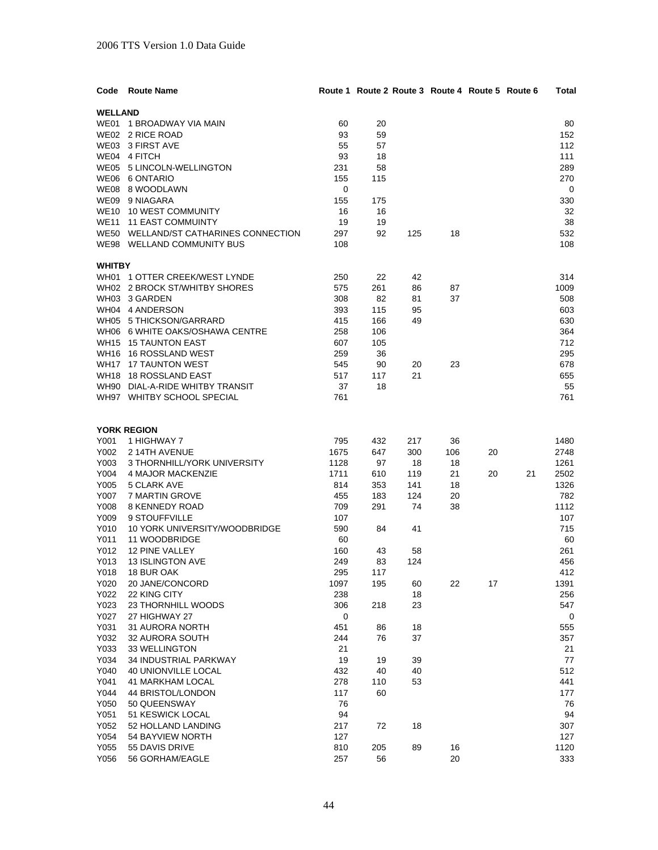| Code           | <b>Route Name</b>                              |            |            |          | Route 1 Route 2 Route 3 Route 4 Route 5 Route 6 |    |    | Total       |
|----------------|------------------------------------------------|------------|------------|----------|-------------------------------------------------|----|----|-------------|
| <b>WELLAND</b> |                                                |            |            |          |                                                 |    |    |             |
|                | WE01 1 BROADWAY VIA MAIN                       | 60         | 20         |          |                                                 |    |    | 80          |
|                | WE02 2 RICE ROAD                               | 93         | 59         |          |                                                 |    |    | 152         |
|                | WE03 3 FIRST AVE                               | 55         | 57         |          |                                                 |    |    | 112         |
|                | WE04 4 FITCH                                   | 93         | 18         |          |                                                 |    |    | 111         |
|                | WE05 5 LINCOLN-WELLINGTON                      | 231        | 58         |          |                                                 |    |    | 289         |
|                | WE06 6 ONTARIO                                 | 155        | 115        |          |                                                 |    |    | 270         |
|                | WE08 8 WOODLAWN                                | 0          |            |          |                                                 |    |    | 0           |
|                | WE09 9 NIAGARA                                 | 155        | 175        |          |                                                 |    |    | 330         |
|                | WE10 10 WEST COMMUNITY                         | 16         | 16         |          |                                                 |    |    | 32          |
|                | WE11 11 EAST COMMUINTY                         | 19         | 19         |          |                                                 |    |    | 38          |
|                | WE50 WELLAND/ST CATHARINES CONNECTION          | 297        | 92         | 125      | 18                                              |    |    | 532         |
|                | WE98 WELLAND COMMUNITY BUS                     | 108        |            |          |                                                 |    |    | 108         |
|                |                                                |            |            |          |                                                 |    |    |             |
| <b>WHITBY</b>  |                                                |            |            |          |                                                 |    |    |             |
|                | WH01 1 OTTER CREEK/WEST LYNDE                  | 250        | 22         | 42       |                                                 |    |    | 314         |
|                | WH02 2 BROCK ST/WHITBY SHORES<br>WH03 3 GARDEN | 575        | 261        | 86       | 87                                              |    |    | 1009        |
|                | WH04 4 ANDERSON                                | 308        | 82         | 81       | 37                                              |    |    | 508         |
|                | WH05 5 THICKSON/GARRARD                        | 393<br>415 | 115<br>166 | 95<br>49 |                                                 |    |    | 603<br>630  |
|                | WH06 6 WHITE OAKS/OSHAWA CENTRE                | 258        | 106        |          |                                                 |    |    | 364         |
|                | WH15 15 TAUNTON EAST                           | 607        | 105        |          |                                                 |    |    | 712         |
|                | WH16 16 ROSSLAND WEST                          | 259        | 36         |          |                                                 |    |    | 295         |
|                | WH17 17 TAUNTON WEST                           | 545        | 90         | 20       | 23                                              |    |    | 678         |
|                | WH18 18 ROSSLAND EAST                          | 517        | 117        | 21       |                                                 |    |    | 655         |
|                | WH90 DIAL-A-RIDE WHITBY TRANSIT                | 37         | 18         |          |                                                 |    |    | 55          |
|                | WH97 WHITBY SCHOOL SPECIAL                     | 761        |            |          |                                                 |    |    | 761         |
|                |                                                |            |            |          |                                                 |    |    |             |
|                |                                                |            |            |          |                                                 |    |    |             |
|                | <b>YORK REGION</b>                             |            |            |          |                                                 |    |    |             |
| Y001           | 1 HIGHWAY 7                                    | 795        | 432        | 217      | 36                                              |    |    | 1480        |
| Y002           | 2 14TH AVENUE                                  | 1675       | 647        | 300      | 106                                             | 20 |    | 2748        |
| Y003           | 3 THORNHILL/YORK UNIVERSITY                    | 1128       | 97         | 18       | 18                                              |    |    | 1261        |
| Y004           | 4 MAJOR MACKENZIE                              | 1711       | 610        | 119      | 21                                              | 20 | 21 | 2502        |
| Y005           | 5 CLARK AVE                                    | 814        | 353        | 141      | 18                                              |    |    | 1326        |
| Y007           | 7 MARTIN GROVE                                 | 455        | 183        | 124      | 20                                              |    |    | 782         |
| Y008           | 8 KENNEDY ROAD<br>9 STOUFFVILLE                | 709        | 291        | 74       | 38                                              |    |    | 1112<br>107 |
| Y009<br>Y010   | 10 YORK UNIVERSITY/WOODBRIDGE                  | 107<br>590 | 84         | 41       |                                                 |    |    | 715         |
| Y011           | 11 WOODBRIDGE                                  | 60         |            |          |                                                 |    |    | 60          |
| Y012           | 12 PINE VALLEY                                 | 160        | 43         | 58       |                                                 |    |    | 261         |
| Y013           | <b>13 ISLINGTON AVE</b>                        | 249        | 83         | 124      |                                                 |    |    | 456         |
| Y018           | 18 BUR OAK                                     | 295        | 117        |          |                                                 |    |    | 412         |
| Y020           | 20 JANE/CONCORD                                | 1097       | 195        | 60       | 22                                              | 17 |    | 1391        |
| Y022           | 22 KING CITY                                   | 238        |            | 18       |                                                 |    |    | 256         |
| Y023           | 23 THORNHILL WOODS                             | 306        | 218        | 23       |                                                 |    |    | 547         |
| Y027           | 27 HIGHWAY 27                                  | 0          |            |          |                                                 |    |    | 0           |
| Y031           | 31 AURORA NORTH                                | 451        | 86         | 18       |                                                 |    |    | 555         |
| Y032           | 32 AURORA SOUTH                                | 244        | 76         | 37       |                                                 |    |    | 357         |
| Y033           | 33 WELLINGTON                                  | 21         |            |          |                                                 |    |    | 21          |
| Y034           | 34 INDUSTRIAL PARKWAY                          | 19         | 19         | 39       |                                                 |    |    | 77          |
| Y040           | <b>40 UNIONVILLE LOCAL</b>                     | 432        | 40         | 40       |                                                 |    |    | 512         |
| Y041           | <b>41 MARKHAM LOCAL</b>                        | 278        | 110        | 53       |                                                 |    |    | 441         |
| Y044           | 44 BRISTOL/LONDON                              | 117        | 60         |          |                                                 |    |    | 177         |
| Y050           | 50 QUEENSWAY                                   | 76         |            |          |                                                 |    |    | 76          |
| Y051           | 51 KESWICK LOCAL                               | 94         |            |          |                                                 |    |    | 94          |
| Y052           | 52 HOLLAND LANDING                             | 217        | 72         | 18       |                                                 |    |    | 307         |
| Y054           | 54 BAYVIEW NORTH                               | 127        |            |          |                                                 |    |    | 127         |
| Y055           | 55 DAVIS DRIVE                                 | 810        | 205        | 89       | 16                                              |    |    | 1120        |
| Y056           | 56 GORHAM/EAGLE                                | 257        | 56         |          | 20                                              |    |    | 333         |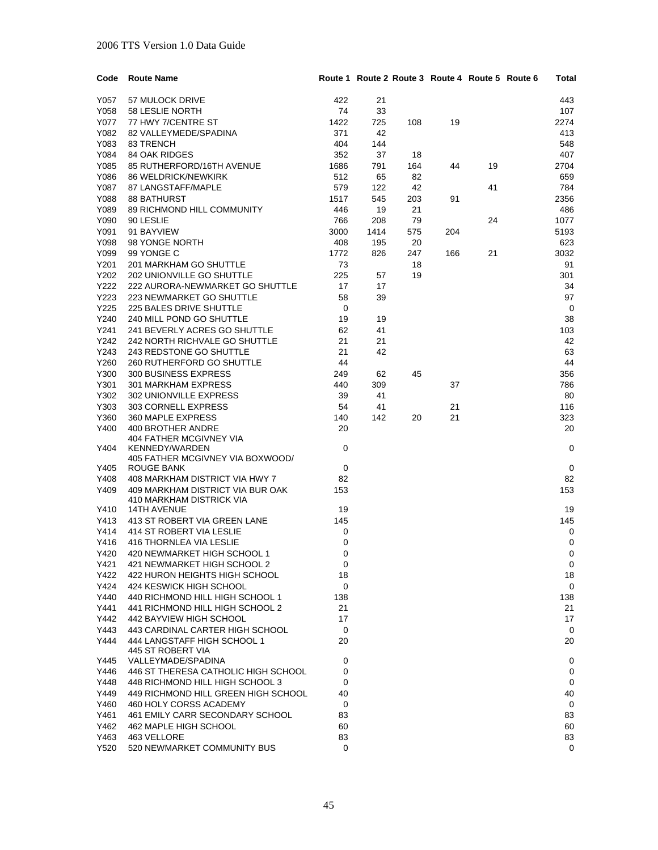| Code | <b>Route Name</b>                   |          |      |     |     | Route 1 Route 2 Route 3 Route 4 Route 5 Route 6 | Total       |
|------|-------------------------------------|----------|------|-----|-----|-------------------------------------------------|-------------|
| Y057 | 57 MULOCK DRIVE                     | 422      | 21   |     |     |                                                 | 443         |
| Y058 | <b>58 LESLIE NORTH</b>              | 74       | 33   |     |     |                                                 | 107         |
| Y077 | 77 HWY 7/CENTRE ST                  | 1422     | 725  | 108 | 19  |                                                 | 2274        |
| Y082 | 82 VALLEYMEDE/SPADINA               | 371      | 42   |     |     |                                                 | 413         |
| Y083 | 83 TRENCH                           | 404      | 144  |     |     |                                                 | 548         |
| Y084 | 84 OAK RIDGES                       | 352      | 37   | 18  |     |                                                 | 407         |
| Y085 | 85 RUTHERFORD/16TH AVENUE           | 1686     | 791  | 164 | 44  | 19                                              | 2704        |
|      |                                     |          |      |     |     |                                                 |             |
| Y086 | <b>86 WELDRICK/NEWKIRK</b>          | 512      | 65   | 82  |     |                                                 | 659         |
| Y087 | 87 LANGSTAFF/MAPLE                  | 579      | 122  | 42  |     | 41                                              | 784         |
| Y088 | <b>88 BATHURST</b>                  | 1517     | 545  | 203 | 91  |                                                 | 2356        |
| Y089 | 89 RICHMOND HILL COMMUNITY          | 446      | 19   | 21  |     |                                                 | 486         |
| Y090 | 90 LESLIE                           | 766      | 208  | 79  |     | 24                                              | 1077        |
| Y091 | 91 BAYVIEW                          | 3000     | 1414 | 575 | 204 |                                                 | 5193        |
| Y098 | 98 YONGE NORTH                      | 408      | 195  | 20  |     |                                                 | 623         |
| Y099 | 99 YONGE C                          | 1772     | 826  | 247 | 166 | 21                                              | 3032        |
| Y201 | 201 MARKHAM GO SHUTTLE              | 73       |      | 18  |     |                                                 | 91          |
| Y202 | 202 UNIONVILLE GO SHUTTLE           | 225      | 57   | 19  |     |                                                 | 301         |
| Y222 | 222 AURORA-NEWMARKET GO SHUTTLE     | 17       | 17   |     |     |                                                 | 34          |
| Y223 | 223 NEWMARKET GO SHUTTLE            | 58       | 39   |     |     |                                                 | 97          |
| Y225 | 225 BALES DRIVE SHUTTLE             | 0        |      |     |     |                                                 | 0           |
| Y240 | 240 MILL POND GO SHUTTLE            | 19       | 19   |     |     |                                                 | 38          |
| Y241 | 241 BEVERLY ACRES GO SHUTTLE        | 62       | 41   |     |     |                                                 | 103         |
| Y242 | 242 NORTH RICHVALE GO SHUTTLE       | 21       | 21   |     |     |                                                 | 42          |
| Y243 | 243 REDSTONE GO SHUTTLE             | 21       | 42   |     |     |                                                 | 63          |
| Y260 | 260 RUTHERFORD GO SHUTTLE           | 44       |      |     |     |                                                 | 44          |
| Y300 | 300 BUSINESS EXPRESS                | 249      | 62   | 45  |     |                                                 | 356         |
| Y301 | 301 MARKHAM EXPRESS                 | 440      | 309  |     | 37  |                                                 | 786         |
| Y302 | 302 UNIONVILLE EXPRESS              | 39       | 41   |     |     |                                                 | 80          |
| Y303 | 303 CORNELL EXPRESS                 | 54       | 41   |     | 21  |                                                 | 116         |
| Y360 | 360 MAPLE EXPRESS                   | 140      | 142  | 20  | 21  |                                                 | 323         |
| Y400 | 400 BROTHER ANDRE                   | 20       |      |     |     |                                                 | 20          |
|      | <b>404 FATHER MCGIVNEY VIA</b>      |          |      |     |     |                                                 |             |
| Y404 | <b>KENNEDY/WARDEN</b>               | 0        |      |     |     |                                                 | 0           |
|      | 405 FATHER MCGIVNEY VIA BOXWOOD/    |          |      |     |     |                                                 |             |
| Y405 | ROUGE BANK                          | 0        |      |     |     |                                                 | 0           |
| Y408 | 408 MARKHAM DISTRICT VIA HWY 7      | 82       |      |     |     |                                                 | 82          |
| Y409 | 409 MARKHAM DISTRICT VIA BUR OAK    | 153      |      |     |     |                                                 | 153         |
|      | 410 MARKHAM DISTRICK VIA            |          |      |     |     |                                                 |             |
| Y410 | <b>14TH AVENUE</b>                  | 19       |      |     |     |                                                 | 19          |
| Y413 | 413 ST ROBERT VIA GREEN LANE        | 145      |      |     |     |                                                 | 145         |
| Y414 | 414 ST ROBERT VIA LESLIE            | 0        |      |     |     |                                                 | 0           |
| Y416 | <b>416 THORNLEA VIA LESLIE</b>      | 0        |      |     |     |                                                 | $\mathbf 0$ |
| Y420 | 420 NEWMARKET HIGH SCHOOL 1         | $\Omega$ |      |     |     |                                                 | 0           |
| Y421 | 421 NEWMARKET HIGH SCHOOL 2         | 0        |      |     |     |                                                 | 0           |
| Y422 | 422 HURON HEIGHTS HIGH SCHOOL       | 18       |      |     |     |                                                 | 18          |
| Y424 | 424 KESWICK HIGH SCHOOL             | 0        |      |     |     |                                                 | 0           |
| Y440 | 440 RICHMOND HILL HIGH SCHOOL 1     | 138      |      |     |     |                                                 | 138         |
| Y441 | 441 RICHMOND HILL HIGH SCHOOL 2     | 21       |      |     |     |                                                 | 21          |
| Y442 | 442 BAYVIEW HIGH SCHOOL             | 17       |      |     |     |                                                 | 17          |
| Y443 | 443 CARDINAL CARTER HIGH SCHOOL     | 0        |      |     |     |                                                 | 0           |
| Y444 | 444 LANGSTAFF HIGH SCHOOL 1         | 20       |      |     |     |                                                 | 20          |
|      | 445 ST ROBERT VIA                   |          |      |     |     |                                                 |             |
| Y445 | VALLEYMADE/SPADINA                  | 0        |      |     |     |                                                 | 0           |
| Y446 | 446 ST THERESA CATHOLIC HIGH SCHOOL | 0        |      |     |     |                                                 | 0           |
| Y448 | 448 RICHMOND HILL HIGH SCHOOL 3     | 0        |      |     |     |                                                 | 0           |
| Y449 | 449 RICHMOND HILL GREEN HIGH SCHOOL | 40       |      |     |     |                                                 | 40          |
| Y460 | 460 HOLY CORSS ACADEMY              | 0        |      |     |     |                                                 | 0           |
| Y461 | 461 EMILY CARR SECONDARY SCHOOL     | 83       |      |     |     |                                                 | 83          |
| Y462 | 462 MAPLE HIGH SCHOOL               | 60       |      |     |     |                                                 | 60          |
| Y463 | 463 VELLORE                         | 83       |      |     |     |                                                 | 83          |
| Y520 | 520 NEWMARKET COMMUNITY BUS         | 0        |      |     |     |                                                 | 0           |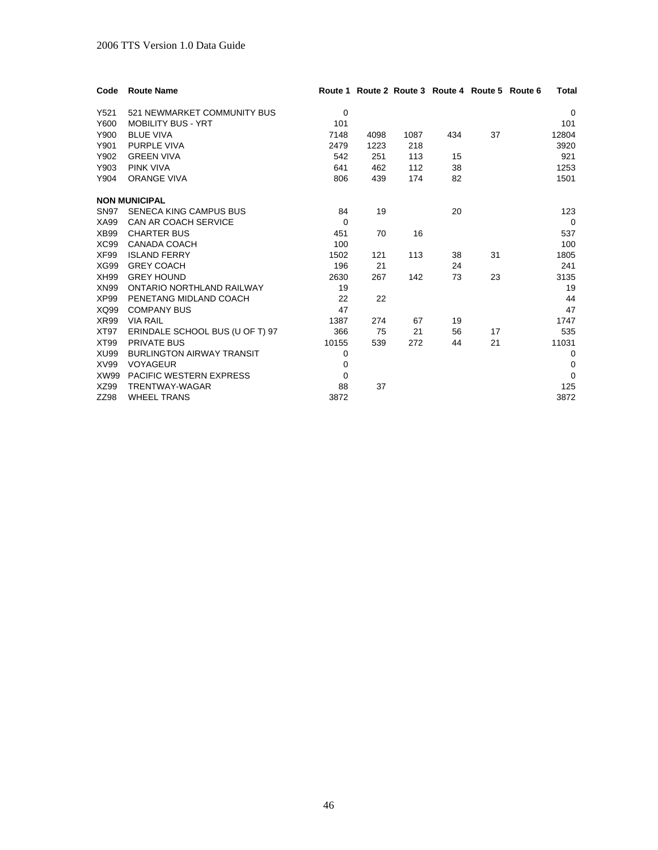| Code             | <b>Route Name</b>                |          |      |      |     | Route 1 Route 2 Route 3 Route 4 Route 5 Route 6 | Total       |
|------------------|----------------------------------|----------|------|------|-----|-------------------------------------------------|-------------|
| Y521             | 521 NEWMARKET COMMUNITY BUS      | 0        |      |      |     |                                                 | $\Omega$    |
| Y600             | <b>MOBILITY BUS - YRT</b>        | 101      |      |      |     |                                                 | 101         |
| Y900             | <b>BLUE VIVA</b>                 | 7148     | 4098 | 1087 | 434 | 37                                              | 12804       |
| Y901             | <b>PURPLE VIVA</b>               | 2479     | 1223 | 218  |     |                                                 | 3920        |
| Y902             | <b>GREEN VIVA</b>                | 542      | 251  | 113  | 15  |                                                 | 921         |
| Y903             | <b>PINK VIVA</b>                 | 641      | 462  | 112  | 38  |                                                 | 1253        |
| Y904             | <b>ORANGE VIVA</b>               | 806      | 439  | 174  | 82  |                                                 | 1501        |
|                  | <b>NON MUNICIPAL</b>             |          |      |      |     |                                                 |             |
| <b>SN97</b>      | <b>SENECA KING CAMPUS BUS</b>    | 84       | 19   |      | 20  |                                                 | 123         |
| XA99             | <b>CAN AR COACH SERVICE</b>      | $\Omega$ |      |      |     |                                                 | $\Omega$    |
| XB99             | <b>CHARTER BUS</b>               | 451      | 70   | 16   |     |                                                 | 537         |
| XC <sub>99</sub> | CANADA COACH                     | 100      |      |      |     |                                                 | 100         |
| XF99             | <b>ISLAND FERRY</b>              | 1502     | 121  | 113  | 38  | 31                                              | 1805        |
| <b>XG99</b>      | <b>GREY COACH</b>                | 196      | 21   |      | 24  |                                                 | 241         |
| XH99             | <b>GREY HOUND</b>                | 2630     | 267  | 142  | 73  | 23                                              | 3135        |
| XN99             | ONTARIO NORTHLAND RAILWAY        | 19       |      |      |     |                                                 | 19          |
| XP99             | PENETANG MIDLAND COACH           | 22       | 22   |      |     |                                                 | 44          |
| XQ99             | <b>COMPANY BUS</b>               | 47       |      |      |     |                                                 | 47          |
| <b>XR99</b>      | <b>VIA RAIL</b>                  | 1387     | 274  | 67   | 19  |                                                 | 1747        |
| XT97             | ERINDALE SCHOOL BUS (U OF T) 97  | 366      | 75   | 21   | 56  | 17                                              | 535         |
| XT99             | <b>PRIVATE BUS</b>               | 10155    | 539  | 272  | 44  | 21                                              | 11031       |
| <b>XU99</b>      | <b>BURLINGTON AIRWAY TRANSIT</b> | 0        |      |      |     |                                                 | $\Omega$    |
| XV99             | <b>VOYAGEUR</b>                  | 0        |      |      |     |                                                 | $\mathbf 0$ |
| <b>XW99</b>      | <b>PACIFIC WESTERN EXPRESS</b>   | $\Omega$ |      |      |     |                                                 | $\Omega$    |
| XZ99             | TRENTWAY-WAGAR                   | 88       | 37   |      |     |                                                 | 125         |
| ZZ98             | <b>WHEEL TRANS</b>               | 3872     |      |      |     |                                                 | 3872        |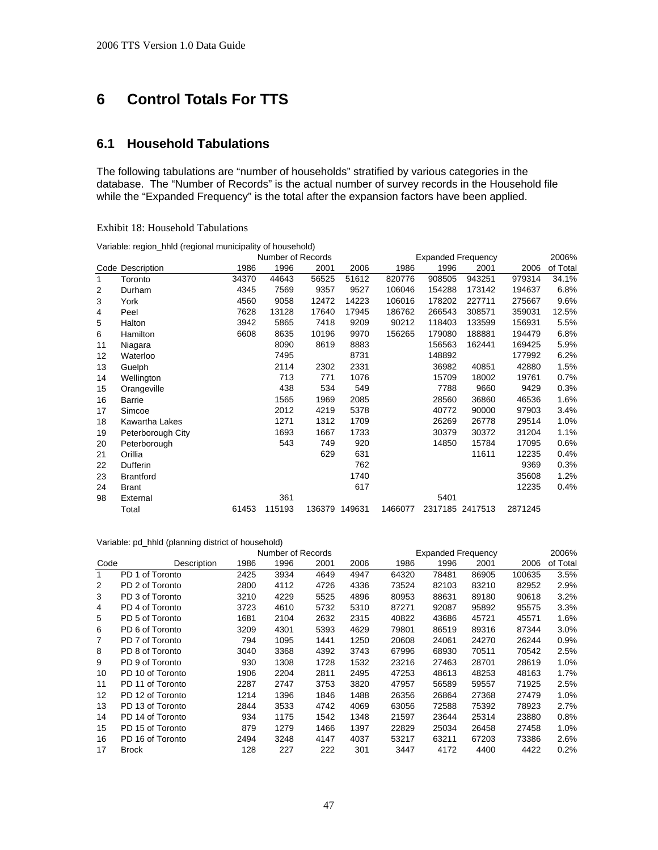# **6 Control Totals For TTS**

# **6.1 Household Tabulations**

The following tabulations are "number of households" stratified by various categories in the database. The "Number of Records" is the actual number of survey records in the Household file while the "Expanded Frequency" is the total after the expansion factors have been applied.

| Lauton to, however thousand |                                                            |
|-----------------------------|------------------------------------------------------------|
|                             | Variable: region_hhld (regional municipality of household) |

Exhibit 18: Household Tabulations

|    |                   |       | Number of Records |       |               |         | <b>Expanded Frequency</b> |                 |         | 2006%    |
|----|-------------------|-------|-------------------|-------|---------------|---------|---------------------------|-----------------|---------|----------|
|    | Code Description  | 1986  | 1996              | 2001  | 2006          | 1986    | 1996                      | 2001            | 2006    | of Total |
| 1  | Toronto           | 34370 | 44643             | 56525 | 51612         | 820776  | 908505                    | 943251          | 979314  | 34.1%    |
| 2  | Durham            | 4345  | 7569              | 9357  | 9527          | 106046  | 154288                    | 173142          | 194637  | 6.8%     |
| 3  | York              | 4560  | 9058              | 12472 | 14223         | 106016  | 178202                    | 227711          | 275667  | 9.6%     |
| 4  | Peel              | 7628  | 13128             | 17640 | 17945         | 186762  | 266543                    | 308571          | 359031  | 12.5%    |
| 5  | Halton            | 3942  | 5865              | 7418  | 9209          | 90212   | 118403                    | 133599          | 156931  | 5.5%     |
| 6  | Hamilton          | 6608  | 8635              | 10196 | 9970          | 156265  | 179080                    | 188881          | 194479  | 6.8%     |
| 11 | Niagara           |       | 8090              | 8619  | 8883          |         | 156563                    | 162441          | 169425  | 5.9%     |
| 12 | Waterloo          |       | 7495              |       | 8731          |         | 148892                    |                 | 177992  | 6.2%     |
| 13 | Guelph            |       | 2114              | 2302  | 2331          |         | 36982                     | 40851           | 42880   | 1.5%     |
| 14 | Wellington        |       | 713               | 771   | 1076          |         | 15709                     | 18002           | 19761   | 0.7%     |
| 15 | Orangeville       |       | 438               | 534   | 549           |         | 7788                      | 9660            | 9429    | 0.3%     |
| 16 | Barrie            |       | 1565              | 1969  | 2085          |         | 28560                     | 36860           | 46536   | 1.6%     |
| 17 | Simcoe            |       | 2012              | 4219  | 5378          |         | 40772                     | 90000           | 97903   | 3.4%     |
| 18 | Kawartha Lakes    |       | 1271              | 1312  | 1709          |         | 26269                     | 26778           | 29514   | 1.0%     |
| 19 | Peterborough City |       | 1693              | 1667  | 1733          |         | 30379                     | 30372           | 31204   | 1.1%     |
| 20 | Peterborough      |       | 543               | 749   | 920           |         | 14850                     | 15784           | 17095   | 0.6%     |
| 21 | Orillia           |       |                   | 629   | 631           |         |                           | 11611           | 12235   | 0.4%     |
| 22 | Dufferin          |       |                   |       | 762           |         |                           |                 | 9369    | 0.3%     |
| 23 | <b>Brantford</b>  |       |                   |       | 1740          |         |                           |                 | 35608   | 1.2%     |
| 24 | <b>Brant</b>      |       |                   |       | 617           |         |                           |                 | 12235   | 0.4%     |
| 98 | External          |       | 361               |       |               |         | 5401                      |                 |         |          |
|    | Total             | 61453 | 115193            |       | 136379 149631 | 1466077 |                           | 2317185 2417513 | 2871245 |          |

#### Variable: pd\_hhld (planning district of household)

|      |                  | Number of Records |      |      |      |       | <b>Expanded Frequency</b> |       |        |          |
|------|------------------|-------------------|------|------|------|-------|---------------------------|-------|--------|----------|
| Code | Description      | 1986              | 1996 | 2001 | 2006 | 1986  | 1996                      | 2001  | 2006   | of Total |
| 1    | PD 1 of Toronto  | 2425              | 3934 | 4649 | 4947 | 64320 | 78481                     | 86905 | 100635 | 3.5%     |
| 2    | PD 2 of Toronto  | 2800              | 4112 | 4726 | 4336 | 73524 | 82103                     | 83210 | 82952  | 2.9%     |
| 3    | PD 3 of Toronto  | 3210              | 4229 | 5525 | 4896 | 80953 | 88631                     | 89180 | 90618  | 3.2%     |
| 4    | PD 4 of Toronto  | 3723              | 4610 | 5732 | 5310 | 87271 | 92087                     | 95892 | 95575  | 3.3%     |
| 5    | PD 5 of Toronto  | 1681              | 2104 | 2632 | 2315 | 40822 | 43686                     | 45721 | 45571  | 1.6%     |
| 6    | PD 6 of Toronto  | 3209              | 4301 | 5393 | 4629 | 79801 | 86519                     | 89316 | 87344  | 3.0%     |
|      | PD 7 of Toronto  | 794               | 1095 | 1441 | 1250 | 20608 | 24061                     | 24270 | 26244  | 0.9%     |
| 8    | PD 8 of Toronto  | 3040              | 3368 | 4392 | 3743 | 67996 | 68930                     | 70511 | 70542  | 2.5%     |
| 9    | PD 9 of Toronto  | 930               | 1308 | 1728 | 1532 | 23216 | 27463                     | 28701 | 28619  | 1.0%     |
| 10   | PD 10 of Toronto | 1906              | 2204 | 2811 | 2495 | 47253 | 48613                     | 48253 | 48163  | 1.7%     |
| 11   | PD 11 of Toronto | 2287              | 2747 | 3753 | 3820 | 47957 | 56589                     | 59557 | 71925  | 2.5%     |
| 12   | PD 12 of Toronto | 1214              | 1396 | 1846 | 1488 | 26356 | 26864                     | 27368 | 27479  | 1.0%     |
| 13   | PD 13 of Toronto | 2844              | 3533 | 4742 | 4069 | 63056 | 72588                     | 75392 | 78923  | 2.7%     |
| 14   | PD 14 of Toronto | 934               | 1175 | 1542 | 1348 | 21597 | 23644                     | 25314 | 23880  | 0.8%     |
| 15   | PD 15 of Toronto | 879               | 1279 | 1466 | 1397 | 22829 | 25034                     | 26458 | 27458  | 1.0%     |
| 16   | PD 16 of Toronto | 2494              | 3248 | 4147 | 4037 | 53217 | 63211                     | 67203 | 73386  | 2.6%     |
| 17   | <b>Brock</b>     | 128               | 227  | 222  | 301  | 3447  | 4172                      | 4400  | 4422   | 0.2%     |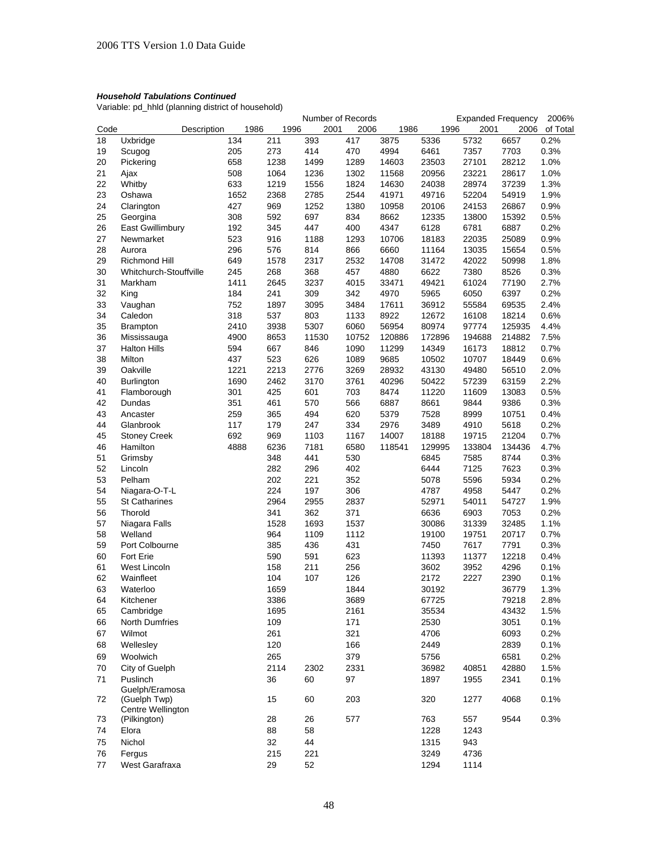Variable: pd\_hhld (planning district of household)

|      |                          |             |      |      |      | Number of Records |       |        |        |        | <b>Expanded Frequency</b> | 2006%    |
|------|--------------------------|-------------|------|------|------|-------------------|-------|--------|--------|--------|---------------------------|----------|
| Code |                          | Description |      | 1986 | 1996 | 2001              | 2006  | 1986   | 1996   | 2001   | 2006                      | of Total |
| 18   | Uxbridge                 |             | 134  |      | 211  | 393               | 417   | 3875   | 5336   | 5732   | 6657                      | 0.2%     |
| 19   | Scugog                   |             | 205  |      | 273  | 414               | 470   | 4994   | 6461   | 7357   | 7703                      | 0.3%     |
| 20   | Pickering                |             | 658  |      | 1238 | 1499              | 1289  | 14603  | 23503  | 27101  | 28212                     | 1.0%     |
| 21   | Ajax                     |             | 508  |      | 1064 | 1236              | 1302  | 11568  | 20956  | 23221  | 28617                     | 1.0%     |
| 22   | Whitby                   |             | 633  |      | 1219 | 1556              | 1824  | 14630  | 24038  | 28974  | 37239                     | 1.3%     |
| 23   | Oshawa                   |             | 1652 |      | 2368 | 2785              | 2544  | 41971  | 49716  | 52204  | 54919                     | 1.9%     |
|      |                          |             |      |      |      |                   |       |        |        |        |                           |          |
| 24   | Clarington               |             | 427  |      | 969  | 1252              | 1380  | 10958  | 20106  | 24153  | 26867                     | 0.9%     |
| 25   | Georgina                 |             | 308  |      | 592  | 697               | 834   | 8662   | 12335  | 13800  | 15392                     | 0.5%     |
| 26   | East Gwillimbury         |             | 192  |      | 345  | 447               | 400   | 4347   | 6128   | 6781   | 6887                      | 0.2%     |
| 27   | Newmarket                |             | 523  |      | 916  | 1188              | 1293  | 10706  | 18183  | 22035  | 25089                     | 0.9%     |
| 28   | Aurora                   |             | 296  |      | 576  | 814               | 866   | 6660   | 11164  | 13035  | 15654                     | 0.5%     |
| 29   | Richmond Hill            |             | 649  |      | 1578 | 2317              | 2532  | 14708  | 31472  | 42022  | 50998                     | 1.8%     |
| 30   | Whitchurch-Stouffville   |             | 245  |      | 268  | 368               | 457   | 4880   | 6622   | 7380   | 8526                      | 0.3%     |
| 31   | Markham                  |             | 1411 |      | 2645 | 3237              | 4015  | 33471  | 49421  | 61024  | 77190                     | 2.7%     |
| 32   | King                     |             | 184  |      | 241  | 309               | 342   | 4970   | 5965   | 6050   | 6397                      | 0.2%     |
| 33   | Vaughan                  |             | 752  |      | 1897 | 3095              | 3484  | 17611  | 36912  | 55584  | 69535                     | 2.4%     |
| 34   | Caledon                  |             | 318  |      | 537  | 803               | 1133  | 8922   | 12672  | 16108  | 18214                     | 0.6%     |
| 35   | <b>Brampton</b>          |             | 2410 |      | 3938 | 5307              | 6060  | 56954  | 80974  | 97774  | 125935                    | 4.4%     |
|      |                          |             |      |      |      |                   |       |        |        |        |                           |          |
| 36   | Mississauga              |             | 4900 |      | 8653 | 11530             | 10752 | 120886 | 172896 | 194688 | 214882                    | 7.5%     |
| 37   | <b>Halton Hills</b>      |             | 594  |      | 667  | 846               | 1090  | 11299  | 14349  | 16173  | 18812                     | 0.7%     |
| 38   | Milton                   |             | 437  |      | 523  | 626               | 1089  | 9685   | 10502  | 10707  | 18449                     | 0.6%     |
| 39   | Oakville                 |             | 1221 |      | 2213 | 2776              | 3269  | 28932  | 43130  | 49480  | 56510                     | 2.0%     |
| 40   | <b>Burlington</b>        |             | 1690 |      | 2462 | 3170              | 3761  | 40296  | 50422  | 57239  | 63159                     | 2.2%     |
| 41   | Flamborough              |             | 301  |      | 425  | 601               | 703   | 8474   | 11220  | 11609  | 13083                     | 0.5%     |
| 42   | Dundas                   |             | 351  |      | 461  | 570               | 566   | 6887   | 8661   | 9844   | 9386                      | 0.3%     |
| 43   | Ancaster                 |             | 259  |      | 365  | 494               | 620   | 5379   | 7528   | 8999   | 10751                     | 0.4%     |
| 44   | Glanbrook                |             | 117  |      | 179  | 247               | 334   | 2976   | 3489   | 4910   | 5618                      | 0.2%     |
| 45   | <b>Stoney Creek</b>      |             | 692  |      | 969  | 1103              | 1167  | 14007  | 18188  | 19715  | 21204                     | 0.7%     |
| 46   | Hamilton                 |             | 4888 |      | 6236 | 7181              | 6580  | 118541 | 129995 | 133804 | 134436                    | 4.7%     |
| 51   | Grimsby                  |             |      |      | 348  | 441               | 530   |        | 6845   | 7585   | 8744                      | 0.3%     |
| 52   | Lincoln                  |             |      |      | 282  | 296               | 402   |        | 6444   | 7125   | 7623                      | 0.3%     |
|      |                          |             |      |      |      |                   |       |        |        |        |                           |          |
| 53   | Pelham                   |             |      |      | 202  | 221               | 352   |        | 5078   | 5596   | 5934                      | 0.2%     |
| 54   | Niagara-O-T-L            |             |      |      | 224  | 197               | 306   |        | 4787   | 4958   | 5447                      | 0.2%     |
| 55   | St Catharines            |             |      |      | 2964 | 2955              | 2837  |        | 52971  | 54011  | 54727                     | 1.9%     |
| 56   | Thorold                  |             |      |      | 341  | 362               | 371   |        | 6636   | 6903   | 7053                      | 0.2%     |
| 57   | Niagara Falls            |             |      |      | 1528 | 1693              | 1537  |        | 30086  | 31339  | 32485                     | 1.1%     |
| 58   | Welland                  |             |      |      | 964  | 1109              | 1112  |        | 19100  | 19751  | 20717                     | 0.7%     |
| 59   | Port Colbourne           |             |      |      | 385  | 436               | 431   |        | 7450   | 7617   | 7791                      | 0.3%     |
| 60   | <b>Fort Erie</b>         |             |      |      | 590  | 591               | 623   |        | 11393  | 11377  | 12218                     | 0.4%     |
| 61   | West Lincoln             |             |      |      | 158  | 211               | 256   |        | 3602   | 3952   | 4296                      | 0.1%     |
| 62   | Wainfleet                |             |      |      | 104  | 107               | 126   |        | 2172   | 2227   | 2390                      | 0.1%     |
| 63   | Waterloo                 |             |      |      | 1659 |                   | 1844  |        | 30192  |        | 36779                     | 1.3%     |
| 64   | Kitchener                |             |      |      | 3386 |                   | 3689  |        | 67725  |        | 79218                     | 2.8%     |
| 65   | Cambridge                |             |      |      | 1695 |                   | 2161  |        | 35534  |        | 43432                     | 1.5%     |
| 66   | North Dumfries           |             |      |      | 109  |                   | 171   |        | 2530   |        | 3051                      | 0.1%     |
|      |                          |             |      |      |      |                   |       |        |        |        |                           |          |
| 67   | Wilmot                   |             |      |      | 261  |                   | 321   |        | 4706   |        | 6093                      | 0.2%     |
| 68   | Wellesley                |             |      |      | 120  |                   | 166   |        | 2449   |        | 2839                      | 0.1%     |
| 69   | Woolwich                 |             |      |      | 265  |                   | 379   |        | 5756   |        | 6581                      | 0.2%     |
| 70   | City of Guelph           |             |      |      | 2114 | 2302              | 2331  |        | 36982  | 40851  | 42880                     | 1.5%     |
| 71   | Puslinch                 |             |      |      | 36   | 60                | 97    |        | 1897   | 1955   | 2341                      | 0.1%     |
|      | Guelph/Eramosa           |             |      |      |      |                   |       |        |        |        |                           |          |
| 72   | (Guelph Twp)             |             |      |      | 15   | 60                | 203   |        | 320    | 1277   | 4068                      | 0.1%     |
|      | <b>Centre Wellington</b> |             |      |      |      |                   |       |        |        |        |                           |          |
| 73   | (Pilkington)             |             |      |      | 28   | 26                | 577   |        | 763    | 557    | 9544                      | 0.3%     |
| 74   | Elora                    |             |      |      | 88   | 58                |       |        | 1228   | 1243   |                           |          |
| 75   | Nichol                   |             |      |      | 32   | 44                |       |        | 1315   | 943    |                           |          |
| 76   | Fergus                   |             |      |      | 215  | 221               |       |        | 3249   | 4736   |                           |          |
| 77   | West Garafraxa           |             |      |      | 29   | 52                |       |        | 1294   | 1114   |                           |          |
|      |                          |             |      |      |      |                   |       |        |        |        |                           |          |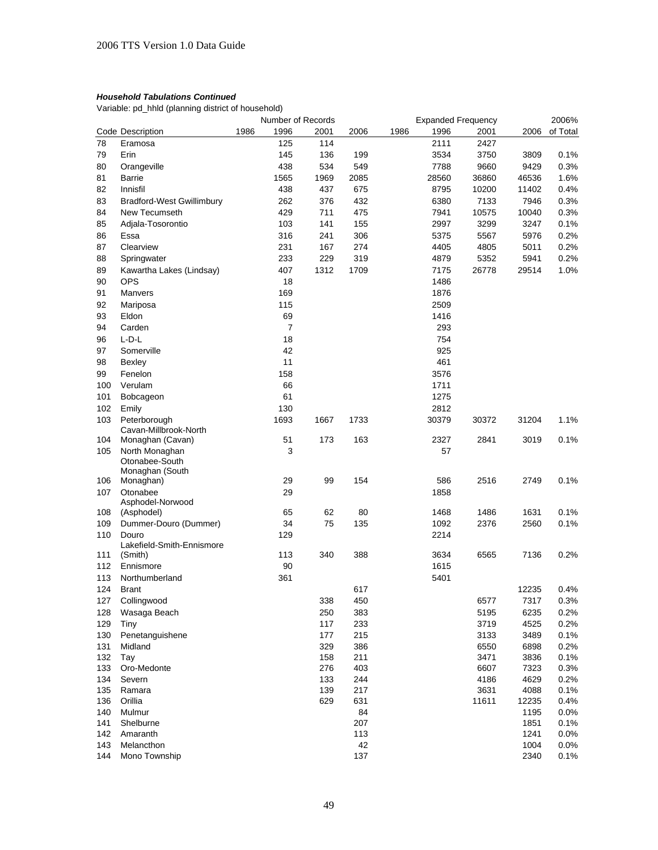Variable: pd\_hhld (planning district of household)

|            |                                      |      | Number of Records |      |      |      | <b>Expanded Frequency</b> |       |       | 2006%    |
|------------|--------------------------------------|------|-------------------|------|------|------|---------------------------|-------|-------|----------|
|            | Code Description                     | 1986 | 1996              | 2001 | 2006 | 1986 | 1996                      | 2001  | 2006  | of Total |
| 78         | Eramosa                              |      | 125               | 114  |      |      | 2111                      | 2427  |       |          |
| 79         | Erin                                 |      | 145               | 136  | 199  |      | 3534                      | 3750  | 3809  | 0.1%     |
| 80         | Orangeville                          |      | 438               | 534  | 549  |      | 7788                      | 9660  | 9429  | 0.3%     |
| 81         | Barrie                               |      | 1565              | 1969 | 2085 |      | 28560                     | 36860 | 46536 | 1.6%     |
| 82         | Innisfil                             |      | 438               | 437  | 675  |      | 8795                      | 10200 | 11402 | 0.4%     |
| 83         | <b>Bradford-West Gwillimbury</b>     |      | 262               | 376  | 432  |      | 6380                      | 7133  | 7946  | 0.3%     |
| 84         | New Tecumseth                        |      | 429               | 711  | 475  |      | 7941                      | 10575 | 10040 | 0.3%     |
| 85         | Adjala-Tosorontio                    |      | 103               | 141  | 155  |      | 2997                      | 3299  | 3247  | 0.1%     |
|            |                                      |      |                   |      |      |      |                           |       |       |          |
| 86         | Essa                                 |      | 316               | 241  | 306  |      | 5375                      | 5567  | 5976  | 0.2%     |
| 87         | Clearview                            |      | 231               | 167  | 274  |      | 4405                      | 4805  | 5011  | 0.2%     |
| 88         | Springwater                          |      | 233               | 229  | 319  |      | 4879                      | 5352  | 5941  | 0.2%     |
| 89         | Kawartha Lakes (Lindsay)             |      | 407               | 1312 | 1709 |      | 7175                      | 26778 | 29514 | 1.0%     |
| 90         | <b>OPS</b>                           |      | 18                |      |      |      | 1486                      |       |       |          |
| 91         | Manvers                              |      | 169               |      |      |      | 1876                      |       |       |          |
| 92         | Mariposa                             |      | 115               |      |      |      | 2509                      |       |       |          |
| 93         | Eldon                                |      | 69                |      |      |      | 1416                      |       |       |          |
| 94         | Carden                               |      | $\overline{7}$    |      |      |      | 293                       |       |       |          |
| 96         | $L-D-L$                              |      | 18                |      |      |      | 754                       |       |       |          |
| 97         | Somerville                           |      | 42                |      |      |      | 925                       |       |       |          |
| 98         | Bexley                               |      | 11                |      |      |      | 461                       |       |       |          |
| 99         | Fenelon                              |      | 158               |      |      |      | 3576                      |       |       |          |
| 100        | Verulam                              |      | 66                |      |      |      | 1711                      |       |       |          |
| 101        | Bobcageon                            |      | 61                |      |      |      | 1275                      |       |       |          |
| 102        | Emily                                |      | 130               |      |      |      | 2812                      |       |       |          |
| 103        | Peterborough                         |      | 1693              | 1667 | 1733 |      | 30379                     | 30372 | 31204 | 1.1%     |
|            | Cavan-Millbrook-North                |      |                   |      |      |      |                           |       |       |          |
| 104        | Monaghan (Cavan)                     |      | 51                | 173  | 163  |      | 2327                      | 2841  | 3019  | 0.1%     |
| 105        | North Monaghan                       |      | 3                 |      |      |      | 57                        |       |       |          |
|            | Otonabee-South                       |      |                   |      |      |      |                           |       |       |          |
|            | Monaghan (South                      |      |                   |      |      |      |                           |       |       |          |
| 106        | Monaghan)                            |      | 29                | 99   | 154  |      | 586                       | 2516  | 2749  | 0.1%     |
| 107        | Otonabee                             |      | 29                |      |      |      | 1858                      |       |       |          |
|            | Asphodel-Norwood                     |      |                   |      |      |      |                           |       |       |          |
| 108        | (Asphodel)                           |      | 65                | 62   | 80   |      | 1468                      | 1486  | 1631  | 0.1%     |
| 109        | Dummer-Douro (Dummer)                |      | 34                | 75   | 135  |      | 1092                      | 2376  | 2560  | 0.1%     |
| 110        | Douro                                |      | 129               |      |      |      | 2214                      |       |       |          |
| 111        | Lakefield-Smith-Ennismore<br>(Smith) |      | 113               | 340  | 388  |      | 3634                      | 6565  | 7136  | 0.2%     |
|            |                                      |      |                   |      |      |      |                           |       |       |          |
| 112<br>113 | Ennismore                            |      | 90<br>361         |      |      |      | 1615                      |       |       |          |
|            | Northumberland                       |      |                   |      |      |      | 5401                      |       |       |          |
| 124        | <b>Brant</b>                         |      |                   |      | 617  |      |                           |       | 12235 | 0.4%     |
| 127        | Collingwood                          |      |                   | 338  | 450  |      |                           | 6577  | 7317  | 0.3%     |
| 128        | Wasaga Beach                         |      |                   | 250  | 383  |      |                           | 5195  | 6235  | 0.2%     |
| 129        | Tiny                                 |      |                   | 117  | 233  |      |                           | 3719  | 4525  | 0.2%     |
| 130        | Penetanguishene                      |      |                   | 177  | 215  |      |                           | 3133  | 3489  | 0.1%     |
| 131        | Midland                              |      |                   | 329  | 386  |      |                           | 6550  | 6898  | 0.2%     |
| 132        | Tay                                  |      |                   | 158  | 211  |      |                           | 3471  | 3836  | 0.1%     |
| 133        | Oro-Medonte                          |      |                   | 276  | 403  |      |                           | 6607  | 7323  | 0.3%     |
| 134        | Severn                               |      |                   | 133  | 244  |      |                           | 4186  | 4629  | 0.2%     |
| 135        | Ramara                               |      |                   | 139  | 217  |      |                           | 3631  | 4088  | 0.1%     |
| 136        | Orillia                              |      |                   | 629  | 631  |      |                           | 11611 | 12235 | 0.4%     |
| 140        | Mulmur                               |      |                   |      | 84   |      |                           |       | 1195  | 0.0%     |
| 141        | Shelburne                            |      |                   |      | 207  |      |                           |       | 1851  | 0.1%     |
| 142        | Amaranth                             |      |                   |      | 113  |      |                           |       | 1241  | 0.0%     |
| 143        | Melancthon                           |      |                   |      | 42   |      |                           |       | 1004  | 0.0%     |
| 144        | Mono Township                        |      |                   |      | 137  |      |                           |       | 2340  | 0.1%     |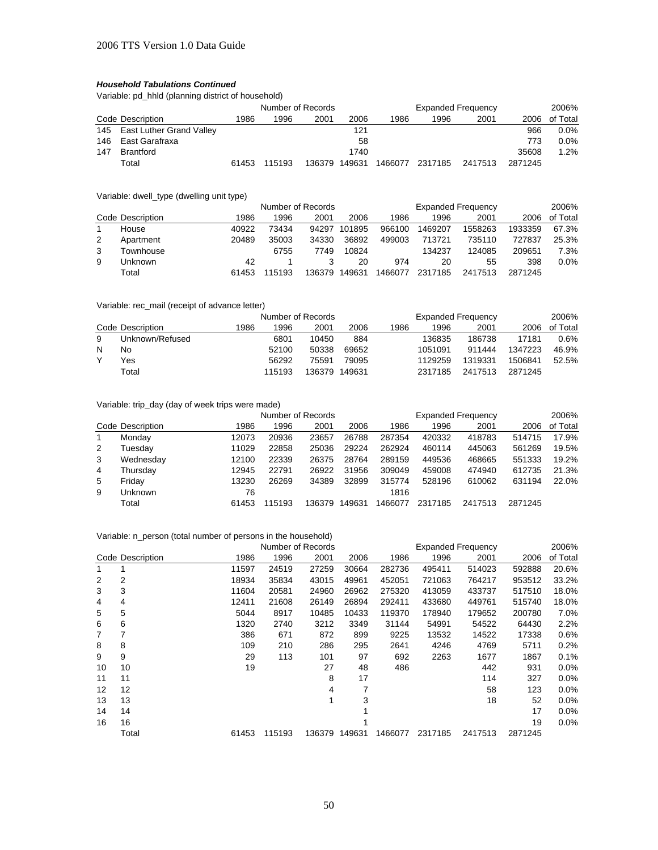Variable: pd\_hhld (planning district of household)

|     |                              | Number of Records |        |        |        | <b>Expanded Frequency</b> |         |         |         | 2006%    |
|-----|------------------------------|-------------------|--------|--------|--------|---------------------------|---------|---------|---------|----------|
|     | Code Description             | 1986              | 1996   | 2001   | 2006   | 1986                      | 1996    | 2001    | 2006    | of Total |
|     | 145 East Luther Grand Valley |                   |        |        | 121    |                           |         |         | 966     | $0.0\%$  |
|     | 146 East Garafraxa           |                   |        |        | 58     |                           |         |         | 773     | $0.0\%$  |
| 147 | Brantford                    |                   |        |        | 1740   |                           |         |         | 35608   | 1.2%     |
|     | Total                        | 61453             | 115193 | 136379 | 149631 | 1466077                   | 2317185 | 2417513 | 2871245 |          |

Variable: dwell\_type (dwelling unit type)

|   |                  | Number of Records |       |        |        |         | <b>Expanded Frequency</b> |         |         |          |
|---|------------------|-------------------|-------|--------|--------|---------|---------------------------|---------|---------|----------|
|   | Code Description | 1986              | 1996  | 2001   | 2006   | 1986    | 1996                      | 2001    | 2006    | of Total |
|   | House            | 40922             | 73434 | 94297  | 101895 | 966100  | 1469207                   | 1558263 | 1933359 | 67.3%    |
| 2 | Apartment        | 20489             | 35003 | 34330  | 36892  | 499003  | 713721                    | 735110  | 727837  | 25.3%    |
| 3 | Fownhouse        |                   | 6755  | 7749   | 10824  |         | 134237                    | 124085  | 209651  | 7.3%     |
| 9 | Jnknown          | 42                |       |        | 20     | 974     | 20                        | 55      | 398     | 0.0%     |
|   | Total            | 61453             | 15193 | 136379 | 149631 | 1466077 | 2317185                   | 2417513 | 2871245 |          |

#### Variable: rec\_mail (receipt of advance letter)

|   |                  |      | Number of Records |        |        |      | <b>Expanded Frequency</b> |         |         |          |  |
|---|------------------|------|-------------------|--------|--------|------|---------------------------|---------|---------|----------|--|
|   | Code Description | 1986 | 1996              | 2001   | 2006   | 1986 | 1996                      | 2001    | 2006    | of Total |  |
| 9 | Unknown/Refused  |      | 6801              | 10450  | 884    |      | 136835                    | 186738  | 17181   | 0.6%     |  |
| N | No               |      | 52100             | 50338  | 69652  |      | 1051091                   | 911444  | 1347223 | 46.9%    |  |
|   | Yes              |      | 56292             | 75591  | 79095  |      | 1129259                   | 1319331 | 1506841 | 52.5%    |  |
|   | Total            |      | 115193            | 136379 | 149631 |      | 2317185                   | 2417513 | 2871245 |          |  |

Variable: trip\_day (day of week trips were made)

|   |                  |       | Number of Records |        |        | <b>Expanded Frequency</b> |         | 2006%   |         |          |
|---|------------------|-------|-------------------|--------|--------|---------------------------|---------|---------|---------|----------|
|   | Code Description | 1986  | 1996              | 2001   | 2006   | 1986                      | 1996    | 2001    | 2006    | of Total |
|   | Monday           | 12073 | 20936             | 23657  | 26788  | 287354                    | 420332  | 418783  | 514715  | 17.9%    |
| 2 | Tuesdav          | 11029 | 22858             | 25036  | 29224  | 262924                    | 460114  | 445063  | 561269  | 19.5%    |
| 3 | Wednesday        | 12100 | 22339             | 26375  | 28764  | 289159                    | 449536  | 468665  | 551333  | 19.2%    |
| 4 | Thursday         | 12945 | 22791             | 26922  | 31956  | 309049                    | 459008  | 474940  | 612735  | 21.3%    |
| 5 | Fridav           | 13230 | 26269             | 34389  | 32899  | 315774                    | 528196  | 610062  | 631194  | 22.0%    |
| 9 | Unknown          | 76    |                   |        |        | 1816                      |         |         |         |          |
|   | Total            | 61453 | 115193            | 136379 | 149631 | 1466077                   | 2317185 | 2417513 | 2871245 |          |

# Variable: n\_person (total number of persons in the household)

|    |                  |       |        | Number of Records |        |         |         | <b>Expanded Frequency</b> |         | 2006%    |
|----|------------------|-------|--------|-------------------|--------|---------|---------|---------------------------|---------|----------|
|    | Code Description | 1986  | 1996   | 2001              | 2006   | 1986    | 1996    | 2001                      | 2006    | of Total |
|    |                  | 11597 | 24519  | 27259             | 30664  | 282736  | 495411  | 514023                    | 592888  | 20.6%    |
| 2  | 2                | 18934 | 35834  | 43015             | 49961  | 452051  | 721063  | 764217                    | 953512  | 33.2%    |
| 3  | 3                | 11604 | 20581  | 24960             | 26962  | 275320  | 413059  | 433737                    | 517510  | 18.0%    |
| 4  | 4                | 12411 | 21608  | 26149             | 26894  | 292411  | 433680  | 449761                    | 515740  | 18.0%    |
| 5  | 5                | 5044  | 8917   | 10485             | 10433  | 119370  | 178940  | 179652                    | 200780  | 7.0%     |
| 6  | 6                | 1320  | 2740   | 3212              | 3349   | 31144   | 54991   | 54522                     | 64430   | 2.2%     |
| 7  | 7                | 386   | 671    | 872               | 899    | 9225    | 13532   | 14522                     | 17338   | 0.6%     |
| 8  | 8                | 109   | 210    | 286               | 295    | 2641    | 4246    | 4769                      | 5711    | 0.2%     |
| 9  | 9                | 29    | 113    | 101               | 97     | 692     | 2263    | 1677                      | 1867    | 0.1%     |
| 10 | 10               | 19    |        | 27                | 48     | 486     |         | 442                       | 931     | 0.0%     |
| 11 | 11               |       |        | 8                 | 17     |         |         | 114                       | 327     | 0.0%     |
| 12 | 12               |       |        | 4                 |        |         |         | 58                        | 123     | 0.0%     |
| 13 | 13               |       |        |                   | 3      |         |         | 18                        | 52      | 0.0%     |
| 14 | 14               |       |        |                   |        |         |         |                           | 17      | 0.0%     |
| 16 | 16               |       |        |                   |        |         |         |                           | 19      | 0.0%     |
|    | Total            | 61453 | 115193 | 136379            | 149631 | 1466077 | 2317185 | 2417513                   | 2871245 |          |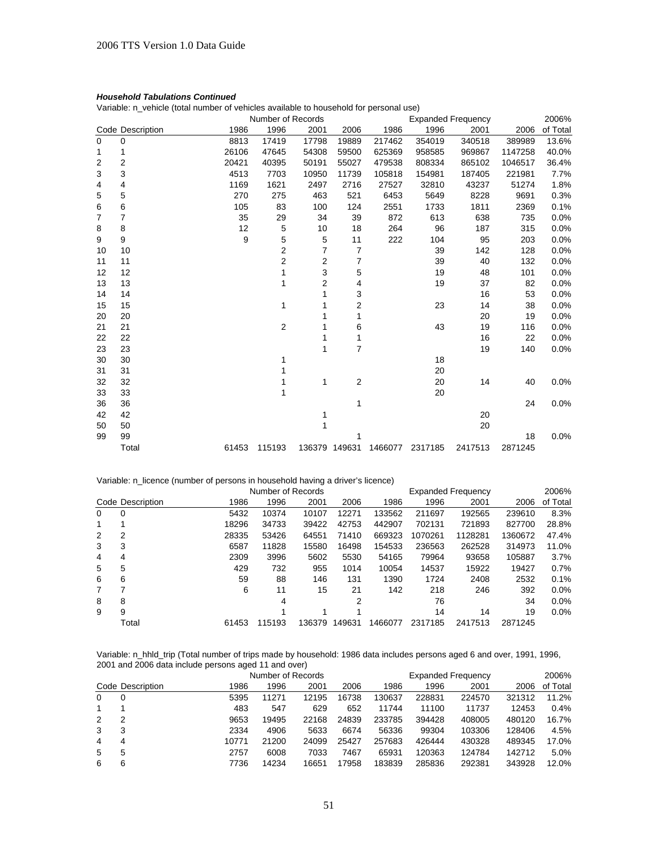Variable: n\_vehicle (total number of vehicles available to household for personal use)

|             | Number of Records |       |                         |                |                | <b>Expanded Frequency</b> |         |         |         |          |  |
|-------------|-------------------|-------|-------------------------|----------------|----------------|---------------------------|---------|---------|---------|----------|--|
|             | Code Description  | 1986  | 1996                    | 2001           | 2006           | 1986                      | 1996    | 2001    | 2006    | of Total |  |
| $\mathbf 0$ | 0                 | 8813  | 17419                   | 17798          | 19889          | 217462                    | 354019  | 340518  | 389989  | 13.6%    |  |
| 1           | 1                 | 26106 | 47645                   | 54308          | 59500          | 625369                    | 958585  | 969867  | 1147258 | 40.0%    |  |
| 2           | 2                 | 20421 | 40395                   | 50191          | 55027          | 479538                    | 808334  | 865102  | 1046517 | 36.4%    |  |
| 3           | 3                 | 4513  | 7703                    | 10950          | 11739          | 105818                    | 154981  | 187405  | 221981  | 7.7%     |  |
| 4           | 4                 | 1169  | 1621                    | 2497           | 2716           | 27527                     | 32810   | 43237   | 51274   | 1.8%     |  |
| 5           | 5                 | 270   | 275                     | 463            | 521            | 6453                      | 5649    | 8228    | 9691    | 0.3%     |  |
| 6           | 6                 | 105   | 83                      | 100            | 124            | 2551                      | 1733    | 1811    | 2369    | 0.1%     |  |
| 7           | 7                 | 35    | 29                      | 34             | 39             | 872                       | 613     | 638     | 735     | 0.0%     |  |
| 8           | 8                 | 12    | 5                       | 10             | 18             | 264                       | 96      | 187     | 315     | 0.0%     |  |
| 9           | 9                 | 9     | 5                       | 5              | 11             | 222                       | 104     | 95      | 203     | 0.0%     |  |
| 10          | 10                |       | $\overline{\mathbf{c}}$ | $\overline{7}$ | $\overline{7}$ |                           | 39      | 142     | 128     | 0.0%     |  |
| 11          | 11                |       | $\overline{c}$          | 2              | 7              |                           | 39      | 40      | 132     | 0.0%     |  |
| 12          | 12                |       | 1                       | 3              | 5              |                           | 19      | 48      | 101     | 0.0%     |  |
| 13          | 13                |       | 1                       | 2              | 4              |                           | 19      | 37      | 82      | 0.0%     |  |
| 14          | 14                |       |                         | 1              | 3              |                           |         | 16      | 53      | 0.0%     |  |
| 15          | 15                |       | 1                       | 1              | 2              |                           | 23      | 14      | 38      | 0.0%     |  |
| 20          | 20                |       |                         |                | 1              |                           |         | 20      | 19      | 0.0%     |  |
| 21          | 21                |       | $\overline{2}$          | 1              | 6              |                           | 43      | 19      | 116     | 0.0%     |  |
| 22          | 22                |       |                         | 1              | 1              |                           |         | 16      | 22      | 0.0%     |  |
| 23          | 23                |       |                         | 1              | $\overline{7}$ |                           |         | 19      | 140     | 0.0%     |  |
| 30          | 30                |       | 1                       |                |                |                           | 18      |         |         |          |  |
| 31          | 31                |       |                         |                |                |                           | 20      |         |         |          |  |
| 32          | 32                |       | 1                       | 1              | $\sqrt{2}$     |                           | 20      | 14      | 40      | 0.0%     |  |
| 33          | 33                |       | 1                       |                |                |                           | 20      |         |         |          |  |
| 36          | 36                |       |                         |                | 1              |                           |         |         | 24      | 0.0%     |  |
| 42          | 42                |       |                         | 1              |                |                           |         | 20      |         |          |  |
| 50          | 50                |       |                         |                |                |                           |         | 20      |         |          |  |
| 99          | 99                |       |                         |                |                |                           |         |         | 18      | 0.0%     |  |
|             | Total             | 61453 | 115193                  |                | 136379 149631  | 1466077                   | 2317185 | 2417513 | 2871245 |          |  |

#### Variable: n\_licence (number of persons in household having a driver's licence)

|   | Number of Records |       |        |        |        |         |         | 2006%   |         |          |
|---|-------------------|-------|--------|--------|--------|---------|---------|---------|---------|----------|
|   | Code Description  | 1986  | 1996   | 2001   | 2006   | 1986    | 1996    | 2001    | 2006    | of Total |
| 0 | 0                 | 5432  | 10374  | 10107  | 12271  | 133562  | 211697  | 192565  | 239610  | 8.3%     |
| 1 |                   | 18296 | 34733  | 39422  | 42753  | 442907  | 702131  | 721893  | 827700  | 28.8%    |
| 2 | 2                 | 28335 | 53426  | 64551  | 71410  | 669323  | 1070261 | 1128281 | 1360672 | 47.4%    |
| 3 | 3                 | 6587  | 11828  | 15580  | 16498  | 154533  | 236563  | 262528  | 314973  | 11.0%    |
| 4 | 4                 | 2309  | 3996   | 5602   | 5530   | 54165   | 79964   | 93658   | 105887  | 3.7%     |
| 5 | 5                 | 429   | 732    | 955    | 1014   | 10054   | 14537   | 15922   | 19427   | 0.7%     |
| 6 | 6                 | 59    | 88     | 146    | 131    | 1390    | 1724    | 2408    | 2532    | 0.1%     |
| 7 |                   | 6     | 11     | 15     | 21     | 142     | 218     | 246     | 392     | $0.0\%$  |
| 8 | 8                 |       | 4      |        | 2      |         | 76      |         | 34      | $0.0\%$  |
| 9 | 9                 |       |        |        |        |         | 14      | 14      | 19      | 0.0%     |
|   | Total             | 61453 | 115193 | 136379 | 149631 | 1466077 | 2317185 | 2417513 | 2871245 |          |

Variable: n\_hhld\_trip (Total number of trips made by household: 1986 data includes persons aged 6 and over, 1991, 1996, 2001 and 2006 data include persons aged 11 and over)

|          |                  |       | Number of Records |       |       |        | 2006%  |        |        |          |
|----------|------------------|-------|-------------------|-------|-------|--------|--------|--------|--------|----------|
|          | Code Description | 1986  | 1996              | 2001  | 2006  | 1986   | 1996   | 2001   | 2006   | of Total |
| $\Omega$ |                  | 5395  | 11271             | 12195 | 16738 | 130637 | 228831 | 224570 | 321312 | 11.2%    |
| 1        |                  | 483   | 547               | 629   | 652   | 11744  | 11100  | 11737  | 12453  | 0.4%     |
| 2        | 2                | 9653  | 19495             | 22168 | 24839 | 233785 | 394428 | 408005 | 480120 | 16.7%    |
| 3        | 3                | 2334  | 4906              | 5633  | 6674  | 56336  | 99304  | 103306 | 128406 | 4.5%     |
| 4        | 4                | 10771 | 21200             | 24099 | 25427 | 257683 | 426444 | 430328 | 489345 | 17.0%    |
| 5        | 5                | 2757  | 6008              | 7033  | 7467  | 65931  | 120363 | 124784 | 142712 | 5.0%     |
| 6        | 6                | 7736  | 14234             | 16651 | 17958 | 183839 | 285836 | 292381 | 343928 | 12.0%    |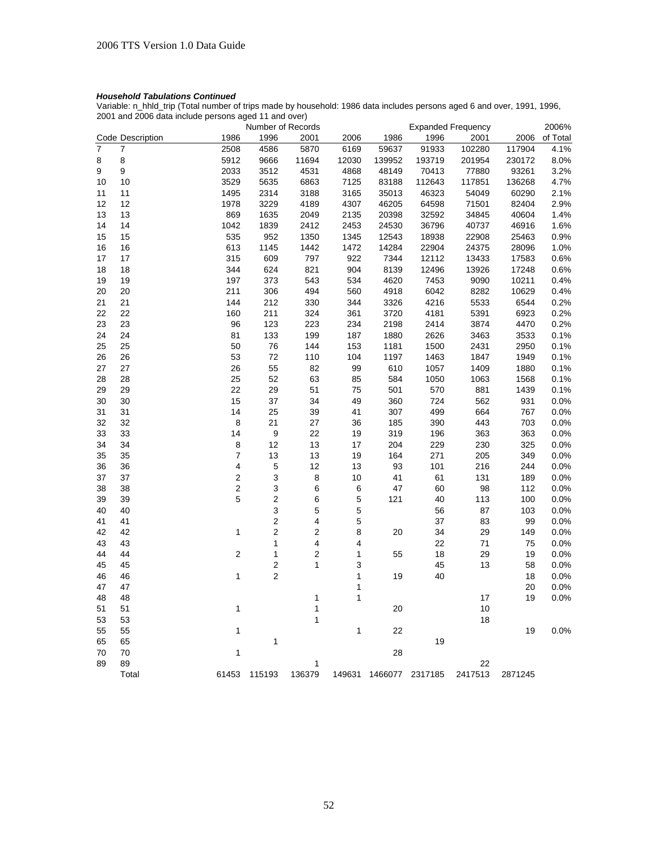Variable: n\_hhld\_trip (Total number of trips made by household: 1986 data includes persons aged 6 and over, 1991, 1996, 2001 and 2006 data include persons aged 11 and over)

|          |                  |                         | Number of Records             |                |              |         |          | <b>Expanded Frequency</b> |         | 2006%        |
|----------|------------------|-------------------------|-------------------------------|----------------|--------------|---------|----------|---------------------------|---------|--------------|
|          | Code Description | 1986                    | 1996                          | 2001           | 2006         | 1986    | 1996     | 2001                      | 2006    | of Total     |
| 7        | 7                | 2508                    | 4586                          | 5870           | 6169         | 59637   | 91933    | 102280                    | 117904  | 4.1%         |
| 8        | 8                | 5912                    | 9666                          | 11694          | 12030        | 139952  | 193719   | 201954                    | 230172  | 8.0%         |
| 9        | 9                | 2033                    | 3512                          | 4531           | 4868         | 48149   | 70413    | 77880                     | 93261   | 3.2%         |
| 10       | 10               | 3529                    | 5635                          | 6863           | 7125         | 83188   | 112643   | 117851                    | 136268  | 4.7%         |
| 11       | 11               | 1495                    | 2314                          | 3188           | 3165         | 35013   | 46323    | 54049                     | 60290   | 2.1%         |
| 12       | 12               | 1978                    | 3229                          | 4189           | 4307         | 46205   | 64598    | 71501                     | 82404   | 2.9%         |
| 13       | 13               | 869                     | 1635                          | 2049           | 2135         | 20398   | 32592    | 34845                     | 40604   | 1.4%         |
| 14       | 14               | 1042                    | 1839                          | 2412           | 2453         | 24530   | 36796    | 40737                     | 46916   | 1.6%         |
| 15       | 15               | 535                     | 952                           | 1350           | 1345         | 12543   | 18938    | 22908                     | 25463   | 0.9%         |
| 16       | 16               | 613                     | 1145                          | 1442           | 1472         | 14284   | 22904    | 24375                     | 28096   | 1.0%         |
| 17       | 17               | 315                     | 609                           | 797            | 922          | 7344    | 12112    | 13433                     | 17583   | 0.6%         |
| 18       | 18               | 344                     | 624                           | 821            | 904          | 8139    | 12496    | 13926                     | 17248   | 0.6%         |
| 19       | 19               | 197                     | 373                           | 543            | 534          | 4620    | 7453     | 9090                      | 10211   | 0.4%         |
| 20       | 20               | 211                     | 306                           | 494            | 560          | 4918    | 6042     | 8282                      | 10629   | 0.4%         |
| 21       | 21               | 144                     | 212                           | 330            | 344          | 3326    | 4216     | 5533                      | 6544    | 0.2%         |
| 22       | 22               | 160                     | 211                           | 324            | 361          | 3720    | 4181     | 5391                      | 6923    | 0.2%         |
| 23       | 23               | 96                      | 123                           | 223            | 234          | 2198    | 2414     | 3874                      | 4470    | 0.2%         |
| 24       | 24               | 81                      | 133                           | 199            | 187          | 1880    | 2626     | 3463                      | 3533    | 0.1%         |
| 25       | 25               | 50                      | 76                            | 144            | 153          | 1181    | 1500     | 2431                      | 2950    | 0.1%         |
| 26       | 26               | 53                      | 72                            | 110            | 104          | 1197    | 1463     | 1847                      | 1949    | 0.1%         |
| 27       | 27               | 26                      | 55                            | 82             | 99           | 610     | 1057     | 1409                      | 1880    | 0.1%         |
| 28       | 28               | 25                      | 52                            | 63             | 85           | 584     | 1050     | 1063                      | 1568    | 0.1%         |
| 29       | 29               | 22                      | 29                            | 51             | 75           | 501     | 570      | 881                       | 1439    | 0.1%         |
| 30       | 30               | 15                      | 37                            | 34             | 49           | 360     | 724      | 562                       | 931     | 0.0%         |
| 31       | 31               | 14                      | 25                            | 39             | 41           | 307     | 499      | 664                       | 767     | 0.0%         |
| 32       | 32               | 8                       | 21                            | 27             | 36           | 185     | 390      | 443                       | 703     | 0.0%         |
| 33       | 33               | 14                      | 9                             | 22             | 19           | 319     | 196      | 363                       | 363     | 0.0%         |
| 34       | 34               | 8                       | 12                            | 13             | 17           | 204     | 229      | 230                       | 325     | 0.0%         |
| 35       | 35               | 7                       | 13                            | 13             | 19           | 164     | 271      | 205                       | 349     | 0.0%         |
| 36       | 36               | 4                       | 5                             | 12             | 13           | 93      | 101      | 216                       | 244     | 0.0%         |
| 37       | 37               | $\overline{\mathbf{c}}$ | 3                             | 8              | 10           | 41      | 61       | 131                       | 189     | 0.0%         |
| 38       | 38               | $\overline{\mathbf{c}}$ | 3                             | 6              | 6            | 47      | 60       | 98                        | 112     | 0.0%         |
| 39       | 39               | 5                       | $\overline{\mathbf{c}}$       | 6              | 5            | 121     | 40       | 113                       | 100     | 0.0%         |
| 40       | 40               |                         | 3                             | 5              | 5            |         | 56       | 87                        | 103     | 0.0%         |
| 41       | 41               |                         | 2                             | 4              | 5            |         | 37       | 83                        | 99      | 0.0%         |
| 42       | 42               | $\mathbf{1}$            | $\overline{c}$                | $\overline{2}$ | 8            | 20      | 34       | 29                        | 149     | 0.0%         |
| 43       | 43               |                         | 1                             | 4              | 4            |         | 22       | 71                        | 75      | 0.0%         |
| 44       | 44               | $\overline{2}$          | 1                             | $\overline{2}$ | 1            | 55      |          | 29                        | 19      |              |
| 45       | 45               |                         |                               | 1              | 3            |         | 18       |                           | 58      | 0.0%         |
|          | 46               | $\mathbf{1}$            | $\mathbf 2$<br>$\overline{2}$ |                | $\mathbf{1}$ | 19      | 45<br>40 | 13                        | 18      | 0.0%<br>0.0% |
| 46<br>47 | 47               |                         |                               |                | 1            |         |          |                           | 20      | 0.0%         |
| 48       | 48               |                         |                               | 1              | $\mathbf 1$  |         |          | 17                        | 19      | 0.0%         |
|          |                  | $\mathbf{1}$            |                               | $\mathbf{1}$   |              |         |          | 10                        |         |              |
| 51       | 51               |                         |                               |                |              | 20      |          |                           |         |              |
| 53       | 53               |                         |                               | 1              |              |         |          | 18                        |         |              |
| 55       | 55               | $\mathbf 1$             |                               |                | 1            | 22      | 19       |                           | 19      | 0.0%         |
| 65       | 65               |                         | 1                             |                |              |         |          |                           |         |              |
| 70       | 70               | $\mathbf{1}$            |                               |                |              | 28      |          |                           |         |              |
| 89       | 89               |                         |                               | 1              |              |         |          | 22                        |         |              |
|          | Total            | 61453                   | 115193                        | 136379         | 149631       | 1466077 | 2317185  | 2417513                   | 2871245 |              |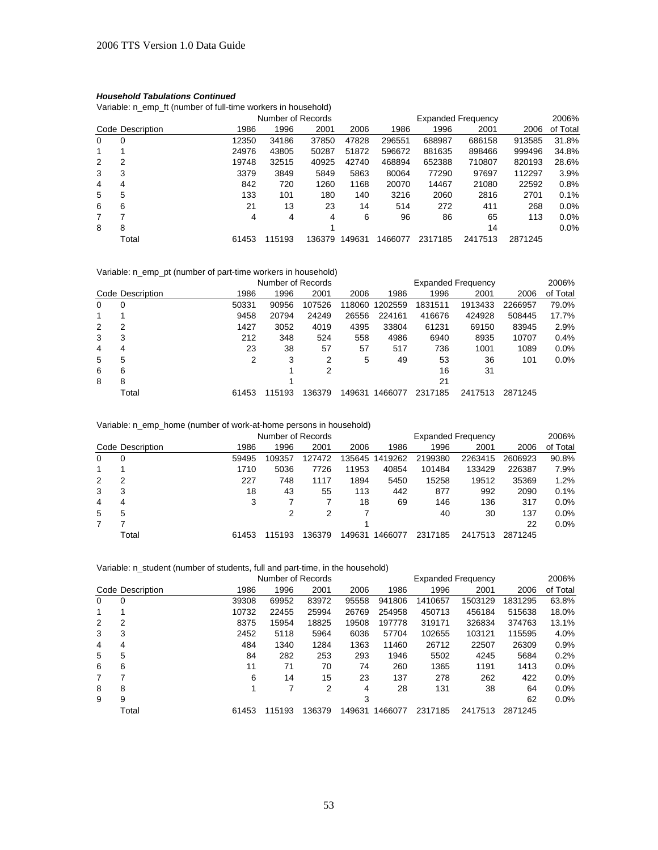Variable: n\_emp\_ft (number of full-time workers in household)

|                |                  |       | Number of Records |        |        |         |         | <b>Expanded Frequency</b> |         |          |  |
|----------------|------------------|-------|-------------------|--------|--------|---------|---------|---------------------------|---------|----------|--|
|                | Code Description | 1986  | 1996              | 2001   | 2006   | 1986    | 1996    | 2001                      | 2006    | of Total |  |
| 0              | 0                | 12350 | 34186             | 37850  | 47828  | 296551  | 688987  | 686158                    | 913585  | 31.8%    |  |
|                |                  | 24976 | 43805             | 50287  | 51872  | 596672  | 881635  | 898466                    | 999496  | 34.8%    |  |
| 2              | 2                | 19748 | 32515             | 40925  | 42740  | 468894  | 652388  | 710807                    | 820193  | 28.6%    |  |
| 3              | 3                | 3379  | 3849              | 5849   | 5863   | 80064   | 77290   | 97697                     | 112297  | 3.9%     |  |
| 4              | 4                | 842   | 720               | 1260   | 1168   | 20070   | 14467   | 21080                     | 22592   | 0.8%     |  |
| 5              | 5                | 133   | 101               | 180    | 140    | 3216    | 2060    | 2816                      | 2701    | 0.1%     |  |
| 6              | 6                | 21    | 13                | 23     | 14     | 514     | 272     | 411                       | 268     | $0.0\%$  |  |
| $\overline{7}$ | 7                | 4     | 4                 | 4      | 6      | 96      | 86      | 65                        | 113     | $0.0\%$  |  |
| 8              | 8                |       |                   |        |        |         |         | 14                        |         | 0.0%     |  |
|                | Total            | 61453 | 115193            | 136379 | 149631 | 1466077 | 2317185 | 2417513                   | 2871245 |          |  |

# Variable: n\_emp\_pt (number of part-time workers in household)

|          |                  |       | Number of Records |        |        |         |         | <b>Expanded Frequency</b> |         | 2006%    |
|----------|------------------|-------|-------------------|--------|--------|---------|---------|---------------------------|---------|----------|
|          | Code Description | 1986  | 1996              | 2001   | 2006   | 1986    | 1996    | 2001                      | 2006    | of Total |
| $\Omega$ | 0                | 50331 | 90956             | 107526 | 118060 | 1202559 | 1831511 | 1913433                   | 2266957 | 79.0%    |
|          |                  | 9458  | 20794             | 24249  | 26556  | 224161  | 416676  | 424928                    | 508445  | 17.7%    |
| 2        | 2                | 1427  | 3052              | 4019   | 4395   | 33804   | 61231   | 69150                     | 83945   | 2.9%     |
| 3        | 3                | 212   | 348               | 524    | 558    | 4986    | 6940    | 8935                      | 10707   | 0.4%     |
| 4        | 4                | 23    | 38                | 57     | 57     | 517     | 736     | 1001                      | 1089    | 0.0%     |
| 5        | 5                | 2     | 3                 | 2      | 5      | 49      | 53      | 36                        | 101     | 0.0%     |
| 6        | 6                |       |                   | 2      |        |         | 16      | 31                        |         |          |
| 8        | 8                |       |                   |        |        |         | 21      |                           |         |          |
|          | Total            | 61453 | 115193            | 136379 | 149631 | 1466077 | 2317185 | 2417513                   | 2871245 |          |

# Variable: n\_emp\_home (number of work-at-home persons in household)

|          | Number of Records |       |        |        |        | 2006%<br><b>Expanded Frequency</b> |         |         |         |          |  |
|----------|-------------------|-------|--------|--------|--------|------------------------------------|---------|---------|---------|----------|--|
|          | Code Description  | 1986  | 1996   | 2001   | 2006   | 1986                               | 1996    | 2001    | 2006    | of Total |  |
| $\Omega$ | 0                 | 59495 | 109357 | 127472 | 35645  | 1419262                            | 2199380 | 2263415 | 2606923 | 90.8%    |  |
|          |                   | 1710  | 5036   | 7726   | 11953  | 40854                              | 101484  | 133429  | 226387  | 7.9%     |  |
| 2        |                   | 227   | 748    | 1117   | 1894   | 5450                               | 15258   | 19512   | 35369   | 1.2%     |  |
| 3        | 3                 | 18    | 43     | 55     | 113    | 442                                | 877     | 992     | 2090    | 0.1%     |  |
| 4        | 4                 | 3     |        |        | 18     | 69                                 | 146     | 136     | 317     | 0.0%     |  |
| 5        | 5                 |       | 2      | 2      |        |                                    | 40      | 30      | 137     | 0.0%     |  |
|          |                   |       |        |        |        |                                    |         |         | 22      | 0.0%     |  |
|          | Total             | 61453 | 115193 | 136379 | 149631 | 1466077                            | 2317185 | 2417513 | 2871245 |          |  |

# Variable: n\_student (number of students, full and part-time, in the household)

|          |                  |       | Number of Records |        |        |         |         | <b>Expanded Frequency</b> |         | 2006%    |
|----------|------------------|-------|-------------------|--------|--------|---------|---------|---------------------------|---------|----------|
|          | Code Description | 1986  | 1996              | 2001   | 2006   | 1986    | 1996    | 2001                      | 2006    | of Total |
| $\Omega$ | 0                | 39308 | 69952             | 83972  | 95558  | 941806  | 1410657 | 1503129                   | 1831295 | 63.8%    |
|          |                  | 10732 | 22455             | 25994  | 26769  | 254958  | 450713  | 456184                    | 515638  | 18.0%    |
| 2        | 2                | 8375  | 15954             | 18825  | 19508  | 197778  | 319171  | 326834                    | 374763  | 13.1%    |
| 3        | 3                | 2452  | 5118              | 5964   | 6036   | 57704   | 102655  | 103121                    | 115595  | 4.0%     |
| 4        | 4                | 484   | 1340              | 1284   | 1363   | 11460   | 26712   | 22507                     | 26309   | 0.9%     |
| 5        | 5                | 84    | 282               | 253    | 293    | 1946    | 5502    | 4245                      | 5684    | 0.2%     |
| 6        | 6                | 11    | 71                | 70     | 74     | 260     | 1365    | 1191                      | 1413    | 0.0%     |
|          | 7                | 6     | 14                | 15     | 23     | 137     | 278     | 262                       | 422     | 0.0%     |
| 8        | 8                | 1     | 7                 | 2      | 4      | 28      | 131     | 38                        | 64      | 0.0%     |
| 9        | 9                |       |                   |        | 3      |         |         |                           | 62      | 0.0%     |
|          | Total            | 61453 | 115193            | 136379 | 149631 | 1466077 | 2317185 | 2417513                   | 2871245 |          |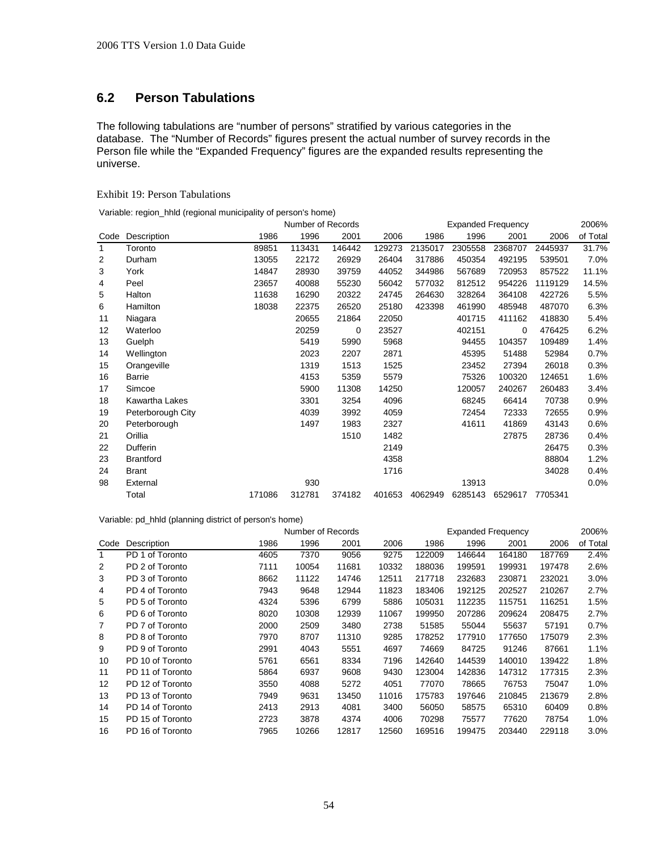# **6.2 Person Tabulations**

The following tabulations are "number of persons" stratified by various categories in the database. The "Number of Records" figures present the actual number of survey records in the Person file while the "Expanded Frequency" figures are the expanded results representing the universe.

# Exhibit 19: Person Tabulations

Variable: region\_hhld (regional municipality of person's home)

|      |                   |        | Number of Records |        |        |         | <b>Expanded Frequency</b> |         |         | 2006%    |
|------|-------------------|--------|-------------------|--------|--------|---------|---------------------------|---------|---------|----------|
| Code | Description       | 1986   | 1996              | 2001   | 2006   | 1986    | 1996                      | 2001    | 2006    | of Total |
| 1    | Toronto           | 89851  | 113431            | 146442 | 129273 | 2135017 | 2305558                   | 2368707 | 2445937 | 31.7%    |
| 2    | Durham            | 13055  | 22172             | 26929  | 26404  | 317886  | 450354                    | 492195  | 539501  | 7.0%     |
| 3    | York              | 14847  | 28930             | 39759  | 44052  | 344986  | 567689                    | 720953  | 857522  | 11.1%    |
| 4    | Peel              | 23657  | 40088             | 55230  | 56042  | 577032  | 812512                    | 954226  | 1119129 | 14.5%    |
| 5    | Halton            | 11638  | 16290             | 20322  | 24745  | 264630  | 328264                    | 364108  | 422726  | 5.5%     |
| 6    | Hamilton          | 18038  | 22375             | 26520  | 25180  | 423398  | 461990                    | 485948  | 487070  | 6.3%     |
| 11   | Niagara           |        | 20655             | 21864  | 22050  |         | 401715                    | 411162  | 418830  | 5.4%     |
| 12   | Waterloo          |        | 20259             | 0      | 23527  |         | 402151                    | 0       | 476425  | 6.2%     |
| 13   | Guelph            |        | 5419              | 5990   | 5968   |         | 94455                     | 104357  | 109489  | 1.4%     |
| 14   | Wellington        |        | 2023              | 2207   | 2871   |         | 45395                     | 51488   | 52984   | 0.7%     |
| 15   | Orangeville       |        | 1319              | 1513   | 1525   |         | 23452                     | 27394   | 26018   | 0.3%     |
| 16   | Barrie            |        | 4153              | 5359   | 5579   |         | 75326                     | 100320  | 124651  | 1.6%     |
| 17   | Simcoe            |        | 5900              | 11308  | 14250  |         | 120057                    | 240267  | 260483  | 3.4%     |
| 18   | Kawartha Lakes    |        | 3301              | 3254   | 4096   |         | 68245                     | 66414   | 70738   | 0.9%     |
| 19   | Peterborough City |        | 4039              | 3992   | 4059   |         | 72454                     | 72333   | 72655   | 0.9%     |
| 20   | Peterborough      |        | 1497              | 1983   | 2327   |         | 41611                     | 41869   | 43143   | 0.6%     |
| 21   | Orillia           |        |                   | 1510   | 1482   |         |                           | 27875   | 28736   | 0.4%     |
| 22   | Dufferin          |        |                   |        | 2149   |         |                           |         | 26475   | 0.3%     |
| 23   | <b>Brantford</b>  |        |                   |        | 4358   |         |                           |         | 88804   | 1.2%     |
| 24   | <b>Brant</b>      |        |                   |        | 1716   |         |                           |         | 34028   | 0.4%     |
| 98   | External          |        | 930               |        |        |         | 13913                     |         |         | 0.0%     |
|      | Total             | 171086 | 312781            | 374182 | 401653 | 4062949 | 6285143                   | 6529617 | 7705341 |          |

#### Variable: pd\_hhld (planning district of person's home)

|      |                  |      | Number of Records |       |       | <b>Expanded Frequency</b> |        | 2006%  |        |          |
|------|------------------|------|-------------------|-------|-------|---------------------------|--------|--------|--------|----------|
| Code | Description      | 1986 | 1996              | 2001  | 2006  | 1986                      | 1996   | 2001   | 2006   | of Total |
|      | PD 1 of Toronto  | 4605 | 7370              | 9056  | 9275  | 122009                    | 146644 | 164180 | 187769 | 2.4%     |
| 2    | PD 2 of Toronto  | 7111 | 10054             | 11681 | 10332 | 188036                    | 199591 | 199931 | 197478 | 2.6%     |
| 3    | PD 3 of Toronto  | 8662 | 11122             | 14746 | 12511 | 217718                    | 232683 | 230871 | 232021 | $3.0\%$  |
| 4    | PD 4 of Toronto  | 7943 | 9648              | 12944 | 11823 | 183406                    | 192125 | 202527 | 210267 | $2.7\%$  |
| 5    | PD 5 of Toronto  | 4324 | 5396              | 6799  | 5886  | 105031                    | 112235 | 115751 | 116251 | 1.5%     |
| 6    | PD 6 of Toronto  | 8020 | 10308             | 12939 | 11067 | 199950                    | 207286 | 209624 | 208475 | 2.7%     |
|      | PD 7 of Toronto  | 2000 | 2509              | 3480  | 2738  | 51585                     | 55044  | 55637  | 57191  | $0.7\%$  |
| 8    | PD 8 of Toronto  | 7970 | 8707              | 11310 | 9285  | 178252                    | 177910 | 177650 | 175079 | 2.3%     |
| 9    | PD 9 of Toronto  | 2991 | 4043              | 5551  | 4697  | 74669                     | 84725  | 91246  | 87661  | 1.1%     |
| 10   | PD 10 of Toronto | 5761 | 6561              | 8334  | 7196  | 142640                    | 144539 | 140010 | 139422 | 1.8%     |
| 11   | PD 11 of Toronto | 5864 | 6937              | 9608  | 9430  | 123004                    | 142836 | 147312 | 177315 | 2.3%     |
| 12   | PD 12 of Toronto | 3550 | 4088              | 5272  | 4051  | 77070                     | 78665  | 76753  | 75047  | 1.0%     |
| 13   | PD 13 of Toronto | 7949 | 9631              | 13450 | 11016 | 175783                    | 197646 | 210845 | 213679 | 2.8%     |
| 14   | PD 14 of Toronto | 2413 | 2913              | 4081  | 3400  | 56050                     | 58575  | 65310  | 60409  | $0.8\%$  |
| 15   | PD 15 of Toronto | 2723 | 3878              | 4374  | 4006  | 70298                     | 75577  | 77620  | 78754  | 1.0%     |
| 16   | PD 16 of Toronto | 7965 | 10266             | 12817 | 12560 | 169516                    | 199475 | 203440 | 229118 | $3.0\%$  |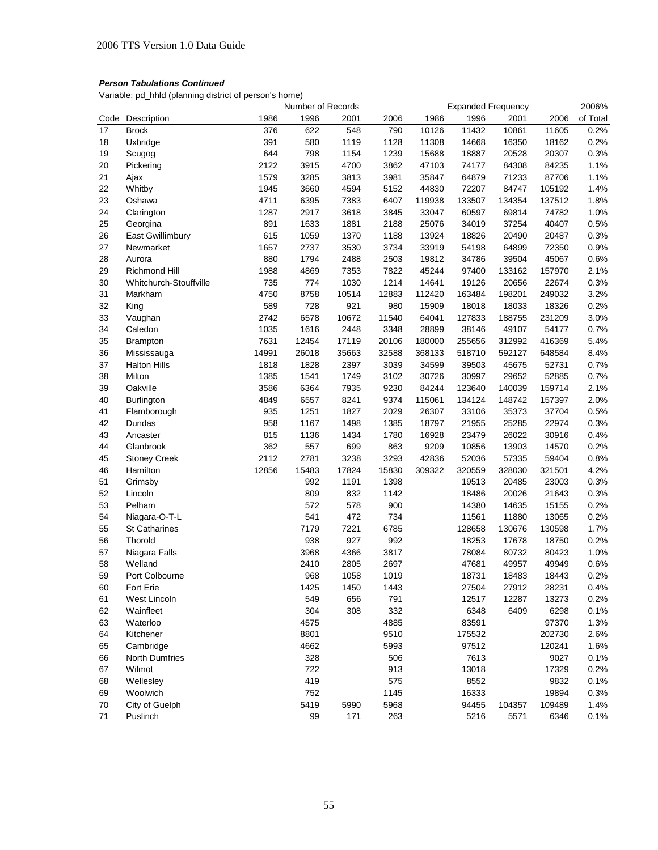Variable: pd\_hhld (planning district of person's home)

|      |                        |       | Number of Records |       |       |        | <b>Expanded Frequency</b> |        |        | 2006%    |
|------|------------------------|-------|-------------------|-------|-------|--------|---------------------------|--------|--------|----------|
| Code | Description            | 1986  | 1996              | 2001  | 2006  | 1986   | 1996                      | 2001   | 2006   | of Total |
| 17   | <b>Brock</b>           | 376   | 622               | 548   | 790   | 10126  | 11432                     | 10861  | 11605  | 0.2%     |
| 18   | Uxbridge               | 391   | 580               | 1119  | 1128  | 11308  | 14668                     | 16350  | 18162  | 0.2%     |
| 19   | Scugog                 | 644   | 798               | 1154  | 1239  | 15688  | 18887                     | 20528  | 20307  | 0.3%     |
| 20   | Pickering              | 2122  | 3915              | 4700  | 3862  | 47103  | 74177                     | 84308  | 84235  | 1.1%     |
| 21   | Ajax                   | 1579  | 3285              | 3813  | 3981  | 35847  | 64879                     | 71233  | 87706  | 1.1%     |
| 22   | Whitby                 | 1945  | 3660              | 4594  | 5152  | 44830  | 72207                     | 84747  | 105192 | 1.4%     |
| 23   | Oshawa                 | 4711  | 6395              | 7383  | 6407  | 119938 | 133507                    | 134354 | 137512 | 1.8%     |
| 24   | Clarington             | 1287  | 2917              | 3618  | 3845  | 33047  | 60597                     | 69814  | 74782  | 1.0%     |
| 25   | Georgina               | 891   | 1633              | 1881  | 2188  | 25076  | 34019                     | 37254  | 40407  | 0.5%     |
| 26   | East Gwillimbury       | 615   | 1059              | 1370  | 1188  | 13924  | 18826                     | 20490  | 20487  | 0.3%     |
| 27   | Newmarket              | 1657  | 2737              | 3530  | 3734  | 33919  | 54198                     | 64899  | 72350  | 0.9%     |
| 28   | Aurora                 | 880   | 1794              | 2488  | 2503  | 19812  | 34786                     | 39504  | 45067  | 0.6%     |
| 29   | Richmond Hill          | 1988  | 4869              | 7353  | 7822  | 45244  | 97400                     | 133162 | 157970 | 2.1%     |
| 30   | Whitchurch-Stouffville | 735   | 774               | 1030  | 1214  | 14641  | 19126                     | 20656  | 22674  | 0.3%     |
| 31   | Markham                | 4750  | 8758              | 10514 | 12883 | 112420 | 163484                    | 198201 | 249032 | 3.2%     |
| 32   | King                   | 589   | 728               | 921   | 980   | 15909  | 18018                     | 18033  | 18326  | 0.2%     |
| 33   | Vaughan                | 2742  | 6578              | 10672 | 11540 | 64041  | 127833                    | 188755 | 231209 | 3.0%     |
| 34   | Caledon                | 1035  | 1616              | 2448  | 3348  | 28899  | 38146                     | 49107  | 54177  | 0.7%     |
| 35   | <b>Brampton</b>        | 7631  | 12454             | 17119 | 20106 | 180000 | 255656                    | 312992 | 416369 | 5.4%     |
| 36   | Mississauga            | 14991 | 26018             | 35663 | 32588 | 368133 | 518710                    | 592127 | 648584 | 8.4%     |
| 37   | <b>Halton Hills</b>    | 1818  | 1828              | 2397  | 3039  | 34599  | 39503                     | 45675  | 52731  | 0.7%     |
| 38   | Milton                 | 1385  | 1541              | 1749  | 3102  | 30726  | 30997                     | 29652  | 52885  | 0.7%     |
| 39   | Oakville               | 3586  | 6364              | 7935  | 9230  | 84244  | 123640                    | 140039 | 159714 | 2.1%     |
| 40   | Burlington             | 4849  | 6557              | 8241  | 9374  | 115061 | 134124                    | 148742 | 157397 | 2.0%     |
| 41   | Flamborough            | 935   | 1251              | 1827  | 2029  | 26307  | 33106                     | 35373  | 37704  | 0.5%     |
| 42   | Dundas                 | 958   | 1167              | 1498  | 1385  | 18797  | 21955                     | 25285  | 22974  | 0.3%     |
| 43   | Ancaster               | 815   | 1136              | 1434  | 1780  | 16928  | 23479                     | 26022  | 30916  | 0.4%     |
| 44   | Glanbrook              | 362   | 557               | 699   | 863   | 9209   | 10856                     | 13903  | 14570  | 0.2%     |
| 45   | <b>Stoney Creek</b>    | 2112  | 2781              | 3238  | 3293  | 42836  | 52036                     | 57335  | 59404  | 0.8%     |
| 46   | Hamilton               | 12856 | 15483             | 17824 | 15830 | 309322 | 320559                    | 328030 | 321501 | 4.2%     |
| 51   | Grimsby                |       | 992               | 1191  | 1398  |        | 19513                     | 20485  | 23003  | 0.3%     |
| 52   | Lincoln                |       | 809               | 832   | 1142  |        | 18486                     | 20026  | 21643  | 0.3%     |
| 53   | Pelham                 |       | 572               | 578   | 900   |        | 14380                     | 14635  | 15155  | 0.2%     |
| 54   | Niagara-O-T-L          |       | 541               | 472   | 734   |        | 11561                     | 11880  | 13065  | 0.2%     |
| 55   | <b>St Catharines</b>   |       | 7179              | 7221  | 6785  |        | 128658                    | 130676 | 130598 | 1.7%     |
| 56   | Thorold                |       | 938               | 927   | 992   |        | 18253                     | 17678  | 18750  | 0.2%     |
| 57   | Niagara Falls          |       | 3968              | 4366  | 3817  |        | 78084                     | 80732  | 80423  | 1.0%     |
| 58   | Welland                |       | 2410              | 2805  | 2697  |        | 47681                     | 49957  | 49949  | 0.6%     |
| 59   | Port Colbourne         |       | 968               | 1058  | 1019  |        | 18731                     | 18483  | 18443  | 0.2%     |
| 60   | Fort Erie              |       | 1425              | 1450  | 1443  |        | 27504                     | 27912  | 28231  | 0.4%     |
| 61   | West Lincoln           |       | 549               | 656   | 791   |        | 12517                     | 12287  | 13273  | 0.2%     |
| 62   | Wainfleet              |       | 304               | 308   | 332   |        | 6348                      | 6409   | 6298   | 0.1%     |
| 63   | Waterloo               |       | 4575              |       | 4885  |        | 83591                     |        | 97370  | 1.3%     |
| 64   | Kitchener              |       | 8801              |       | 9510  |        | 175532                    |        | 202730 | 2.6%     |
| 65   | Cambridge              |       | 4662              |       | 5993  |        | 97512                     |        | 120241 | 1.6%     |
| 66   | North Dumfries         |       | 328               |       | 506   |        | 7613                      |        | 9027   | 0.1%     |
| 67   | Wilmot                 |       | 722               |       | 913   |        | 13018                     |        | 17329  | 0.2%     |
| 68   | Wellesley              |       | 419               |       | 575   |        | 8552                      |        | 9832   | 0.1%     |
| 69   | Woolwich               |       | 752               |       | 1145  |        | 16333                     |        | 19894  | 0.3%     |
| 70   | City of Guelph         |       | 5419              | 5990  | 5968  |        | 94455                     | 104357 | 109489 | 1.4%     |
| 71   | Puslinch               |       | 99                | 171   | 263   |        | 5216                      | 5571   | 6346   | 0.1%     |
|      |                        |       |                   |       |       |        |                           |        |        |          |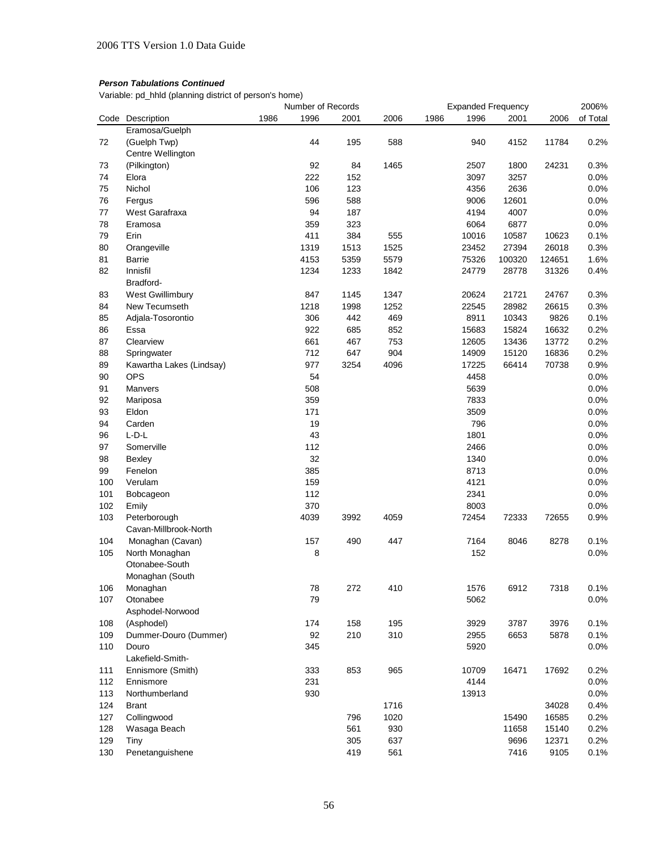Variable: pd\_hhld (planning district of person's home)

|     |                          |      | Number of Records |      |      |      |       | <b>Expanded Frequency</b> |        | 2006%    |
|-----|--------------------------|------|-------------------|------|------|------|-------|---------------------------|--------|----------|
|     | Code Description         | 1986 | 1996              | 2001 | 2006 | 1986 | 1996  | 2001                      | 2006   | of Total |
|     | Eramosa/Guelph           |      |                   |      |      |      |       |                           |        |          |
| 72  | (Guelph Twp)             |      | 44                | 195  | 588  |      | 940   | 4152                      | 11784  | 0.2%     |
|     | Centre Wellington        |      |                   |      |      |      |       |                           |        |          |
| 73  | (Pilkington)             |      | 92                | 84   | 1465 |      | 2507  | 1800                      | 24231  | 0.3%     |
| 74  | Elora                    |      | 222               | 152  |      |      | 3097  | 3257                      |        | 0.0%     |
| 75  | Nichol                   |      | 106               | 123  |      |      | 4356  | 2636                      |        | 0.0%     |
| 76  | Fergus                   |      | 596               | 588  |      |      | 9006  | 12601                     |        | 0.0%     |
| 77  | West Garafraxa           |      | 94                | 187  |      |      | 4194  | 4007                      |        | 0.0%     |
| 78  | Eramosa                  |      | 359               | 323  |      |      | 6064  | 6877                      |        | 0.0%     |
| 79  | Erin                     |      | 411               | 384  | 555  |      | 10016 | 10587                     | 10623  | 0.1%     |
| 80  | Orangeville              |      | 1319              | 1513 | 1525 |      | 23452 | 27394                     | 26018  | 0.3%     |
| 81  | <b>Barrie</b>            |      | 4153              | 5359 | 5579 |      | 75326 | 100320                    | 124651 | 1.6%     |
| 82  | Innisfil                 |      | 1234              | 1233 | 1842 |      | 24779 | 28778                     | 31326  | 0.4%     |
|     | Bradford-                |      |                   |      |      |      |       |                           |        |          |
| 83  | West Gwillimbury         |      | 847               | 1145 | 1347 |      | 20624 | 21721                     | 24767  | 0.3%     |
| 84  | New Tecumseth            |      | 1218              | 1998 | 1252 |      | 22545 | 28982                     | 26615  | 0.3%     |
| 85  | Adjala-Tosorontio        |      | 306               | 442  | 469  |      | 8911  | 10343                     | 9826   | 0.1%     |
| 86  | Essa                     |      | 922               | 685  | 852  |      | 15683 | 15824                     | 16632  | 0.2%     |
| 87  | Clearview                |      | 661               | 467  | 753  |      | 12605 | 13436                     | 13772  | 0.2%     |
| 88  | Springwater              |      | 712               | 647  | 904  |      | 14909 | 15120                     | 16836  | 0.2%     |
| 89  | Kawartha Lakes (Lindsay) |      | 977               | 3254 | 4096 |      | 17225 | 66414                     | 70738  | 0.9%     |
| 90  | <b>OPS</b>               |      | 54                |      |      |      | 4458  |                           |        | 0.0%     |
| 91  | <b>Manvers</b>           |      | 508               |      |      |      | 5639  |                           |        | 0.0%     |
| 92  | Mariposa                 |      | 359               |      |      |      | 7833  |                           |        | 0.0%     |
| 93  | Eldon                    |      | 171               |      |      |      | 3509  |                           |        | 0.0%     |
| 94  | Carden                   |      | 19                |      |      |      | 796   |                           |        | 0.0%     |
| 96  | $L$ -D- $L$              |      | 43                |      |      |      | 1801  |                           |        | 0.0%     |
| 97  | Somerville               |      | 112               |      |      |      | 2466  |                           |        | 0.0%     |
| 98  | Bexley                   |      | 32                |      |      |      | 1340  |                           |        | 0.0%     |
| 99  | Fenelon                  |      | 385               |      |      |      | 8713  |                           |        | 0.0%     |
| 100 | Verulam                  |      | 159               |      |      |      | 4121  |                           |        | 0.0%     |
| 101 | Bobcageon                |      | 112               |      |      |      | 2341  |                           |        | 0.0%     |
| 102 | Emily                    |      | 370               |      |      |      | 8003  |                           |        | 0.0%     |
|     |                          |      |                   |      |      |      |       |                           |        |          |
| 103 | Peterborough             |      | 4039              | 3992 | 4059 |      | 72454 | 72333                     | 72655  | 0.9%     |
|     | Cavan-Millbrook-North    |      |                   |      |      |      |       |                           |        |          |
| 104 | Monaghan (Cavan)         |      | 157               | 490  | 447  |      | 7164  | 8046                      | 8278   | 0.1%     |
| 105 | North Monaghan           |      | 8                 |      |      |      | 152   |                           |        | 0.0%     |
|     | Otonabee-South           |      |                   |      |      |      |       |                           |        |          |
|     | Monaghan (South          |      |                   |      |      |      |       |                           |        |          |
| 106 | Monaghan                 |      | 78                | 272  | 410  |      | 1576  | 6912                      | 7318   | 0.1%     |
| 107 | Otonabee                 |      | 79                |      |      |      | 5062  |                           |        | 0.0%     |
|     | Asphodel-Norwood         |      |                   |      |      |      |       |                           |        |          |
| 108 | (Asphodel)               |      | 174               | 158  | 195  |      | 3929  | 3787                      | 3976   | 0.1%     |
| 109 | Dummer-Douro (Dummer)    |      | 92                | 210  | 310  |      | 2955  | 6653                      | 5878   | 0.1%     |
| 110 | Douro                    |      | 345               |      |      |      | 5920  |                           |        | 0.0%     |
|     | Lakefield-Smith-         |      |                   |      |      |      |       |                           |        |          |
| 111 | Ennismore (Smith)        |      | 333               | 853  | 965  |      | 10709 | 16471                     | 17692  | 0.2%     |
| 112 | Ennismore                |      | 231               |      |      |      | 4144  |                           |        | 0.0%     |
| 113 | Northumberland           |      | 930               |      |      |      | 13913 |                           |        | 0.0%     |
| 124 | <b>Brant</b>             |      |                   |      | 1716 |      |       |                           | 34028  | 0.4%     |
| 127 | Collingwood              |      |                   | 796  | 1020 |      |       | 15490                     | 16585  | 0.2%     |
| 128 | Wasaga Beach             |      |                   | 561  | 930  |      |       | 11658                     | 15140  | 0.2%     |
| 129 | Tiny                     |      |                   | 305  | 637  |      |       | 9696                      | 12371  | 0.2%     |
| 130 | Penetanguishene          |      |                   | 419  | 561  |      |       | 7416                      | 9105   | 0.1%     |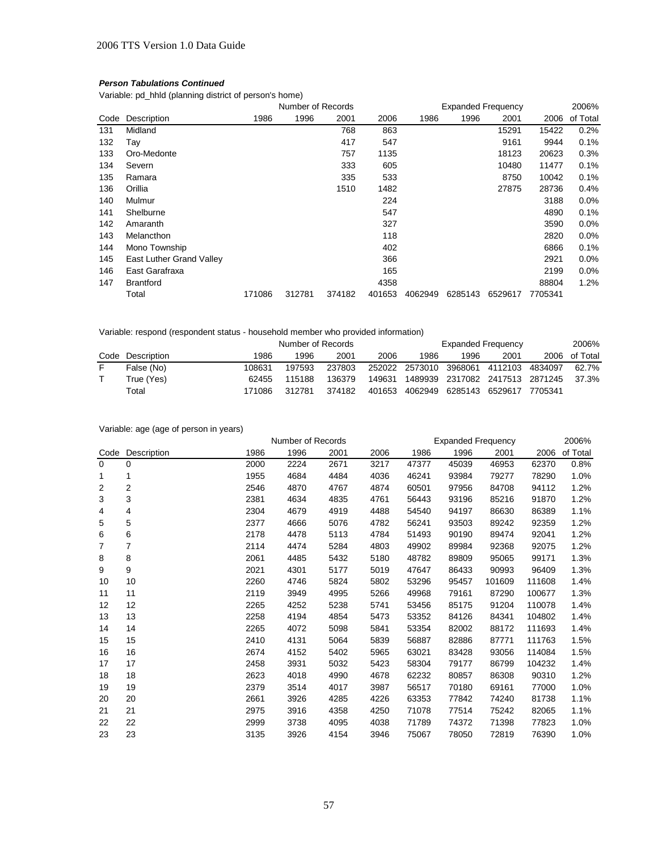Variable: pd\_hhld (planning district of person's home)

|      |                          |        | Number of Records |        |        | <b>Expanded Frequency</b> |         |         |         | 2006%    |
|------|--------------------------|--------|-------------------|--------|--------|---------------------------|---------|---------|---------|----------|
| Code | Description              | 1986   | 1996              | 2001   | 2006   | 1986                      | 1996    | 2001    | 2006    | of Total |
| 131  | Midland                  |        |                   | 768    | 863    |                           |         | 15291   | 15422   | 0.2%     |
| 132  | Тау                      |        |                   | 417    | 547    |                           |         | 9161    | 9944    | 0.1%     |
| 133  | Oro-Medonte              |        |                   | 757    | 1135   |                           |         | 18123   | 20623   | 0.3%     |
| 134  | Severn                   |        |                   | 333    | 605    |                           |         | 10480   | 11477   | 0.1%     |
| 135  | Ramara                   |        |                   | 335    | 533    |                           |         | 8750    | 10042   | 0.1%     |
| 136  | Orillia                  |        |                   | 1510   | 1482   |                           |         | 27875   | 28736   | $0.4\%$  |
| 140  | Mulmur                   |        |                   |        | 224    |                           |         |         | 3188    | $0.0\%$  |
| 141  | Shelburne                |        |                   |        | 547    |                           |         |         | 4890    | 0.1%     |
| 142  | Amaranth                 |        |                   |        | 327    |                           |         |         | 3590    | $0.0\%$  |
| 143  | Melancthon               |        |                   |        | 118    |                           |         |         | 2820    | $0.0\%$  |
| 144  | Mono Township            |        |                   |        | 402    |                           |         |         | 6866    | 0.1%     |
| 145  | East Luther Grand Valley |        |                   |        | 366    |                           |         |         | 2921    | $0.0\%$  |
| 146  | East Garafraxa           |        |                   |        | 165    |                           |         |         | 2199    | 0.0%     |
| 147  | <b>Brantford</b>         |        |                   |        | 4358   |                           |         |         | 88804   | 1.2%     |
|      | Total                    | 171086 | 312781            | 374182 | 401653 | 4062949                   | 6285143 | 6529617 | 7705341 |          |

# Variable: respond (respondent status - household member who provided information)

|                  | Number of Records |        |        |        |                | <b>Expanded Frequency</b> |                         |         |          |  |
|------------------|-------------------|--------|--------|--------|----------------|---------------------------|-------------------------|---------|----------|--|
| Code Description | 1986              | 1996   | 2001   | 2006   | 1986           | 1996                      | 2001                    | 2006    | of Total |  |
| False (No)       | 108631            | 197593 | 237803 |        | 252022 2573010 | 3968061                   | 4112103                 | 4834097 | 62.7%    |  |
| True (Yes)       | 62455             | 115188 | 136379 | 149631 | 1489939        |                           | 2317082 2417513 2871245 |         | 37.3%    |  |
| Total            | 171086            | 312781 | 374182 | 401653 | 4062949        | 6285143 6529617           |                         | 7705341 |          |  |

# Variable: age (age of person in years)

|                |                |      | Number of Records |      |      |       | <b>Expanded Frequency</b> |        |        | 2006%    |
|----------------|----------------|------|-------------------|------|------|-------|---------------------------|--------|--------|----------|
| Code           | Description    | 1986 | 1996              | 2001 | 2006 | 1986  | 1996                      | 2001   | 2006   | of Total |
| $\Omega$       | $\Omega$       | 2000 | 2224              | 2671 | 3217 | 47377 | 45039                     | 46953  | 62370  | 0.8%     |
| 1              | 1              | 1955 | 4684              | 4484 | 4036 | 46241 | 93984                     | 79277  | 78290  | 1.0%     |
| $\overline{2}$ | $\overline{2}$ | 2546 | 4870              | 4767 | 4874 | 60501 | 97956                     | 84708  | 94112  | 1.2%     |
| 3              | 3              | 2381 | 4634              | 4835 | 4761 | 56443 | 93196                     | 85216  | 91870  | 1.2%     |
| 4              | 4              | 2304 | 4679              | 4919 | 4488 | 54540 | 94197                     | 86630  | 86389  | 1.1%     |
| 5              | 5              | 2377 | 4666              | 5076 | 4782 | 56241 | 93503                     | 89242  | 92359  | 1.2%     |
| 6              | 6              | 2178 | 4478              | 5113 | 4784 | 51493 | 90190                     | 89474  | 92041  | 1.2%     |
| 7              | 7              | 2114 | 4474              | 5284 | 4803 | 49902 | 89984                     | 92368  | 92075  | 1.2%     |
| 8              | 8              | 2061 | 4485              | 5432 | 5180 | 48782 | 89809                     | 95065  | 99171  | 1.3%     |
| 9              | 9              | 2021 | 4301              | 5177 | 5019 | 47647 | 86433                     | 90993  | 96409  | 1.3%     |
| 10             | 10             | 2260 | 4746              | 5824 | 5802 | 53296 | 95457                     | 101609 | 111608 | 1.4%     |
| 11             | 11             | 2119 | 3949              | 4995 | 5266 | 49968 | 79161                     | 87290  | 100677 | 1.3%     |
| 12             | 12             | 2265 | 4252              | 5238 | 5741 | 53456 | 85175                     | 91204  | 110078 | 1.4%     |
| 13             | 13             | 2258 | 4194              | 4854 | 5473 | 53352 | 84126                     | 84341  | 104802 | 1.4%     |
| 14             | 14             | 2265 | 4072              | 5098 | 5841 | 53354 | 82002                     | 88172  | 111693 | 1.4%     |
| 15             | 15             | 2410 | 4131              | 5064 | 5839 | 56887 | 82886                     | 87771  | 111763 | 1.5%     |
| 16             | 16             | 2674 | 4152              | 5402 | 5965 | 63021 | 83428                     | 93056  | 114084 | 1.5%     |
| 17             | 17             | 2458 | 3931              | 5032 | 5423 | 58304 | 79177                     | 86799  | 104232 | 1.4%     |
| 18             | 18             | 2623 | 4018              | 4990 | 4678 | 62232 | 80857                     | 86308  | 90310  | 1.2%     |
| 19             | 19             | 2379 | 3514              | 4017 | 3987 | 56517 | 70180                     | 69161  | 77000  | 1.0%     |
| 20             | 20             | 2661 | 3926              | 4285 | 4226 | 63353 | 77842                     | 74240  | 81738  | 1.1%     |
| 21             | 21             | 2975 | 3916              | 4358 | 4250 | 71078 | 77514                     | 75242  | 82065  | 1.1%     |
| 22             | 22             | 2999 | 3738              | 4095 | 4038 | 71789 | 74372                     | 71398  | 77823  | 1.0%     |
| 23             | 23             | 3135 | 3926              | 4154 | 3946 | 75067 | 78050                     | 72819  | 76390  | 1.0%     |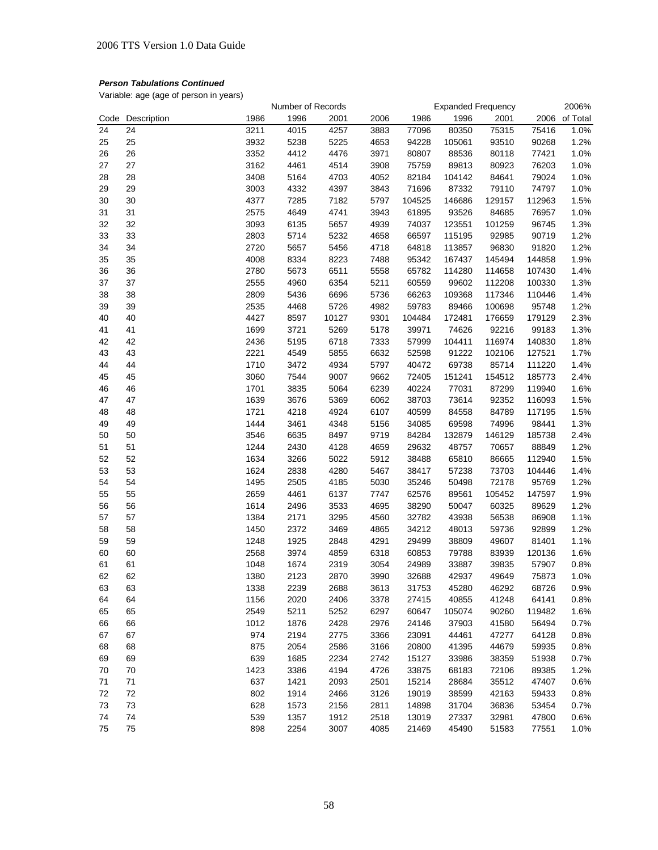Variable: age (age of person in years)

|          |             |      | Number of Records |       |      |                | <b>Expanded Frequency</b> |        |        | 2006%    |
|----------|-------------|------|-------------------|-------|------|----------------|---------------------------|--------|--------|----------|
| Code     | Description | 1986 | 1996              | 2001  | 2006 | 1986           | 1996                      | 2001   | 2006   | of Total |
| 24       | 24          | 3211 | 4015              | 4257  | 3883 | 77096          | 80350                     | 75315  | 75416  | 1.0%     |
| 25       | 25          | 3932 | 5238              | 5225  | 4653 | 94228          | 105061                    | 93510  | 90268  | 1.2%     |
| 26       | 26          | 3352 | 4412              | 4476  | 3971 | 80807          | 88536                     | 80118  | 77421  | 1.0%     |
| 27       | 27          | 3162 | 4461              | 4514  | 3908 | 75759          | 89813                     | 80923  | 76203  | 1.0%     |
| 28       | 28          | 3408 | 5164              | 4703  | 4052 | 82184          | 104142                    | 84641  | 79024  | 1.0%     |
| 29       | 29          | 3003 | 4332              | 4397  | 3843 | 71696          | 87332                     | 79110  | 74797  | 1.0%     |
| 30       | 30          | 4377 | 7285              | 7182  | 5797 | 104525         | 146686                    | 129157 | 112963 | 1.5%     |
| 31       | 31          | 2575 | 4649              | 4741  | 3943 | 61895          | 93526                     | 84685  | 76957  | 1.0%     |
| 32       | 32          | 3093 | 6135              | 5657  | 4939 | 74037          | 123551                    | 101259 | 96745  | 1.3%     |
| 33       | 33          | 2803 | 5714              | 5232  | 4658 | 66597          | 115195                    | 92985  | 90719  | 1.2%     |
| 34       | 34          | 2720 | 5657              | 5456  | 4718 | 64818          | 113857                    | 96830  | 91820  | 1.2%     |
| 35       | 35          | 4008 | 8334              | 8223  | 7488 | 95342          | 167437                    | 145494 | 144858 | 1.9%     |
| 36       | 36          | 2780 | 5673              | 6511  | 5558 | 65782          | 114280                    | 114658 | 107430 | 1.4%     |
| 37       | 37          | 2555 | 4960              | 6354  | 5211 | 60559          | 99602                     | 112208 | 100330 | 1.3%     |
| 38       | 38          | 2809 | 5436              | 6696  | 5736 | 66263          | 109368                    | 117346 | 110446 | 1.4%     |
| 39       | 39          | 2535 | 4468              | 5726  | 4982 | 59783          | 89466                     | 100698 | 95748  | 1.2%     |
| 40       | 40          | 4427 | 8597              | 10127 | 9301 | 104484         | 172481                    | 176659 | 179129 | 2.3%     |
| 41       | 41          | 1699 | 3721              | 5269  | 5178 | 39971          | 74626                     | 92216  | 99183  | 1.3%     |
| 42       | 42          | 2436 | 5195              | 6718  | 7333 | 57999          | 104411                    | 116974 | 140830 | 1.8%     |
| 43       | 43          | 2221 | 4549              | 5855  | 6632 | 52598          | 91222                     | 102106 | 127521 | 1.7%     |
| 44       | 44          | 1710 | 3472              | 4934  | 5797 | 40472          | 69738                     | 85714  | 111220 | 1.4%     |
| 45       | 45          | 3060 | 7544              | 9007  | 9662 | 72405          | 151241                    | 154512 | 185773 | 2.4%     |
| 46       | 46          | 1701 | 3835              | 5064  | 6239 | 40224          | 77031                     | 87299  | 119940 | 1.6%     |
|          |             |      |                   |       |      |                |                           |        |        |          |
| 47<br>48 | 47          | 1639 | 3676              | 5369  | 6062 | 38703<br>40599 | 73614                     | 92352  | 116093 | 1.5%     |
|          | 48          | 1721 | 4218              | 4924  | 6107 |                | 84558                     | 84789  | 117195 | 1.5%     |
| 49       | 49          | 1444 | 3461              | 4348  | 5156 | 34085          | 69598                     | 74996  | 98441  | 1.3%     |
| 50       | 50          | 3546 | 6635              | 8497  | 9719 | 84284          | 132879                    | 146129 | 185738 | 2.4%     |
| 51       | 51          | 1244 | 2430              | 4128  | 4659 | 29632          | 48757                     | 70657  | 88849  | 1.2%     |
| 52       | 52          | 1634 | 3266              | 5022  | 5912 | 38488          | 65810                     | 86665  | 112940 | 1.5%     |
| 53       | 53          | 1624 | 2838              | 4280  | 5467 | 38417          | 57238                     | 73703  | 104446 | 1.4%     |
| 54       | 54          | 1495 | 2505              | 4185  | 5030 | 35246          | 50498                     | 72178  | 95769  | 1.2%     |
| 55       | 55          | 2659 | 4461              | 6137  | 7747 | 62576          | 89561                     | 105452 | 147597 | 1.9%     |
| 56       | 56          | 1614 | 2496              | 3533  | 4695 | 38290          | 50047                     | 60325  | 89629  | 1.2%     |
| 57       | 57          | 1384 | 2171              | 3295  | 4560 | 32782          | 43938                     | 56538  | 86908  | 1.1%     |
| 58       | 58          | 1450 | 2372              | 3469  | 4865 | 34212          | 48013                     | 59736  | 92899  | 1.2%     |
| 59       | 59          | 1248 | 1925              | 2848  | 4291 | 29499          | 38809                     | 49607  | 81401  | 1.1%     |
| 60       | 60          | 2568 | 3974              | 4859  | 6318 | 60853          | 79788                     | 83939  | 120136 | 1.6%     |
| 61       | 61          | 1048 | 1674              | 2319  | 3054 | 24989          | 33887                     | 39835  | 57907  | 0.8%     |
| 62       | 62          | 1380 | 2123              | 2870  | 3990 | 32688          | 42937                     | 49649  | 75873  | 1.0%     |
| 63       | 63          | 1338 | 2239              | 2688  | 3613 | 31753          | 45280                     | 46292  | 68726  | 0.9%     |
| 64       | 64          | 1156 | 2020              | 2406  | 3378 | 27415          | 40855                     | 41248  | 64141  | 0.8%     |
| 65       | 65          | 2549 | 5211              | 5252  | 6297 | 60647          | 105074                    | 90260  | 119482 | 1.6%     |
| 66       | 66          | 1012 | 1876              | 2428  | 2976 | 24146          | 37903                     | 41580  | 56494  | 0.7%     |
| 67       | 67          | 974  | 2194              | 2775  | 3366 | 23091          | 44461                     | 47277  | 64128  | 0.8%     |
| 68       | 68          | 875  | 2054              | 2586  | 3166 | 20800          | 41395                     | 44679  | 59935  | 0.8%     |
| 69       | 69          | 639  | 1685              | 2234  | 2742 | 15127          | 33986                     | 38359  | 51938  | 0.7%     |
| 70       | 70          | 1423 | 3386              | 4194  | 4726 | 33875          | 68183                     | 72106  | 89385  | 1.2%     |
| 71       | 71          | 637  | 1421              | 2093  | 2501 | 15214          | 28684                     | 35512  | 47407  | 0.6%     |
| 72       | 72          | 802  | 1914              | 2466  | 3126 | 19019          | 38599                     | 42163  | 59433  | 0.8%     |
| 73       | 73          | 628  | 1573              | 2156  | 2811 | 14898          | 31704                     | 36836  | 53454  | 0.7%     |
| 74       | 74          | 539  | 1357              | 1912  | 2518 | 13019          | 27337                     | 32981  | 47800  | 0.6%     |
| 75       | 75          | 898  | 2254              | 3007  | 4085 | 21469          | 45490                     | 51583  | 77551  | 1.0%     |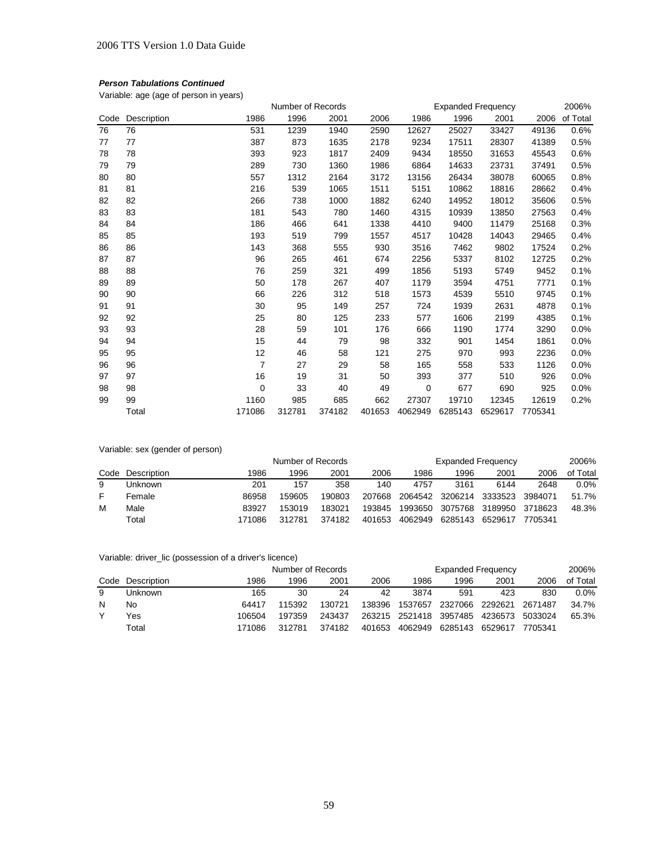Variable: age (age of person in years)

|      |             |                | Number of Records |        |        |         | <b>Expanded Frequency</b> |         |         | 2006%    |
|------|-------------|----------------|-------------------|--------|--------|---------|---------------------------|---------|---------|----------|
| Code | Description | 1986           | 1996              | 2001   | 2006   | 1986    | 1996                      | 2001    | 2006    | of Total |
| 76   | 76          | 531            | 1239              | 1940   | 2590   | 12627   | 25027                     | 33427   | 49136   | 0.6%     |
| 77   | 77          | 387            | 873               | 1635   | 2178   | 9234    | 17511                     | 28307   | 41389   | 0.5%     |
| 78   | 78          | 393            | 923               | 1817   | 2409   | 9434    | 18550                     | 31653   | 45543   | 0.6%     |
| 79   | 79          | 289            | 730               | 1360   | 1986   | 6864    | 14633                     | 23731   | 37491   | 0.5%     |
| 80   | 80          | 557            | 1312              | 2164   | 3172   | 13156   | 26434                     | 38078   | 60065   | 0.8%     |
| 81   | 81          | 216            | 539               | 1065   | 1511   | 5151    | 10862                     | 18816   | 28662   | 0.4%     |
| 82   | 82          | 266            | 738               | 1000   | 1882   | 6240    | 14952                     | 18012   | 35606   | 0.5%     |
| 83   | 83          | 181            | 543               | 780    | 1460   | 4315    | 10939                     | 13850   | 27563   | 0.4%     |
| 84   | 84          | 186            | 466               | 641    | 1338   | 4410    | 9400                      | 11479   | 25168   | 0.3%     |
| 85   | 85          | 193            | 519               | 799    | 1557   | 4517    | 10428                     | 14043   | 29465   | 0.4%     |
| 86   | 86          | 143            | 368               | 555    | 930    | 3516    | 7462                      | 9802    | 17524   | 0.2%     |
| 87   | 87          | 96             | 265               | 461    | 674    | 2256    | 5337                      | 8102    | 12725   | 0.2%     |
| 88   | 88          | 76             | 259               | 321    | 499    | 1856    | 5193                      | 5749    | 9452    | 0.1%     |
| 89   | 89          | 50             | 178               | 267    | 407    | 1179    | 3594                      | 4751    | 7771    | 0.1%     |
| 90   | 90          | 66             | 226               | 312    | 518    | 1573    | 4539                      | 5510    | 9745    | 0.1%     |
| 91   | 91          | 30             | 95                | 149    | 257    | 724     | 1939                      | 2631    | 4878    | 0.1%     |
| 92   | 92          | 25             | 80                | 125    | 233    | 577     | 1606                      | 2199    | 4385    | 0.1%     |
| 93   | 93          | 28             | 59                | 101    | 176    | 666     | 1190                      | 1774    | 3290    | 0.0%     |
| 94   | 94          | 15             | 44                | 79     | 98     | 332     | 901                       | 1454    | 1861    | 0.0%     |
| 95   | 95          | 12             | 46                | 58     | 121    | 275     | 970                       | 993     | 2236    | 0.0%     |
| 96   | 96          | $\overline{7}$ | 27                | 29     | 58     | 165     | 558                       | 533     | 1126    | 0.0%     |
| 97   | 97          | 16             | 19                | 31     | 50     | 393     | 377                       | 510     | 926     | 0.0%     |
| 98   | 98          | 0              | 33                | 40     | 49     | 0       | 677                       | 690     | 925     | 0.0%     |
| 99   | 99          | 1160           | 985               | 685    | 662    | 27307   | 19710                     | 12345   | 12619   | 0.2%     |
|      | Total       | 171086         | 312781            | 374182 | 401653 | 4062949 | 6285143                   | 6529617 | 7705341 |          |

Variable: sex (gender of person)

|    |                  | Number of Records |        |        |        |         | <b>Expanded Frequency</b> |         |         |          |
|----|------------------|-------------------|--------|--------|--------|---------|---------------------------|---------|---------|----------|
|    | Code Description | 1986              | 1996   | 2001   | 2006   | 1986    | 1996                      | 2001    | 2006    | of Total |
| 9  | Unknown          | 201               | 157    | 358    | 140    | 4757    | 3161                      | 6144    | 2648    | $0.0\%$  |
| F. | Female           | 86958             | 159605 | 190803 | 207668 |         | 2064542 3206214           | 3333523 | 3984071 | 51.7%    |
| M  | Male             | 83927             | 153019 | 183021 | 193845 | 1993650 | 3075768                   | 3189950 | 3718623 | 48.3%    |
|    | Total            | 171086            | 312781 | 374182 | 401653 | 4062949 | 6285143                   | 6529617 | 7705341 |          |

| Variable: driver_lic (possession of a driver's licence) |  |  |  |  |  |
|---------------------------------------------------------|--|--|--|--|--|
|---------------------------------------------------------|--|--|--|--|--|

|   |                  | Number of Records |        |        |        |                        | <b>Expanded Frequency</b> |         |         |          |
|---|------------------|-------------------|--------|--------|--------|------------------------|---------------------------|---------|---------|----------|
|   | Code Description | 1986              | 1996   | 2001   | 2006   | 1986                   | 1996                      | 2001    | 2006    | of Total |
| 9 | Unknown          | 165               | 30     | 24     | 42     | 3874                   | 591                       | 423     | 830     | $0.0\%$  |
| N | No               | 64417             | 115392 | 130721 | 138396 | 1537657                | 2327066                   | 2292621 | 2671487 | 34.7%    |
|   | Yes              | 106504            | 197359 | 243437 |        | 263215 2521418 3957485 |                           | 4236573 | 5033024 | 65.3%    |
|   | Total            | 171086            | 312781 | 374182 | 401653 | 4062949                | 6285143 6529617           |         | 7705341 |          |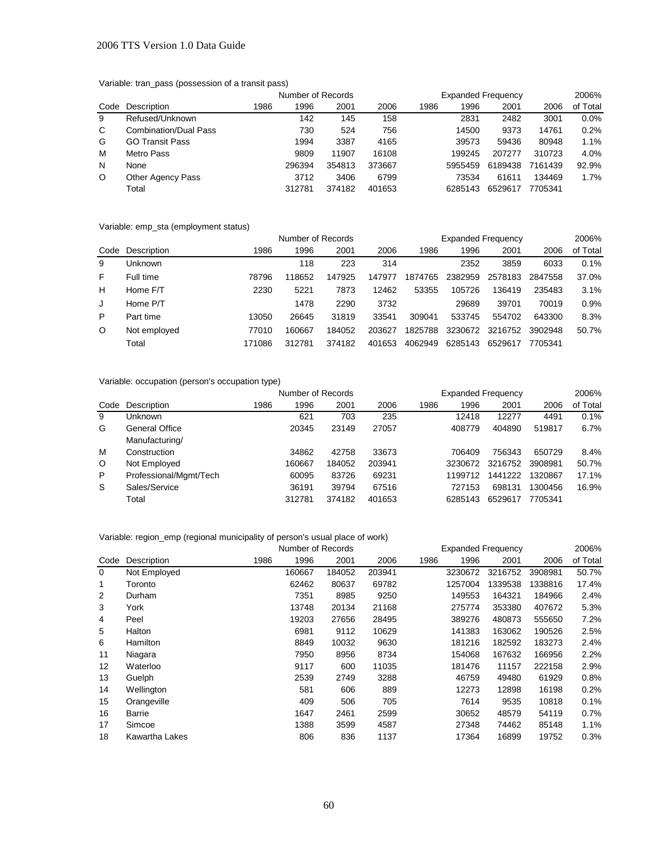#### 2006 TTS Version 1.0 Data Guide

# Variable: tran\_pass (possession of a transit pass)

|         |                              |      | Number of Records |        |        | <b>Expanded Frequency</b> |         | 2006%   |         |          |
|---------|------------------------------|------|-------------------|--------|--------|---------------------------|---------|---------|---------|----------|
| Code    | Description                  | 1986 | 1996              | 2001   | 2006   | 1986                      | 1996    | 2001    | 2006    | of Total |
| 9       | Refused/Unknown              |      | 142               | 145    | 158    |                           | 2831    | 2482    | 3001    | 0.0%     |
| C       | <b>Combination/Dual Pass</b> |      | 730               | 524    | 756    |                           | 14500   | 9373    | 14761   | 0.2%     |
| G       | <b>GO Transit Pass</b>       |      | 1994              | 3387   | 4165   |                           | 39573   | 59436   | 80948   | 1.1%     |
| M       | Metro Pass                   |      | 9809              | 11907  | 16108  |                           | 199245  | 207277  | 310723  | 4.0%     |
| N       | None                         |      | 296394            | 354813 | 373667 |                           | 5955459 | 6189438 | 7161439 | 92.9%    |
| $\circ$ | <b>Other Agency Pass</b>     |      | 3712              | 3406   | 6799   |                           | 73534   | 61611   | 134469  | 1.7%     |
|         | Total                        |      | 312781            | 374182 | 401653 |                           | 6285143 | 6529617 | 7705341 |          |

Variable: emp\_sta (employment status)

|         | variable. Chip_sta (Chiployment Status) |        |                   |        |        |         |                           |         |         |          |
|---------|-----------------------------------------|--------|-------------------|--------|--------|---------|---------------------------|---------|---------|----------|
|         |                                         |        | Number of Records |        |        |         | <b>Expanded Frequency</b> |         |         | 2006%    |
|         | Code Description                        | 1986   | 1996              | 2001   | 2006   | 1986    | 1996                      | 2001    | 2006    | of Total |
| 9       | Unknown                                 |        | 118               | 223    | 314    |         | 2352                      | 3859    | 6033    | 0.1%     |
| F       | Full time                               | 78796  | 118652            | 147925 | 147977 | 1874765 | 2382959                   | 2578183 | 2847558 | 37.0%    |
| н       | Home F/T                                | 2230   | 5221              | 7873   | 12462  | 53355   | 105726                    | 136419  | 235483  | 3.1%     |
| J       | Home P/T                                |        | 1478              | 2290   | 3732   |         | 29689                     | 39701   | 70019   | 0.9%     |
| P       | Part time                               | 13050  | 26645             | 31819  | 33541  | 309041  | 533745                    | 554702  | 643300  | 8.3%     |
| $\circ$ | Not employed                            | 77010  | 160667            | 184052 | 203627 | 1825788 | 3230672                   | 3216752 | 3902948 | 50.7%    |
|         | Total                                   | 171086 | 312781            | 374182 | 401653 | 4062949 | 6285143                   | 6529617 | 7705341 |          |
|         |                                         |        |                   |        |        |         |                           |         |         |          |

# Variable: occupation (person's occupation type)

|      |                        |      | Number of Records |        |        | <b>Expanded Frequency</b> | 2006%   |         |         |          |
|------|------------------------|------|-------------------|--------|--------|---------------------------|---------|---------|---------|----------|
| Code | Description            | 1986 | 1996              | 2001   | 2006   | 1986                      | 1996    | 2001    | 2006    | of Total |
| 9    | Unknown                |      | 621               | 703    | 235    |                           | 12418   | 12277   | 4491    | 0.1%     |
| G    | General Office         |      | 20345             | 23149  | 27057  |                           | 408779  | 404890  | 519817  | 6.7%     |
|      | Manufacturing/         |      |                   |        |        |                           |         |         |         |          |
| м    | Construction           |      | 34862             | 42758  | 33673  |                           | 706409  | 756343  | 650729  | 8.4%     |
| O    | Not Employed           |      | 160667            | 184052 | 203941 |                           | 3230672 | 3216752 | 3908981 | 50.7%    |
| P    | Professional/Mgmt/Tech |      | 60095             | 83726  | 69231  |                           | 1199712 | 1441222 | 1320867 | 17.1%    |
| S    | Sales/Service          |      | 36191             | 39794  | 67516  |                           | 727153  | 698131  | 1300456 | 16.9%    |
|      | Total                  |      | 312781            | 374182 | 401653 |                           | 6285143 | 6529617 | 7705341 |          |

# Variable: region\_emp (regional municipality of person's usual place of work)

|      |                | Number of Records |        |        |        | <b>Expanded Frequency</b> |         | 2006%   |         |          |
|------|----------------|-------------------|--------|--------|--------|---------------------------|---------|---------|---------|----------|
| Code | Description    | 1986              | 1996   | 2001   | 2006   | 1986                      | 1996    | 2001    | 2006    | of Total |
| 0    | Not Employed   |                   | 160667 | 184052 | 203941 |                           | 3230672 | 3216752 | 3908981 | 50.7%    |
|      | Toronto        |                   | 62462  | 80637  | 69782  |                           | 1257004 | 1339538 | 1338816 | 17.4%    |
| 2    | Durham         |                   | 7351   | 8985   | 9250   |                           | 149553  | 164321  | 184966  | 2.4%     |
| 3    | York           |                   | 13748  | 20134  | 21168  |                           | 275774  | 353380  | 407672  | 5.3%     |
| 4    | Peel           |                   | 19203  | 27656  | 28495  |                           | 389276  | 480873  | 555650  | 7.2%     |
| 5    | Halton         |                   | 6981   | 9112   | 10629  |                           | 141383  | 163062  | 190526  | 2.5%     |
| 6    | Hamilton       |                   | 8849   | 10032  | 9630   |                           | 181216  | 182592  | 183273  | 2.4%     |
| 11   | Niagara        |                   | 7950   | 8956   | 8734   |                           | 154068  | 167632  | 166956  | 2.2%     |
| 12   | Waterloo       |                   | 9117   | 600    | 11035  |                           | 181476  | 11157   | 222158  | 2.9%     |
| 13   | Guelph         |                   | 2539   | 2749   | 3288   |                           | 46759   | 49480   | 61929   | 0.8%     |
| 14   | Wellington     |                   | 581    | 606    | 889    |                           | 12273   | 12898   | 16198   | 0.2%     |
| 15   | Orangeville    |                   | 409    | 506    | 705    |                           | 7614    | 9535    | 10818   | 0.1%     |
| 16   | Barrie         |                   | 1647   | 2461   | 2599   |                           | 30652   | 48579   | 54119   | 0.7%     |
| 17   | Simcoe         |                   | 1388   | 3599   | 4587   |                           | 27348   | 74462   | 85148   | 1.1%     |
| 18   | Kawartha Lakes |                   | 806    | 836    | 1137   |                           | 17364   | 16899   | 19752   | 0.3%     |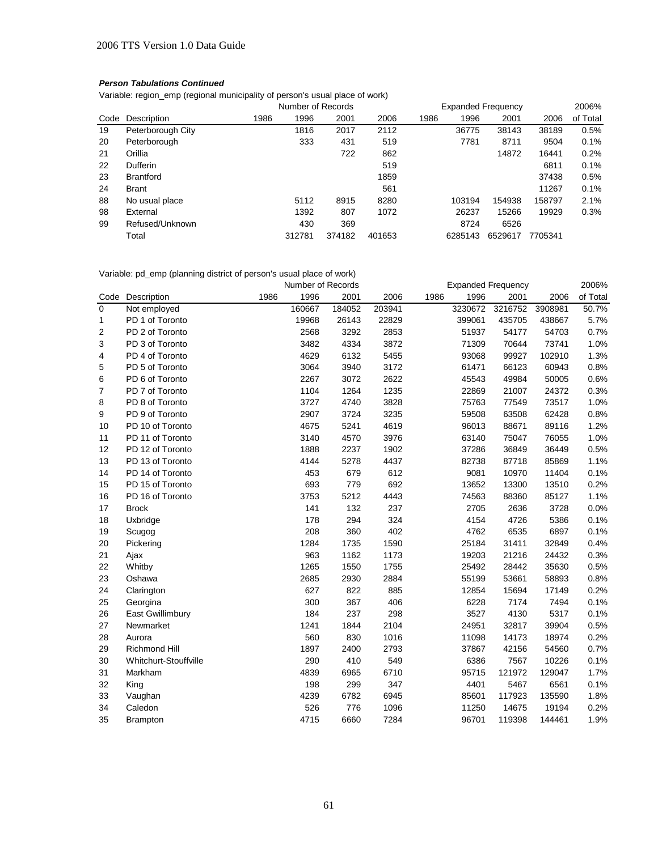Variable: region\_emp (regional municipality of person's usual place of work)

|      |                   | Number of Records |        |        |        | <b>Expanded Frequency</b> |         |         |         | 2006%    |
|------|-------------------|-------------------|--------|--------|--------|---------------------------|---------|---------|---------|----------|
| Code | Description       | 1986              | 1996   | 2001   | 2006   | 1986                      | 1996    | 2001    | 2006    | of Total |
| 19   | Peterborough City |                   | 1816   | 2017   | 2112   |                           | 36775   | 38143   | 38189   | 0.5%     |
| 20   | Peterborough      |                   | 333    | 431    | 519    |                           | 7781    | 8711    | 9504    | 0.1%     |
| 21   | Orillia           |                   |        | 722    | 862    |                           |         | 14872   | 16441   | 0.2%     |
| 22   | <b>Dufferin</b>   |                   |        |        | 519    |                           |         |         | 6811    | 0.1%     |
| 23   | <b>Brantford</b>  |                   |        |        | 1859   |                           |         |         | 37438   | 0.5%     |
| 24   | <b>Brant</b>      |                   |        |        | 561    |                           |         |         | 11267   | 0.1%     |
| 88   | No usual place    |                   | 5112   | 8915   | 8280   |                           | 103194  | 154938  | 158797  | 2.1%     |
| 98   | External          |                   | 1392   | 807    | 1072   |                           | 26237   | 15266   | 19929   | 0.3%     |
| 99   | Refused/Unknown   |                   | 430    | 369    |        |                           | 8724    | 6526    |         |          |
|      | Total             |                   | 312781 | 374182 | 401653 |                           | 6285143 | 6529617 | 7705341 |          |

Variable: pd\_emp (planning district of person's usual place of work)

|             |                       |      | Number of Records |        |        | <b>Expanded Frequency</b> |         |         |         | 2006%    |
|-------------|-----------------------|------|-------------------|--------|--------|---------------------------|---------|---------|---------|----------|
| Code        | Description           | 1986 | 1996              | 2001   | 2006   | 1986                      | 1996    | 2001    | 2006    | of Total |
| $\mathbf 0$ | Not employed          |      | 160667            | 184052 | 203941 |                           | 3230672 | 3216752 | 3908981 | 50.7%    |
| 1           | PD 1 of Toronto       |      | 19968             | 26143  | 22829  |                           | 399061  | 435705  | 438667  | 5.7%     |
| 2           | PD 2 of Toronto       |      | 2568              | 3292   | 2853   |                           | 51937   | 54177   | 54703   | 0.7%     |
| 3           | PD 3 of Toronto       |      | 3482              | 4334   | 3872   |                           | 71309   | 70644   | 73741   | 1.0%     |
| 4           | PD 4 of Toronto       |      | 4629              | 6132   | 5455   |                           | 93068   | 99927   | 102910  | 1.3%     |
| 5           | PD 5 of Toronto       |      | 3064              | 3940   | 3172   |                           | 61471   | 66123   | 60943   | 0.8%     |
| 6           | PD 6 of Toronto       |      | 2267              | 3072   | 2622   |                           | 45543   | 49984   | 50005   | 0.6%     |
| 7           | PD 7 of Toronto       |      | 1104              | 1264   | 1235   |                           | 22869   | 21007   | 24372   | 0.3%     |
| 8           | PD 8 of Toronto       |      | 3727              | 4740   | 3828   |                           | 75763   | 77549   | 73517   | 1.0%     |
| 9           | PD 9 of Toronto       |      | 2907              | 3724   | 3235   |                           | 59508   | 63508   | 62428   | 0.8%     |
| 10          | PD 10 of Toronto      |      | 4675              | 5241   | 4619   |                           | 96013   | 88671   | 89116   | 1.2%     |
| 11          | PD 11 of Toronto      |      | 3140              | 4570   | 3976   |                           | 63140   | 75047   | 76055   | 1.0%     |
| 12          | PD 12 of Toronto      |      | 1888              | 2237   | 1902   |                           | 37286   | 36849   | 36449   | 0.5%     |
| 13          | PD 13 of Toronto      |      | 4144              | 5278   | 4437   |                           | 82738   | 87718   | 85869   | 1.1%     |
| 14          | PD 14 of Toronto      |      | 453               | 679    | 612    |                           | 9081    | 10970   | 11404   | 0.1%     |
| 15          | PD 15 of Toronto      |      | 693               | 779    | 692    |                           | 13652   | 13300   | 13510   | 0.2%     |
| 16          | PD 16 of Toronto      |      | 3753              | 5212   | 4443   |                           | 74563   | 88360   | 85127   | 1.1%     |
| 17          | <b>Brock</b>          |      | 141               | 132    | 237    |                           | 2705    | 2636    | 3728    | 0.0%     |
| 18          | Uxbridge              |      | 178               | 294    | 324    |                           | 4154    | 4726    | 5386    | 0.1%     |
| 19          | Scugog                |      | 208               | 360    | 402    |                           | 4762    | 6535    | 6897    | 0.1%     |
| 20          | Pickering             |      | 1284              | 1735   | 1590   |                           | 25184   | 31411   | 32849   | 0.4%     |
| 21          | Ajax                  |      | 963               | 1162   | 1173   |                           | 19203   | 21216   | 24432   | 0.3%     |
| 22          | Whitby                |      | 1265              | 1550   | 1755   |                           | 25492   | 28442   | 35630   | 0.5%     |
| 23          | Oshawa                |      | 2685              | 2930   | 2884   |                           | 55199   | 53661   | 58893   | 0.8%     |
| 24          | Clarington            |      | 627               | 822    | 885    |                           | 12854   | 15694   | 17149   | 0.2%     |
| 25          | Georgina              |      | 300               | 367    | 406    |                           | 6228    | 7174    | 7494    | 0.1%     |
| 26          | East Gwillimbury      |      | 184               | 237    | 298    |                           | 3527    | 4130    | 5317    | 0.1%     |
| 27          | Newmarket             |      | 1241              | 1844   | 2104   |                           | 24951   | 32817   | 39904   | 0.5%     |
| 28          | Aurora                |      | 560               | 830    | 1016   |                           | 11098   | 14173   | 18974   | 0.2%     |
| 29          | Richmond Hill         |      | 1897              | 2400   | 2793   |                           | 37867   | 42156   | 54560   | 0.7%     |
| 30          | Whitchurt-Stouffville |      | 290               | 410    | 549    |                           | 6386    | 7567    | 10226   | 0.1%     |
| 31          | Markham               |      | 4839              | 6965   | 6710   |                           | 95715   | 121972  | 129047  | 1.7%     |
| 32          | King                  |      | 198               | 299    | 347    |                           | 4401    | 5467    | 6561    | 0.1%     |
| 33          | Vaughan               |      | 4239              | 6782   | 6945   |                           | 85601   | 117923  | 135590  | 1.8%     |
| 34          | Caledon               |      | 526               | 776    | 1096   |                           | 11250   | 14675   | 19194   | 0.2%     |
| 35          | <b>Brampton</b>       |      | 4715              | 6660   | 7284   |                           | 96701   | 119398  | 144461  | 1.9%     |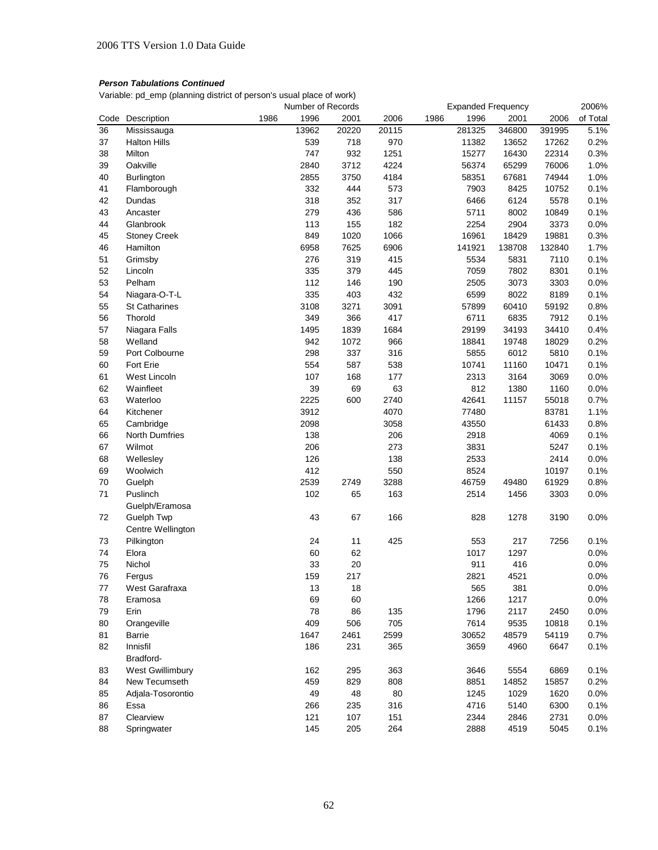Variable: pd\_emp (planning district of person's usual place of work)

|      |                      |      | Number of Records |       |       |              | <b>Expanded Frequency</b> |        | 2006%    |
|------|----------------------|------|-------------------|-------|-------|--------------|---------------------------|--------|----------|
| Code | Description          | 1986 | 1996              | 2001  | 2006  | 1986<br>1996 | 2001                      | 2006   | of Total |
| 36   | Mississauga          |      | 13962             | 20220 | 20115 | 281325       | 346800                    | 391995 | 5.1%     |
| 37   | <b>Halton Hills</b>  |      | 539               | 718   | 970   | 11382        | 13652                     | 17262  | 0.2%     |
| 38   | Milton               |      | 747               | 932   | 1251  | 15277        | 16430                     | 22314  | 0.3%     |
| 39   | Oakville             |      | 2840              | 3712  | 4224  | 56374        | 65299                     | 76006  | 1.0%     |
| 40   | Burlington           |      | 2855              | 3750  | 4184  | 58351        | 67681                     | 74944  | 1.0%     |
| 41   | Flamborough          |      | 332               | 444   | 573   | 7903         | 8425                      | 10752  | 0.1%     |
| 42   | Dundas               |      | 318               | 352   | 317   | 6466         | 6124                      | 5578   | 0.1%     |
| 43   | Ancaster             |      | 279               | 436   | 586   | 5711         | 8002                      | 10849  | 0.1%     |
| 44   | Glanbrook            |      | 113               | 155   | 182   | 2254         | 2904                      | 3373   | 0.0%     |
| 45   | <b>Stoney Creek</b>  |      | 849               | 1020  | 1066  | 16961        | 18429                     | 19881  | 0.3%     |
| 46   | Hamilton             |      | 6958              | 7625  | 6906  | 141921       | 138708                    | 132840 | 1.7%     |
| 51   | Grimsby              |      | 276               | 319   | 415   | 5534         | 5831                      | 7110   | 0.1%     |
| 52   | Lincoln              |      | 335               | 379   | 445   | 7059         | 7802                      | 8301   | 0.1%     |
| 53   | Pelham               |      | 112               | 146   | 190   | 2505         | 3073                      | 3303   | 0.0%     |
| 54   | Niagara-O-T-L        |      | 335               | 403   | 432   | 6599         | 8022                      | 8189   | 0.1%     |
| 55   | <b>St Catharines</b> |      | 3108              | 3271  | 3091  | 57899        | 60410                     | 59192  | 0.8%     |
| 56   | Thorold              |      | 349               | 366   | 417   | 6711         | 6835                      | 7912   | 0.1%     |
| 57   | Niagara Falls        |      | 1495              | 1839  | 1684  | 29199        | 34193                     | 34410  | 0.4%     |
| 58   | Welland              |      | 942               | 1072  | 966   | 18841        | 19748                     | 18029  | 0.2%     |
| 59   | Port Colbourne       |      | 298               | 337   | 316   | 5855         | 6012                      | 5810   | 0.1%     |
| 60   | Fort Erie            |      | 554               | 587   | 538   | 10741        | 11160                     | 10471  | 0.1%     |
| 61   | West Lincoln         |      | 107               | 168   | 177   | 2313         | 3164                      | 3069   | 0.0%     |
| 62   | Wainfleet            |      | 39                | 69    | 63    | 812          | 1380                      | 1160   | 0.0%     |
| 63   | Waterloo             |      | 2225              | 600   | 2740  | 42641        | 11157                     | 55018  | 0.7%     |
| 64   | Kitchener            |      | 3912              |       | 4070  | 77480        |                           | 83781  | 1.1%     |
| 65   | Cambridge            |      | 2098              |       | 3058  | 43550        |                           | 61433  | 0.8%     |
| 66   | North Dumfries       |      | 138               |       | 206   | 2918         |                           | 4069   | 0.1%     |
| 67   | Wilmot               |      | 206               |       | 273   | 3831         |                           | 5247   | 0.1%     |
| 68   | Wellesley            |      | 126               |       | 138   | 2533         |                           | 2414   | 0.0%     |
| 69   | Woolwich             |      | 412               |       | 550   | 8524         |                           | 10197  | 0.1%     |
| 70   | Guelph               |      | 2539              | 2749  | 3288  | 46759        | 49480                     | 61929  | 0.8%     |
| 71   | Puslinch             |      | 102               | 65    | 163   | 2514         | 1456                      | 3303   | 0.0%     |
|      | Guelph/Eramosa       |      |                   |       |       |              |                           |        |          |
| 72   | Guelph Twp           |      | 43                | 67    | 166   | 828          | 1278                      | 3190   | 0.0%     |
|      | Centre Wellington    |      |                   |       |       |              |                           |        |          |
| 73   | Pilkington           |      | 24                | 11    | 425   | 553          | 217                       | 7256   | 0.1%     |
| 74   | Elora                |      | 60                | 62    |       | 1017         | 1297                      |        | 0.0%     |
| 75   | Nichol               |      | 33                | 20    |       | 911          | 416                       |        | 0.0%     |
| 76   | Fergus               |      | 159               | 217   |       | 2821         | 4521                      |        | 0.0%     |
| 77   | West Garafraxa       |      | 13                | 18    |       | 565          | 381                       |        | 0.0%     |
| 78   | Eramosa              |      | 69                | 60    |       | 1266         | 1217                      |        | 0.0%     |
| 79   | Erin                 |      | 78                | 86    | 135   | 1796         | 2117                      | 2450   | 0.0%     |
| 80   | Orangeville          |      | 409               | 506   | 705   | 7614         | 9535                      | 10818  | 0.1%     |
| 81   | <b>Barrie</b>        |      | 1647              | 2461  | 2599  | 30652        | 48579                     | 54119  | 0.7%     |
| 82   | Innisfil             |      | 186               | 231   | 365   | 3659         | 4960                      | 6647   | 0.1%     |
|      | Bradford-            |      |                   |       |       |              |                           |        |          |
| 83   | West Gwillimbury     |      | 162               | 295   | 363   | 3646         | 5554                      | 6869   | 0.1%     |
| 84   | New Tecumseth        |      | 459               | 829   | 808   | 8851         | 14852                     | 15857  | 0.2%     |
| 85   | Adjala-Tosorontio    |      | 49                | 48    | 80    | 1245         | 1029                      | 1620   | 0.0%     |
| 86   | Essa                 |      | 266               | 235   | 316   | 4716         | 5140                      | 6300   | 0.1%     |
| 87   | Clearview            |      | 121               | 107   | 151   | 2344         | 2846                      | 2731   | 0.0%     |
| 88   | Springwater          |      | 145               | 205   | 264   | 2888         | 4519                      | 5045   | 0.1%     |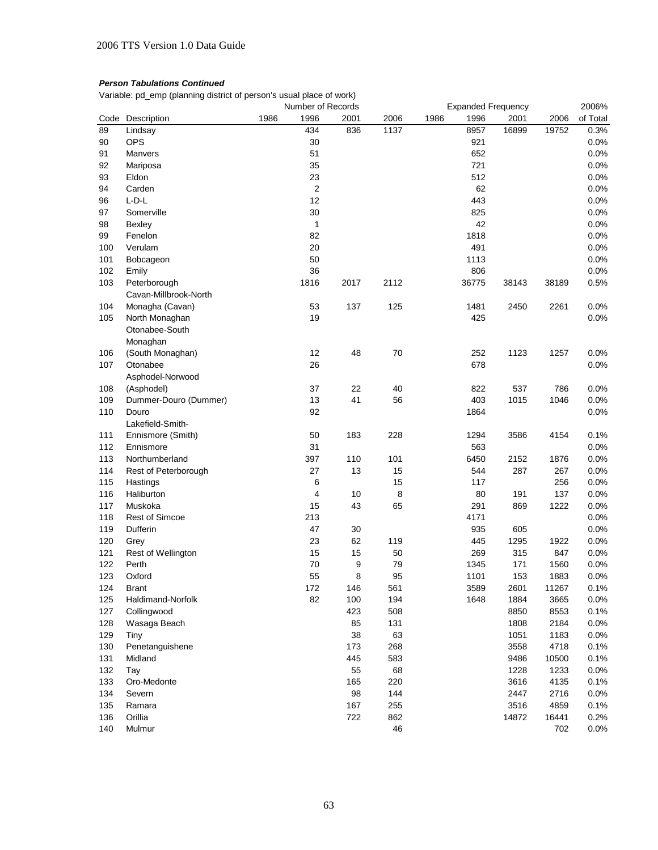Variable: pd\_emp (planning district of person's usual place of work)

|     |                           |      | Number of Records |      |      |      |       | <b>Expanded Frequency</b> |       | 2006%    |
|-----|---------------------------|------|-------------------|------|------|------|-------|---------------------------|-------|----------|
|     | Code Description          | 1986 | 1996              | 2001 | 2006 | 1986 | 1996  | 2001                      | 2006  | of Total |
| 89  | Lindsay                   |      | 434               | 836  | 1137 |      | 8957  | 16899                     | 19752 | 0.3%     |
| 90  | <b>OPS</b>                |      | 30                |      |      |      | 921   |                           |       | 0.0%     |
| 91  | Manvers                   |      | 51                |      |      |      | 652   |                           |       | 0.0%     |
| 92  | Mariposa                  |      | 35                |      |      |      | 721   |                           |       | 0.0%     |
| 93  | Eldon                     |      | 23                |      |      |      | 512   |                           |       | 0.0%     |
| 94  | Carden                    |      | $\overline{2}$    |      |      |      | 62    |                           |       | 0.0%     |
| 96  | $L-D-L$                   |      | 12                |      |      |      | 443   |                           |       | 0.0%     |
| 97  | Somerville                |      | 30                |      |      |      | 825   |                           |       | 0.0%     |
| 98  | Bexley                    |      | $\mathbf{1}$      |      |      |      | 42    |                           |       | 0.0%     |
| 99  | Fenelon                   |      | 82                |      |      |      | 1818  |                           |       | 0.0%     |
| 100 | Verulam                   |      | 20                |      |      |      | 491   |                           |       | 0.0%     |
| 101 | Bobcageon                 |      | 50                |      |      |      | 1113  |                           |       | 0.0%     |
| 102 | Emily                     |      | 36                |      |      |      | 806   |                           |       | 0.0%     |
| 103 | Peterborough              |      | 1816              | 2017 | 2112 |      | 36775 | 38143                     | 38189 | 0.5%     |
|     | Cavan-Millbrook-North     |      |                   |      |      |      |       |                           |       |          |
| 104 |                           |      | 53                | 137  | 125  |      | 1481  | 2450                      | 2261  | 0.0%     |
|     | Monagha (Cavan)           |      | 19                |      |      |      | 425   |                           |       |          |
| 105 | North Monaghan            |      |                   |      |      |      |       |                           |       | 0.0%     |
|     | Otonabee-South            |      |                   |      |      |      |       |                           |       |          |
|     | Monaghan                  |      |                   |      |      |      |       |                           |       |          |
| 106 | (South Monaghan)          |      | 12                | 48   | 70   |      | 252   | 1123                      | 1257  | 0.0%     |
| 107 | Otonabee                  |      | 26                |      |      |      | 678   |                           |       | 0.0%     |
|     | Asphodel-Norwood          |      |                   |      |      |      |       |                           |       |          |
| 108 | (Asphodel)                |      | 37                | 22   | 40   |      | 822   | 537                       | 786   | 0.0%     |
| 109 | Dummer-Douro (Dummer)     |      | 13                | 41   | 56   |      | 403   | 1015                      | 1046  | 0.0%     |
| 110 | Douro                     |      | 92                |      |      |      | 1864  |                           |       | 0.0%     |
|     | Lakefield-Smith-          |      |                   |      |      |      |       |                           |       |          |
| 111 | Ennismore (Smith)         |      | 50                | 183  | 228  |      | 1294  | 3586                      | 4154  | 0.1%     |
| 112 | Ennismore                 |      | 31                |      |      |      | 563   |                           |       | 0.0%     |
| 113 | Northumberland            |      | 397               | 110  | 101  |      | 6450  | 2152                      | 1876  | 0.0%     |
| 114 | Rest of Peterborough      |      | 27                | 13   | 15   |      | 544   | 287                       | 267   | 0.0%     |
| 115 | Hastings                  |      | 6                 |      | 15   |      | 117   |                           | 256   | 0.0%     |
| 116 | Haliburton                |      | 4                 | 10   | 8    |      | 80    | 191                       | 137   | 0.0%     |
| 117 | Muskoka                   |      | 15                | 43   | 65   |      | 291   | 869                       | 1222  | 0.0%     |
| 118 | <b>Rest of Simcoe</b>     |      | 213               |      |      |      | 4171  |                           |       | 0.0%     |
| 119 | Dufferin                  |      | 47                | 30   |      |      | 935   | 605                       |       | 0.0%     |
| 120 | Grey                      |      | 23                | 62   | 119  |      | 445   | 1295                      | 1922  | 0.0%     |
| 121 | <b>Rest of Wellington</b> |      | 15                | 15   | 50   |      | 269   | 315                       | 847   | 0.0%     |
| 122 | Perth                     |      | 70                | 9    | 79   |      | 1345  | 171                       | 1560  | 0.0%     |
| 123 | Oxford                    |      | 55                | 8    | 95   |      | 1101  | 153                       | 1883  | 0.0%     |
| 124 | <b>Brant</b>              |      | 172               | 146  | 561  |      | 3589  | 2601                      | 11267 | 0.1%     |
| 125 | Haldimand-Norfolk         |      | 82                | 100  | 194  |      | 1648  | 1884                      | 3665  | 0.0%     |
| 127 | Collingwood               |      |                   | 423  | 508  |      |       | 8850                      | 8553  | 0.1%     |
| 128 | Wasaga Beach              |      |                   | 85   | 131  |      |       | 1808                      | 2184  | 0.0%     |
| 129 | Tiny                      |      |                   | 38   | 63   |      |       | 1051                      | 1183  | 0.0%     |
| 130 | Penetanguishene           |      |                   | 173  | 268  |      |       | 3558                      | 4718  | 0.1%     |
| 131 | Midland                   |      |                   | 445  | 583  |      |       | 9486                      | 10500 | 0.1%     |
| 132 | Tay                       |      |                   | 55   | 68   |      |       | 1228                      | 1233  | 0.0%     |
| 133 | Oro-Medonte               |      |                   | 165  | 220  |      |       | 3616                      | 4135  | 0.1%     |
| 134 | Severn                    |      |                   | 98   | 144  |      |       | 2447                      | 2716  | 0.0%     |
| 135 | Ramara                    |      |                   | 167  | 255  |      |       | 3516                      | 4859  | 0.1%     |
|     |                           |      |                   |      |      |      |       |                           |       |          |
| 136 | Orillia                   |      |                   | 722  | 862  |      |       | 14872                     | 16441 | 0.2%     |
| 140 | Mulmur                    |      |                   |      | 46   |      |       |                           | 702   | 0.0%     |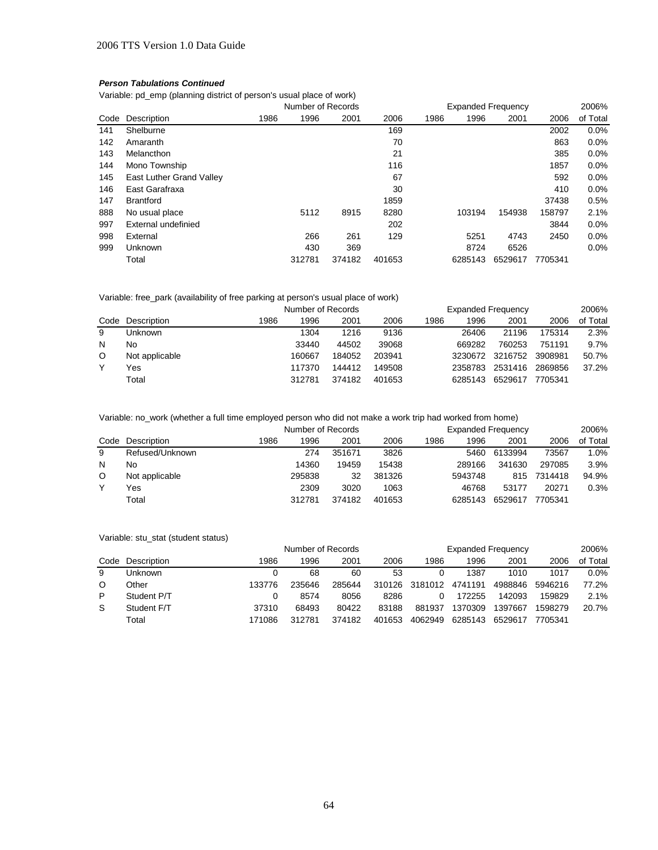Variable: pd\_emp (planning district of person's usual place of work)

|      |                          | Number of Records |        |        | <b>Expanded Frequency</b> | 2006% |         |         |         |          |
|------|--------------------------|-------------------|--------|--------|---------------------------|-------|---------|---------|---------|----------|
| Code | Description              | 1986              | 1996   | 2001   | 2006                      | 1986  | 1996    | 2001    | 2006    | of Total |
| 141  | Shelburne                |                   |        |        | 169                       |       |         |         | 2002    | 0.0%     |
| 142  | Amaranth                 |                   |        |        | 70                        |       |         |         | 863     | 0.0%     |
| 143  | Melancthon               |                   |        |        | 21                        |       |         |         | 385     | 0.0%     |
| 144  | Mono Township            |                   |        |        | 116                       |       |         |         | 1857    | 0.0%     |
| 145  | East Luther Grand Valley |                   |        |        | 67                        |       |         |         | 592     | 0.0%     |
| 146  | East Garafraxa           |                   |        |        | 30                        |       |         |         | 410     | 0.0%     |
| 147  | <b>Brantford</b>         |                   |        |        | 1859                      |       |         |         | 37438   | 0.5%     |
| 888  | No usual place           |                   | 5112   | 8915   | 8280                      |       | 103194  | 154938  | 158797  | 2.1%     |
| 997  | External undefinied      |                   |        |        | 202                       |       |         |         | 3844    | 0.0%     |
| 998  | External                 |                   | 266    | 261    | 129                       |       | 5251    | 4743    | 2450    | 0.0%     |
| 999  | <b>Unknown</b>           |                   | 430    | 369    |                           |       | 8724    | 6526    |         | 0.0%     |
|      | Total                    |                   | 312781 | 374182 | 401653                    |       | 6285143 | 6529617 | 7705341 |          |

#### Variable: free\_park (availability of free parking at person's usual place of work)

|   |                  |      | Number of Records |        |        |      | <b>Expanded Frequency</b> |         |         |          |  |
|---|------------------|------|-------------------|--------|--------|------|---------------------------|---------|---------|----------|--|
|   | Code Description | 1986 | 1996              | 2001   | 2006   | 1986 | 1996                      | 2001    | 2006    | of Total |  |
| 9 | Unknown          |      | 1304              | 1216   | 9136   |      | 26406                     | 21196   | 175314  | 2.3%     |  |
| N | No               |      | 33440             | 44502  | 39068  |      | 669282                    | 760253  | 751191  | 9.7%     |  |
| O | Not applicable   |      | 160667            | 184052 | 203941 |      | 3230672                   | 3216752 | 3908981 | 50.7%    |  |
|   | Yes              |      | 117370            | 144412 | 149508 |      | 2358783                   | 2531416 | 2869856 | 37.2%    |  |
|   | Total            |      | 312781            | 374182 | 401653 |      | 6285143                   | 6529617 | 7705341 |          |  |

# Variable: no\_work (whether a full time employed person who did not make a work trip had worked from home)

|   |                  |      | Number of Records |        |        |      | <b>Expanded Frequency</b> |         |             |          |  |
|---|------------------|------|-------------------|--------|--------|------|---------------------------|---------|-------------|----------|--|
|   | Code Description | 1986 | 1996              | 2001   | 2006   | 1986 | 1996                      | 2001    | 2006        | of Total |  |
| 9 | Refused/Unknown  |      | 274               | 351671 | 3826   |      | 5460                      | 6133994 | 73567       | 1.0%     |  |
| N | No               |      | 14360             | 19459  | 15438  |      | 289166                    | 341630  | 297085      | 3.9%     |  |
| O | Not applicable   |      | 295838            | 32     | 381326 |      | 5943748                   |         | 815 7314418 | 94.9%    |  |
|   | Yes              |      | 2309              | 3020   | 1063   |      | 46768                     | 53177   | 20271       | 0.3%     |  |
|   | Total            |      | 312781            | 374182 | 401653 |      | 6285143                   | 6529617 | 7705341     |          |  |

#### Variable: stu\_stat (student status)

|   |                  |        | Number of Records |        |        |         | <b>Expanded Frequency</b> |         |         |          |  |
|---|------------------|--------|-------------------|--------|--------|---------|---------------------------|---------|---------|----------|--|
|   | Code Description | 1986   | 1996              | 2001   | 2006   | 1986    | 1996                      | 2001    | 2006    | of Total |  |
| 9 | Unknown          |        | 68                | 60     | 53     |         | 1387                      | 1010    | 1017    | 0.0%     |  |
| O | Other            | 133776 | 235646            | 285644 | 310126 | 3181012 | 4741191                   | 4988846 | 5946216 | 77.2%    |  |
| P | Student P/T      |        | 8574              | 8056   | 8286   |         | 172255                    | 142093  | 159829  | 2.1%     |  |
| S | Student F/T      | 37310  | 68493             | 80422  | 83188  | 881937  | 1370309                   | 1397667 | 1598279 | 20.7%    |  |
|   | Total            | 171086 | 312781            | 374182 | 401653 | 4062949 | 6285143                   | 6529617 | 7705341 |          |  |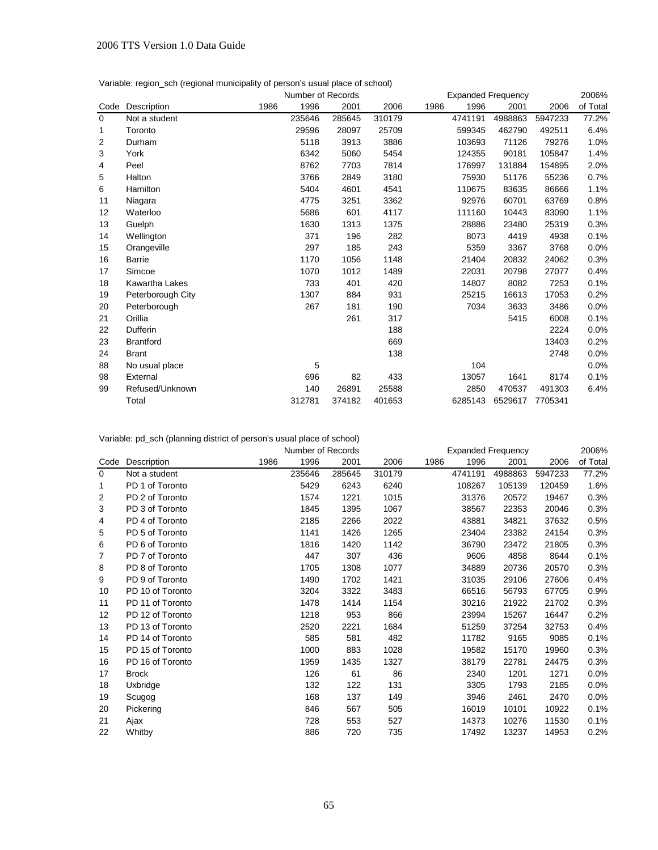| Variable: region_sch (regional municipality of person's usual place of school) |  |  |  |
|--------------------------------------------------------------------------------|--|--|--|
|                                                                                |  |  |  |

|                |                   |      | Number of Records |        | <b>Expanded Frequency</b> |      |                      |         |         | 2006% |
|----------------|-------------------|------|-------------------|--------|---------------------------|------|----------------------|---------|---------|-------|
| Code           | Description       | 1986 | 1996              | 2001   | 2006                      | 1986 | 1996<br>2001<br>2006 |         |         |       |
| $\Omega$       | Not a student     |      | 235646            | 285645 | 310179                    |      | 4741191              | 4988863 | 5947233 | 77.2% |
| 1              | Toronto           |      | 29596             | 28097  | 25709                     |      | 599345               | 462790  | 492511  | 6.4%  |
| $\overline{c}$ | Durham            |      | 5118              | 3913   | 3886                      |      | 103693               | 71126   | 79276   | 1.0%  |
| 3              | York              |      | 6342              | 5060   | 5454                      |      | 124355               | 90181   | 105847  | 1.4%  |
| 4              | Peel              |      | 8762              | 7703   | 7814                      |      | 176997               | 131884  | 154895  | 2.0%  |
| 5              | Halton            |      | 3766              | 2849   | 3180                      |      | 75930                | 51176   | 55236   | 0.7%  |
| 6              | Hamilton          |      | 5404              | 4601   | 4541                      |      | 110675               | 83635   | 86666   | 1.1%  |
| 11             | Niagara           |      | 4775              | 3251   | 3362                      |      | 92976                | 60701   | 63769   | 0.8%  |
| 12             | Waterloo          |      | 5686              | 601    | 4117                      |      | 111160               | 10443   | 83090   | 1.1%  |
| 13             | Guelph            |      | 1630              | 1313   | 1375                      |      | 28886                | 23480   | 25319   | 0.3%  |
| 14             | Wellington        |      | 371               | 196    | 282                       |      | 8073                 | 4419    | 4938    | 0.1%  |
| 15             | Orangeville       |      | 297               | 185    | 243                       |      | 5359                 | 3367    | 3768    | 0.0%  |
| 16             | <b>Barrie</b>     |      | 1170              | 1056   | 1148                      |      | 21404                | 20832   | 24062   | 0.3%  |
| 17             | Simcoe            |      | 1070              | 1012   | 1489                      |      | 22031                | 20798   | 27077   | 0.4%  |
| 18             | Kawartha Lakes    |      | 733               | 401    | 420                       |      | 14807                | 8082    | 7253    | 0.1%  |
| 19             | Peterborough City |      | 1307              | 884    | 931                       |      | 25215                | 16613   | 17053   | 0.2%  |
| 20             | Peterborough      |      | 267               | 181    | 190                       |      | 7034                 | 3633    | 3486    | 0.0%  |
| 21             | Orillia           |      |                   | 261    | 317                       |      |                      | 5415    | 6008    | 0.1%  |
| 22             | Dufferin          |      |                   |        | 188                       |      |                      |         | 2224    | 0.0%  |
| 23             | <b>Brantford</b>  |      |                   |        | 669                       |      |                      |         | 13403   | 0.2%  |
| 24             | <b>Brant</b>      |      |                   |        | 138                       |      |                      |         | 2748    | 0.0%  |
| 88             | No usual place    |      | 5                 |        |                           |      | 104                  |         |         | 0.0%  |
| 98             | External          |      | 696               | 82     | 433                       |      | 13057                | 1641    | 8174    | 0.1%  |
| 99             | Refused/Unknown   |      | 140               | 26891  | 25588                     |      | 2850                 | 470537  | 491303  | 6.4%  |
|                | Total             |      | 312781            | 374182 | 401653                    |      | 6285143              | 6529617 | 7705341 |       |

Variable: pd\_sch (planning district of person's usual place of school)

|      |                  |      |        | Number of Records<br><b>Expanded Frequency</b> |        |      |         |         |         | 2006%    |
|------|------------------|------|--------|------------------------------------------------|--------|------|---------|---------|---------|----------|
| Code | Description      | 1986 | 1996   | 2001                                           | 2006   | 1986 | 1996    | 2001    | 2006    | of Total |
| 0    | Not a student    |      | 235646 | 285645                                         | 310179 |      | 4741191 | 4988863 | 5947233 | 77.2%    |
| 1    | PD 1 of Toronto  |      | 5429   | 6243                                           | 6240   |      | 108267  | 105139  | 120459  | 1.6%     |
| 2    | PD 2 of Toronto  |      | 1574   | 1221                                           | 1015   |      | 31376   | 20572   | 19467   | 0.3%     |
| 3    | PD 3 of Toronto  |      | 1845   | 1395                                           | 1067   |      | 38567   | 22353   | 20046   | 0.3%     |
| 4    | PD 4 of Toronto  |      | 2185   | 2266                                           | 2022   |      | 43881   | 34821   | 37632   | 0.5%     |
| 5    | PD 5 of Toronto  |      | 1141   | 1426                                           | 1265   |      | 23404   | 23382   | 24154   | 0.3%     |
| 6    | PD 6 of Toronto  |      | 1816   | 1420                                           | 1142   |      | 36790   | 23472   | 21805   | 0.3%     |
| 7    | PD 7 of Toronto  |      | 447    | 307                                            | 436    |      | 9606    | 4858    | 8644    | 0.1%     |
| 8    | PD 8 of Toronto  |      | 1705   | 1308                                           | 1077   |      | 34889   | 20736   | 20570   | 0.3%     |
| 9    | PD 9 of Toronto  |      | 1490   | 1702                                           | 1421   |      | 31035   | 29106   | 27606   | 0.4%     |
| 10   | PD 10 of Toronto |      | 3204   | 3322                                           | 3483   |      | 66516   | 56793   | 67705   | 0.9%     |
| 11   | PD 11 of Toronto |      | 1478   | 1414                                           | 1154   |      | 30216   | 21922   | 21702   | 0.3%     |
| 12   | PD 12 of Toronto |      | 1218   | 953                                            | 866    |      | 23994   | 15267   | 16447   | 0.2%     |
| 13   | PD 13 of Toronto |      | 2520   | 2221                                           | 1684   |      | 51259   | 37254   | 32753   | 0.4%     |
| 14   | PD 14 of Toronto |      | 585    | 581                                            | 482    |      | 11782   | 9165    | 9085    | 0.1%     |
| 15   | PD 15 of Toronto |      | 1000   | 883                                            | 1028   |      | 19582   | 15170   | 19960   | 0.3%     |
| 16   | PD 16 of Toronto |      | 1959   | 1435                                           | 1327   |      | 38179   | 22781   | 24475   | 0.3%     |
| 17   | <b>Brock</b>     |      | 126    | 61                                             | 86     |      | 2340    | 1201    | 1271    | 0.0%     |
| 18   | Uxbridge         |      | 132    | 122                                            | 131    |      | 3305    | 1793    | 2185    | 0.0%     |
| 19   | Scugog           |      | 168    | 137                                            | 149    |      | 3946    | 2461    | 2470    | 0.0%     |
| 20   | Pickering        |      | 846    | 567                                            | 505    |      | 16019   | 10101   | 10922   | 0.1%     |
| 21   | Ajax             |      | 728    | 553                                            | 527    |      | 14373   | 10276   | 11530   | 0.1%     |
| 22   | Whitby           |      | 886    | 720                                            | 735    |      | 17492   | 13237   | 14953   | 0.2%     |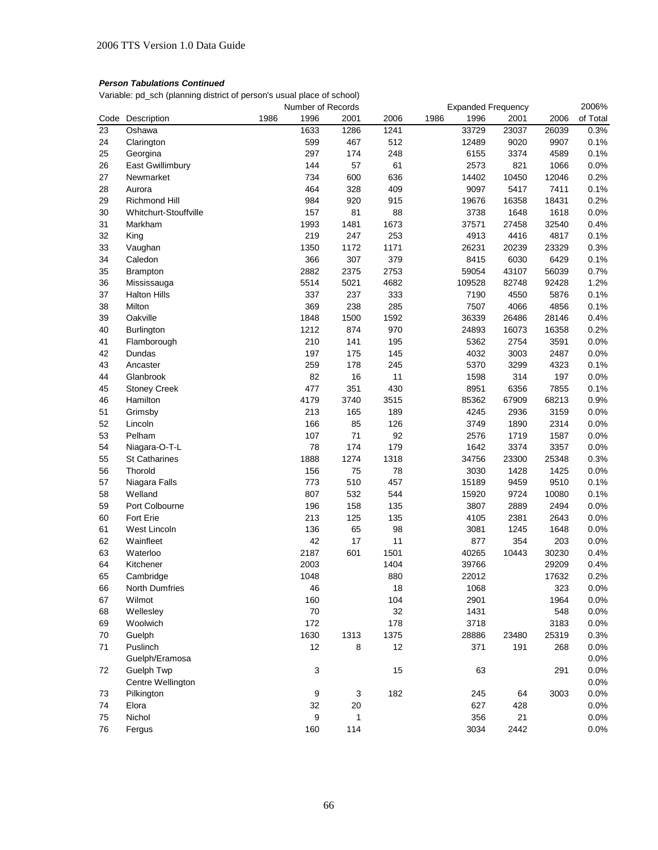Variable: pd\_sch (planning district of person's usual place of school)

|      |                       | Number of Records |      |                           | <b>Expanded Frequency</b> |        | 2006% |       |       |          |
|------|-----------------------|-------------------|------|---------------------------|---------------------------|--------|-------|-------|-------|----------|
| Code | Description           | 1986              | 1996 | 2001                      | 2006                      | 1986   | 1996  | 2001  | 2006  | of Total |
| 23   | Oshawa                |                   | 1633 | 1286                      | 1241                      |        | 33729 | 23037 | 26039 | 0.3%     |
| 24   | Clarington            |                   | 599  | 467                       | 512                       |        | 12489 | 9020  | 9907  | 0.1%     |
| 25   | Georgina              |                   | 297  | 174                       | 248                       |        | 6155  | 3374  | 4589  | 0.1%     |
| 26   | East Gwillimbury      |                   | 144  | 57                        | 61                        |        | 2573  | 821   | 1066  | 0.0%     |
| 27   | Newmarket             |                   | 734  | 600                       | 636                       |        | 14402 | 10450 | 12046 | 0.2%     |
| 28   | Aurora                |                   | 464  | 328                       | 409                       |        | 9097  | 5417  | 7411  | 0.1%     |
| 29   | <b>Richmond Hill</b>  |                   | 984  | 920                       | 915                       |        | 19676 | 16358 | 18431 | 0.2%     |
| 30   | Whitchurt-Stouffville |                   | 157  | 81                        | 88                        |        | 3738  | 1648  | 1618  | 0.0%     |
| 31   | Markham               |                   | 1993 | 1481                      | 1673                      |        | 37571 | 27458 | 32540 | 0.4%     |
| 32   | King                  |                   | 219  | 247                       | 253                       |        | 4913  | 4416  | 4817  | 0.1%     |
| 33   | Vaughan               |                   | 1350 | 1172                      | 1171                      |        | 26231 | 20239 | 23329 | 0.3%     |
| 34   | Caledon               |                   | 366  | 307                       | 379                       |        | 8415  | 6030  | 6429  | 0.1%     |
| 35   | <b>Brampton</b>       |                   | 2882 | 2375                      | 2753                      |        | 59054 | 43107 | 56039 | 0.7%     |
| 36   | Mississauga           |                   | 5514 | 5021                      | 4682                      | 109528 |       | 82748 | 92428 | 1.2%     |
| 37   | <b>Halton Hills</b>   |                   | 337  | 237                       | 333                       |        | 7190  | 4550  | 5876  | 0.1%     |
|      | Milton                |                   |      |                           |                           |        |       | 4066  | 4856  |          |
| 38   |                       |                   | 369  | 238                       | 285                       |        | 7507  |       |       | 0.1%     |
| 39   | Oakville              |                   | 1848 | 1500                      | 1592                      |        | 36339 | 26486 | 28146 | 0.4%     |
| 40   | Burlington            |                   | 1212 | 874                       | 970                       |        | 24893 | 16073 | 16358 | 0.2%     |
| 41   | Flamborough           |                   | 210  | 141                       | 195                       |        | 5362  | 2754  | 3591  | 0.0%     |
| 42   | Dundas                |                   | 197  | 175                       | 145                       |        | 4032  | 3003  | 2487  | 0.0%     |
| 43   | Ancaster              |                   | 259  | 178                       | 245                       |        | 5370  | 3299  | 4323  | 0.1%     |
| 44   | Glanbrook             |                   | 82   | 16                        | 11                        |        | 1598  | 314   | 197   | 0.0%     |
| 45   | <b>Stoney Creek</b>   |                   | 477  | 351                       | 430                       |        | 8951  | 6356  | 7855  | 0.1%     |
| 46   | Hamilton              |                   | 4179 | 3740                      | 3515                      |        | 85362 | 67909 | 68213 | 0.9%     |
| 51   | Grimsby               |                   | 213  | 165                       | 189                       |        | 4245  | 2936  | 3159  | 0.0%     |
| 52   | Lincoln               |                   | 166  | 85                        | 126                       |        | 3749  | 1890  | 2314  | 0.0%     |
| 53   | Pelham                |                   | 107  | 71                        | 92                        |        | 2576  | 1719  | 1587  | 0.0%     |
| 54   | Niagara-O-T-L         |                   | 78   | 174                       | 179                       |        | 1642  | 3374  | 3357  | 0.0%     |
| 55   | <b>St Catharines</b>  |                   | 1888 | 1274                      | 1318                      |        | 34756 | 23300 | 25348 | 0.3%     |
| 56   | Thorold               |                   | 156  | 75                        | 78                        |        | 3030  | 1428  | 1425  | 0.0%     |
| 57   | Niagara Falls         |                   | 773  | 510                       | 457                       |        | 15189 | 9459  | 9510  | 0.1%     |
| 58   | Welland               |                   | 807  | 532                       | 544                       |        | 15920 | 9724  | 10080 | 0.1%     |
| 59   | Port Colbourne        |                   | 196  | 158                       | 135                       |        | 3807  | 2889  | 2494  | 0.0%     |
| 60   | Fort Erie             |                   | 213  | 125                       | 135                       |        | 4105  | 2381  | 2643  | 0.0%     |
| 61   | West Lincoln          |                   | 136  | 65                        | 98                        |        | 3081  | 1245  | 1648  | 0.0%     |
| 62   | Wainfleet             |                   | 42   | 17                        | 11                        |        | 877   | 354   | 203   | 0.0%     |
| 63   | Waterloo              |                   | 2187 | 601                       | 1501                      |        | 40265 | 10443 | 30230 | 0.4%     |
| 64   | Kitchener             |                   | 2003 |                           | 1404                      |        | 39766 |       | 29209 | 0.4%     |
| 65   | Cambridge             |                   | 1048 |                           | 880                       |        | 22012 |       | 17632 | 0.2%     |
| 66   | North Dumfries        |                   | 46   |                           | 18                        |        | 1068  |       | 323   | 0.0%     |
| 67   | Wilmot                |                   | 160  |                           | 104                       |        | 2901  |       | 1964  | 0.0%     |
| 68   | Wellesley             |                   | 70   |                           | 32                        |        | 1431  |       | 548   | 0.0%     |
| 69   | Woolwich              |                   | 172  |                           | 178                       |        | 3718  |       | 3183  | 0.0%     |
| 70   | Guelph                |                   | 1630 | 1313                      | 1375                      |        | 28886 | 23480 | 25319 | 0.3%     |
| 71   | Puslinch              |                   | 12   | 8                         | 12                        |        | 371   | 191   | 268   | 0.0%     |
|      | Guelph/Eramosa        |                   |      |                           |                           |        |       |       |       |          |
|      |                       |                   |      |                           |                           |        |       |       |       | 0.0%     |
| 72   | Guelph Twp            |                   | 3    |                           | 15                        |        | 63    |       | 291   | 0.0%     |
|      | Centre Wellington     |                   |      |                           |                           |        |       |       |       | 0.0%     |
| 73   | Pilkington            |                   | 9    | $\ensuremath{\mathsf{3}}$ | 182                       |        | 245   | 64    | 3003  | 0.0%     |
| 74   | Elora                 |                   | 32   | $20\,$                    |                           |        | 627   | 428   |       | 0.0%     |
| 75   | Nichol                |                   | 9    | 1                         |                           |        | 356   | 21    |       | 0.0%     |
| 76   | Fergus                |                   | 160  | 114                       |                           |        | 3034  | 2442  |       | 0.0%     |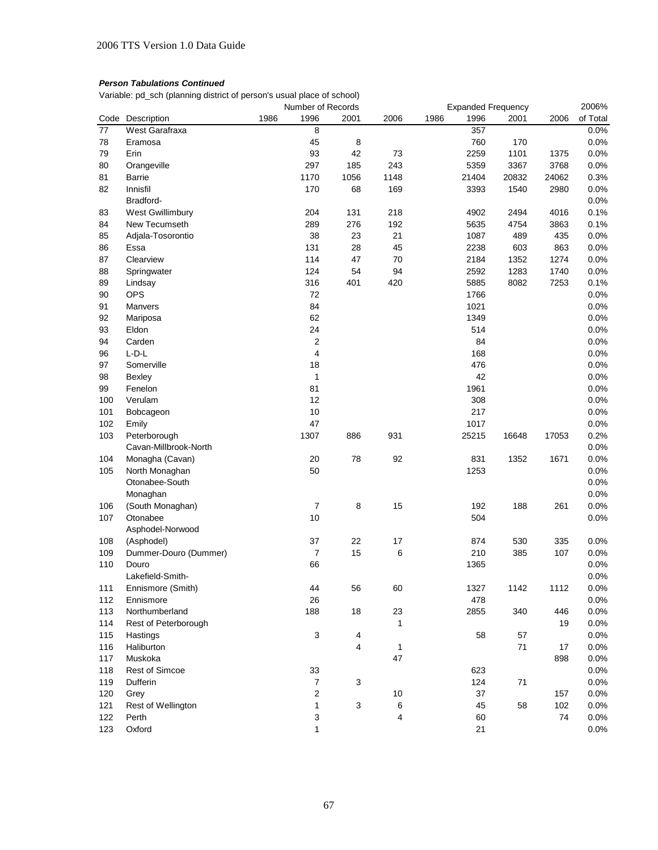Variable: pd\_sch (planning district of person's usual place of school)

|                 |                       | Number of Records |                  |                           |              | <b>Expanded Frequency</b> |       | 2006% |       |          |
|-----------------|-----------------------|-------------------|------------------|---------------------------|--------------|---------------------------|-------|-------|-------|----------|
| Code            | Description           | 1986              | 1996             | 2001                      | 2006         | 1986                      | 1996  | 2001  | 2006  | of Total |
| $\overline{77}$ | West Garafraxa        |                   | 8                |                           |              |                           | 357   |       |       | 0.0%     |
| 78              | Eramosa               |                   | 45               | 8                         |              |                           | 760   | 170   |       | 0.0%     |
| 79              | Erin                  |                   | 93               | 42                        | 73           |                           | 2259  | 1101  | 1375  | 0.0%     |
| 80              | Orangeville           |                   | 297              | 185                       | 243          |                           | 5359  | 3367  | 3768  | 0.0%     |
| 81              | Barrie                |                   | 1170             | 1056                      | 1148         |                           | 21404 | 20832 | 24062 | 0.3%     |
| 82              | Innisfil              |                   | 170              | 68                        | 169          |                           | 3393  | 1540  | 2980  | 0.0%     |
|                 | Bradford-             |                   |                  |                           |              |                           |       |       |       | 0.0%     |
| 83              | West Gwillimbury      |                   | 204              | 131                       | 218          |                           | 4902  | 2494  | 4016  | 0.1%     |
| 84              | New Tecumseth         |                   | 289              | 276                       | 192          |                           | 5635  | 4754  | 3863  | 0.1%     |
| 85              | Adjala-Tosorontio     |                   | 38               | 23                        | 21           |                           | 1087  | 489   | 435   | 0.0%     |
| 86              | Essa                  |                   | 131              | 28                        | 45           |                           | 2238  | 603   | 863   | 0.0%     |
| 87              | Clearview             |                   | 114              | 47                        | 70           |                           | 2184  | 1352  | 1274  | 0.0%     |
| 88              | Springwater           |                   | 124              | 54                        | 94           |                           | 2592  | 1283  | 1740  | 0.0%     |
| 89              | Lindsay               |                   | 316              | 401                       | 420          |                           | 5885  | 8082  | 7253  | 0.1%     |
| 90              | <b>OPS</b>            |                   | 72               |                           |              |                           | 1766  |       |       | 0.0%     |
| 91              | Manvers               |                   | 84               |                           |              |                           | 1021  |       |       | 0.0%     |
| 92              | Mariposa              |                   | 62               |                           |              |                           | 1349  |       |       | 0.0%     |
| 93              | Eldon                 |                   | 24               |                           |              |                           | 514   |       |       | 0.0%     |
| 94              | Carden                |                   | $\overline{2}$   |                           |              |                           | 84    |       |       | 0.0%     |
|                 | $L-D-L$               |                   | 4                |                           |              |                           | 168   |       |       |          |
| 96              | Somerville            |                   |                  |                           |              |                           |       |       |       | 0.0%     |
| 97              |                       |                   | 18               |                           |              |                           | 476   |       |       | 0.0%     |
| 98              | Bexley                |                   | 1                |                           |              |                           | 42    |       |       | 0.0%     |
| 99              | Fenelon               |                   | 81               |                           |              |                           | 1961  |       |       | 0.0%     |
| 100             | Verulam               |                   | 12               |                           |              |                           | 308   |       |       | 0.0%     |
| 101             | Bobcageon             |                   | 10               |                           |              |                           | 217   |       |       | 0.0%     |
| 102             | Emily                 |                   | 47               |                           |              |                           | 1017  |       |       | 0.0%     |
| 103             | Peterborough          |                   | 1307             | 886                       | 931          |                           | 25215 | 16648 | 17053 | 0.2%     |
|                 | Cavan-Millbrook-North |                   |                  |                           |              |                           |       |       |       | 0.0%     |
| 104             | Monagha (Cavan)       |                   | 20               | 78                        | 92           |                           | 831   | 1352  | 1671  | 0.0%     |
| 105             | North Monaghan        |                   | 50               |                           |              |                           | 1253  |       |       | 0.0%     |
|                 | Otonabee-South        |                   |                  |                           |              |                           |       |       |       | 0.0%     |
|                 | Monaghan              |                   |                  |                           |              |                           |       |       |       | 0.0%     |
| 106             | (South Monaghan)      |                   | $\overline{7}$   | 8                         | 15           |                           | 192   | 188   | 261   | 0.0%     |
| 107             | Otonabee              |                   | 10               |                           |              |                           | 504   |       |       | 0.0%     |
|                 | Asphodel-Norwood      |                   |                  |                           |              |                           |       |       |       |          |
| 108             | (Asphodel)            |                   | 37               | 22                        | 17           |                           | 874   | 530   | 335   | 0.0%     |
| 109             | Dummer-Douro (Dummer) |                   | $\boldsymbol{7}$ | 15                        | 6            |                           | 210   | 385   | 107   | 0.0%     |
| 110             | Douro                 |                   | 66               |                           |              |                           | 1365  |       |       | 0.0%     |
|                 | Lakefield-Smith-      |                   |                  |                           |              |                           |       |       |       | 0.0%     |
| 111             | Ennismore (Smith)     |                   | 44               | 56                        | 60           |                           | 1327  | 1142  | 1112  | 0.0%     |
| 112             | Ennismore             |                   | 26               |                           |              |                           | 478   |       |       | 0.0%     |
| 113             | Northumberland        |                   | 188              | 18                        | 23           |                           | 2855  | 340   | 446   | 0.0%     |
| 114             | Rest of Peterborough  |                   |                  |                           | 1            |                           |       |       | 19    | 0.0%     |
| 115             | Hastings              |                   | 3                | 4                         |              |                           | 58    | 57    |       | 0.0%     |
| 116             | Haliburton            |                   |                  | 4                         | $\mathbf{1}$ |                           |       | 71    | 17    | 0.0%     |
| 117             | Muskoka               |                   |                  |                           | 47           |                           |       |       | 898   | 0.0%     |
| 118             | <b>Rest of Simcoe</b> |                   | 33               |                           |              |                           | 623   |       |       | 0.0%     |
| 119             | Dufferin              |                   | $\boldsymbol{7}$ | $\ensuremath{\mathsf{3}}$ |              |                           | 124   | 71    |       | 0.0%     |
| 120             | Grey                  |                   | 2                |                           | 10           |                           | 37    |       | 157   | 0.0%     |
| 121             | Rest of Wellington    |                   | 1                | $\ensuremath{\mathsf{3}}$ | 6            |                           | 45    | 58    | 102   | 0.0%     |
| 122             | Perth                 |                   | 3                |                           | 4            |                           | 60    |       | 74    | 0.0%     |
| 123             | Oxford                |                   | 1                |                           |              |                           | 21    |       |       | 0.0%     |
|                 |                       |                   |                  |                           |              |                           |       |       |       |          |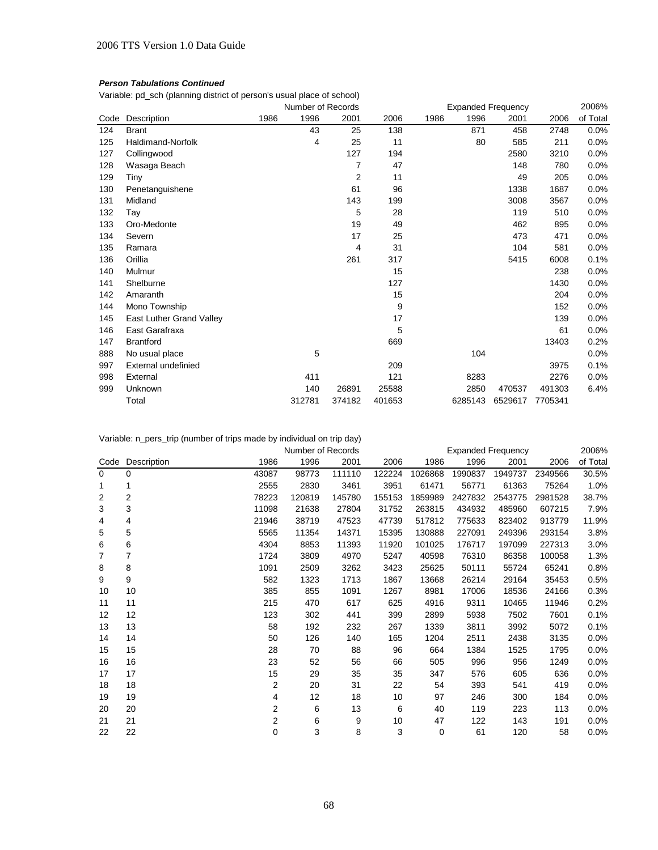# *Person Tabulations Continued*

Variable: pd\_sch (planning district of person's usual place of school)

|      |                          | Number of Records |        |                |        | <b>Expanded Frequency</b> |         |         |         | 2006%    |
|------|--------------------------|-------------------|--------|----------------|--------|---------------------------|---------|---------|---------|----------|
| Code | Description              | 1986              | 1996   | 2001           | 2006   | 1986                      | 1996    | 2001    | 2006    | of Total |
| 124  | <b>Brant</b>             |                   | 43     | 25             | 138    |                           | 871     | 458     | 2748    | 0.0%     |
| 125  | Haldimand-Norfolk        |                   | 4      | 25             | 11     |                           | 80      | 585     | 211     | 0.0%     |
| 127  | Collingwood              |                   |        | 127            | 194    |                           |         | 2580    | 3210    | 0.0%     |
| 128  | Wasaga Beach             |                   |        | 7              | 47     |                           |         | 148     | 780     | 0.0%     |
| 129  | Tiny                     |                   |        | $\overline{2}$ | 11     |                           |         | 49      | 205     | 0.0%     |
| 130  | Penetanguishene          |                   |        | 61             | 96     |                           |         | 1338    | 1687    | 0.0%     |
| 131  | Midland                  |                   |        | 143            | 199    |                           |         | 3008    | 3567    | 0.0%     |
| 132  | Tav                      |                   |        | 5              | 28     |                           |         | 119     | 510     | 0.0%     |
| 133  | Oro-Medonte              |                   |        | 19             | 49     |                           |         | 462     | 895     | 0.0%     |
| 134  | Severn                   |                   |        | 17             | 25     |                           |         | 473     | 471     | 0.0%     |
| 135  | Ramara                   |                   |        | 4              | 31     |                           |         | 104     | 581     | 0.0%     |
| 136  | Orillia                  |                   |        | 261            | 317    |                           |         | 5415    | 6008    | 0.1%     |
| 140  | Mulmur                   |                   |        |                | 15     |                           |         |         | 238     | 0.0%     |
| 141  | Shelburne                |                   |        |                | 127    |                           |         |         | 1430    | 0.0%     |
| 142  | Amaranth                 |                   |        |                | 15     |                           |         |         | 204     | 0.0%     |
| 144  | Mono Township            |                   |        |                | 9      |                           |         |         | 152     | 0.0%     |
| 145  | East Luther Grand Valley |                   |        |                | 17     |                           |         |         | 139     | 0.0%     |
| 146  | East Garafraxa           |                   |        |                | 5      |                           |         |         | 61      | 0.0%     |
| 147  | <b>Brantford</b>         |                   |        |                | 669    |                           |         |         | 13403   | 0.2%     |
| 888  | No usual place           |                   | 5      |                |        |                           | 104     |         |         | 0.0%     |
| 997  | External undefinied      |                   |        |                | 209    |                           |         |         | 3975    | 0.1%     |
| 998  | External                 |                   | 411    |                | 121    |                           | 8283    |         | 2276    | 0.0%     |
| 999  | Unknown                  |                   | 140    | 26891          | 25588  |                           | 2850    | 470537  | 491303  | 6.4%     |
|      | Total                    |                   | 312781 | 374182         | 401653 |                           | 6285143 | 6529617 | 7705341 |          |

Variable: n\_pers\_trip (number of trips made by individual on trip day)

|             |                  |       | Number of Records |        |        |         | 2006%   |         |         |          |
|-------------|------------------|-------|-------------------|--------|--------|---------|---------|---------|---------|----------|
|             | Code Description | 1986  | 1996              | 2001   | 2006   | 1986    | 1996    | 2001    | 2006    | of Total |
| $\mathbf 0$ | 0                | 43087 | 98773             | 111110 | 122224 | 1026868 | 1990837 | 1949737 | 2349566 | 30.5%    |
| 1           | 1                | 2555  | 2830              | 3461   | 3951   | 61471   | 56771   | 61363   | 75264   | 1.0%     |
| 2           | 2                | 78223 | 120819            | 145780 | 155153 | 1859989 | 2427832 | 2543775 | 2981528 | 38.7%    |
| 3           | 3                | 11098 | 21638             | 27804  | 31752  | 263815  | 434932  | 485960  | 607215  | 7.9%     |
| 4           | 4                | 21946 | 38719             | 47523  | 47739  | 517812  | 775633  | 823402  | 913779  | 11.9%    |
| 5           | 5                | 5565  | 11354             | 14371  | 15395  | 130888  | 227091  | 249396  | 293154  | 3.8%     |
| 6           | 6                | 4304  | 8853              | 11393  | 11920  | 101025  | 176717  | 197099  | 227313  | 3.0%     |
| 7           | 7                | 1724  | 3809              | 4970   | 5247   | 40598   | 76310   | 86358   | 100058  | 1.3%     |
| 8           | 8                | 1091  | 2509              | 3262   | 3423   | 25625   | 50111   | 55724   | 65241   | 0.8%     |
| 9           | 9                | 582   | 1323              | 1713   | 1867   | 13668   | 26214   | 29164   | 35453   | 0.5%     |
| 10          | 10               | 385   | 855               | 1091   | 1267   | 8981    | 17006   | 18536   | 24166   | 0.3%     |
| 11          | 11               | 215   | 470               | 617    | 625    | 4916    | 9311    | 10465   | 11946   | 0.2%     |
| 12          | 12               | 123   | 302               | 441    | 399    | 2899    | 5938    | 7502    | 7601    | 0.1%     |
| 13          | 13               | 58    | 192               | 232    | 267    | 1339    | 3811    | 3992    | 5072    | 0.1%     |
| 14          | 14               | 50    | 126               | 140    | 165    | 1204    | 2511    | 2438    | 3135    | 0.0%     |
| 15          | 15               | 28    | 70                | 88     | 96     | 664     | 1384    | 1525    | 1795    | 0.0%     |
| 16          | 16               | 23    | 52                | 56     | 66     | 505     | 996     | 956     | 1249    | 0.0%     |
| 17          | 17               | 15    | 29                | 35     | 35     | 347     | 576     | 605     | 636     | 0.0%     |
| 18          | 18               | 2     | 20                | 31     | 22     | 54      | 393     | 541     | 419     | 0.0%     |
| 19          | 19               | 4     | 12                | 18     | 10     | 97      | 246     | 300     | 184     | 0.0%     |
| 20          | 20               | 2     | 6                 | 13     | 6      | 40      | 119     | 223     | 113     | 0.0%     |
| 21          | 21               | 2     | 6                 | 9      | 10     | 47      | 122     | 143     | 191     | 0.0%     |
| 22          | 22               | 0     | 3                 | 8      | 3      | 0       | 61      | 120     | 58      | 0.0%     |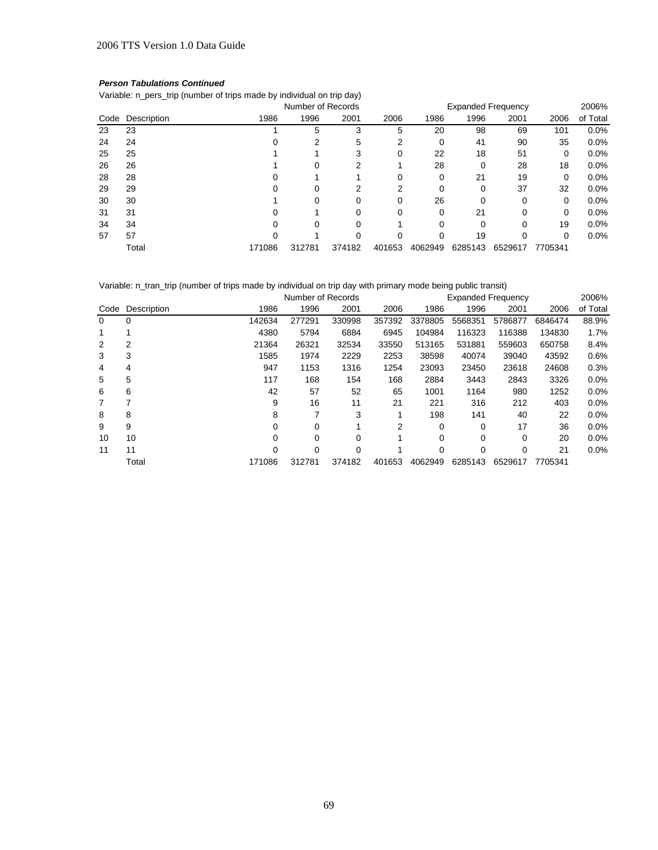# *Person Tabulations Continued*

Variable: n\_pers\_trip (number of trips made by individual on trip day)

|      |             |        | Number of Records |        |        | <b>Expanded Frequency</b> |         |         |         | 2006%    |  |  |
|------|-------------|--------|-------------------|--------|--------|---------------------------|---------|---------|---------|----------|--|--|
| Code | Description | 1986   | 1996              | 2001   | 2006   | 1986                      | 1996    | 2001    | 2006    | of Total |  |  |
| 23   | 23          |        | 5                 | 3      | 5      | 20                        | 98      | 69      | 101     | 0.0%     |  |  |
| 24   | 24          |        |                   | 5      |        | 0                         | 41      | 90      | 35      | 0.0%     |  |  |
| 25   | 25          |        |                   |        | 0      | 22                        | 18      | 51      | 0       | 0.0%     |  |  |
| 26   | 26          |        | 0                 |        |        | 28                        | 0       | 28      | 18      | 0.0%     |  |  |
| 28   | 28          |        |                   |        |        | 0                         | 21      | 19      | 0       | 0.0%     |  |  |
| 29   | 29          |        |                   |        |        |                           |         | 37      | 32      | 0.0%     |  |  |
| 30   | 30          |        |                   |        |        | 26                        |         | 0       | 0       | 0.0%     |  |  |
| 31   | 31          |        |                   |        |        | 0                         | 21      | 0       | 0       | 0.0%     |  |  |
| 34   | 34          |        |                   |        |        |                           |         | 0       | 19      | 0.0%     |  |  |
| 57   | 57          |        |                   |        |        |                           | 19      |         | 0       | 0.0%     |  |  |
|      | Total       | 171086 | 312781            | 374182 | 401653 | 4062949                   | 6285143 | 6529617 | 7705341 |          |  |  |

Variable: n\_tran\_trip (number of trips made by individual on trip day with primary mode being public transit)

|          |             |        | Number of Records |        |        | <b>Expanded Frequency</b> |         | 2006%    |         |          |
|----------|-------------|--------|-------------------|--------|--------|---------------------------|---------|----------|---------|----------|
| Code     | Description | 1986   | 1996              | 2001   | 2006   | 1986                      | 1996    | 2001     | 2006    | of Total |
| $\Omega$ | 0           | 142634 | 277291            | 330998 | 357392 | 3378805                   | 5568351 | 5786877  | 6846474 | 88.9%    |
|          |             | 4380   | 5794              | 6884   | 6945   | 104984                    | 116323  | 116388   | 134830  | 1.7%     |
| 2        | 2           | 21364  | 26321             | 32534  | 33550  | 513165                    | 531881  | 559603   | 650758  | 8.4%     |
| 3        | 3           | 1585   | 1974              | 2229   | 2253   | 38598                     | 40074   | 39040    | 43592   | 0.6%     |
| 4        | 4           | 947    | 1153              | 1316   | 1254   | 23093                     | 23450   | 23618    | 24608   | 0.3%     |
| 5        | 5           | 117    | 168               | 154    | 168    | 2884                      | 3443    | 2843     | 3326    | 0.0%     |
| 6        | 6           | 42     | 57                | 52     | 65     | 1001                      | 1164    | 980      | 1252    | 0.0%     |
| 7        | 7           | 9      | 16                | 11     | 21     | 221                       | 316     | 212      | 403     | 0.0%     |
| 8        | 8           | 8      |                   | 3      |        | 198                       | 141     | 40       | 22      | 0.0%     |
| 9        | 9           | 0      | 0                 |        | 2      | 0                         | 0       | 17       | 36      | 0.0%     |
| 10       | 10          | 0      | 0                 | 0      |        | 0                         | 0       | $\Omega$ | 20      | 0.0%     |
| 11       | 11          | 0      | 0                 | 0      |        | 0                         | 0       | 0        | 21      | 0.0%     |
|          | Total       | 171086 | 312781            | 374182 | 401653 | 4062949                   | 6285143 | 6529617  | 7705341 |          |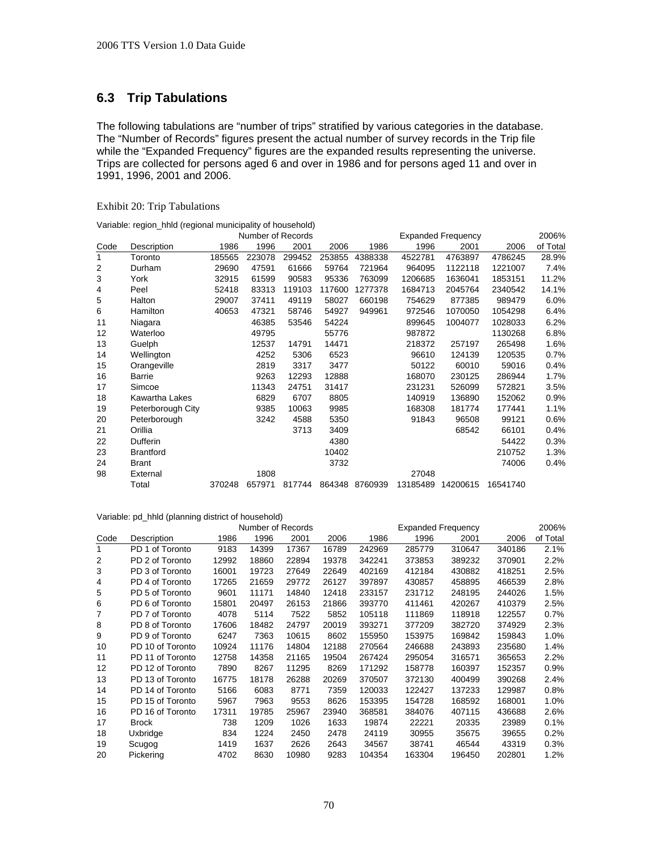# **6.3 Trip Tabulations**

The following tabulations are "number of trips" stratified by various categories in the database. The "Number of Records" figures present the actual number of survey records in the Trip file while the "Expanded Frequency" figures are the expanded results representing the universe. Trips are collected for persons aged 6 and over in 1986 and for persons aged 11 and over in 1991, 1996, 2001 and 2006.

# Exhibit 20: Trip Tabulations

|      |                   |        | Number of Records |        |        |                | 2006%    |          |          |          |
|------|-------------------|--------|-------------------|--------|--------|----------------|----------|----------|----------|----------|
| Code | Description       | 1986   | 1996              | 2001   | 2006   | 1986           | 1996     | 2001     | 2006     | of Total |
| 1    | Toronto           | 185565 | 223078            | 299452 | 253855 | 4388338        | 4522781  | 4763897  | 4786245  | 28.9%    |
| 2    | Durham            | 29690  | 47591             | 61666  | 59764  | 721964         | 964095   | 1122118  | 1221007  | 7.4%     |
| 3    | York              | 32915  | 61599             | 90583  | 95336  | 763099         | 1206685  | 1636041  | 1853151  | 11.2%    |
| 4    | Peel              | 52418  | 83313             | 119103 | 117600 | 1277378        | 1684713  | 2045764  | 2340542  | 14.1%    |
| 5    | Halton            | 29007  | 37411             | 49119  | 58027  | 660198         | 754629   | 877385   | 989479   | 6.0%     |
| 6    | Hamilton          | 40653  | 47321             | 58746  | 54927  | 949961         | 972546   | 1070050  | 1054298  | 6.4%     |
| 11   | Niagara           |        | 46385             | 53546  | 54224  |                | 899645   | 1004077  | 1028033  | 6.2%     |
| 12   | Waterloo          |        | 49795             |        | 55776  |                | 987872   |          | 1130268  | 6.8%     |
| 13   | Guelph            |        | 12537             | 14791  | 14471  |                | 218372   | 257197   | 265498   | 1.6%     |
| 14   | Wellington        |        | 4252              | 5306   | 6523   |                | 96610    | 124139   | 120535   | 0.7%     |
| 15   | Orangeville       |        | 2819              | 3317   | 3477   |                | 50122    | 60010    | 59016    | 0.4%     |
| 16   | Barrie            |        | 9263              | 12293  | 12888  |                | 168070   | 230125   | 286944   | 1.7%     |
| 17   | Simcoe            |        | 11343             | 24751  | 31417  |                | 231231   | 526099   | 572821   | $3.5\%$  |
| 18   | Kawartha Lakes    |        | 6829              | 6707   | 8805   |                | 140919   | 136890   | 152062   | 0.9%     |
| 19   | Peterborough City |        | 9385              | 10063  | 9985   |                | 168308   | 181774   | 177441   | 1.1%     |
| 20   | Peterborough      |        | 3242              | 4588   | 5350   |                | 91843    | 96508    | 99121    | 0.6%     |
| 21   | Orillia           |        |                   | 3713   | 3409   |                |          | 68542    | 66101    | 0.4%     |
| 22   | Dufferin          |        |                   |        | 4380   |                |          |          | 54422    | 0.3%     |
| 23   | <b>Brantford</b>  |        |                   |        | 10402  |                |          |          | 210752   | $1.3\%$  |
| 24   | <b>Brant</b>      |        |                   |        | 3732   |                |          |          | 74006    | 0.4%     |
| 98   | External          |        | 1808              |        |        |                | 27048    |          |          |          |
|      | Total             | 370248 | 657971            | 817744 |        | 864348 8760939 | 13185489 | 14200615 | 16541740 |          |

|                | Number of Records |       |       |       |       |        | <b>Expanded Frequency</b> |        |        |          |  |  |
|----------------|-------------------|-------|-------|-------|-------|--------|---------------------------|--------|--------|----------|--|--|
| Code           | Description       | 1986  | 1996  | 2001  | 2006  | 1986   | 1996                      | 2001   | 2006   | of Total |  |  |
| 1              | PD 1 of Toronto   | 9183  | 14399 | 17367 | 16789 | 242969 | 285779                    | 310647 | 340186 | 2.1%     |  |  |
| $\overline{2}$ | PD 2 of Toronto   | 12992 | 18860 | 22894 | 19378 | 342241 | 373853                    | 389232 | 370901 | 2.2%     |  |  |
| 3              | PD 3 of Toronto   | 16001 | 19723 | 27649 | 22649 | 402169 | 412184                    | 430882 | 418251 | 2.5%     |  |  |
| 4              | PD 4 of Toronto   | 17265 | 21659 | 29772 | 26127 | 397897 | 430857                    | 458895 | 466539 | 2.8%     |  |  |
| 5              | PD 5 of Toronto   | 9601  | 11171 | 14840 | 12418 | 233157 | 231712                    | 248195 | 244026 | 1.5%     |  |  |
| 6              | PD 6 of Toronto   | 15801 | 20497 | 26153 | 21866 | 393770 | 411461                    | 420267 | 410379 | 2.5%     |  |  |
| 7              | PD 7 of Toronto   | 4078  | 5114  | 7522  | 5852  | 105118 | 111869                    | 118918 | 122557 | $0.7\%$  |  |  |
| 8              | PD 8 of Toronto   | 17606 | 18482 | 24797 | 20019 | 393271 | 377209                    | 382720 | 374929 | 2.3%     |  |  |
| 9              | PD 9 of Toronto   | 6247  | 7363  | 10615 | 8602  | 155950 | 153975                    | 169842 | 159843 | $1.0\%$  |  |  |
| 10             | PD 10 of Toronto  | 10924 | 11176 | 14804 | 12188 | 270564 | 246688                    | 243893 | 235680 | $1.4\%$  |  |  |
| 11             | PD 11 of Toronto  | 12758 | 14358 | 21165 | 19504 | 267424 | 295054                    | 316571 | 365653 | $2.2\%$  |  |  |
| 12             | PD 12 of Toronto  | 7890  | 8267  | 11295 | 8269  | 171292 | 158778                    | 160397 | 152357 | $0.9\%$  |  |  |
| 13             | PD 13 of Toronto  | 16775 | 18178 | 26288 | 20269 | 370507 | 372130                    | 400499 | 390268 | 2.4%     |  |  |
| 14             | PD 14 of Toronto  | 5166  | 6083  | 8771  | 7359  | 120033 | 122427                    | 137233 | 129987 | $0.8\%$  |  |  |
| 15             | PD 15 of Toronto  | 5967  | 7963  | 9553  | 8626  | 153395 | 154728                    | 168592 | 168001 | $1.0\%$  |  |  |
| 16             | PD 16 of Toronto  | 17311 | 19785 | 25967 | 23940 | 368581 | 384076                    | 407115 | 436688 | 2.6%     |  |  |
| 17             | <b>Brock</b>      | 738   | 1209  | 1026  | 1633  | 19874  | 22221                     | 20335  | 23989  | 0.1%     |  |  |
| 18             | Uxbridge          | 834   | 1224  | 2450  | 2478  | 24119  | 30955                     | 35675  | 39655  | $0.2\%$  |  |  |
| 19             | Scugog            | 1419  | 1637  | 2626  | 2643  | 34567  | 38741                     | 46544  | 43319  | 0.3%     |  |  |
| 20             | Pickering         | 4702  | 8630  | 10980 | 9283  | 104354 | 163304                    | 196450 | 202801 | 1.2%     |  |  |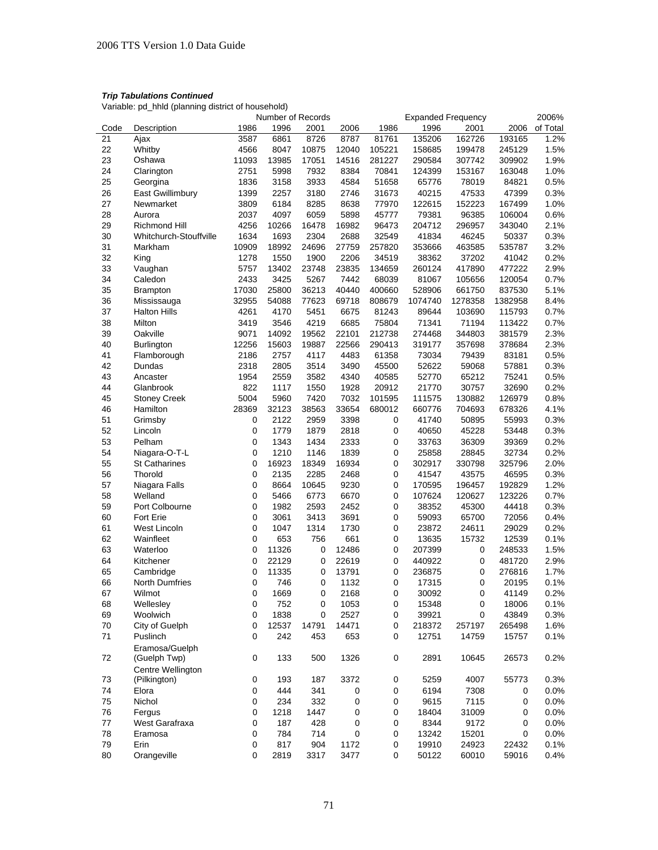|      |                        |             | Number of Records |       |       |           | <b>Expanded Frequency</b> |                  |         | 2006%    |
|------|------------------------|-------------|-------------------|-------|-------|-----------|---------------------------|------------------|---------|----------|
| Code | Description            | 1986        | 1996              | 2001  | 2006  | 1986      | 1996                      | 2001             | 2006    | of Total |
| 21   | Ajax                   | 3587        | 6861              | 8726  | 8787  | 81761     | 135206                    | 162726           | 193165  | 1.2%     |
| 22   | Whitby                 | 4566        | 8047              | 10875 | 12040 | 105221    | 158685                    | 199478           | 245129  | 1.5%     |
| 23   | Oshawa                 | 11093       | 13985             | 17051 | 14516 | 281227    | 290584                    | 307742           | 309902  | 1.9%     |
| 24   | Clarington             | 2751        | 5998              | 7932  | 8384  | 70841     | 124399                    | 153167           | 163048  | 1.0%     |
| 25   | Georgina               | 1836        | 3158              | 3933  | 4584  | 51658     | 65776                     | 78019            | 84821   | 0.5%     |
| 26   | East Gwillimbury       | 1399        | 2257              | 3180  | 2746  | 31673     | 40215                     | 47533            | 47399   | 0.3%     |
| 27   | Newmarket              | 3809        | 6184              | 8285  | 8638  | 77970     | 122615                    | 152223           | 167499  | 1.0%     |
| 28   | Aurora                 | 2037        | 4097              | 6059  | 5898  | 45777     | 79381                     | 96385            | 106004  | 0.6%     |
| 29   | Richmond Hill          | 4256        | 10266             | 16478 | 16982 | 96473     | 204712                    | 296957           | 343040  | 2.1%     |
| 30   | Whitchurch-Stouffville | 1634        | 1693              | 2304  | 2688  | 32549     | 41834                     | 46245            | 50337   | 0.3%     |
| 31   | Markham                | 10909       | 18992             | 24696 | 27759 | 257820    | 353666                    | 463585           | 535787  | 3.2%     |
| 32   | King                   | 1278        | 1550              | 1900  | 2206  | 34519     | 38362                     | 37202            | 41042   | 0.2%     |
| 33   | Vaughan                | 5757        | 13402             | 23748 | 23835 | 134659    | 260124                    | 417890           | 477222  | 2.9%     |
| 34   | Caledon                | 2433        | 3425              | 5267  | 7442  | 68039     | 81067                     | 105656           | 120054  | 0.7%     |
| 35   | <b>Brampton</b>        | 17030       | 25800             | 36213 | 40440 | 400660    | 528906                    | 661750           | 837530  | 5.1%     |
| 36   | Mississauga            | 32955       | 54088             | 77623 | 69718 | 808679    | 1074740                   | 1278358          | 1382958 | 8.4%     |
| 37   | <b>Halton Hills</b>    | 4261        | 4170              | 5451  | 6675  | 81243     | 89644                     | 103690           | 115793  | 0.7%     |
| 38   | Milton                 | 3419        | 3546              | 4219  | 6685  | 75804     | 71341                     | 71194            | 113422  | 0.7%     |
|      |                        | 9071        |                   | 19562 | 22101 |           |                           |                  |         |          |
| 39   | Oakville               |             | 14092             |       |       | 212738    | 274468<br>319177          | 344803<br>357698 | 381579  | 2.3%     |
| 40   | <b>Burlington</b>      | 12256       | 15603             | 19887 | 22566 | 290413    |                           |                  | 378684  | 2.3%     |
| 41   | Flamborough            | 2186        | 2757              | 4117  | 4483  | 61358     | 73034                     | 79439            | 83181   | 0.5%     |
| 42   | Dundas                 | 2318        | 2805              | 3514  | 3490  | 45500     | 52622                     | 59068            | 57881   | 0.3%     |
| 43   | Ancaster               | 1954        | 2559              | 3582  | 4340  | 40585     | 52770                     | 65212            | 75241   | 0.5%     |
| 44   | Glanbrook              | 822         | 1117              | 1550  | 1928  | 20912     | 21770                     | 30757            | 32690   | 0.2%     |
| 45   | <b>Stoney Creek</b>    | 5004        | 5960              | 7420  | 7032  | 101595    | 111575                    | 130882           | 126979  | 0.8%     |
| 46   | Hamilton               | 28369       | 32123             | 38563 | 33654 | 680012    | 660776                    | 704693           | 678326  | 4.1%     |
| 51   | Grimsby                | $\pmb{0}$   | 2122              | 2959  | 3398  | 0         | 41740                     | 50895            | 55993   | 0.3%     |
| 52   | Lincoln                | $\mathbf 0$ | 1779              | 1879  | 2818  | 0         | 40650                     | 45228            | 53448   | 0.3%     |
| 53   | Pelham                 | $\mathbf 0$ | 1343              | 1434  | 2333  | 0         | 33763                     | 36309            | 39369   | 0.2%     |
| 54   | Niagara-O-T-L          | 0           | 1210              | 1146  | 1839  | 0         | 25858                     | 28845            | 32734   | 0.2%     |
| 55   | <b>St Catharines</b>   | 0           | 16923             | 18349 | 16934 | $\pmb{0}$ | 302917                    | 330798           | 325796  | 2.0%     |
| 56   | Thorold                | 0           | 2135              | 2285  | 2468  | 0         | 41547                     | 43575            | 46595   | 0.3%     |
| 57   | Niagara Falls          | 0           | 8664              | 10645 | 9230  | 0         | 170595                    | 196457           | 192829  | 1.2%     |
| 58   | Welland                | 0           | 5466              | 6773  | 6670  | 0         | 107624                    | 120627           | 123226  | 0.7%     |
| 59   | Port Colbourne         | 0           | 1982              | 2593  | 2452  | 0         | 38352                     | 45300            | 44418   | 0.3%     |
| 60   | Fort Erie              | 0           | 3061              | 3413  | 3691  | 0         | 59093                     | 65700            | 72056   | 0.4%     |
| 61   | West Lincoln           | 0           | 1047              | 1314  | 1730  | $\pmb{0}$ | 23872                     | 24611            | 29029   | 0.2%     |
| 62   | Wainfleet              | 0           | 653               | 756   | 661   | 0         | 13635                     | 15732            | 12539   | 0.1%     |
| 63   | Waterloo               | 0           | 11326             | 0     | 12486 | 0         | 207399                    | 0                | 248533  | 1.5%     |
| 64   | Kitchener              | 0           | 22129             | 0     | 22619 | 0         | 440922                    | 0                | 481720  | 2.9%     |
| 65   | Cambridge              | 0           | 11335             | 0     | 13791 | 0         | 236875                    | 0                | 276816  | 1.7%     |
| 66   | <b>North Dumfries</b>  | 0           | 746               | 0     | 1132  | 0         | 17315                     | 0                | 20195   | 0.1%     |
| 67   | Wilmot                 | 0           | 1669              | 0     | 2168  | 0         | 30092                     | 0                | 41149   | 0.2%     |
| 68   | Wellesley              | $\pmb{0}$   | 752               | 0     | 1053  | $\pmb{0}$ | 15348                     | 0                | 18006   | 0.1%     |
| 69   | Woolwich               | 0           | 1838              | 0     | 2527  | 0         | 39921                     | 0                | 43849   | 0.3%     |
| 70   | City of Guelph         | 0           | 12537             | 14791 | 14471 | 0         | 218372                    | 257197           | 265498  | 1.6%     |
| 71   | Puslinch               | 0           | 242               | 453   | 653   | 0         | 12751                     | 14759            | 15757   | 0.1%     |
|      | Eramosa/Guelph         |             |                   |       |       |           |                           |                  |         |          |
| 72   | (Guelph Twp)           | 0           | 133               | 500   | 1326  | 0         | 2891                      | 10645            | 26573   | 0.2%     |
|      | Centre Wellington      |             |                   |       |       |           |                           |                  |         |          |
| 73   | (Pilkington)           | $\pmb{0}$   | 193               | 187   | 3372  | 0         | 5259                      | 4007             | 55773   | 0.3%     |
| 74   | Elora                  | $\pmb{0}$   | 444               | 341   | 0     | 0         | 6194                      | 7308             | 0       | 0.0%     |
| 75   | Nichol                 | 0           | 234               | 332   | 0     | 0         | 9615                      | 7115             | 0       | 0.0%     |
| 76   | Fergus                 | 0           | 1218              | 1447  | 0     | 0         | 18404                     | 31009            | 0       | 0.0%     |
| 77   | West Garafraxa         | 0           | 187               | 428   | 0     | 0         | 8344                      | 9172             | 0       | 0.0%     |
| 78   | Eramosa                | 0           | 784               | 714   | 0     | 0         | 13242                     | 15201            | 0       | 0.0%     |
| 79   | Erin                   | 0           | 817               | 904   | 1172  | 0         | 19910                     | 24923            | 22432   | 0.1%     |
| 80   | Orangeville            | 0           | 2819              | 3317  | 3477  | 0         | 50122                     | 60010            | 59016   | 0.4%     |
|      |                        |             |                   |       |       |           |                           |                  |         |          |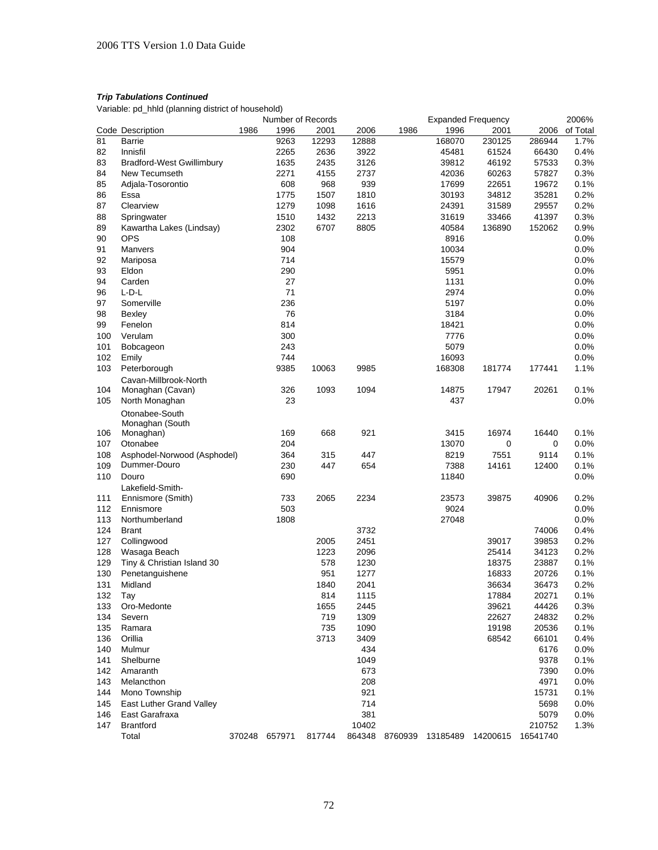|     |                                  |      | Number of Records |                      |       |      | <b>Expanded Frequency</b> |                                           |        | 2006%    |
|-----|----------------------------------|------|-------------------|----------------------|-------|------|---------------------------|-------------------------------------------|--------|----------|
|     | Code Description                 | 1986 | 1996              | 2001                 | 2006  | 1986 | 1996                      | 2001                                      | 2006   | of Total |
| 81  | Barrie                           |      | 9263              | 12293                | 12888 |      | 168070                    | 230125                                    | 286944 | 1.7%     |
| 82  | Innisfil                         |      | 2265              | 2636                 | 3922  |      | 45481                     | 61524                                     | 66430  | 0.4%     |
| 83  | <b>Bradford-West Gwillimbury</b> |      | 1635              | 2435                 | 3126  |      | 39812                     | 46192                                     | 57533  | 0.3%     |
| 84  | New Tecumseth                    |      | 2271              | 4155                 | 2737  |      | 42036                     | 60263                                     | 57827  | 0.3%     |
| 85  | Adjala-Tosorontio                |      | 608               | 968                  | 939   |      | 17699                     | 22651                                     | 19672  | 0.1%     |
| 86  | Essa                             |      | 1775              | 1507                 | 1810  |      | 30193                     | 34812                                     | 35281  | 0.2%     |
| 87  | Clearview                        |      | 1279              | 1098                 | 1616  |      | 24391                     | 31589                                     | 29557  | 0.2%     |
| 88  | Springwater                      |      | 1510              | 1432                 | 2213  |      | 31619                     | 33466                                     | 41397  | 0.3%     |
| 89  | Kawartha Lakes (Lindsay)         |      | 2302              | 6707                 | 8805  |      | 40584                     | 136890                                    | 152062 | 0.9%     |
| 90  | <b>OPS</b>                       |      | 108               |                      |       |      | 8916                      |                                           |        | 0.0%     |
| 91  | Manvers                          |      | 904               |                      |       |      | 10034                     |                                           |        | 0.0%     |
| 92  | Mariposa                         |      | 714               |                      |       |      | 15579                     |                                           |        | 0.0%     |
| 93  | Eldon                            |      | 290               |                      |       |      | 5951                      |                                           |        | 0.0%     |
|     |                                  |      | 27                |                      |       |      |                           |                                           |        |          |
| 94  | Carden                           |      |                   |                      |       |      | 1131                      |                                           |        | 0.0%     |
| 96  | $L$ -D- $L$                      |      | 71                |                      |       |      | 2974                      |                                           |        | 0.0%     |
| 97  | Somerville                       |      | 236               |                      |       |      | 5197                      |                                           |        | 0.0%     |
| 98  | Bexley                           |      | 76                |                      |       |      | 3184                      |                                           |        | 0.0%     |
| 99  | Fenelon                          |      | 814               |                      |       |      | 18421                     |                                           |        | 0.0%     |
| 100 | Verulam                          |      | 300               |                      |       |      | 7776                      |                                           |        | 0.0%     |
| 101 | Bobcageon                        |      | 243               |                      |       |      | 5079                      |                                           |        | 0.0%     |
| 102 | Emily                            |      | 744               |                      |       |      | 16093                     |                                           |        | 0.0%     |
| 103 | Peterborough                     |      | 9385              | 10063                | 9985  |      | 168308                    | 181774                                    | 177441 | 1.1%     |
|     | Cavan-Millbrook-North            |      |                   |                      |       |      |                           |                                           |        |          |
| 104 | Monaghan (Cavan)                 |      | 326               | 1093                 | 1094  |      | 14875                     | 17947                                     | 20261  | 0.1%     |
| 105 | North Monaghan                   |      | 23                |                      |       |      | 437                       |                                           |        | 0.0%     |
|     | Otonabee-South                   |      |                   |                      |       |      |                           |                                           |        |          |
|     | Monaghan (South                  |      |                   |                      |       |      |                           |                                           |        |          |
| 106 | Monaghan)                        |      | 169               | 668                  | 921   |      | 3415                      | 16974                                     | 16440  | 0.1%     |
| 107 | Otonabee                         |      | 204               |                      |       |      | 13070                     | 0                                         | 0      | 0.0%     |
| 108 | Asphodel-Norwood (Asphodel)      |      | 364               | 315                  | 447   |      | 8219                      | 7551                                      | 9114   | 0.1%     |
| 109 | Dummer-Douro                     |      | 230               | 447                  | 654   |      | 7388                      | 14161                                     | 12400  | 0.1%     |
| 110 | Douro                            |      | 690               |                      |       |      | 11840                     |                                           |        | 0.0%     |
|     | Lakefield-Smith-                 |      |                   |                      |       |      |                           |                                           |        |          |
| 111 | Ennismore (Smith)                |      | 733               | 2065                 | 2234  |      | 23573                     | 39875                                     | 40906  | 0.2%     |
| 112 | Ennismore                        |      | 503               |                      |       |      | 9024                      |                                           |        | 0.0%     |
| 113 | Northumberland                   |      | 1808              |                      |       |      | 27048                     |                                           |        | 0.0%     |
| 124 | <b>Brant</b>                     |      |                   |                      | 3732  |      |                           |                                           | 74006  | 0.4%     |
| 127 | Collingwood                      |      |                   | 2005                 | 2451  |      |                           | 39017                                     | 39853  | 0.2%     |
| 128 |                                  |      |                   | 1223                 | 2096  |      |                           | 25414                                     | 34123  | 0.2%     |
|     | Wasaga Beach                     |      |                   |                      |       |      |                           | 18375                                     |        | 0.1%     |
| 129 | Tiny & Christian Island 30       |      |                   | 578                  | 1230  |      |                           |                                           | 23887  |          |
| 130 | Penetanguishene                  |      |                   | 951                  | 1277  |      |                           | 16833                                     | 20726  | 0.1%     |
| 131 | Midland                          |      |                   | 1840                 | 2041  |      |                           | 36634                                     | 36473  | 0.2%     |
| 132 | Tay                              |      |                   | 814                  | 1115  |      |                           | 17884                                     | 20271  | 0.1%     |
| 133 | Oro-Medonte                      |      |                   | 1655                 | 2445  |      |                           | 39621                                     | 44426  | 0.3%     |
| 134 | Severn                           |      |                   | 719                  | 1309  |      |                           | 22627                                     | 24832  | 0.2%     |
| 135 | Ramara                           |      |                   | 735                  | 1090  |      |                           | 19198                                     | 20536  | 0.1%     |
| 136 | Orillia                          |      |                   | 3713                 | 3409  |      |                           | 68542                                     | 66101  | 0.4%     |
| 140 | Mulmur                           |      |                   |                      | 434   |      |                           |                                           | 6176   | 0.0%     |
| 141 | Shelburne                        |      |                   |                      | 1049  |      |                           |                                           | 9378   | 0.1%     |
| 142 | Amaranth                         |      |                   |                      | 673   |      |                           |                                           | 7390   | 0.0%     |
| 143 | Melancthon                       |      |                   |                      | 208   |      |                           |                                           | 4971   | $0.0\%$  |
| 144 | Mono Township                    |      |                   |                      | 921   |      |                           |                                           | 15731  | 0.1%     |
| 145 | East Luther Grand Valley         |      |                   |                      | 714   |      |                           |                                           | 5698   | 0.0%     |
| 146 | East Garafraxa                   |      |                   |                      | 381   |      |                           |                                           | 5079   | $0.0\%$  |
| 147 | <b>Brantford</b>                 |      |                   |                      | 10402 |      |                           |                                           | 210752 | 1.3%     |
|     | Total                            |      |                   | 370248 657971 817744 |       |      |                           | 864348 8760939 13185489 14200615 16541740 |        |          |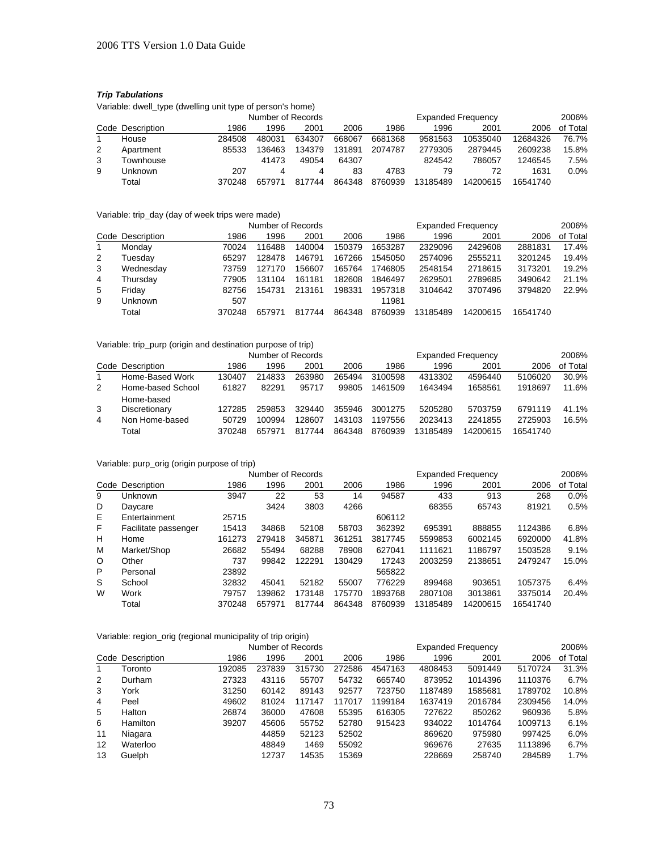# *Trip Tabulations*

Variable: dwell\_type (dwelling unit type of person's home)

|   |                  |        | Number of Records |        |        |         |          | <b>Expanded Frequency</b> |          |          |  |  |
|---|------------------|--------|-------------------|--------|--------|---------|----------|---------------------------|----------|----------|--|--|
|   | Code Description | 1986   | 1996              | 2001   | 2006   | 1986    | 1996     | 2001                      | 2006     | of Total |  |  |
|   | House            | 284508 | 480031            | 634307 | 668067 | 6681368 | 9581563  | 10535040                  | 12684326 | 76.7%    |  |  |
| 2 | Apartment        | 85533  | 136463            | 134379 | 131891 | 2074787 | 2779305  | 2879445                   | 2609238  | 15.8%    |  |  |
| 3 | Townhouse        |        | 41473             | 49054  | 64307  |         | 824542   | 786057                    | 1246545  | 7.5%     |  |  |
| 9 | Unknown          | 207    |                   |        | 83     | 4783    | 79       |                           | 1631     | 0.0%     |  |  |
|   | Total            | 370248 | 657971            | 817744 | 864348 | 8760939 | 13185489 | 14200615                  | 16541740 |          |  |  |

### Variable: trip\_day (day of week trips were made)

|                |                  |        | Number of Records |        |        | <b>Expanded Frequency</b> |          |          |          | 2006%    |
|----------------|------------------|--------|-------------------|--------|--------|---------------------------|----------|----------|----------|----------|
|                | Code Description | 1986   | 1996              | 2001   | 2006   | 1986                      | 1996     | 2001     | 2006     | of Total |
|                | Monday           | 70024  | 116488            | 140004 | 150379 | 1653287                   | 2329096  | 2429608  | 2881831  | 17.4%    |
| $\overline{2}$ | Tuesdav          | 65297  | 128478            | 146791 | 167266 | 1545050                   | 2574096  | 2555211  | 3201245  | 19.4%    |
| 3              | Wednesday        | 73759  | 127170            | 156607 | 165764 | 1746805                   | 2548154  | 2718615  | 3173201  | 19.2%    |
| 4              | Thursday         | 77905  | 131104            | 161181 | 182608 | 1846497                   | 2629501  | 2789685  | 3490642  | 21.1%    |
| 5              | Friday           | 82756  | 154731            | 213161 | 198331 | 1957318                   | 3104642  | 3707496  | 3794820  | 22.9%    |
| 9              | Unknown          | 507    |                   |        |        | 11981                     |          |          |          |          |
|                | Total            | 370248 | 657971            | 817744 | 864348 | 8760939                   | 13185489 | 14200615 | 16541740 |          |

## Variable: trip\_purp (origin and destination purpose of trip)

|   |                   |        | Number of Records |        |        |         | <b>Expanded Frequency</b> |          |          |          |
|---|-------------------|--------|-------------------|--------|--------|---------|---------------------------|----------|----------|----------|
|   | Code Description  | 1986   | 1996              | 2001   | 2006   | 1986    | 1996                      | 2001     | 2006     | of Total |
|   | Home-Based Work   | 130407 | 214833            | 263980 | 265494 | 3100598 | 4313302                   | 4596440  | 5106020  | 30.9%    |
| 2 | Home-based School | 61827  | 82291             | 95717  | 99805  | 1461509 | 1643494                   | 1658561  | 1918697  | 11.6%    |
|   | Home-based        |        |                   |        |        |         |                           |          |          |          |
| 3 | Discretionary     | 127285 | 259853            | 329440 | 355946 | 3001275 | 5205280                   | 5703759  | 6791119  | 41.1%    |
| 4 | Non Home-based    | 50729  | 100994            | 128607 | 143103 | 1197556 | 2023413                   | 2241855  | 2725903  | 16.5%    |
|   | Total             | 370248 | 657971            | 817744 | 864348 | 8760939 | 13185489                  | 14200615 | 16541740 |          |

## Variable: purp\_orig (origin purpose of trip)

|    |                      |        | Number of Records |        |        |         | 2006%    |          |          |          |
|----|----------------------|--------|-------------------|--------|--------|---------|----------|----------|----------|----------|
|    | Code Description     | 1986   | 1996              | 2001   | 2006   | 1986    | 1996     | 2001     | 2006     | of Total |
| 9  | Unknown              | 3947   | 22                | 53     | 14     | 94587   | 433      | 913      | 268      | 0.0%     |
| D  | Daycare              |        | 3424              | 3803   | 4266   |         | 68355    | 65743    | 81921    | 0.5%     |
| E. | Entertainment        | 25715  |                   |        |        | 606112  |          |          |          |          |
| F. | Facilitate passenger | 15413  | 34868             | 52108  | 58703  | 362392  | 695391   | 888855   | 1124386  | 6.8%     |
| н  | Home                 | 161273 | 279418            | 345871 | 361251 | 3817745 | 5599853  | 6002145  | 6920000  | 41.8%    |
| М  | Market/Shop          | 26682  | 55494             | 68288  | 78908  | 627041  | 1111621  | 1186797  | 1503528  | 9.1%     |
| O  | Other                | 737    | 99842             | 122291 | 130429 | 17243   | 2003259  | 2138651  | 2479247  | 15.0%    |
| P  | Personal             | 23892  |                   |        |        | 565822  |          |          |          |          |
| S  | School               | 32832  | 45041             | 52182  | 55007  | 776229  | 899468   | 903651   | 1057375  | 6.4%     |
| W  | Work                 | 79757  | 139862            | 173148 | 175770 | 1893768 | 2807108  | 3013861  | 3375014  | 20.4%    |
|    | Total                | 370248 | 657971            | 817744 | 864348 | 8760939 | 13185489 | 14200615 | 16541740 |          |

## Variable: region\_orig (regional municipality of trip origin)

|    |                  |        | Number of Records |        |        |         |         | 2006%   |         |          |
|----|------------------|--------|-------------------|--------|--------|---------|---------|---------|---------|----------|
|    | Code Description | 1986   | 1996              | 2001   | 2006   | 1986    | 1996    | 2001    | 2006    | of Total |
| 1  | Toronto          | 192085 | 237839            | 315730 | 272586 | 4547163 | 4808453 | 5091449 | 5170724 | 31.3%    |
| 2  | Durham           | 27323  | 43116             | 55707  | 54732  | 665740  | 873952  | 1014396 | 1110376 | 6.7%     |
| 3  | York             | 31250  | 60142             | 89143  | 92577  | 723750  | 1187489 | 1585681 | 1789702 | 10.8%    |
| 4  | Peel             | 49602  | 81024             | 117147 | 117017 | 1199184 | 1637419 | 2016784 | 2309456 | 14.0%    |
| 5  | Halton           | 26874  | 36000             | 47608  | 55395  | 616305  | 727622  | 850262  | 960936  | 5.8%     |
| 6  | <b>Hamilton</b>  | 39207  | 45606             | 55752  | 52780  | 915423  | 934022  | 1014764 | 1009713 | 6.1%     |
| 11 | Niagara          |        | 44859             | 52123  | 52502  |         | 869620  | 975980  | 997425  | 6.0%     |
| 12 | Waterloo         |        | 48849             | 1469   | 55092  |         | 969676  | 27635   | 1113896 | 6.7%     |
| 13 | Guelph           |        | 12737             | 14535  | 15369  |         | 228669  | 258740  | 284589  | 1.7%     |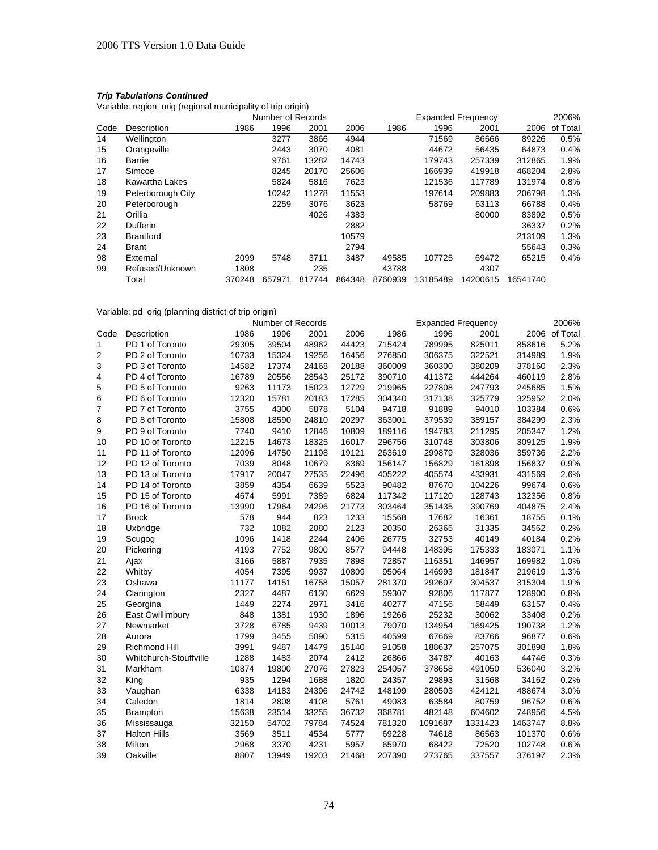Variable: region\_orig (regional municipality of trip origin)

|      |                   | Number of Records |        |        |        | <b>Expanded Frequency</b> |          |          |          |          |
|------|-------------------|-------------------|--------|--------|--------|---------------------------|----------|----------|----------|----------|
| Code | Description       | 1986              | 1996   | 2001   | 2006   | 1986                      | 1996     | 2001     | 2006     | of Total |
| 14   | Wellington        |                   | 3277   | 3866   | 4944   |                           | 71569    | 86666    | 89226    | 0.5%     |
| 15   | Orangeville       |                   | 2443   | 3070   | 4081   |                           | 44672    | 56435    | 64873    | 0.4%     |
| 16   | Barrie            |                   | 9761   | 13282  | 14743  |                           | 179743   | 257339   | 312865   | 1.9%     |
| 17   | Simcoe            |                   | 8245   | 20170  | 25606  |                           | 166939   | 419918   | 468204   | 2.8%     |
| 18   | Kawartha Lakes    |                   | 5824   | 5816   | 7623   |                           | 121536   | 117789   | 131974   | 0.8%     |
| 19   | Peterborough City |                   | 10242  | 11278  | 11553  |                           | 197614   | 209883   | 206798   | 1.3%     |
| 20   | Peterborough      |                   | 2259   | 3076   | 3623   |                           | 58769    | 63113    | 66788    | 0.4%     |
| 21   | Orillia           |                   |        | 4026   | 4383   |                           |          | 80000    | 83892    | 0.5%     |
| 22   | <b>Dufferin</b>   |                   |        |        | 2882   |                           |          |          | 36337    | 0.2%     |
| 23   | <b>Brantford</b>  |                   |        |        | 10579  |                           |          |          | 213109   | 1.3%     |
| 24   | <b>Brant</b>      |                   |        |        | 2794   |                           |          |          | 55643    | 0.3%     |
| 98   | External          | 2099              | 5748   | 3711   | 3487   | 49585                     | 107725   | 69472    | 65215    | 0.4%     |
| 99   | Refused/Unknown   | 1808              |        | 235    |        | 43788                     |          | 4307     |          |          |
|      | Total             | 370248            | 657971 | 817744 | 864348 | 8760939                   | 13185489 | 14200615 | 16541740 |          |

## Variable: pd\_orig (planning district of trip origin)

|      | Number of Records<br><b>Expanded Frequency</b> |       |       |       |       |        |         |         | 2006%   |          |
|------|------------------------------------------------|-------|-------|-------|-------|--------|---------|---------|---------|----------|
| Code | Description                                    | 1986  | 1996  | 2001  | 2006  | 1986   | 1996    | 2001    | 2006    | of Total |
| 1    | PD 1 of Toronto                                | 29305 | 39504 | 48962 | 44423 | 715424 | 789995  | 825011  | 858616  | 5.2%     |
| 2    | PD 2 of Toronto                                | 10733 | 15324 | 19256 | 16456 | 276850 | 306375  | 322521  | 314989  | 1.9%     |
| 3    | PD 3 of Toronto                                | 14582 | 17374 | 24168 | 20188 | 360009 | 360300  | 380209  | 378160  | 2.3%     |
| 4    | PD 4 of Toronto                                | 16789 | 20556 | 28543 | 25172 | 390710 | 411372  | 444264  | 460119  | 2.8%     |
| 5    | PD 5 of Toronto                                | 9263  | 11173 | 15023 | 12729 | 219965 | 227808  | 247793  | 245685  | 1.5%     |
| 6    | PD 6 of Toronto                                | 12320 | 15781 | 20183 | 17285 | 304340 | 317138  | 325779  | 325952  | 2.0%     |
| 7    | PD 7 of Toronto                                | 3755  | 4300  | 5878  | 5104  | 94718  | 91889   | 94010   | 103384  | 0.6%     |
| 8    | PD 8 of Toronto                                | 15808 | 18590 | 24810 | 20297 | 363001 | 379539  | 389157  | 384299  | 2.3%     |
| 9    | PD 9 of Toronto                                | 7740  | 9410  | 12846 | 10809 | 189116 | 194783  | 211295  | 205347  | 1.2%     |
| 10   | PD 10 of Toronto                               | 12215 | 14673 | 18325 | 16017 | 296756 | 310748  | 303806  | 309125  | 1.9%     |
| 11   | PD 11 of Toronto                               | 12096 | 14750 | 21198 | 19121 | 263619 | 299879  | 328036  | 359736  | 2.2%     |
| 12   | PD 12 of Toronto                               | 7039  | 8048  | 10679 | 8369  | 156147 | 156829  | 161898  | 156837  | 0.9%     |
| 13   | PD 13 of Toronto                               | 17917 | 20047 | 27535 | 22496 | 405222 | 405574  | 433931  | 431569  | 2.6%     |
| 14   | PD 14 of Toronto                               | 3859  | 4354  | 6639  | 5523  | 90482  | 87670   | 104226  | 99674   | 0.6%     |
| 15   | PD 15 of Toronto                               | 4674  | 5991  | 7389  | 6824  | 117342 | 117120  | 128743  | 132356  | 0.8%     |
| 16   | PD 16 of Toronto                               | 13990 | 17964 | 24296 | 21773 | 303464 | 351435  | 390769  | 404875  | 2.4%     |
| 17   | <b>Brock</b>                                   | 578   | 944   | 823   | 1233  | 15568  | 17682   | 16361   | 18755   | 0.1%     |
| 18   | Uxbridge                                       | 732   | 1082  | 2080  | 2123  | 20350  | 26365   | 31335   | 34562   | 0.2%     |
| 19   | Scugog                                         | 1096  | 1418  | 2244  | 2406  | 26775  | 32753   | 40149   | 40184   | 0.2%     |
| 20   | Pickering                                      | 4193  | 7752  | 9800  | 8577  | 94448  | 148395  | 175333  | 183071  | 1.1%     |
| 21   | Ajax                                           | 3166  | 5887  | 7935  | 7898  | 72857  | 116351  | 146957  | 169982  | 1.0%     |
| 22   | Whitby                                         | 4054  | 7395  | 9937  | 10809 | 95064  | 146993  | 181847  | 219619  | 1.3%     |
| 23   | Oshawa                                         | 11177 | 14151 | 16758 | 15057 | 281370 | 292607  | 304537  | 315304  | 1.9%     |
| 24   | Clarington                                     | 2327  | 4487  | 6130  | 6629  | 59307  | 92806   | 117877  | 128900  | 0.8%     |
| 25   | Georgina                                       | 1449  | 2274  | 2971  | 3416  | 40277  | 47156   | 58449   | 63157   | 0.4%     |
| 26   | East Gwillimbury                               | 848   | 1381  | 1930  | 1896  | 19266  | 25232   | 30062   | 33408   | 0.2%     |
| 27   | Newmarket                                      | 3728  | 6785  | 9439  | 10013 | 79070  | 134954  | 169425  | 190738  | 1.2%     |
| 28   | Aurora                                         | 1799  | 3455  | 5090  | 5315  | 40599  | 67669   | 83766   | 96877   | 0.6%     |
| 29   | Richmond Hill                                  | 3991  | 9487  | 14479 | 15140 | 91058  | 188637  | 257075  | 301898  | 1.8%     |
| 30   | Whitchurch-Stouffville                         | 1288  | 1483  | 2074  | 2412  | 26866  | 34787   | 40163   | 44746   | 0.3%     |
| 31   | Markham                                        | 10874 | 19800 | 27076 | 27823 | 254057 | 378658  | 491050  | 536040  | 3.2%     |
| 32   | King                                           | 935   | 1294  | 1688  | 1820  | 24357  | 29893   | 31568   | 34162   | 0.2%     |
| 33   | Vaughan                                        | 6338  | 14183 | 24396 | 24742 | 148199 | 280503  | 424121  | 488674  | 3.0%     |
| 34   | Caledon                                        | 1814  | 2808  | 4108  | 5761  | 49083  | 63584   | 80759   | 96752   | 0.6%     |
| 35   | <b>Brampton</b>                                | 15638 | 23514 | 33255 | 36732 | 368781 | 482148  | 604602  | 748956  | 4.5%     |
| 36   | Mississauga                                    | 32150 | 54702 | 79784 | 74524 | 781320 | 1091687 | 1331423 | 1463747 | 8.8%     |
| 37   | <b>Halton Hills</b>                            | 3569  | 3511  | 4534  | 5777  | 69228  | 74618   | 86563   | 101370  | 0.6%     |
| 38   | Milton                                         | 2968  | 3370  | 4231  | 5957  | 65970  | 68422   | 72520   | 102748  | 0.6%     |
| 39   | Oakville                                       | 8807  | 13949 | 19203 | 21468 | 207390 | 273765  | 337557  | 376197  | 2.3%     |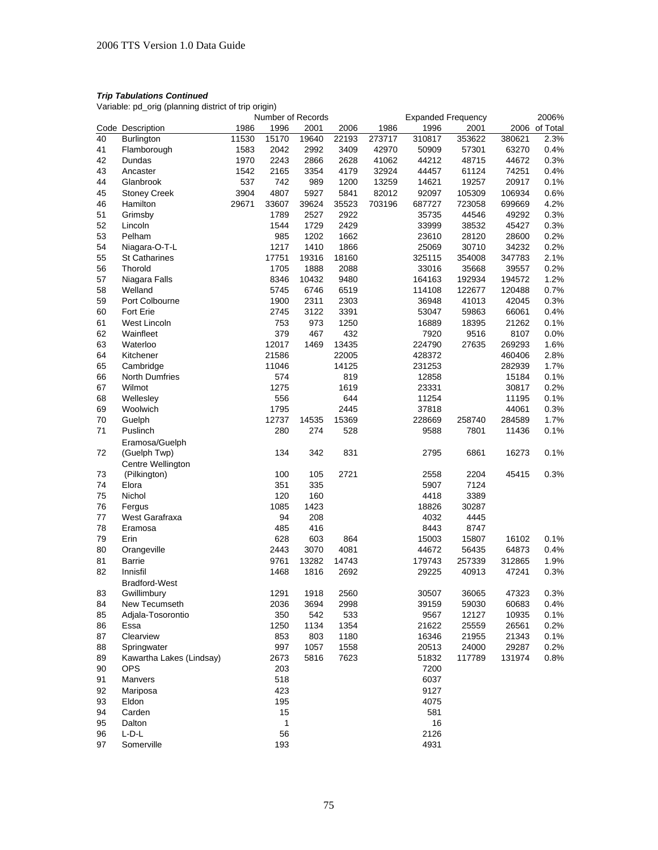Variable: pd\_orig (planning district of trip origin)

|          |                          |       | Number of Records |             |                |        | <b>Expanded Frequency</b> |                |                | 2006%         |
|----------|--------------------------|-------|-------------------|-------------|----------------|--------|---------------------------|----------------|----------------|---------------|
|          | Code Description         | 1986  | 1996              | 2001        | 2006           | 1986   | 1996                      | 2001           |                | 2006 of Total |
| 40       | Burlington               | 11530 | 15170             | 19640       | 22193          | 273717 | 310817                    | 353622         | 380621         | 2.3%          |
| 41       | Flamborough              | 1583  | 2042              | 2992        | 3409           | 42970  | 50909                     | 57301          | 63270          | 0.4%          |
| 42       | Dundas                   | 1970  | 2243              | 2866        | 2628           | 41062  | 44212                     | 48715          | 44672          | 0.3%          |
| 43       | Ancaster                 | 1542  | 2165              | 3354        | 4179           | 32924  | 44457                     | 61124          | 74251          | 0.4%          |
| 44       | Glanbrook                | 537   | 742               | 989         | 1200           | 13259  | 14621                     | 19257          | 20917          | 0.1%          |
| 45       | <b>Stoney Creek</b>      | 3904  | 4807              | 5927        | 5841           | 82012  | 92097                     | 105309         | 106934         | 0.6%          |
| 46       | Hamilton                 | 29671 | 33607             | 39624       | 35523          | 703196 | 687727                    | 723058         | 699669         | 4.2%          |
| 51       | Grimsby                  |       | 1789              | 2527        | 2922           |        | 35735                     | 44546          | 49292          | 0.3%          |
| 52       | Lincoln                  |       | 1544              | 1729        | 2429           |        | 33999                     | 38532          | 45427          | 0.3%          |
| 53       | Pelham                   |       | 985               | 1202        | 1662           |        | 23610                     | 28120          | 28600          | 0.2%          |
| 54       | Niagara-O-T-L            |       | 1217              | 1410        | 1866           |        | 25069                     | 30710          | 34232          | 0.2%          |
| 55       | <b>St Catharines</b>     |       | 17751             | 19316       | 18160          |        | 325115                    | 354008         | 347783         | 2.1%          |
| 56       | Thorold                  |       | 1705              | 1888        | 2088           |        | 33016                     | 35668          | 39557          | 0.2%          |
| 57       | Niagara Falls            |       | 8346              | 10432       | 9480           |        | 164163                    | 192934         | 194572         | 1.2%          |
| 58       | Welland                  |       | 5745              | 6746        | 6519           |        | 114108                    | 122677         | 120488         | 0.7%          |
| 59       | Port Colbourne           |       | 1900              | 2311        | 2303           |        | 36948                     | 41013          | 42045          | 0.3%          |
|          | Fort Erie                |       |                   |             |                |        |                           |                |                |               |
| 60       |                          |       | 2745<br>753       | 3122        | 3391           |        | 53047                     | 59863<br>18395 | 66061<br>21262 | 0.4%          |
| 61       | West Lincoln             |       |                   | 973         | 1250           |        | 16889                     | 9516           |                | 0.1%          |
| 62       | Wainfleet                |       | 379<br>12017      | 467         | 432            |        | 7920                      |                | 8107           | 0.0%          |
| 63       | Waterloo                 |       |                   | 1469        | 13435<br>22005 |        | 224790                    | 27635          | 269293         | 1.6%          |
| 64       | Kitchener                |       | 21586             |             |                |        | 428372                    |                | 460406         | 2.8%          |
| 65       | Cambridge                |       | 11046             |             | 14125          |        | 231253                    |                | 282939         | 1.7%          |
| 66       | <b>North Dumfries</b>    |       | 574               |             | 819            |        | 12858                     |                | 15184          | 0.1%          |
| 67       | Wilmot                   |       | 1275              |             | 1619           |        | 23331                     |                | 30817          | 0.2%          |
| 68       | Wellesley                |       | 556               |             | 644            |        | 11254                     |                | 11195          | 0.1%          |
| 69       | Woolwich                 |       | 1795              |             | 2445           |        | 37818                     |                | 44061          | 0.3%          |
| 70       | Guelph                   |       | 12737             | 14535       | 15369          |        | 228669                    | 258740         | 284589         | 1.7%          |
| 71       | Puslinch                 |       | 280               | 274         | 528            |        | 9588                      | 7801           | 11436          | 0.1%          |
|          | Eramosa/Guelph           |       |                   |             |                |        |                           |                |                |               |
| 72       | (Guelph Twp)             |       | 134               | 342         | 831            |        | 2795                      | 6861           | 16273          | 0.1%          |
|          | Centre Wellington        |       |                   |             |                |        |                           |                |                |               |
| 73<br>74 | (Pilkington)             |       | 100<br>351        | 105         | 2721           |        | 2558<br>5907              | 2204<br>7124   | 45415          | 0.3%          |
|          | Elora                    |       |                   | 335<br>160  |                |        |                           |                |                |               |
| 75       | Nichol                   |       | 120               |             |                |        | 4418<br>18826             | 3389<br>30287  |                |               |
| 76<br>77 | Fergus<br>West Garafraxa |       | 1085<br>94        | 1423<br>208 |                |        | 4032                      | 4445           |                |               |
|          |                          |       |                   | 416         |                |        |                           |                |                |               |
| 78       | Eramosa                  |       | 485               |             |                |        | 8443                      | 8747           |                | 0.1%          |
| 79       | Erin                     |       | 628               | 603         | 864            |        | 15003                     | 15807          | 16102          |               |
| 80       | Orangeville              |       | 2443              | 3070        | 4081           |        | 44672                     | 56435          | 64873          | 0.4%          |
| 81       | Barrie                   |       | 9761              | 13282       | 14743          |        | 179743                    | 257339         | 312865         | 1.9%          |
| 82       | Innisfil                 |       | 1468              | 1816        | 2692           |        | 29225                     | 40913          | 47241          | 0.3%          |
|          | <b>Bradford-West</b>     |       |                   |             |                |        |                           |                |                |               |
| 83       | Gwillimbury              |       | 1291              | 1918        | 2560           |        | 30507                     | 36065          | 47323          | 0.3%          |
| 84       | New Tecumseth            |       | 2036              | 3694        | 2998           |        | 39159                     | 59030          | 60683          | $0.4\%$       |
| 85       | Adjala-Tosorontio        |       | 350               | 542         | 533            |        | 9567                      | 12127          | 10935          | 0.1%          |
| 86       | Essa                     |       | 1250              | 1134        | 1354           |        | 21622                     | 25559          | 26561          | 0.2%          |
| 87       | Clearview                |       | 853               | 803         | 1180           |        | 16346                     | 21955          | 21343          | 0.1%          |
| 88       | Springwater              |       | 997               | 1057        | 1558           |        | 20513                     | 24000          | 29287          | 0.2%          |
| 89       | Kawartha Lakes (Lindsay) |       | 2673              | 5816        | 7623           |        | 51832                     | 117789         | 131974         | 0.8%          |
| 90       | <b>OPS</b>               |       | 203               |             |                |        | 7200                      |                |                |               |
| 91       | Manvers                  |       | 518               |             |                |        | 6037                      |                |                |               |
| 92       | Mariposa                 |       | 423               |             |                |        | 9127                      |                |                |               |
| 93       | Eldon                    |       | 195               |             |                |        | 4075                      |                |                |               |
| 94       | Carden                   |       | 15                |             |                |        | 581                       |                |                |               |
| 95       | Dalton                   |       | 1                 |             |                |        | 16                        |                |                |               |
| 96       | L-D-L                    |       | 56                |             |                |        | 2126                      |                |                |               |
| 97       | Somerville               |       | 193               |             |                |        | 4931                      |                |                |               |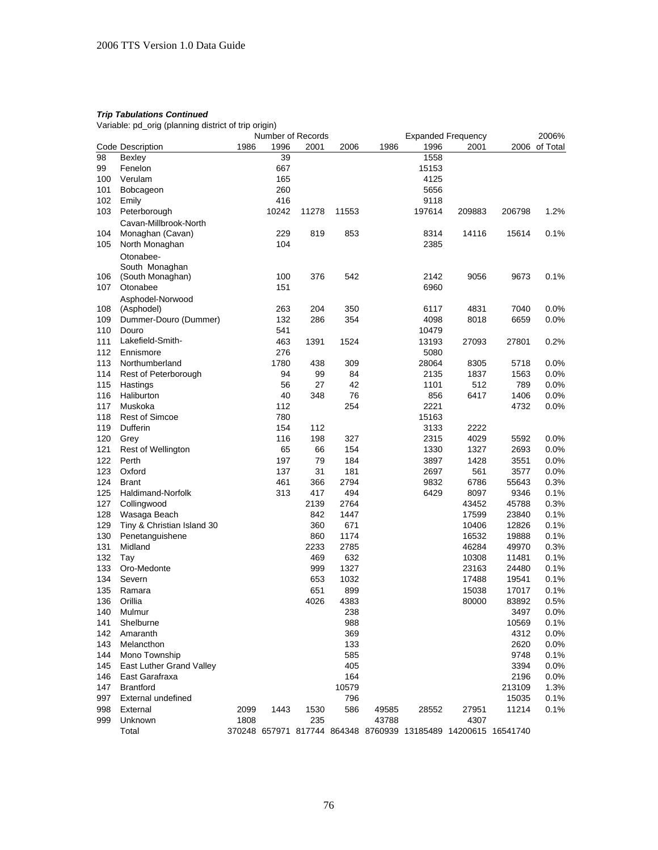Variable: pd\_orig (planning district of trip origin)

|     | Number of Records          |      |       |       |       |       | <b>Expanded Frequency</b>                                      |        |        |               |
|-----|----------------------------|------|-------|-------|-------|-------|----------------------------------------------------------------|--------|--------|---------------|
|     | Code Description           | 1986 | 1996  | 2001  | 2006  | 1986  | 1996                                                           | 2001   |        | 2006 of Total |
| 98  | <b>Bexley</b>              |      | 39    |       |       |       | 1558                                                           |        |        |               |
| 99  | Fenelon                    |      | 667   |       |       |       | 15153                                                          |        |        |               |
| 100 | Verulam                    |      | 165   |       |       |       | 4125                                                           |        |        |               |
| 101 | Bobcageon                  |      | 260   |       |       |       | 5656                                                           |        |        |               |
| 102 | Emily                      |      | 416   |       |       |       | 9118                                                           |        |        |               |
| 103 | Peterborough               |      | 10242 | 11278 | 11553 |       | 197614                                                         | 209883 | 206798 | 1.2%          |
|     | Cavan-Millbrook-North      |      |       |       |       |       |                                                                |        |        |               |
| 104 | Monaghan (Cavan)           |      | 229   | 819   | 853   |       | 8314                                                           | 14116  | 15614  | 0.1%          |
| 105 | North Monaghan             |      | 104   |       |       |       | 2385                                                           |        |        |               |
|     | Otonabee-                  |      |       |       |       |       |                                                                |        |        |               |
|     | South Monaghan             |      |       |       |       |       |                                                                |        |        |               |
| 106 | (South Monaghan)           |      | 100   | 376   | 542   |       | 2142                                                           | 9056   | 9673   | $0.1\%$       |
| 107 | Otonabee                   |      | 151   |       |       |       | 6960                                                           |        |        |               |
|     | Asphodel-Norwood           |      |       |       |       |       |                                                                |        |        |               |
| 108 | (Asphodel)                 |      | 263   | 204   | 350   |       | 6117                                                           | 4831   | 7040   | $0.0\%$       |
| 109 | Dummer-Douro (Dummer)      |      | 132   | 286   | 354   |       | 4098                                                           | 8018   | 6659   | 0.0%          |
| 110 | Douro                      |      | 541   |       |       |       | 10479                                                          |        |        |               |
| 111 | Lakefield-Smith-           |      | 463   | 1391  | 1524  |       | 13193                                                          | 27093  | 27801  | 0.2%          |
| 112 | Ennismore                  |      | 276   |       |       |       | 5080                                                           |        |        |               |
| 113 | Northumberland             |      | 1780  | 438   | 309   |       | 28064                                                          | 8305   | 5718   | 0.0%          |
| 114 | Rest of Peterborough       |      | 94    | 99    | 84    |       | 2135                                                           | 1837   | 1563   | 0.0%          |
| 115 | Hastings                   |      | 56    | 27    | 42    |       | 1101                                                           | 512    | 789    | $0.0\%$       |
| 116 | Haliburton                 |      | 40    | 348   | 76    |       | 856                                                            | 6417   | 1406   | 0.0%          |
| 117 | Muskoka                    |      | 112   |       | 254   |       | 2221                                                           |        | 4732   | 0.0%          |
| 118 | <b>Rest of Simcoe</b>      |      | 780   |       |       |       | 15163                                                          |        |        |               |
| 119 | Dufferin                   |      | 154   | 112   |       |       | 3133                                                           | 2222   |        |               |
| 120 | Grey                       |      | 116   | 198   | 327   |       | 2315                                                           | 4029   | 5592   | 0.0%          |
| 121 | Rest of Wellington         |      | 65    | 66    | 154   |       | 1330                                                           | 1327   | 2693   | 0.0%          |
| 122 | Perth                      |      | 197   | 79    | 184   |       | 3897                                                           | 1428   | 3551   | $0.0\%$       |
| 123 | Oxford                     |      | 137   | 31    | 181   |       | 2697                                                           | 561    | 3577   | 0.0%          |
| 124 | <b>Brant</b>               |      | 461   | 366   | 2794  |       | 9832                                                           | 6786   | 55643  | 0.3%          |
| 125 | Haldimand-Norfolk          |      | 313   | 417   | 494   |       | 6429                                                           | 8097   | 9346   | 0.1%          |
| 127 | Collingwood                |      |       | 2139  | 2764  |       |                                                                | 43452  | 45788  | 0.3%          |
| 128 | Wasaga Beach               |      |       | 842   | 1447  |       |                                                                | 17599  | 23840  | 0.1%          |
| 129 | Tiny & Christian Island 30 |      |       | 360   | 671   |       |                                                                | 10406  | 12826  | 0.1%          |
| 130 | Penetanguishene            |      |       | 860   | 1174  |       |                                                                | 16532  | 19888  | 0.1%          |
| 131 | Midland                    |      |       | 2233  | 2785  |       |                                                                | 46284  | 49970  | 0.3%          |
| 132 | Tay                        |      |       | 469   | 632   |       |                                                                | 10308  | 11481  | 0.1%          |
| 133 | Oro-Medonte                |      |       | 999   | 1327  |       |                                                                | 23163  | 24480  | 0.1%          |
| 134 | Severn                     |      |       | 653   | 1032  |       |                                                                | 17488  | 19541  | 0.1%          |
| 135 | Ramara                     |      |       | 651   | 899   |       |                                                                | 15038  | 17017  | 0.1%          |
| 136 | Orillia                    |      |       | 4026  | 4383  |       |                                                                | 80000  | 83892  | 0.5%          |
| 140 | Mulmur                     |      |       |       | 238   |       |                                                                |        | 3497   | $0.0\%$       |
| 141 | Shelburne                  |      |       |       | 988   |       |                                                                |        | 10569  | 0.1%          |
| 142 | Amaranth                   |      |       |       | 369   |       |                                                                |        | 4312   | 0.0%          |
| 143 | Melancthon                 |      |       |       | 133   |       |                                                                |        | 2620   | 0.0%          |
| 144 | Mono Township              |      |       |       | 585   |       |                                                                |        | 9748   | 0.1%          |
| 145 | East Luther Grand Valley   |      |       |       | 405   |       |                                                                |        | 3394   | $0.0\%$       |
| 146 | East Garafraxa             |      |       |       | 164   |       |                                                                |        | 2196   | 0.0%          |
| 147 | <b>Brantford</b>           |      |       |       | 10579 |       |                                                                |        | 213109 | 1.3%          |
| 997 | External undefined         |      |       |       | 796   |       |                                                                |        | 15035  | 0.1%          |
| 998 | External                   | 2099 | 1443  | 1530  | 586   | 49585 | 28552                                                          | 27951  | 11214  | 0.1%          |
| 999 | Unknown                    | 1808 |       | 235   |       | 43788 |                                                                | 4307   |        |               |
|     | Total                      |      |       |       |       |       | 370248 657971 817744 864348 8760939 13185489 14200615 16541740 |        |        |               |
|     |                            |      |       |       |       |       |                                                                |        |        |               |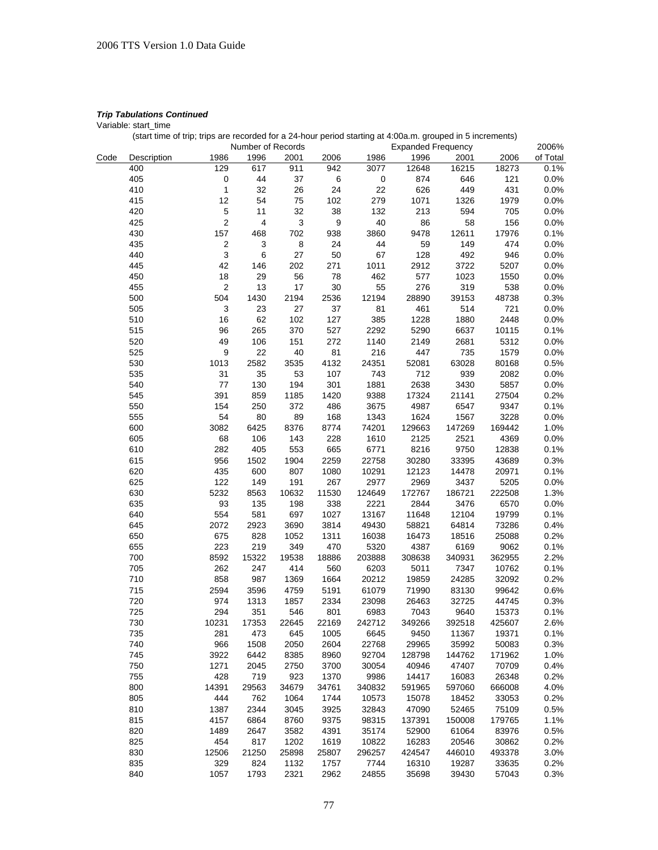Variable: start\_time

|      |             |                  | Number of Records |       |       |           | <b>Expanded Frequency</b> |        |        | 2006%    |
|------|-------------|------------------|-------------------|-------|-------|-----------|---------------------------|--------|--------|----------|
| Code | Description | 1986             | 1996              | 2001  | 2006  | 1986      | 1996                      | 2001   | 2006   | of Total |
|      | 400         | 129              | 617               | 911   | 942   | 3077      | 12648                     | 16215  | 18273  | 0.1%     |
|      | 405         | $\pmb{0}$        | 44                | 37    | $\,6$ | $\pmb{0}$ | 874                       | 646    | 121    | 0.0%     |
|      | 410         | 1                | 32                | 26    | 24    | 22        | 626                       | 449    | 431    | 0.0%     |
|      | 415         | 12               | 54                | 75    | 102   | 279       | 1071                      | 1326   | 1979   | 0.0%     |
|      | 420         | 5                | 11                | 32    | 38    | 132       | 213                       | 594    | 705    | 0.0%     |
|      | 425         | $\mathbf 2$      | 4                 | 3     | 9     | 40        | 86                        | 58     | 156    | 0.0%     |
|      |             |                  |                   |       |       |           |                           |        |        |          |
|      | 430         | 157              | 468               | 702   | 938   | 3860      | 9478                      | 12611  | 17976  | 0.1%     |
|      | 435         | $\boldsymbol{2}$ | 3                 | 8     | 24    | 44        | 59                        | 149    | 474    | 0.0%     |
|      | 440         | 3                | 6                 | 27    | 50    | 67        | 128                       | 492    | 946    | 0.0%     |
|      | 445         | 42               | 146               | 202   | 271   | 1011      | 2912                      | 3722   | 5207   | 0.0%     |
|      | 450         | 18               | 29                | 56    | 78    | 462       | 577                       | 1023   | 1550   | 0.0%     |
|      | 455         | $\sqrt{2}$       | 13                | 17    | 30    | 55        | 276                       | 319    | 538    | 0.0%     |
|      | 500         | 504              | 1430              | 2194  | 2536  | 12194     | 28890                     | 39153  | 48738  | 0.3%     |
|      | 505         | 3                | 23                | 27    | 37    | 81        | 461                       | 514    | 721    | 0.0%     |
|      | 510         | 16               | 62                | 102   | 127   | 385       | 1228                      | 1880   | 2448   | 0.0%     |
|      | 515         | 96               | 265               | 370   | 527   | 2292      | 5290                      | 6637   | 10115  | 0.1%     |
|      | 520         | 49               | 106               | 151   | 272   | 1140      | 2149                      | 2681   | 5312   | 0.0%     |
|      | 525         | 9                | 22                | 40    | 81    | 216       | 447                       | 735    | 1579   | 0.0%     |
|      | 530         | 1013             | 2582              | 3535  | 4132  | 24351     | 52081                     | 63028  | 80168  | 0.5%     |
|      | 535         | 31               | 35                | 53    | 107   | 743       | 712                       | 939    | 2082   | 0.0%     |
|      | 540         | 77               | 130               | 194   | 301   | 1881      | 2638                      | 3430   | 5857   | 0.0%     |
|      | 545         | 391              | 859               | 1185  | 1420  | 9388      | 17324                     | 21141  | 27504  | 0.2%     |
|      | 550         | 154              | 250               | 372   | 486   | 3675      | 4987                      | 6547   | 9347   | 0.1%     |
|      | 555         | 54               | 80                | 89    | 168   | 1343      | 1624                      | 1567   | 3228   | 0.0%     |
|      | 600         | 3082             | 6425              | 8376  | 8774  | 74201     | 129663                    | 147269 | 169442 | 1.0%     |
|      | 605         | 68               | 106               | 143   | 228   | 1610      | 2125                      | 2521   | 4369   |          |
|      |             |                  |                   |       |       |           |                           |        |        | 0.0%     |
|      | 610         | 282              | 405               | 553   | 665   | 6771      | 8216                      | 9750   | 12838  | 0.1%     |
|      | 615         | 956              | 1502              | 1904  | 2259  | 22758     | 30280                     | 33395  | 43689  | 0.3%     |
|      | 620         | 435              | 600               | 807   | 1080  | 10291     | 12123                     | 14478  | 20971  | 0.1%     |
|      | 625         | 122              | 149               | 191   | 267   | 2977      | 2969                      | 3437   | 5205   | 0.0%     |
|      | 630         | 5232             | 8563              | 10632 | 11530 | 124649    | 172767                    | 186721 | 222508 | 1.3%     |
|      | 635         | 93               | 135               | 198   | 338   | 2221      | 2844                      | 3476   | 6570   | 0.0%     |
|      | 640         | 554              | 581               | 697   | 1027  | 13167     | 11648                     | 12104  | 19799  | 0.1%     |
|      | 645         | 2072             | 2923              | 3690  | 3814  | 49430     | 58821                     | 64814  | 73286  | 0.4%     |
|      | 650         | 675              | 828               | 1052  | 1311  | 16038     | 16473                     | 18516  | 25088  | 0.2%     |
|      | 655         | 223              | 219               | 349   | 470   | 5320      | 4387                      | 6169   | 9062   | 0.1%     |
|      | 700         | 8592             | 15322             | 19538 | 18886 | 203888    | 308638                    | 340931 | 362955 | 2.2%     |
|      | 705         | 262              | 247               | 414   | 560   | 6203      | 5011                      | 7347   | 10762  | 0.1%     |
|      | 710         | 858              | 987               | 1369  | 1664  | 20212     | 19859                     | 24285  | 32092  | 0.2%     |
|      | 715         | 2594             | 3596              | 4759  | 5191  | 61079     | 71990                     | 83130  | 99642  | 0.6%     |
|      | 720         | 974              | 1313              | 1857  | 2334  | 23098     | 26463                     | 32725  | 44745  | 0.3%     |
|      | 725         | 294              | 351               | 546   | 801   | 6983      | 7043                      | 9640   | 15373  | 0.1%     |
|      | 730         | 10231            | 17353             | 22645 | 22169 | 242712    | 349266                    | 392518 | 425607 | 2.6%     |
|      | 735         | 281              | 473               | 645   | 1005  | 6645      | 9450                      | 11367  | 19371  | 0.1%     |
|      | 740         | 966              | 1508              | 2050  | 2604  | 22768     | 29965                     | 35992  | 50083  | 0.3%     |
|      | 745         | 3922             | 6442              | 8385  | 8960  | 92704     | 128798                    | 144762 | 171962 | 1.0%     |
|      | 750         | 1271             | 2045              | 2750  | 3700  | 30054     | 40946                     | 47407  | 70709  | 0.4%     |
|      | 755         | 428              | 719               | 923   | 1370  | 9986      | 14417                     | 16083  | 26348  | 0.2%     |
|      |             |                  |                   |       |       |           |                           |        |        |          |
|      | 800         | 14391            | 29563             | 34679 | 34761 | 340832    | 591965                    | 597060 | 666008 | 4.0%     |
|      | 805         | 444              | 762               | 1064  | 1744  | 10573     | 15078                     | 18452  | 33053  | 0.2%     |
|      | 810         | 1387             | 2344              | 3045  | 3925  | 32843     | 47090                     | 52465  | 75109  | 0.5%     |
|      | 815         | 4157             | 6864              | 8760  | 9375  | 98315     | 137391                    | 150008 | 179765 | 1.1%     |
|      | 820         | 1489             | 2647              | 3582  | 4391  | 35174     | 52900                     | 61064  | 83976  | 0.5%     |
|      | 825         | 454              | 817               | 1202  | 1619  | 10822     | 16283                     | 20546  | 30862  | 0.2%     |
|      | 830         | 12506            | 21250             | 25898 | 25807 | 296257    | 424547                    | 446010 | 493378 | 3.0%     |
|      | 835         | 329              | 824               | 1132  | 1757  | 7744      | 16310                     | 19287  | 33635  | 0.2%     |
|      | 840         | 1057             | 1793              | 2321  | 2962  | 24855     | 35698                     | 39430  | 57043  | 0.3%     |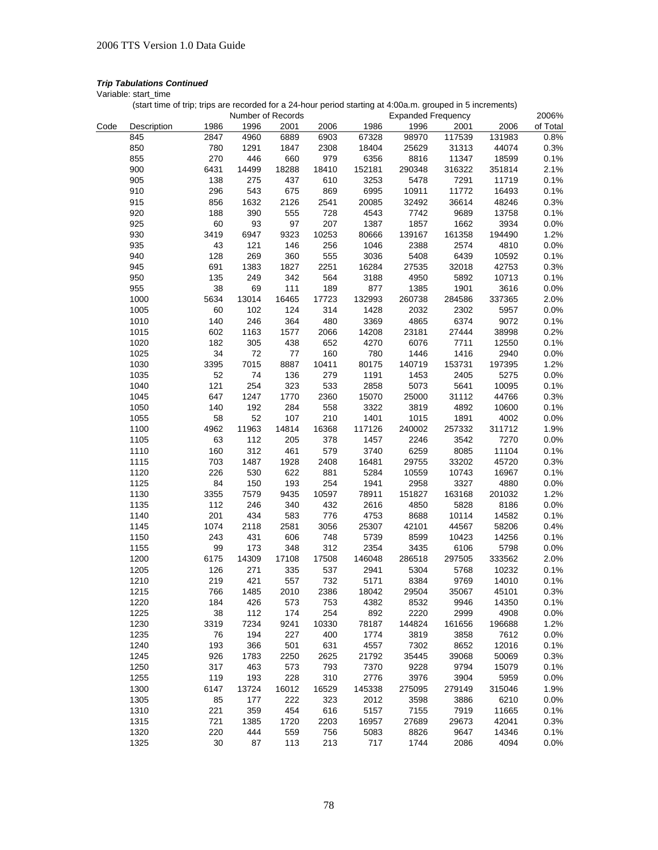Variable: start\_time

|      | Number of Records |            |             |             |             | 2006%         |               |               |                |              |
|------|-------------------|------------|-------------|-------------|-------------|---------------|---------------|---------------|----------------|--------------|
| Code | Description       | 1986       | 1996        | 2001        | 2006        | 1986          | 1996          | 2001          | 2006           | of Total     |
|      | 845               | 2847       | 4960        | 6889        | 6903        | 67328         | 98970         | 117539        | 131983         | 0.8%         |
|      | 850               | 780        | 1291        | 1847        | 2308        | 18404         | 25629         | 31313         | 44074          | 0.3%         |
|      | 855               | 270        | 446         | 660         | 979         | 6356          | 8816          | 11347         | 18599          | 0.1%         |
|      | 900               | 6431       | 14499       | 18288       | 18410       | 152181        | 290348        | 316322        | 351814         | 2.1%         |
|      | 905               | 138        | 275         | 437         | 610         | 3253          | 5478          | 7291          | 11719          | 0.1%         |
|      | 910               | 296        | 543         | 675         | 869         | 6995          | 10911         | 11772         | 16493          | 0.1%         |
|      | 915               | 856        | 1632        | 2126        | 2541        | 20085         | 32492         | 36614         | 48246          | 0.3%         |
|      | 920               | 188        | 390         | 555         | 728         | 4543          | 7742          | 9689          | 13758          | 0.1%         |
|      | 925               | 60         | 93          | 97          | 207         | 1387          | 1857          | 1662          | 3934           | 0.0%         |
|      | 930               | 3419       | 6947        | 9323        | 10253       | 80666         | 139167        | 161358        | 194490         | 1.2%         |
|      | 935               | 43         | 121         | 146         | 256         | 1046          | 2388          | 2574          | 4810           | 0.0%         |
|      | 940               | 128        | 269         | 360         | 555         | 3036          | 5408          | 6439          | 10592          | 0.1%         |
|      | 945               | 691        | 1383        | 1827        | 2251        | 16284         | 27535         | 32018         | 42753          | 0.3%         |
|      | 950               | 135        | 249         | 342         | 564         | 3188          | 4950          | 5892          | 10713          | 0.1%         |
|      | 955               | 38         | 69          | 111         | 189         | 877           | 1385          | 1901          | 3616           | 0.0%         |
|      | 1000              | 5634       | 13014       | 16465       | 17723       | 132993        | 260738        | 284586        | 337365         | 2.0%         |
|      | 1005              | 60         | 102         | 124         | 314         | 1428          | 2032          | 2302          | 5957           | 0.0%         |
|      | 1010              | 140        | 246         | 364         | 480         | 3369          | 4865          | 6374          | 9072           | 0.1%         |
|      | 1015              | 602        | 1163        | 1577        | 2066        | 14208         | 23181         | 27444         | 38998          | 0.2%         |
|      | 1020              | 182        | 305         | 438         | 652         | 4270          | 6076          | 7711          | 12550          | 0.1%         |
|      | 1025              | 34         | 72          | 77          | 160         | 780           | 1446          | 1416          | 2940           | 0.0%         |
|      | 1030              | 3395       | 7015        | 8887        | 10411       | 80175         | 140719        | 153731        | 197395         | 1.2%         |
|      | 1035              | 52         | 74          | 136         | 279         | 1191          | 1453          | 2405          | 5275           | 0.0%         |
|      | 1040              | 121        | 254         | 323         | 533         | 2858          | 5073          | 5641          | 10095          | 0.1%         |
|      | 1045              | 647        | 1247        | 1770        | 2360        | 15070         | 25000         | 31112         | 44766          | 0.3%         |
|      | 1050              | 140        | 192         | 284         | 558         | 3322          | 3819          | 4892          | 10600          | 0.1%         |
|      | 1055              | 58         | 52          | 107         | 210         | 1401          | 1015          | 1891          | 4002           | 0.0%         |
|      | 1100              | 4962       | 11963       | 14814       | 16368       | 117126        | 240002        | 257332        | 311712         | 1.9%         |
|      | 1105              | 63         | 112         | 205         | 378         | 1457          | 2246          | 3542          | 7270           | 0.0%         |
|      | 1110              | 160        | 312         | 461         | 579         | 3740          | 6259          | 8085          | 11104          | 0.1%         |
|      | 1115              | 703        | 1487        | 1928        | 2408        | 16481         | 29755         | 33202         | 45720          | 0.3%         |
|      | 1120              | 226        | 530         | 622         | 881         | 5284          | 10559         | 10743         | 16967          | 0.1%         |
|      | 1125              | 84         | 150         | 193         | 254         | 1941          | 2958          | 3327          | 4880           | 0.0%         |
|      | 1130              | 3355       | 7579        | 9435        | 10597       | 78911         | 151827        | 163168        | 201032         | 1.2%         |
|      | 1135              | 112        | 246         | 340         | 432         | 2616          | 4850          | 5828          | 8186           | 0.0%         |
|      | 1140              | 201        | 434         | 583         | 776         | 4753          | 8688          | 10114         | 14582          | 0.1%         |
|      | 1145              | 1074       | 2118        | 2581        | 3056        | 25307         | 42101         | 44567         | 58206          | 0.4%         |
|      | 1150              | 243        | 431         | 606         | 748         | 5739          | 8599          | 10423         | 14256          | 0.1%         |
|      | 1155              | 99         | 173         | 348         | 312         | 2354          | 3435          | 6106          | 5798           | 0.0%         |
|      | 1200              | 6175       | 14309       | 17108       | 17508       | 146048        | 286518        | 297505        | 333562         | 2.0%         |
|      | 1205              | 126        | 271         | 335         | 537         | 2941          | 5304          | 5768          | 10232          | 0.1%         |
|      | 1210              | 219        | 421         | 557         | 732         | 5171          | 8384          | 9769          | 14010          | 0.1%         |
|      |                   |            | 1485        | 2010        | 2386        |               |               |               |                |              |
|      | 1215              | 766        |             |             |             | 18042<br>4382 | 29504         | 35067         | 45101          | 0.3%<br>0.1% |
|      | 1220<br>1225      | 184<br>38  | 426<br>112  | 573<br>174  | 753<br>254  | 892           | 8532<br>2220  | 9946<br>2999  | 14350          |              |
|      | 1230              | 3319       | 7234        | 9241        | 10330       | 78187         | 144824        | 161656        | 4908           | 0.0%         |
|      | 1235              | 76         | 194         | 227         | 400         | 1774          | 3819          | 3858          | 196688<br>7612 | 1.2%         |
|      | 1240              | 193        | 366         |             | 631         | 4557          | 7302          | 8652          | 12016          | 0.0%         |
|      |                   |            |             | 501         |             |               |               |               |                | 0.1%         |
|      | 1245<br>1250      | 926<br>317 | 1783<br>463 | 2250<br>573 | 2625<br>793 | 21792<br>7370 | 35445<br>9228 | 39068<br>9794 | 50069<br>15079 | 0.3%<br>0.1% |
|      |                   |            |             |             |             |               |               |               |                |              |
|      | 1255              | 119        | 193         | 228         | 310         | 2776          | 3976          | 3904          | 5959           | 0.0%         |
|      | 1300              | 6147       | 13724       | 16012       | 16529       | 145338        | 275095        | 279149        | 315046         | 1.9%         |
|      | 1305              | 85         | 177         | 222         | 323         | 2012          | 3598          | 3886          | 6210           | 0.0%         |
|      | 1310              | 221        | 359         | 454         | 616         | 5157          | 7155          | 7919          | 11665          | 0.1%         |
|      | 1315              | 721        | 1385        | 1720        | 2203        | 16957         | 27689         | 29673         | 42041          | 0.3%         |
|      | 1320              | 220        | 444         | 559         | 756         | 5083          | 8826          | 9647          | 14346          | 0.1%         |
|      | 1325              | 30         | 87          | 113         | 213         | 717           | 1744          | 2086          | 4094           | 0.0%         |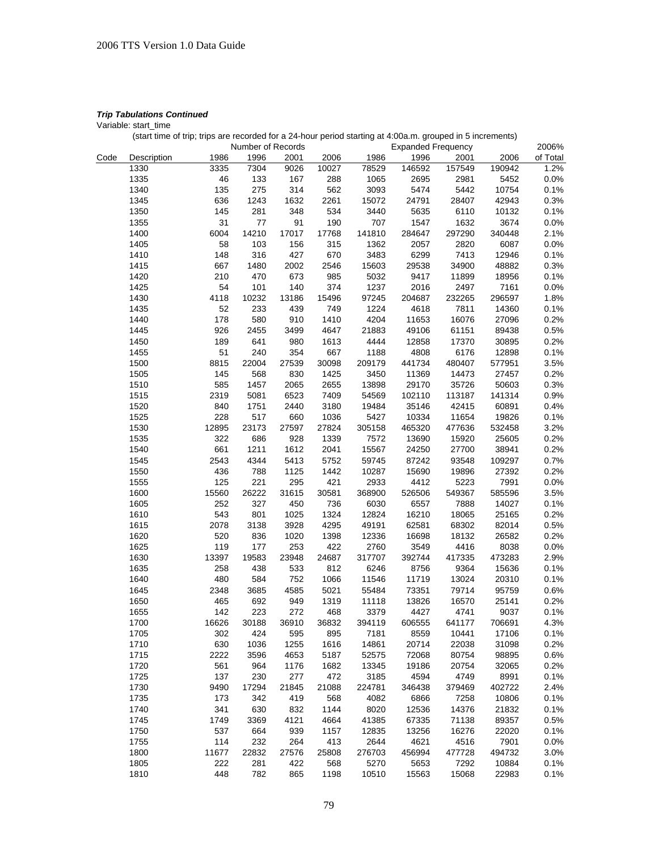Variable: start\_time

|      |             |       | Number of Records |       |       |        | <b>Expanded Frequency</b> |        |        | 2006%    |
|------|-------------|-------|-------------------|-------|-------|--------|---------------------------|--------|--------|----------|
| Code | Description | 1986  | 1996              | 2001  | 2006  | 1986   | 1996                      | 2001   | 2006   | of Total |
|      | 1330        | 3335  | 7304              | 9026  | 10027 | 78529  | 146592                    | 157549 | 190942 | 1.2%     |
|      | 1335        | 46    | 133               | 167   | 288   | 1065   | 2695                      | 2981   | 5452   | 0.0%     |
|      | 1340        | 135   | 275               | 314   | 562   | 3093   | 5474                      | 5442   | 10754  | 0.1%     |
|      | 1345        | 636   | 1243              | 1632  | 2261  | 15072  | 24791                     | 28407  | 42943  | 0.3%     |
|      | 1350        | 145   | 281               | 348   | 534   | 3440   | 5635                      | 6110   | 10132  | 0.1%     |
|      | 1355        | 31    | 77                | 91    | 190   | 707    | 1547                      | 1632   | 3674   | 0.0%     |
|      | 1400        | 6004  | 14210             | 17017 | 17768 | 141810 | 284647                    | 297290 | 340448 | 2.1%     |
|      | 1405        | 58    | 103               | 156   | 315   | 1362   | 2057                      | 2820   | 6087   | 0.0%     |
|      | 1410        | 148   | 316               | 427   | 670   | 3483   | 6299                      | 7413   | 12946  | 0.1%     |
|      | 1415        | 667   | 1480              | 2002  | 2546  | 15603  | 29538                     | 34900  | 48882  | 0.3%     |
|      | 1420        | 210   | 470               | 673   | 985   | 5032   | 9417                      | 11899  | 18956  | 0.1%     |
|      | 1425        | 54    | 101               | 140   | 374   | 1237   | 2016                      | 2497   | 7161   | 0.0%     |
|      |             |       |                   |       |       | 97245  |                           |        |        |          |
|      | 1430        | 4118  | 10232             | 13186 | 15496 |        | 204687                    | 232265 | 296597 | 1.8%     |
|      | 1435        | 52    | 233               | 439   | 749   | 1224   | 4618                      | 7811   | 14360  | 0.1%     |
|      | 1440        | 178   | 580               | 910   | 1410  | 4204   | 11653                     | 16076  | 27096  | 0.2%     |
|      | 1445        | 926   | 2455              | 3499  | 4647  | 21883  | 49106                     | 61151  | 89438  | 0.5%     |
|      | 1450        | 189   | 641               | 980   | 1613  | 4444   | 12858                     | 17370  | 30895  | 0.2%     |
|      | 1455        | 51    | 240               | 354   | 667   | 1188   | 4808                      | 6176   | 12898  | 0.1%     |
|      | 1500        | 8815  | 22004             | 27539 | 30098 | 209179 | 441734                    | 480407 | 577951 | 3.5%     |
|      | 1505        | 145   | 568               | 830   | 1425  | 3450   | 11369                     | 14473  | 27457  | 0.2%     |
|      | 1510        | 585   | 1457              | 2065  | 2655  | 13898  | 29170                     | 35726  | 50603  | 0.3%     |
|      | 1515        | 2319  | 5081              | 6523  | 7409  | 54569  | 102110                    | 113187 | 141314 | 0.9%     |
|      | 1520        | 840   | 1751              | 2440  | 3180  | 19484  | 35146                     | 42415  | 60891  | 0.4%     |
|      | 1525        | 228   | 517               | 660   | 1036  | 5427   | 10334                     | 11654  | 19826  | 0.1%     |
|      | 1530        | 12895 | 23173             | 27597 | 27824 | 305158 | 465320                    | 477636 | 532458 | 3.2%     |
|      | 1535        | 322   | 686               | 928   | 1339  | 7572   | 13690                     | 15920  | 25605  | 0.2%     |
|      | 1540        | 661   | 1211              | 1612  | 2041  | 15567  | 24250                     | 27700  | 38941  | 0.2%     |
|      | 1545        | 2543  | 4344              | 5413  | 5752  | 59745  | 87242                     | 93548  | 109297 | 0.7%     |
|      | 1550        | 436   | 788               | 1125  | 1442  | 10287  | 15690                     | 19896  | 27392  | 0.2%     |
|      | 1555        | 125   | 221               | 295   | 421   | 2933   | 4412                      | 5223   | 7991   | 0.0%     |
|      | 1600        | 15560 | 26222             | 31615 | 30581 | 368900 | 526506                    | 549367 | 585596 | 3.5%     |
|      | 1605        | 252   | 327               | 450   | 736   | 6030   | 6557                      | 7888   | 14027  | 0.1%     |
|      | 1610        | 543   | 801               | 1025  | 1324  | 12824  | 16210                     | 18065  | 25165  | 0.2%     |
|      | 1615        | 2078  | 3138              | 3928  | 4295  | 49191  | 62581                     | 68302  | 82014  | 0.5%     |
|      | 1620        | 520   | 836               | 1020  | 1398  | 12336  | 16698                     | 18132  | 26582  | 0.2%     |
|      | 1625        | 119   | 177               | 253   | 422   | 2760   | 3549                      | 4416   | 8038   | 0.0%     |
|      | 1630        | 13397 | 19583             | 23948 | 24687 | 317707 | 392744                    | 417335 | 473283 | 2.9%     |
|      | 1635        | 258   | 438               | 533   | 812   | 6246   | 8756                      | 9364   | 15636  | 0.1%     |
|      | 1640        | 480   | 584               | 752   | 1066  | 11546  | 11719                     | 13024  | 20310  | 0.1%     |
|      | 1645        | 2348  | 3685              | 4585  | 5021  | 55484  | 73351                     | 79714  | 95759  | 0.6%     |
|      | 1650        | 465   | 692               | 949   | 1319  | 11118  | 13826                     | 16570  | 25141  | 0.2%     |
|      | 1655        | 142   | 223               | 272   | 468   | 3379   | 4427                      | 4741   | 9037   | 0.1%     |
|      |             |       |                   |       |       |        |                           |        |        |          |
|      | 1700        | 16626 | 30188             | 36910 | 36832 | 394119 | 606555                    | 641177 | 706691 | 4.3%     |
|      | 1705        | 302   | 424               | 595   | 895   | 7181   | 8559                      | 10441  | 17106  | 0.1%     |
|      | 1710        | 630   | 1036              | 1255  | 1616  | 14861  | 20714                     | 22038  | 31098  | 0.2%     |
|      | 1715        | 2222  | 3596              | 4653  | 5187  | 52575  | 72068                     | 80754  | 98895  | 0.6%     |
|      | 1720        | 561   | 964               | 1176  | 1682  | 13345  | 19186                     | 20754  | 32065  | 0.2%     |
|      | 1725        | 137   | 230               | 277   | 472   | 3185   | 4594                      | 4749   | 8991   | 0.1%     |
|      | 1730        | 9490  | 17294             | 21845 | 21088 | 224781 | 346438                    | 379469 | 402722 | 2.4%     |
|      | 1735        | 173   | 342               | 419   | 568   | 4082   | 6866                      | 7258   | 10806  | 0.1%     |
|      | 1740        | 341   | 630               | 832   | 1144  | 8020   | 12536                     | 14376  | 21832  | 0.1%     |
|      | 1745        | 1749  | 3369              | 4121  | 4664  | 41385  | 67335                     | 71138  | 89357  | 0.5%     |
|      | 1750        | 537   | 664               | 939   | 1157  | 12835  | 13256                     | 16276  | 22020  | 0.1%     |
|      | 1755        | 114   | 232               | 264   | 413   | 2644   | 4621                      | 4516   | 7901   | 0.0%     |
|      | 1800        | 11677 | 22832             | 27576 | 25808 | 276703 | 456994                    | 477728 | 494732 | 3.0%     |
|      | 1805        | 222   | 281               | 422   | 568   | 5270   | 5653                      | 7292   | 10884  | 0.1%     |
|      | 1810        | 448   | 782               | 865   | 1198  | 10510  | 15563                     | 15068  | 22983  | 0.1%     |
|      |             |       |                   |       |       |        |                           |        |        |          |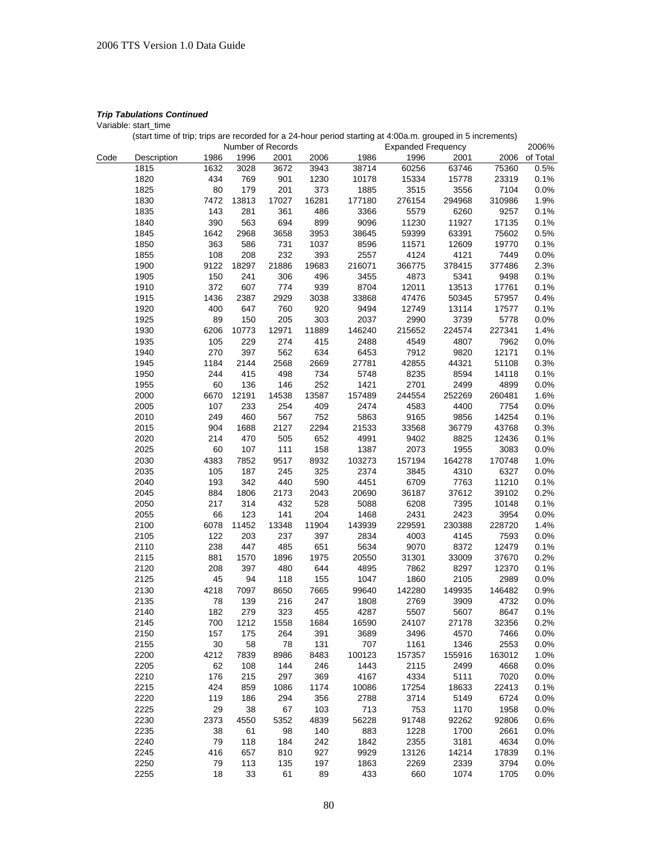Variable: start\_time

|  | (start time of trip; trips are recorded for a 24-hour period starting at 4:00a.m. grouped in 5 increments) |  |
|--|------------------------------------------------------------------------------------------------------------|--|
|  |                                                                                                            |  |

|      |              |          |           | Number of Records |       |             | <b>Expanded Frequency</b> |        |        | 2006%    |
|------|--------------|----------|-----------|-------------------|-------|-------------|---------------------------|--------|--------|----------|
| Code | Description  | 1986     | 1996      | 2001              | 2006  | 1986        | 1996                      | 2001   | 2006   | of Total |
|      | 1815         | 1632     | 3028      | 3672              | 3943  | 38714       | 60256                     | 63746  | 75360  | 0.5%     |
|      | 1820         | 434      | 769       | 901               | 1230  | 10178       | 15334                     | 15778  | 23319  | 0.1%     |
|      | 1825         | 80       | 179       | 201               | 373   | 1885        | 3515                      | 3556   | 7104   | 0.0%     |
|      | 1830         | 7472     | 13813     | 17027             | 16281 | 177180      | 276154                    | 294968 | 310986 | 1.9%     |
|      | 1835         | 143      | 281       | 361               | 486   | 3366        | 5579                      | 6260   | 9257   | 0.1%     |
|      | 1840         | 390      | 563       | 694               | 899   | 9096        | 11230                     | 11927  | 17135  | 0.1%     |
|      | 1845         | 1642     | 2968      | 3658              | 3953  | 38645       | 59399                     | 63391  | 75602  | 0.5%     |
|      | 1850         | 363      | 586       | 731               | 1037  | 8596        | 11571                     | 12609  | 19770  | 0.1%     |
|      | 1855         | 108      | 208       | 232               | 393   | 2557        | 4124                      | 4121   | 7449   | 0.0%     |
|      | 1900         | 9122     | 18297     | 21886             | 19683 | 216071      | 366775                    | 378415 | 377486 | 2.3%     |
|      | 1905         | 150      | 241       | 306               | 496   | 3455        | 4873                      | 5341   | 9498   | 0.1%     |
|      | 1910         | 372      | 607       | 774               | 939   | 8704        | 12011                     | 13513  | 17761  | 0.1%     |
|      | 1915         | 1436     | 2387      | 2929              | 3038  | 33868       | 47476                     | 50345  | 57957  | 0.4%     |
|      | 1920         | 400      | 647       | 760               | 920   | 9494        | 12749                     | 13114  | 17577  | 0.1%     |
|      | 1925         | 89       | 150       | 205               | 303   | 2037        | 2990                      | 3739   | 5778   | 0.0%     |
|      | 1930         | 6206     | 10773     | 12971             | 11889 | 146240      | 215652                    | 224574 | 227341 | 1.4%     |
|      | 1935         | 105      | 229       | 274               | 415   | 2488        | 4549                      | 4807   | 7962   | 0.0%     |
|      | 1940         | 270      | 397       | 562               | 634   | 6453        | 7912                      | 9820   | 12171  | 0.1%     |
|      | 1945         | 1184     | 2144      | 2568              | 2669  | 27781       | 42855                     | 44321  | 51108  | 0.3%     |
|      | 1950         | 244      | 415       | 498               | 734   | 5748        | 8235                      | 8594   | 14118  | 0.1%     |
|      | 1955         | 60       | 136       | 146               | 252   | 1421        | 2701                      | 2499   | 4899   | 0.0%     |
|      | 2000         | 6670     | 12191     | 14538             | 13587 | 157489      | 244554                    | 252269 | 260481 | 1.6%     |
|      | 2005         | 107      | 233       | 254               | 409   | 2474        | 4583                      | 4400   | 7754   | 0.0%     |
|      | 2010         | 249      | 460       | 567               | 752   | 5863        | 9165                      | 9856   | 14254  | 0.1%     |
|      | 2015         | 904      | 1688      | 2127              | 2294  | 21533       | 33568                     | 36779  | 43768  | 0.3%     |
|      | 2020         | 214      | 470       | 505               | 652   | 4991        | 9402                      | 8825   | 12436  | 0.1%     |
|      | 2025         | 60       | 107       | 111               | 158   | 1387        | 2073                      | 1955   | 3083   | 0.0%     |
|      | 2030         | 4383     | 7852      | 9517              | 8932  | 103273      | 157194                    | 164278 | 170748 | 1.0%     |
|      | 2035         | 105      | 187       | 245               | 325   | 2374        | 3845                      | 4310   | 6327   | 0.0%     |
|      | 2040         | 193      | 342       | 440               | 590   | 4451        | 6709                      | 7763   | 11210  | 0.1%     |
|      | 2045         | 884      | 1806      | 2173              | 2043  | 20690       | 36187                     | 37612  | 39102  | 0.2%     |
|      | 2050         | 217      | 314       | 432               | 528   | 5088        | 6208                      | 7395   | 10148  | 0.1%     |
|      | 2055         | 66       | 123       | 141               | 204   | 1468        | 2431                      | 2423   | 3954   | 0.0%     |
|      | 2100         | 6078     | 11452     | 13348             | 11904 | 143939      | 229591                    | 230388 | 228720 | 1.4%     |
|      | 2105         | 122      | 203       | 237               | 397   | 2834        | 4003                      | 4145   | 7593   | 0.0%     |
|      | 2110         | 238      | 447       | 485               | 651   | 5634        | 9070                      | 8372   | 12479  | 0.1%     |
|      | 2115         | 881      | 1570      | 1896              | 1975  | 20550       | 31301                     | 33009  | 37670  | 0.2%     |
|      | 2120         | 208      | 397       | 480               | 644   | 4895        | 7862                      | 8297   | 12370  | 0.1%     |
|      | 2125         | 45       | 94        | 118               | 155   | 1047        | 1860                      | 2105   | 2989   | 0.0%     |
|      | 2130         | 4218     | 7097      | 8650              | 7665  | 99640       | 142280                    | 149935 | 146482 | 0.9%     |
|      | 2135         | 78       | 139       | 216               | 247   | 1808        | 2769                      | 3909   | 4732   | 0.0%     |
|      | 2140         | 182      | 279       | 323               | 455   | 4287        | 5507                      | 5607   | 8647   | 0.1%     |
|      | 2145         | 700      | 1212      | 1558              | 1684  | 16590       | 24107                     | 27178  | 32356  | $0.2\%$  |
|      | 2150         | 157      | 175       | 264               | 391   | 3689        | 3496                      | 4570   | 7466   | 0.0%     |
|      | 2155         | 30       | 58        | 78                | 131   | 707         | 1161                      | 1346   | 2553   | 0.0%     |
|      | 2200         | 4212     | 7839      | 8986              | 8483  | 100123      | 157357                    | 155916 | 163012 | 1.0%     |
|      | 2205         | 62       | 108       | 144               | 246   | 1443        | 2115                      | 2499   | 4668   | 0.0%     |
|      | 2210         | 176      | 215       | 297               | 369   | 4167        | 4334                      | 5111   | 7020   | 0.0%     |
|      | 2215         | 424      | 859       | 1086              | 1174  | 10086       | 17254                     | 18633  | 22413  | 0.1%     |
|      | 2220         | 119      | 186       | 294               | 356   | 2788        | 3714                      | 5149   | 6724   | 0.0%     |
|      | 2225         | 29       | 38        | 67                | 103   | 713         | 753                       | 1170   | 1958   | 0.0%     |
|      | 2230         | 2373     | 4550      | 5352              | 4839  | 56228       | 91748                     | 92262  | 92806  | 0.6%     |
|      | 2235         | 38       | 61        | 98                | 140   | 883         | 1228                      | 1700   | 2661   | 0.0%     |
|      |              | 79       | 118       | 184               | 242   | 1842        | 2355                      |        | 4634   | 0.0%     |
|      | 2240<br>2245 | 416      |           |                   | 927   | 9929        |                           | 3181   | 17839  |          |
|      |              |          | 657       | 810               |       |             | 13126                     | 14214  | 3794   | 0.1%     |
|      | 2250<br>2255 | 79<br>18 | 113<br>33 | 135<br>61         | 197   | 1863<br>433 | 2269                      | 2339   | 1705   | 0.0%     |
|      |              |          |           |                   | 89    |             | 660                       | 1074   |        | 0.0%     |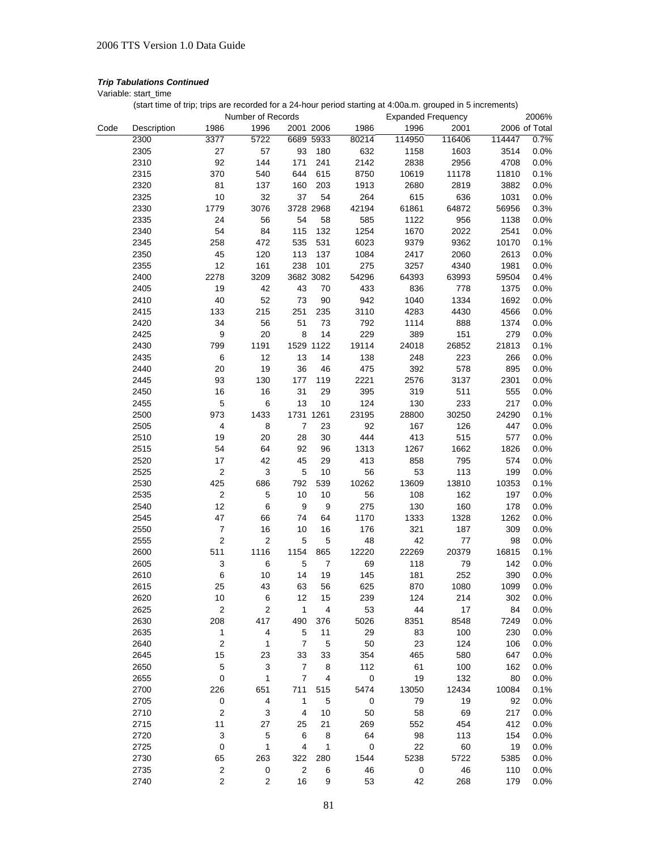Variable: start\_time

|      |             |                         | Number of Records       |                      |                      | <b>Expanded Frequency</b> |        |               | 2006%         |
|------|-------------|-------------------------|-------------------------|----------------------|----------------------|---------------------------|--------|---------------|---------------|
| Code | Description | 1986                    | 1996                    | 2001 2006            | 1986                 | 1996                      | 2001   |               | 2006 of Total |
|      | 2300        | 3377                    | 5722                    | 6689 5933            | 80214                | 114950                    | 116406 | 114447        | 0.7%          |
|      | 2305        | 27                      | 57                      | 180<br>93            | 632                  | 1158                      | 1603   | 3514          | 0.0%          |
|      | 2310        | 92                      | 144                     | 171<br>241           | 2142                 | 2838                      | 2956   | 4708          | 0.0%          |
|      | 2315        | 370                     | 540                     | 615<br>644           | 8750                 | 10619                     | 11178  | 11810         | 0.1%          |
|      | 2320        | 81                      | 137                     | 203<br>160           | 1913                 | 2680                      | 2819   | 3882          | 0.0%          |
|      | 2325        | 10                      | 32                      | 37<br>54             | 264                  | 615                       | 636    | 1031          | 0.0%          |
|      | 2330        | 1779                    | 3076                    | 3728 2968            | 42194                | 61861                     | 64872  | 56956         | 0.3%          |
|      | 2335        | 24                      | 56                      | 54<br>58             | 585                  | 1122                      | 956    | 1138          | 0.0%          |
|      |             | 54                      |                         | 115<br>132           |                      |                           |        |               |               |
|      | 2340        |                         | 84                      |                      | 1254                 | 1670                      | 2022   | 2541<br>10170 | 0.0%          |
|      | 2345        | 258                     | 472                     | 535<br>531           | 6023                 | 9379                      | 9362   |               | 0.1%          |
|      | 2350        | 45                      | 120                     | 137<br>113           | 1084                 | 2417                      | 2060   | 2613          | 0.0%          |
|      | 2355        | 12                      | 161                     | 238<br>101           | 275                  | 3257                      | 4340   | 1981          | 0.0%          |
|      | 2400        | 2278                    | 3209                    | 3682 3082            | 54296                | 64393                     | 63993  | 59504         | 0.4%          |
|      | 2405        | 19                      | 42                      | 43<br>70             | 433                  | 836                       | 778    | 1375          | 0.0%          |
|      | 2410        | 40                      | 52                      | 73<br>90             | 942                  | 1040                      | 1334   | 1692          | 0.0%          |
|      | 2415        | 133                     | 215                     | 251<br>235           | 3110                 | 4283                      | 4430   | 4566          | 0.0%          |
|      | 2420        | 34                      | 56                      | 51<br>73             | 792                  | 1114                      | 888    | 1374          | 0.0%          |
|      | 2425        | 9                       | 20                      | 8<br>14              | 229                  | 389                       | 151    | 279           | 0.0%          |
|      | 2430        | 799                     | 1191                    | 1529 1122            | 19114                | 24018                     | 26852  | 21813         | 0.1%          |
|      | 2435        | 6                       | 12                      | 13<br>14             | 138                  | 248                       | 223    | 266           | 0.0%          |
|      | 2440        | 20                      | 19                      | 36<br>46             | 475                  | 392                       | 578    | 895           | 0.0%          |
|      | 2445        | 93                      | 130                     | 177<br>119           | 2221                 | 2576                      | 3137   | 2301          | 0.0%          |
|      | 2450        | 16                      | 16                      | 31<br>29             | 395                  | 319                       | 511    | 555           | 0.0%          |
|      | 2455        | 5                       | 6                       | 13<br>10             | 124                  | 130                       | 233    | 217           | 0.0%          |
|      | 2500        | 973                     | 1433                    | 1731 1261            | 23195                | 28800                     | 30250  | 24290         | 0.1%          |
|      | 2505        | 4                       | 8                       | $\overline{7}$<br>23 | 92                   | 167                       | 126    | 447           | 0.0%          |
|      | 2510        | 19                      | 20                      | 28<br>30             | 444                  | 413                       | 515    | 577           | 0.0%          |
|      | 2515        | 54                      | 64                      | 92<br>96             | 1313                 | 1267                      | 1662   | 1826          | 0.0%          |
|      | 2520        | 17                      | 42                      | 45<br>29             | 413                  | 858                       | 795    | 574           | 0.0%          |
|      | 2525        | $\boldsymbol{2}$        | 3                       | $\mathbf 5$<br>10    | 56                   | 53                        | 113    | 199           | 0.0%          |
|      | 2530        | 425                     | 686                     | 792<br>539           | 10262                | 13609                     | 13810  | 10353         | 0.1%          |
|      | 2535        | $\overline{\mathbf{c}}$ | 5                       | 10<br>10             | 56                   | 108                       | 162    | 197           | 0.0%          |
|      | 2540        | 12                      | 6                       | 9                    | 9<br>275             | 130                       | 160    | 178           | 0.0%          |
|      | 2545        | 47                      | 66                      | 74<br>64             | 1170                 | 1333                      | 1328   | 1262          | 0.0%          |
|      | 2550        | $\overline{7}$          | 16                      | 10<br>16             | 176                  | 321                       | 187    | 309           | 0.0%          |
|      | 2555        | $\boldsymbol{2}$        | $\overline{2}$          | 5                    | 5<br>48              | 42                        | 77     | 98            | 0.0%          |
|      | 2600        | 511                     | 1116                    | 1154<br>865          | 12220                | 22269                     | 20379  | 16815         | 0.1%          |
|      | 2605        | 3                       | 6                       | 5                    | 7<br>69              | 118                       | 79     | 142           | 0.0%          |
|      | 2610        | $\,6$                   | 10                      | 14<br>19             | 145                  | 181                       | 252    | 390           | 0.0%          |
|      | 2615        | 25                      | 43                      | 63<br>56             | 625                  | 870                       | 1080   | 1099          | 0.0%          |
|      | 2620        | 10                      | 6                       | 12<br>15             | 239                  | 124                       | 214    | 302           | 0.0%          |
|      | 2625        | $\boldsymbol{2}$        | 2                       | $\mathbf{1}$         | $\overline{4}$<br>53 | 44                        | 17     | 84            | 0.0%          |
|      | 2630        | 208                     | 417                     | 490<br>376           | 5026                 | 8351                      | 8548   | 7249          | 0.0%          |
|      | 2635        | 1                       | 4                       | $\mathbf 5$<br>11    | 29                   | 83                        | 100    | 230           | 0.0%          |
|      | 2640        | $\boldsymbol{2}$        | 1                       | $\overline{7}$       | 5<br>50              | 23                        | 124    | 106           | 0.0%          |
|      | 2645        | 15                      | 23                      | 33<br>33             | 354                  | 465                       | 580    | 647           | 0.0%          |
|      | 2650        | 5                       | 3                       | 7                    | 112<br>8             | 61                        | 100    | 162           | 0.0%          |
|      | 2655        | $\mathbf 0$             | $\mathbf 1$             | $\boldsymbol{7}$     | 4<br>$\pmb{0}$       | 19                        | 132    | 80            | 0.0%          |
|      | 2700        | 226                     | 651                     | 711<br>515           | 5474                 | 13050                     | 12434  | 10084         | 0.1%          |
|      | 2705        | $\pmb{0}$               | $\overline{\mathbf{4}}$ | $\mathbf{1}$         | 5<br>$\mathbf 0$     | 79                        | 19     | 92            | 0.0%          |
|      | 2710        | $\overline{c}$          | 3                       | 4<br>10              | 50                   | 58                        | 69     | 217           | 0.0%          |
|      | 2715        | 11                      | $27\,$                  | 21<br>25             | 269                  | 552                       | 454    | 412           | 0.0%          |
|      | 2720        | 3                       | $\mathbf 5$             | 6                    | 64<br>8              | 98                        | 113    | 154           | 0.0%          |
|      | 2725        | $\pmb{0}$               | 1                       | 4                    | $\pmb{0}$<br>1       | 22                        | 60     | 19            | 0.0%          |
|      | 2730        | 65                      | 263                     | 322<br>280           | 1544                 | 5238                      | 5722   | 5385          | 0.0%          |
|      | 2735        | 2                       | 0                       | $\sqrt{2}$           | 46<br>6              | $\mathbf 0$               | 46     | 110           | 0.0%          |
|      | 2740        | 2                       | $\overline{2}$          | 16                   | 9<br>53              | 42                        | 268    | 179           | 0.0%          |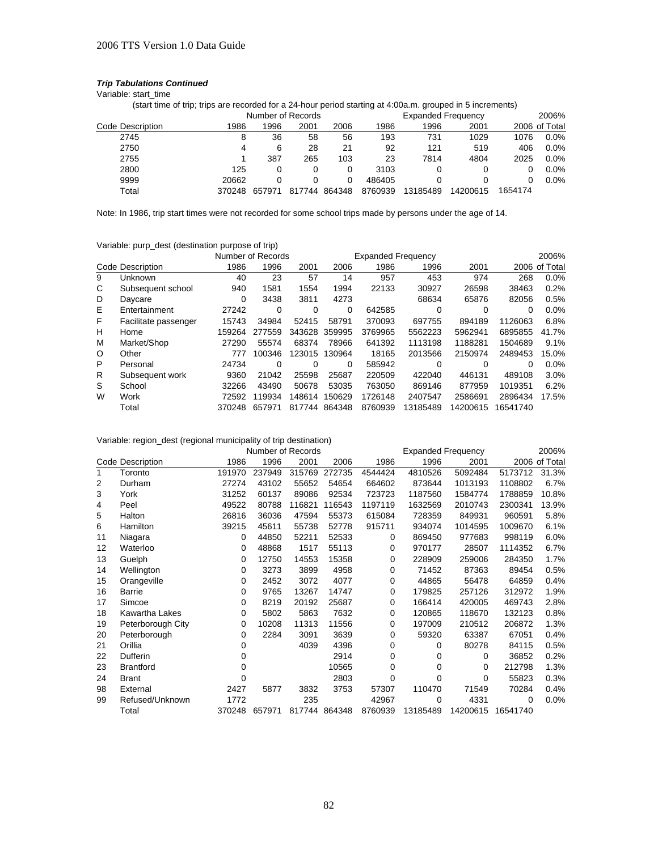Variable: start\_time

(start time of trip; trips are recorded for a 24-hour period starting at 4:00a.m. grouped in 5 increments)

|                  |        | Number of Records |            |        |         | <b>Expanded Frequency</b> | 2006%    |         |               |
|------------------|--------|-------------------|------------|--------|---------|---------------------------|----------|---------|---------------|
| Code Description | 1986   | 1996              | 2001       | 2006   | 1986    | 1996                      | 2001     |         | 2006 of Total |
| 2745             | 8      | 36                | 58         | 56     | 193     | 731                       | 1029     | 1076    | $0.0\%$       |
| 2750             | 4      | 6                 | 28         | 21     | 92      | 121                       | 519      | 406     | $0.0\%$       |
| 2755             |        | 387               | 265        | 103    | 23      | 7814                      | 4804     | 2025    | $0.0\%$       |
| 2800             | 125    |                   |            |        | 3103    |                           |          |         | $0.0\%$       |
| 9999             | 20662  |                   |            |        | 486405  |                           |          |         | $0.0\%$       |
| Total            | 370248 | 657971            | 7744<br>81 | 864348 | 8760939 | 13185489                  | 14200615 | 1654174 |               |

Note: In 1986, trip start times were not recorded for some school trips made by persons under the age of 14.

Variable: purp\_dest (destination purpose of trip)

|         |                      | Number of Records<br><b>Expanded Frequency</b> |        |        |          |         |          |          |          | 2006%         |
|---------|----------------------|------------------------------------------------|--------|--------|----------|---------|----------|----------|----------|---------------|
|         | Code Description     | 1986                                           | 1996   | 2001   | 2006     | 1986    | 1996     | 2001     |          | 2006 of Total |
| 9       | Unknown              | 40                                             | 23     | 57     | 14       | 957     | 453      | 974      | 268      | 0.0%          |
| C       | Subsequent school    | 940                                            | 1581   | 1554   | 1994     | 22133   | 30927    | 26598    | 38463    | 0.2%          |
| D       | Daycare              | 0                                              | 3438   | 3811   | 4273     |         | 68634    | 65876    | 82056    | 0.5%          |
| Е       | Entertainment        | 27242                                          | 0      | 0      | $\Omega$ | 642585  | 0        | 0        | 0        | $0.0\%$       |
| F       | Facilitate passenger | 15743                                          | 34984  | 52415  | 58791    | 370093  | 697755   | 894189   | 1126063  | 6.8%          |
| н       | Home                 | 159264                                         | 277559 | 343628 | 359995   | 3769965 | 5562223  | 5962941  | 6895855  | 41.7%         |
| M       | Market/Shop          | 27290                                          | 55574  | 68374  | 78966    | 641392  | 1113198  | 1188281  | 1504689  | 9.1%          |
| $\circ$ | Other                | 777                                            | 100346 | 123015 | 130964   | 18165   | 2013566  | 2150974  | 2489453  | 15.0%         |
| P       | Personal             | 24734                                          | 0      | 0      | 0        | 585942  | 0        | 0        | 0        | $0.0\%$       |
| R       | Subsequent work      | 9360                                           | 21042  | 25598  | 25687    | 220509  | 422040   | 446131   | 489108   | 3.0%          |
| S       | School               | 32266                                          | 43490  | 50678  | 53035    | 763050  | 869146   | 877959   | 1019351  | 6.2%          |
| W       | Work                 | 72592                                          | 119934 | 148614 | 150629   | 1726148 | 2407547  | 2586691  | 2896434  | 17.5%         |
|         | Total                | 370248                                         | 657971 | 817744 | 864348   | 8760939 | 13185489 | 14200615 | 16541740 |               |

Variable: region\_dest (regional municipality of trip destination)

|                   |                         |          | Number of Records |        | <b>Expanded Frequency</b><br>2006% |          |          |          |          |               |
|-------------------|-------------------------|----------|-------------------|--------|------------------------------------|----------|----------|----------|----------|---------------|
|                   | <b>Code Description</b> | 1986     | 1996              | 2001   | 2006                               | 1986     | 1996     | 2001     |          | 2006 of Total |
| 1                 | Toronto                 | 191970   | 237949            | 315769 | 272735                             | 4544424  | 4810526  | 5092484  | 5173712  | 31.3%         |
| 2                 | Durham                  | 27274    | 43102             | 55652  | 54654                              | 664602   | 873644   | 1013193  | 1108802  | 6.7%          |
| 3                 | York                    | 31252    | 60137             | 89086  | 92534                              | 723723   | 1187560  | 1584774  | 1788859  | 10.8%         |
| 4                 | Peel                    | 49522    | 80788             | 116821 | 116543                             | 1197119  | 1632569  | 2010743  | 2300341  | 13.9%         |
| 5                 | Halton                  | 26816    | 36036             | 47594  | 55373                              | 615084   | 728359   | 849931   | 960591   | 5.8%          |
| 6                 | Hamilton                | 39215    | 45611             | 55738  | 52778                              | 915711   | 934074   | 1014595  | 1009670  | 6.1%          |
| 11                | Niagara                 | 0        | 44850             | 52211  | 52533                              | 0        | 869450   | 977683   | 998119   | 6.0%          |
| $12 \overline{ }$ | Waterloo                | 0        | 48868             | 1517   | 55113                              | 0        | 970177   | 28507    | 1114352  | 6.7%          |
| 13                | Guelph                  | 0        | 12750             | 14553  | 15358                              | 0        | 228909   | 259006   | 284350   | 1.7%          |
| 14                | Wellington              | 0        | 3273              | 3899   | 4958                               | 0        | 71452    | 87363    | 89454    | 0.5%          |
| 15                | Orangeville             | 0        | 2452              | 3072   | 4077                               | 0        | 44865    | 56478    | 64859    | 0.4%          |
| 16                | Barrie                  | $\Omega$ | 9765              | 13267  | 14747                              | 0        | 179825   | 257126   | 312972   | 1.9%          |
| 17                | Simcoe                  | 0        | 8219              | 20192  | 25687                              | $\Omega$ | 166414   | 420005   | 469743   | 2.8%          |
| 18                | Kawartha Lakes          | 0        | 5802              | 5863   | 7632                               | 0        | 120865   | 118670   | 132123   | 0.8%          |
| 19                | Peterborough City       | 0        | 10208             | 11313  | 11556                              | 0        | 197009   | 210512   | 206872   | 1.3%          |
| 20                | Peterborough            | 0        | 2284              | 3091   | 3639                               | 0        | 59320    | 63387    | 67051    | 0.4%          |
| 21                | Orillia                 | 0        |                   | 4039   | 4396                               | $\Omega$ | 0        | 80278    | 84115    | 0.5%          |
| 22                | Dufferin                | 0        |                   |        | 2914                               | 0        | 0        | 0        | 36852    | 0.2%          |
| 23                | <b>Brantford</b>        | 0        |                   |        | 10565                              | $\Omega$ | 0        | 0        | 212798   | 1.3%          |
| 24                | <b>Brant</b>            | 0        |                   |        | 2803                               | 0        | 0        | 0        | 55823    | 0.3%          |
| 98                | External                | 2427     | 5877              | 3832   | 3753                               | 57307    | 110470   | 71549    | 70284    | 0.4%          |
| 99                | Refused/Unknown         | 1772     |                   | 235    |                                    | 42967    | 0        | 4331     | 0        | 0.0%          |
|                   | Total                   | 370248   | 657971            | 817744 | 864348                             | 8760939  | 13185489 | 14200615 | 16541740 |               |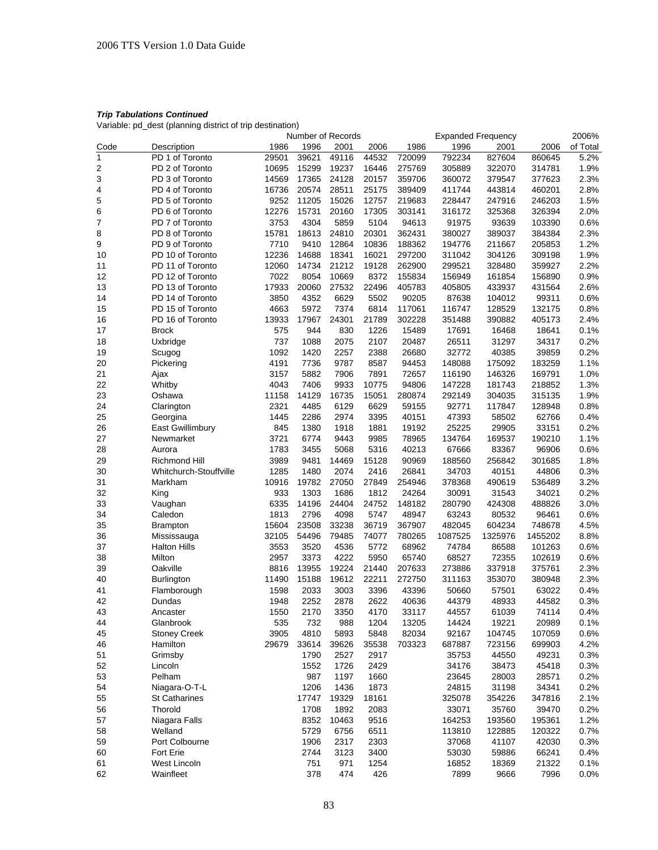Variable: pd\_dest (planning district of trip destination)

|              | Number of Records      |       |       |       |       |        | <b>Expanded Frequency</b> |         |         | 2006%    |
|--------------|------------------------|-------|-------|-------|-------|--------|---------------------------|---------|---------|----------|
| Code         | Description            | 1986  | 1996  | 2001  | 2006  | 1986   | 1996                      | 2001    | 2006    | of Total |
| $\mathbf{1}$ | PD 1 of Toronto        | 29501 | 39621 | 49116 | 44532 | 720099 | 792234                    | 827604  | 860645  | 5.2%     |
| 2            | PD 2 of Toronto        | 10695 | 15299 | 19237 | 16446 | 275769 | 305889                    | 322070  | 314781  | 1.9%     |
| 3            | PD 3 of Toronto        | 14569 | 17365 | 24128 | 20157 | 359706 | 360072                    | 379547  | 377623  | 2.3%     |
| 4            | PD 4 of Toronto        | 16736 | 20574 | 28511 | 25175 | 389409 | 411744                    | 443814  | 460201  | 2.8%     |
| 5            | PD 5 of Toronto        | 9252  | 11205 | 15026 | 12757 | 219683 | 228447                    | 247916  | 246203  | 1.5%     |
| 6            | PD 6 of Toronto        | 12276 | 15731 | 20160 | 17305 | 303141 | 316172                    | 325368  | 326394  | 2.0%     |
| 7            | PD 7 of Toronto        | 3753  | 4304  | 5859  | 5104  | 94613  | 91975                     | 93639   | 103390  | 0.6%     |
|              | PD 8 of Toronto        | 15781 | 18613 | 24810 | 20301 | 362431 | 380027                    | 389037  | 384384  | 2.3%     |
| 8            |                        |       |       |       |       |        |                           |         |         |          |
| 9            | PD 9 of Toronto        | 7710  | 9410  | 12864 | 10836 | 188362 | 194776                    | 211667  | 205853  | 1.2%     |
| 10           | PD 10 of Toronto       | 12236 | 14688 | 18341 | 16021 | 297200 | 311042                    | 304126  | 309198  | 1.9%     |
| 11           | PD 11 of Toronto       | 12060 | 14734 | 21212 | 19128 | 262900 | 299521                    | 328480  | 359927  | 2.2%     |
| 12           | PD 12 of Toronto       | 7022  | 8054  | 10669 | 8372  | 155834 | 156949                    | 161854  | 156890  | 0.9%     |
| 13           | PD 13 of Toronto       | 17933 | 20060 | 27532 | 22496 | 405783 | 405805                    | 433937  | 431564  | 2.6%     |
| 14           | PD 14 of Toronto       | 3850  | 4352  | 6629  | 5502  | 90205  | 87638                     | 104012  | 99311   | 0.6%     |
| 15           | PD 15 of Toronto       | 4663  | 5972  | 7374  | 6814  | 117061 | 116747                    | 128529  | 132175  | 0.8%     |
| 16           | PD 16 of Toronto       | 13933 | 17967 | 24301 | 21789 | 302228 | 351488                    | 390882  | 405173  | 2.4%     |
| 17           | <b>Brock</b>           | 575   | 944   | 830   | 1226  | 15489  | 17691                     | 16468   | 18641   | 0.1%     |
| 18           | Uxbridge               | 737   | 1088  | 2075  | 2107  | 20487  | 26511                     | 31297   | 34317   | 0.2%     |
| 19           | Scugog                 | 1092  | 1420  | 2257  | 2388  | 26680  | 32772                     | 40385   | 39859   | 0.2%     |
| 20           | Pickering              | 4191  | 7736  | 9787  | 8587  | 94453  | 148088                    | 175092  | 183259  | 1.1%     |
| 21           | Ajax                   | 3157  | 5882  | 7906  | 7891  | 72657  | 116190                    | 146326  | 169791  | 1.0%     |
| 22           | Whitby                 | 4043  | 7406  | 9933  | 10775 | 94806  | 147228                    | 181743  | 218852  | 1.3%     |
| 23           | Oshawa                 | 11158 | 14129 | 16735 | 15051 | 280874 | 292149                    | 304035  | 315135  | 1.9%     |
| 24           | Clarington             | 2321  | 4485  | 6129  | 6629  | 59155  | 92771                     | 117847  | 128948  | 0.8%     |
|              |                        |       |       |       |       |        |                           |         |         |          |
| 25           | Georgina               | 1445  | 2286  | 2974  | 3395  | 40151  | 47393                     | 58502   | 62766   | 0.4%     |
| 26           | East Gwillimbury       | 845   | 1380  | 1918  | 1881  | 19192  | 25225                     | 29905   | 33151   | 0.2%     |
| 27           | Newmarket              | 3721  | 6774  | 9443  | 9985  | 78965  | 134764                    | 169537  | 190210  | 1.1%     |
| 28           | Aurora                 | 1783  | 3455  | 5068  | 5316  | 40213  | 67666                     | 83367   | 96906   | 0.6%     |
| 29           | Richmond Hill          | 3989  | 9481  | 14469 | 15128 | 90969  | 188560                    | 256842  | 301685  | 1.8%     |
| 30           | Whitchurch-Stouffville | 1285  | 1480  | 2074  | 2416  | 26841  | 34703                     | 40151   | 44806   | 0.3%     |
| 31           | Markham                | 10916 | 19782 | 27050 | 27849 | 254946 | 378368                    | 490619  | 536489  | 3.2%     |
| 32           | King                   | 933   | 1303  | 1686  | 1812  | 24264  | 30091                     | 31543   | 34021   | 0.2%     |
| 33           | Vaughan                | 6335  | 14196 | 24404 | 24752 | 148182 | 280790                    | 424308  | 488826  | 3.0%     |
| 34           | Caledon                | 1813  | 2796  | 4098  | 5747  | 48947  | 63243                     | 80532   | 96461   | 0.6%     |
| 35           | <b>Brampton</b>        | 15604 | 23508 | 33238 | 36719 | 367907 | 482045                    | 604234  | 748678  | 4.5%     |
| 36           | Mississauga            | 32105 | 54496 | 79485 | 74077 | 780265 | 1087525                   | 1325976 | 1455202 | 8.8%     |
| 37           | <b>Halton Hills</b>    | 3553  | 3520  | 4536  | 5772  | 68962  | 74784                     | 86588   | 101263  | 0.6%     |
| 38           | Milton                 | 2957  | 3373  | 4222  | 5950  | 65740  | 68527                     | 72355   | 102619  | 0.6%     |
| 39           | Oakville               | 8816  | 13955 | 19224 | 21440 | 207633 | 273886                    | 337918  | 375761  | 2.3%     |
| 40           | Burlington             | 11490 | 15188 | 19612 | 22211 | 272750 | 311163                    | 353070  | 380948  | 2.3%     |
| 41           | Flamborough            | 1598  | 2033  | 3003  | 3396  | 43396  | 50660                     | 57501   | 63022   | 0.4%     |
| 42           | Dundas                 | 1948  | 2252  | 2878  | 2622  | 40636  | 44379                     | 48933   | 44582   | 0.3%     |
| 43           |                        | 1550  | 2170  |       |       |        |                           |         |         |          |
|              | Ancaster               |       |       | 3350  | 4170  | 33117  | 44557                     | 61039   | 74114   | 0.4%     |
| 44           | Glanbrook              | 535   | 732   | 988   | 1204  | 13205  | 14424                     | 19221   | 20989   | 0.1%     |
| 45           | <b>Stoney Creek</b>    | 3905  | 4810  | 5893  | 5848  | 82034  | 92167                     | 104745  | 107059  | 0.6%     |
| 46           | Hamilton               | 29679 | 33614 | 39626 | 35538 | 703323 | 687887                    | 723156  | 699903  | 4.2%     |
| 51           | Grimsby                |       | 1790  | 2527  | 2917  |        | 35753                     | 44550   | 49231   | 0.3%     |
| 52           | Lincoln                |       | 1552  | 1726  | 2429  |        | 34176                     | 38473   | 45418   | 0.3%     |
| 53           | Pelham                 |       | 987   | 1197  | 1660  |        | 23645                     | 28003   | 28571   | 0.2%     |
| 54           | Niagara-O-T-L          |       | 1206  | 1436  | 1873  |        | 24815                     | 31198   | 34341   | 0.2%     |
| 55           | <b>St Catharines</b>   |       | 17747 | 19329 | 18161 |        | 325078                    | 354226  | 347816  | 2.1%     |
| 56           | Thorold                |       | 1708  | 1892  | 2083  |        | 33071                     | 35760   | 39470   | 0.2%     |
| 57           | Niagara Falls          |       | 8352  | 10463 | 9516  |        | 164253                    | 193560  | 195361  | 1.2%     |
| 58           | Welland                |       | 5729  | 6756  | 6511  |        | 113810                    | 122885  | 120322  | 0.7%     |
| 59           | Port Colbourne         |       | 1906  | 2317  | 2303  |        | 37068                     | 41107   | 42030   | 0.3%     |
| 60           | Fort Erie              |       | 2744  | 3123  | 3400  |        | 53030                     | 59886   | 66241   | 0.4%     |
| 61           | West Lincoln           |       | 751   | 971   | 1254  |        | 16852                     | 18369   | 21322   | 0.1%     |
| 62           | Wainfleet              |       | 378   | 474   | 426   |        | 7899                      | 9666    | 7996    |          |
|              |                        |       |       |       |       |        |                           |         |         | 0.0%     |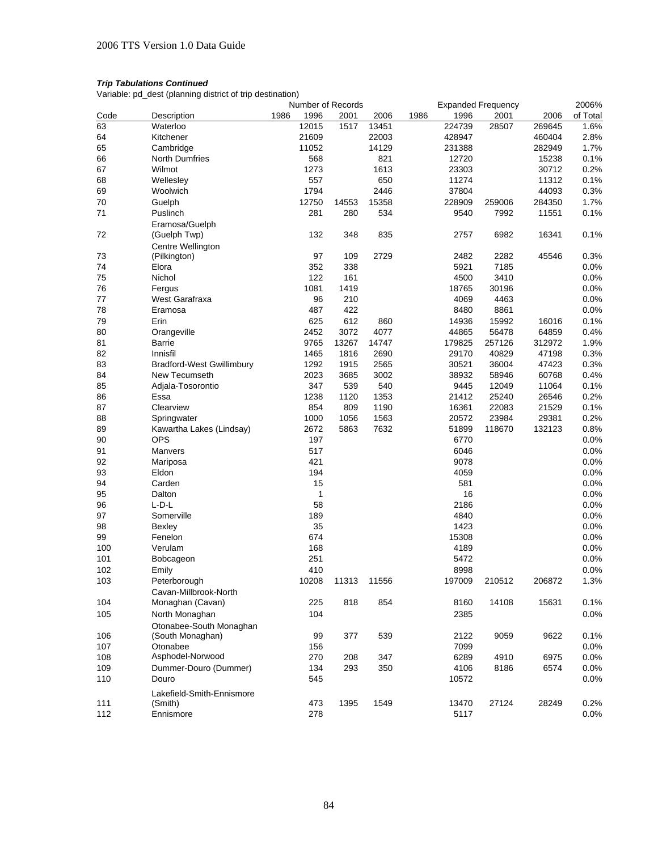Variable: pd\_dest (planning district of trip destination)

|      |                                  |      |              | Number of Records |       |      |        | <b>Expanded Frequency</b> |        | 2006%    |
|------|----------------------------------|------|--------------|-------------------|-------|------|--------|---------------------------|--------|----------|
| Code | Description                      | 1986 | 1996         | 2001              | 2006  | 1986 | 1996   | 2001                      | 2006   | of Total |
| 63   | Waterloo                         |      | 12015        | 1517              | 13451 |      | 224739 | 28507                     | 269645 | 1.6%     |
| 64   | Kitchener                        |      | 21609        |                   | 22003 |      | 428947 |                           | 460404 | 2.8%     |
| 65   | Cambridge                        |      | 11052        |                   | 14129 |      | 231388 |                           | 282949 | 1.7%     |
| 66   | <b>North Dumfries</b>            |      | 568          |                   | 821   |      | 12720  |                           | 15238  | 0.1%     |
| 67   | Wilmot                           |      | 1273         |                   | 1613  |      | 23303  |                           | 30712  | 0.2%     |
| 68   | Wellesley                        |      | 557          |                   | 650   |      | 11274  |                           | 11312  | 0.1%     |
| 69   | Woolwich                         |      | 1794         |                   | 2446  |      | 37804  |                           | 44093  | 0.3%     |
| 70   | Guelph                           |      | 12750        | 14553             | 15358 |      | 228909 | 259006                    | 284350 | 1.7%     |
| 71   | Puslinch                         |      | 281          | 280               | 534   |      | 9540   | 7992                      | 11551  | 0.1%     |
|      | Eramosa/Guelph                   |      |              |                   |       |      |        |                           |        |          |
| 72   | (Guelph Twp)                     |      | 132          | 348               | 835   |      | 2757   | 6982                      | 16341  | 0.1%     |
|      | Centre Wellington                |      |              |                   |       |      |        |                           |        |          |
| 73   | (Pilkington)                     |      | 97           | 109               | 2729  |      | 2482   | 2282                      | 45546  | 0.3%     |
| 74   | Elora                            |      | 352          | 338               |       |      | 5921   | 7185                      |        | 0.0%     |
| 75   | Nichol                           |      | 122          | 161               |       |      | 4500   | 3410                      |        | 0.0%     |
| 76   |                                  |      | 1081         |                   |       |      |        |                           |        |          |
|      | Fergus                           |      |              | 1419              |       |      | 18765  | 30196                     |        | 0.0%     |
| 77   | West Garafraxa                   |      | 96           | 210               |       |      | 4069   | 4463                      |        | 0.0%     |
| 78   | Eramosa                          |      | 487          | 422               |       |      | 8480   | 8861                      |        | 0.0%     |
| 79   | Erin                             |      | 625          | 612               | 860   |      | 14936  | 15992                     | 16016  | 0.1%     |
| 80   | Orangeville                      |      | 2452         | 3072              | 4077  |      | 44865  | 56478                     | 64859  | 0.4%     |
| 81   | Barrie                           |      | 9765         | 13267             | 14747 |      | 179825 | 257126                    | 312972 | 1.9%     |
| 82   | Innisfil                         |      | 1465         | 1816              | 2690  |      | 29170  | 40829                     | 47198  | 0.3%     |
| 83   | <b>Bradford-West Gwillimbury</b> |      | 1292         | 1915              | 2565  |      | 30521  | 36004                     | 47423  | 0.3%     |
| 84   | New Tecumseth                    |      | 2023         | 3685              | 3002  |      | 38932  | 58946                     | 60768  | 0.4%     |
| 85   | Adjala-Tosorontio                |      | 347          | 539               | 540   |      | 9445   | 12049                     | 11064  | 0.1%     |
| 86   | Essa                             |      | 1238         | 1120              | 1353  |      | 21412  | 25240                     | 26546  | 0.2%     |
| 87   | Clearview                        |      | 854          | 809               | 1190  |      | 16361  | 22083                     | 21529  | 0.1%     |
| 88   | Springwater                      |      | 1000         | 1056              | 1563  |      | 20572  | 23984                     | 29381  | 0.2%     |
| 89   | Kawartha Lakes (Lindsay)         |      | 2672         | 5863              | 7632  |      | 51899  | 118670                    | 132123 | 0.8%     |
| 90   | <b>OPS</b>                       |      | 197          |                   |       |      | 6770   |                           |        | 0.0%     |
| 91   | Manvers                          |      | 517          |                   |       |      | 6046   |                           |        | 0.0%     |
| 92   | Mariposa                         |      | 421          |                   |       |      | 9078   |                           |        | 0.0%     |
| 93   | Eldon                            |      | 194          |                   |       |      | 4059   |                           |        | 0.0%     |
| 94   | Carden                           |      | 15           |                   |       |      | 581    |                           |        | 0.0%     |
| 95   | Dalton                           |      | $\mathbf{1}$ |                   |       |      | 16     |                           |        | 0.0%     |
| 96   | $L-D-L$                          |      | 58           |                   |       |      | 2186   |                           |        | 0.0%     |
| 97   | Somerville                       |      | 189          |                   |       |      | 4840   |                           |        | 0.0%     |
| 98   | Bexley                           |      | 35           |                   |       |      | 1423   |                           |        | 0.0%     |
| 99   | Fenelon                          |      | 674          |                   |       |      | 15308  |                           |        | 0.0%     |
| 100  | Verulam                          |      | 168          |                   |       |      | 4189   |                           |        | 0.0%     |
| 101  | Bobcageon                        |      | 251          |                   |       |      | 5472   |                           |        | 0.0%     |
| 102  | Emily                            |      | 410          |                   |       |      | 8998   |                           |        | 0.0%     |
| 103  | Peterborough                     |      | 10208        | 11313             | 11556 |      | 197009 | 210512                    | 206872 | 1.3%     |
|      | Cavan-Millbrook-North            |      |              |                   |       |      |        |                           |        |          |
| 104  | Monaghan (Cavan)                 |      | 225          | 818               | 854   |      | 8160   | 14108                     | 15631  | 0.1%     |
| 105  | North Monaghan                   |      | 104          |                   |       |      | 2385   |                           |        | 0.0%     |
|      |                                  |      |              |                   |       |      |        |                           |        |          |
|      | Otonabee-South Monaghan          |      |              |                   |       |      |        |                           |        |          |
| 106  | (South Monaghan)                 |      | 99           | 377               | 539   |      | 2122   | 9059                      | 9622   | 0.1%     |
| 107  | Otonabee                         |      | 156          |                   |       |      | 7099   |                           |        | 0.0%     |
| 108  | Asphodel-Norwood                 |      | 270          | 208               | 347   |      | 6289   | 4910                      | 6975   | 0.0%     |
| 109  | Dummer-Douro (Dummer)            |      | 134          | 293               | 350   |      | 4106   | 8186                      | 6574   | 0.0%     |
| 110  | Douro                            |      | 545          |                   |       |      | 10572  |                           |        | 0.0%     |
|      | Lakefield-Smith-Ennismore        |      |              |                   |       |      |        |                           |        |          |
| 111  | (Smith)                          |      | 473          | 1395              | 1549  |      | 13470  | 27124                     | 28249  | 0.2%     |
| 112  | Ennismore                        |      | 278          |                   |       |      | 5117   |                           |        | 0.0%     |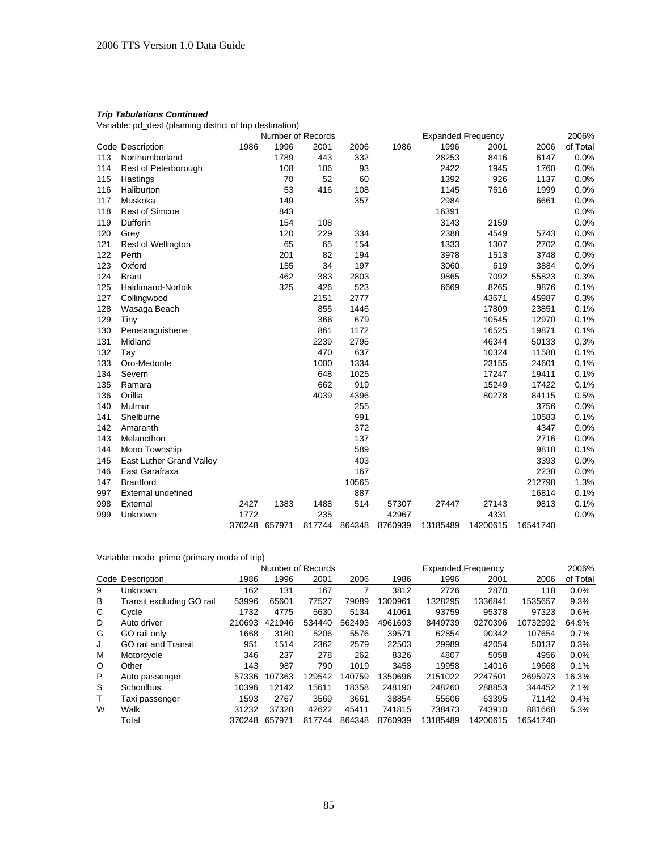Variable: pd\_dest (planning district of trip destination)

|     |                           | Number of Records |        |        |        |         | <b>Expanded Frequency</b> |          |          |          |
|-----|---------------------------|-------------------|--------|--------|--------|---------|---------------------------|----------|----------|----------|
|     | Code Description          | 1986              | 1996   | 2001   | 2006   | 1986    | 1996                      | 2001     | 2006     | of Total |
| 113 | Northumberland            |                   | 1789   | 443    | 332    |         | 28253                     | 8416     | 6147     | 0.0%     |
| 114 | Rest of Peterborough      |                   | 108    | 106    | 93     |         | 2422                      | 1945     | 1760     | 0.0%     |
| 115 | Hastings                  |                   | 70     | 52     | 60     |         | 1392                      | 926      | 1137     | 0.0%     |
| 116 | Haliburton                |                   | 53     | 416    | 108    |         | 1145                      | 7616     | 1999     | 0.0%     |
| 117 | Muskoka                   |                   | 149    |        | 357    |         | 2984                      |          | 6661     | 0.0%     |
| 118 | <b>Rest of Simcoe</b>     |                   | 843    |        |        |         | 16391                     |          |          | 0.0%     |
| 119 | Dufferin                  |                   | 154    | 108    |        |         | 3143                      | 2159     |          | 0.0%     |
| 120 | Grey                      |                   | 120    | 229    | 334    |         | 2388                      | 4549     | 5743     | 0.0%     |
| 121 | Rest of Wellington        |                   | 65     | 65     | 154    |         | 1333                      | 1307     | 2702     | 0.0%     |
| 122 | Perth                     |                   | 201    | 82     | 194    |         | 3978                      | 1513     | 3748     | 0.0%     |
| 123 | Oxford                    |                   | 155    | 34     | 197    |         | 3060                      | 619      | 3884     | 0.0%     |
| 124 | <b>Brant</b>              |                   | 462    | 383    | 2803   |         | 9865                      | 7092     | 55823    | 0.3%     |
| 125 | Haldimand-Norfolk         |                   | 325    | 426    | 523    |         | 6669                      | 8265     | 9876     | 0.1%     |
| 127 | Collingwood               |                   |        | 2151   | 2777   |         |                           | 43671    | 45987    | 0.3%     |
| 128 | Wasaga Beach              |                   |        | 855    | 1446   |         |                           | 17809    | 23851    | 0.1%     |
| 129 | Tiny                      |                   |        | 366    | 679    |         |                           | 10545    | 12970    | 0.1%     |
| 130 | Penetanguishene           |                   |        | 861    | 1172   |         |                           | 16525    | 19871    | 0.1%     |
| 131 | Midland                   |                   |        | 2239   | 2795   |         |                           | 46344    | 50133    | 0.3%     |
| 132 | Tay                       |                   |        | 470    | 637    |         |                           | 10324    | 11588    | 0.1%     |
| 133 | Oro-Medonte               |                   |        | 1000   | 1334   |         |                           | 23155    | 24601    | 0.1%     |
| 134 | Severn                    |                   |        | 648    | 1025   |         |                           | 17247    | 19411    | 0.1%     |
| 135 | Ramara                    |                   |        | 662    | 919    |         |                           | 15249    | 17422    | 0.1%     |
| 136 | Orillia                   |                   |        | 4039   | 4396   |         |                           | 80278    | 84115    | 0.5%     |
| 140 | Mulmur                    |                   |        |        | 255    |         |                           |          | 3756     | 0.0%     |
| 141 | Shelburne                 |                   |        |        | 991    |         |                           |          | 10583    | 0.1%     |
| 142 | Amaranth                  |                   |        |        | 372    |         |                           |          | 4347     | 0.0%     |
| 143 | Melancthon                |                   |        |        | 137    |         |                           |          | 2716     | 0.0%     |
| 144 | Mono Township             |                   |        |        | 589    |         |                           |          | 9818     | 0.1%     |
| 145 | East Luther Grand Valley  |                   |        |        | 403    |         |                           |          | 3393     | 0.0%     |
| 146 | East Garafraxa            |                   |        |        | 167    |         |                           |          | 2238     | 0.0%     |
| 147 | <b>Brantford</b>          |                   |        |        | 10565  |         |                           |          | 212798   | 1.3%     |
| 997 | <b>External undefined</b> |                   |        |        | 887    |         |                           |          | 16814    | 0.1%     |
| 998 | External                  | 2427              | 1383   | 1488   | 514    | 57307   | 27447                     | 27143    | 9813     | 0.1%     |
| 999 | Unknown                   | 1772              |        | 235    |        | 42967   |                           | 4331     |          | 0.0%     |
|     |                           | 370248            | 657971 | 817744 | 864348 | 8760939 | 13185489                  | 14200615 | 16541740 |          |

Variable: mode\_prime (primary mode of trip)

|   | Number of Records          |        |        |        |        |         | <b>Expanded Frequency</b> |          |          |          |  |  |
|---|----------------------------|--------|--------|--------|--------|---------|---------------------------|----------|----------|----------|--|--|
|   | Code Description           | 1986   | 1996   | 2001   | 2006   | 1986    | 1996                      | 2001     | 2006     | of Total |  |  |
| 9 | Unknown                    | 162    | 131    | 167    |        | 3812    | 2726                      | 2870     | 118      | 0.0%     |  |  |
| В | Transit excluding GO rail  | 53996  | 65601  | 77527  | 79089  | 1300961 | 1328295                   | 1336841  | 1535657  | 9.3%     |  |  |
| С | Cycle                      | 1732   | 4775   | 5630   | 5134   | 41061   | 93759                     | 95378    | 97323    | 0.6%     |  |  |
| D | Auto driver                | 210693 | 421946 | 534440 | 562493 | 4961693 | 8449739                   | 9270396  | 10732992 | 64.9%    |  |  |
| G | GO rail only               | 1668   | 3180   | 5206   | 5576   | 39571   | 62854                     | 90342    | 107654   | 0.7%     |  |  |
| J | <b>GO rail and Transit</b> | 951    | 1514   | 2362   | 2579   | 22503   | 29989                     | 42054    | 50137    | 0.3%     |  |  |
| М | Motorcycle                 | 346    | 237    | 278    | 262    | 8326    | 4807                      | 5058     | 4956     | 0.0%     |  |  |
| O | Other                      | 143    | 987    | 790    | 1019   | 3458    | 19958                     | 14016    | 19668    | 0.1%     |  |  |
| P | Auto passenger             | 57336  | 107363 | 129542 | 140759 | 1350696 | 2151022                   | 2247501  | 2695973  | 16.3%    |  |  |
| S | Schoolbus                  | 10396  | 12142  | 15611  | 18358  | 248190  | 248260                    | 288853   | 344452   | 2.1%     |  |  |
|   | Taxi passenger             | 1593   | 2767   | 3569   | 3661   | 38854   | 55606                     | 63395    | 71142    | 0.4%     |  |  |
| W | Walk                       | 31232  | 37328  | 42622  | 45411  | 741815  | 738473                    | 743910   | 881668   | 5.3%     |  |  |
|   | Total                      | 370248 | 657971 | 817744 | 864348 | 8760939 | 13185489                  | 14200615 | 16541740 |          |  |  |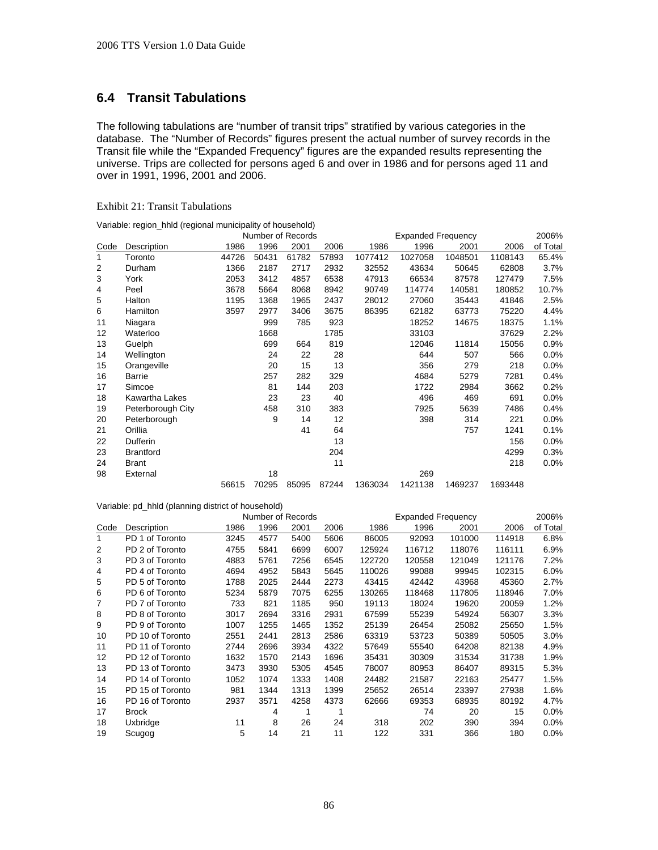# **6.4 Transit Tabulations**

The following tabulations are "number of transit trips" stratified by various categories in the database. The "Number of Records" figures present the actual number of survey records in the Transit file while the "Expanded Frequency" figures are the expanded results representing the universe. Trips are collected for persons aged 6 and over in 1986 and for persons aged 11 and over in 1991, 1996, 2001 and 2006.

# Exhibit 21: Transit Tabulations

|                |                   | Number of Records |       |       |       | <b>Expanded Frequency</b> |         | 2006%   |         |          |
|----------------|-------------------|-------------------|-------|-------|-------|---------------------------|---------|---------|---------|----------|
| Code           | Description       | 1986              | 1996  | 2001  | 2006  | 1986                      | 1996    | 2001    | 2006    | of Total |
| 1              | Toronto           | 44726             | 50431 | 61782 | 57893 | 1077412                   | 1027058 | 1048501 | 1108143 | 65.4%    |
| $\overline{2}$ | Durham            | 1366              | 2187  | 2717  | 2932  | 32552                     | 43634   | 50645   | 62808   | 3.7%     |
| 3              | York              | 2053              | 3412  | 4857  | 6538  | 47913                     | 66534   | 87578   | 127479  | 7.5%     |
| 4              | Peel              | 3678              | 5664  | 8068  | 8942  | 90749                     | 114774  | 140581  | 180852  | 10.7%    |
| 5              | Halton            | 1195              | 1368  | 1965  | 2437  | 28012                     | 27060   | 35443   | 41846   | 2.5%     |
| 6              | Hamilton          | 3597              | 2977  | 3406  | 3675  | 86395                     | 62182   | 63773   | 75220   | 4.4%     |
| 11             | Niagara           |                   | 999   | 785   | 923   |                           | 18252   | 14675   | 18375   | 1.1%     |
| 12             | Waterloo          |                   | 1668  |       | 1785  |                           | 33103   |         | 37629   | 2.2%     |
| 13             | Guelph            |                   | 699   | 664   | 819   |                           | 12046   | 11814   | 15056   | 0.9%     |
| 14             | Wellington        |                   | 24    | 22    | 28    |                           | 644     | 507     | 566     | 0.0%     |
| 15             | Orangeville       |                   | 20    | 15    | 13    |                           | 356     | 279     | 218     | 0.0%     |
| 16             | Barrie            |                   | 257   | 282   | 329   |                           | 4684    | 5279    | 7281    | 0.4%     |
| 17             | Simcoe            |                   | 81    | 144   | 203   |                           | 1722    | 2984    | 3662    | 0.2%     |
| 18             | Kawartha Lakes    |                   | 23    | 23    | 40    |                           | 496     | 469     | 691     | 0.0%     |
| 19             | Peterborough City |                   | 458   | 310   | 383   |                           | 7925    | 5639    | 7486    | 0.4%     |
| 20             | Peterborough      |                   | 9     | 14    | 12    |                           | 398     | 314     | 221     | 0.0%     |
| 21             | Orillia           |                   |       | 41    | 64    |                           |         | 757     | 1241    | 0.1%     |
| 22             | Dufferin          |                   |       |       | 13    |                           |         |         | 156     | $0.0\%$  |
| 23             | <b>Brantford</b>  |                   |       |       | 204   |                           |         |         | 4299    | 0.3%     |
| 24             | <b>Brant</b>      |                   |       |       | 11    |                           |         |         | 218     | 0.0%     |
| 98             | External          |                   | 18    |       |       |                           | 269     |         |         |          |
|                |                   | 56615             | 70295 | 85095 | 87244 | 1363034                   | 1421138 | 1469237 | 1693448 |          |

|      |                  |      |      | Number of Records |      | <b>Expanded Frequency</b> |        | 2006%  |        |          |
|------|------------------|------|------|-------------------|------|---------------------------|--------|--------|--------|----------|
| Code | Description      | 1986 | 1996 | 2001              | 2006 | 1986                      | 1996   | 2001   | 2006   | of Total |
| 1    | PD 1 of Toronto  | 3245 | 4577 | 5400              | 5606 | 86005                     | 92093  | 101000 | 114918 | 6.8%     |
| 2    | PD 2 of Toronto  | 4755 | 5841 | 6699              | 6007 | 125924                    | 116712 | 118076 | 116111 | 6.9%     |
| 3    | PD 3 of Toronto  | 4883 | 5761 | 7256              | 6545 | 122720                    | 120558 | 121049 | 121176 | 7.2%     |
| 4    | PD 4 of Toronto  | 4694 | 4952 | 5843              | 5645 | 110026                    | 99088  | 99945  | 102315 | 6.0%     |
| 5    | PD 5 of Toronto  | 1788 | 2025 | 2444              | 2273 | 43415                     | 42442  | 43968  | 45360  | 2.7%     |
| 6    | PD 6 of Toronto  | 5234 | 5879 | 7075              | 6255 | 130265                    | 118468 | 117805 | 118946 | 7.0%     |
| 7    | PD 7 of Toronto  | 733  | 821  | 1185              | 950  | 19113                     | 18024  | 19620  | 20059  | 1.2%     |
| 8    | PD 8 of Toronto  | 3017 | 2694 | 3316              | 2931 | 67599                     | 55239  | 54924  | 56307  | 3.3%     |
| 9    | PD 9 of Toronto  | 1007 | 1255 | 1465              | 1352 | 25139                     | 26454  | 25082  | 25650  | 1.5%     |
| 10   | PD 10 of Toronto | 2551 | 2441 | 2813              | 2586 | 63319                     | 53723  | 50389  | 50505  | 3.0%     |
| 11   | PD 11 of Toronto | 2744 | 2696 | 3934              | 4322 | 57649                     | 55540  | 64208  | 82138  | 4.9%     |
| 12   | PD 12 of Toronto | 1632 | 1570 | 2143              | 1696 | 35431                     | 30309  | 31534  | 31738  | 1.9%     |
| 13   | PD 13 of Toronto | 3473 | 3930 | 5305              | 4545 | 78007                     | 80953  | 86407  | 89315  | 5.3%     |
| 14   | PD 14 of Toronto | 1052 | 1074 | 1333              | 1408 | 24482                     | 21587  | 22163  | 25477  | 1.5%     |
| 15   | PD 15 of Toronto | 981  | 1344 | 1313              | 1399 | 25652                     | 26514  | 23397  | 27938  | $1.6\%$  |
| 16   | PD 16 of Toronto | 2937 | 3571 | 4258              | 4373 | 62666                     | 69353  | 68935  | 80192  | 4.7%     |
| 17   | <b>Brock</b>     |      | 4    |                   |      |                           | 74     | 20     | 15     | 0.0%     |
| 18   | Uxbridge         | 11   | 8    | 26                | 24   | 318                       | 202    | 390    | 394    | $0.0\%$  |
| 19   | Scugog           | 5    | 14   | 21                | 11   | 122                       | 331    | 366    | 180    | $0.0\%$  |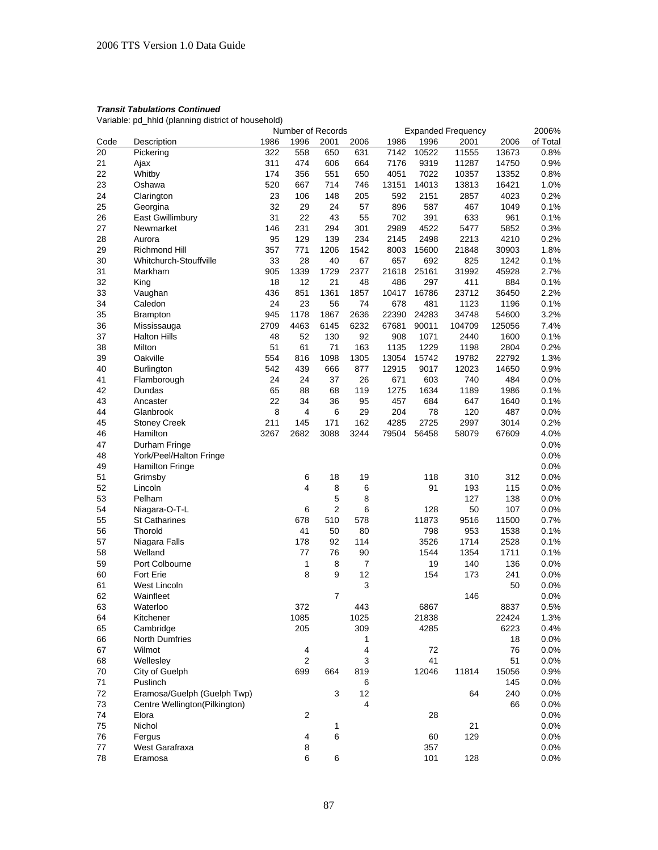|      |                               | Number of Records |                  |                |                |       | <b>Expanded Frequency</b> |        |        |          |
|------|-------------------------------|-------------------|------------------|----------------|----------------|-------|---------------------------|--------|--------|----------|
| Code | Description                   | 1986              | 1996             | 2001           | 2006           | 1986  | 1996                      | 2001   | 2006   | of Total |
| 20   | Pickering                     | 322               | 558              | 650            | 631            | 7142  | 10522                     | 11555  | 13673  | 0.8%     |
| 21   | Ajax                          | 311               | 474              | 606            | 664            | 7176  | 9319                      | 11287  | 14750  | 0.9%     |
| 22   | Whitby                        | 174               | 356              | 551            | 650            | 4051  | 7022                      | 10357  | 13352  | 0.8%     |
| 23   | Oshawa                        | 520               | 667              | 714            | 746            | 13151 | 14013                     | 13813  | 16421  | 1.0%     |
| 24   | Clarington                    | 23                | 106              | 148            | 205            | 592   | 2151                      | 2857   | 4023   | 0.2%     |
| 25   | Georgina                      | 32                | 29               | 24             | 57             | 896   | 587                       | 467    | 1049   | 0.1%     |
| 26   | East Gwillimbury              | 31                | 22               | 43             | 55             | 702   | 391                       | 633    | 961    | 0.1%     |
| 27   | Newmarket                     | 146               | 231              | 294            | 301            | 2989  | 4522                      | 5477   | 5852   | 0.3%     |
| 28   | Aurora                        | 95                | 129              | 139            | 234            | 2145  | 2498                      | 2213   | 4210   | 0.2%     |
| 29   | Richmond Hill                 | 357               | 771              | 1206           | 1542           | 8003  | 15600                     | 21848  | 30903  | 1.8%     |
| 30   | Whitchurch-Stouffville        | 33                | 28               | 40             | 67             | 657   | 692                       | 825    | 1242   | 0.1%     |
| 31   | Markham                       | 905               | 1339             | 1729           | 2377           | 21618 | 25161                     | 31992  | 45928  | 2.7%     |
| 32   | King                          | 18                | 12               | 21             | 48             | 486   | 297                       | 411    | 884    | 0.1%     |
| 33   | Vaughan                       | 436               | 851              | 1361           | 1857           | 10417 | 16786                     | 23712  | 36450  | 2.2%     |
| 34   | Caledon                       | 24                | 23               | 56             | 74             | 678   | 481                       | 1123   | 1196   | 0.1%     |
| 35   | <b>Brampton</b>               | 945               | 1178             | 1867           | 2636           | 22390 | 24283                     | 34748  | 54600  | 3.2%     |
| 36   | Mississauga                   | 2709              | 4463             | 6145           | 6232           | 67681 | 90011                     | 104709 | 125056 | 7.4%     |
| 37   | <b>Halton Hills</b>           | 48                | 52               | 130            | 92             | 908   | 1071                      | 2440   | 1600   | 0.1%     |
|      |                               |                   | 61               | 71             |                |       |                           |        | 2804   | 0.2%     |
| 38   | Milton                        | 51                |                  |                | 163            | 1135  | 1229<br>15742             | 1198   |        |          |
| 39   | Oakville                      | 554               | 816              | 1098           | 1305           | 13054 |                           | 19782  | 22792  | 1.3%     |
| 40   | <b>Burlington</b>             | 542               | 439              | 666            | 877            | 12915 | 9017                      | 12023  | 14650  | 0.9%     |
| 41   | Flamborough                   | 24                | 24               | 37             | 26             | 671   | 603                       | 740    | 484    | 0.0%     |
| 42   | Dundas                        | 65                | 88               | 68             | 119            | 1275  | 1634                      | 1189   | 1986   | 0.1%     |
| 43   | Ancaster                      | 22                | 34               | 36             | 95             | 457   | 684                       | 647    | 1640   | 0.1%     |
| 44   | Glanbrook                     | 8                 | 4                | 6              | 29             | 204   | 78                        | 120    | 487    | 0.0%     |
| 45   | <b>Stoney Creek</b>           | 211               | 145              | 171            | 162            | 4285  | 2725                      | 2997   | 3014   | 0.2%     |
| 46   | Hamilton                      | 3267              | 2682             | 3088           | 3244           | 79504 | 56458                     | 58079  | 67609  | 4.0%     |
| 47   | Durham Fringe                 |                   |                  |                |                |       |                           |        |        | 0.0%     |
| 48   | York/Peel/Halton Fringe       |                   |                  |                |                |       |                           |        |        | 0.0%     |
| 49   | <b>Hamilton Fringe</b>        |                   |                  |                |                |       |                           |        |        | 0.0%     |
| 51   | Grimsby                       |                   | 6                | 18             | 19             |       | 118                       | 310    | 312    | 0.0%     |
| 52   | Lincoln                       |                   | 4                | 8              | 6              |       | 91                        | 193    | 115    | 0.0%     |
| 53   | Pelham                        |                   |                  | 5              | 8              |       |                           | 127    | 138    | 0.0%     |
| 54   | Niagara-O-T-L                 |                   | 6                | $\overline{2}$ | 6              |       | 128                       | 50     | 107    | 0.0%     |
| 55   | <b>St Catharines</b>          |                   | 678              | 510            | 578            |       | 11873                     | 9516   | 11500  | 0.7%     |
| 56   | Thorold                       |                   | 41               | 50             | 80             |       | 798                       | 953    | 1538   | 0.1%     |
| 57   | Niagara Falls                 |                   | 178              | 92             | 114            |       | 3526                      | 1714   | 2528   | 0.1%     |
| 58   | Welland                       |                   | 77               | 76             | 90             |       | 1544                      | 1354   | 1711   | 0.1%     |
| 59   | Port Colbourne                |                   | 1                | 8              | $\overline{7}$ |       | 19                        | 140    | 136    | 0.0%     |
| 60   | <b>Fort Erie</b>              |                   | 8                | 9              | 12             |       | 154                       | 173    | 241    | 0.0%     |
| 61   | West Lincoln                  |                   |                  |                | 3              |       |                           |        | 50     | 0.0%     |
| 62   | Wainfleet                     |                   |                  | 7              |                |       |                           | 146    |        | 0.0%     |
| 63   |                               |                   |                  |                |                |       | 6867                      |        | 8837   | 0.5%     |
|      | Waterloo<br>Kitchener         |                   | 372<br>1085      |                | 443<br>1025    |       | 21838                     |        | 22424  |          |
| 64   |                               |                   |                  |                |                |       |                           |        |        | 1.3%     |
| 65   | Cambridge                     |                   | 205              |                | 309            |       | 4285                      |        | 6223   | 0.4%     |
| 66   | North Dumfries                |                   |                  |                | 1              |       |                           |        | 18     | 0.0%     |
| 67   | Wilmot                        |                   | 4                |                | 4              |       | 72                        |        | 76     | 0.0%     |
| 68   | Wellesley                     |                   | $\boldsymbol{2}$ |                | 3              |       | 41                        |        | 51     | 0.0%     |
| 70   | City of Guelph                |                   | 699              | 664            | 819            |       | 12046                     | 11814  | 15056  | 0.9%     |
| 71   | Puslinch                      |                   |                  |                | 6              |       |                           |        | 145    | 0.0%     |
| 72   | Eramosa/Guelph (Guelph Twp)   |                   |                  | 3              | 12             |       |                           | 64     | 240    | 0.0%     |
| 73   | Centre Wellington(Pilkington) |                   |                  |                | 4              |       |                           |        | 66     | 0.0%     |
| 74   | Elora                         |                   | 2                |                |                |       | 28                        |        |        | 0.0%     |
| 75   | Nichol                        |                   |                  | 1              |                |       |                           | 21     |        | 0.0%     |
| 76   | Fergus                        |                   | 4                | 6              |                |       | 60                        | 129    |        | 0.0%     |
| 77   | West Garafraxa                |                   | 8                |                |                |       | 357                       |        |        | 0.0%     |
| 78   | Eramosa                       |                   | 6                | 6              |                |       | 101                       | 128    |        | 0.0%     |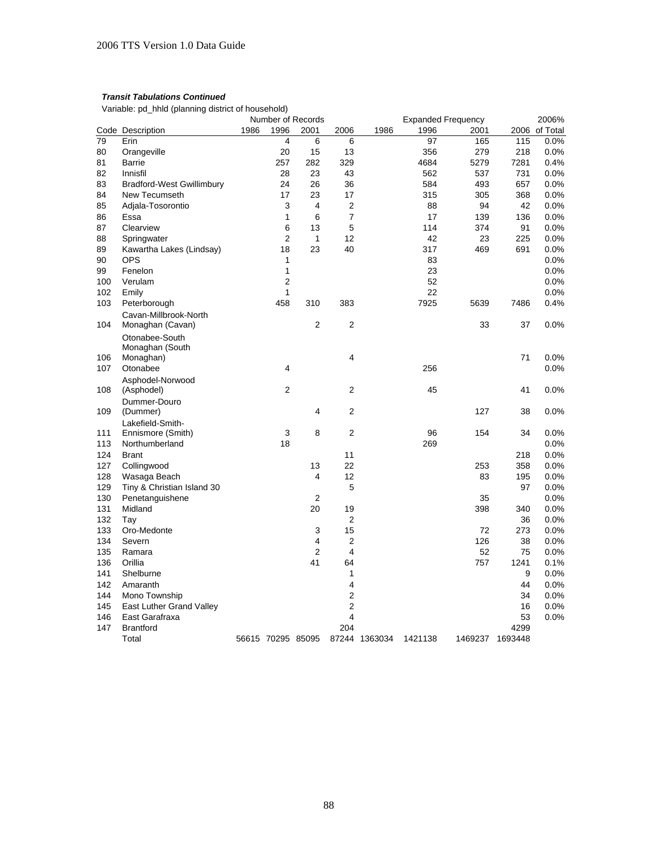|     |                                  | Number of Records |                   |                |                |               |         | <b>Expanded Frequency</b> |         |               |  |
|-----|----------------------------------|-------------------|-------------------|----------------|----------------|---------------|---------|---------------------------|---------|---------------|--|
|     | Code Description                 | 1986              | 1996              | 2001           | 2006           | 1986          | 1996    | 2001                      |         | 2006 of Total |  |
| 79  | Erin                             |                   | 4                 | 6              | 6              |               | 97      | 165                       | 115     | $0.0\%$       |  |
| 80  | Orangeville                      |                   | 20                | 15             | 13             |               | 356     | 279                       | 218     | 0.0%          |  |
| 81  | <b>Barrie</b>                    |                   | 257               | 282            | 329            |               | 4684    | 5279                      | 7281    | 0.4%          |  |
| 82  | Innisfil                         |                   | 28                | 23             | 43             |               | 562     | 537                       | 731     | 0.0%          |  |
| 83  | <b>Bradford-West Gwillimbury</b> |                   | 24                | 26             | 36             |               | 584     | 493                       | 657     | 0.0%          |  |
| 84  | New Tecumseth                    |                   | 17                | 23             | 17             |               | 315     | 305                       | 368     | 0.0%          |  |
| 85  | Adjala-Tosorontio                |                   | 3                 | $\overline{4}$ | 2              |               | 88      | 94                        | 42      | 0.0%          |  |
| 86  | Essa                             |                   | 1                 | 6              | 7              |               | 17      | 139                       | 136     | 0.0%          |  |
| 87  | Clearview                        |                   | 6                 | 13             | 5              |               | 114     | 374                       | 91      | 0.0%          |  |
| 88  | Springwater                      |                   | $\overline{2}$    | $\mathbf{1}$   | 12             |               | 42      | 23                        | 225     | 0.0%          |  |
| 89  | Kawartha Lakes (Lindsay)         |                   | 18                | 23             | 40             |               | 317     | 469                       | 691     | 0.0%          |  |
| 90  | <b>OPS</b>                       |                   | 1                 |                |                |               | 83      |                           |         | 0.0%          |  |
| 99  | Fenelon                          |                   | 1                 |                |                |               | 23      |                           |         | 0.0%          |  |
| 100 | Verulam                          |                   | 2                 |                |                |               | 52      |                           |         | 0.0%          |  |
| 102 | Emily                            |                   | 1                 |                |                |               | 22      |                           |         | 0.0%          |  |
| 103 | Peterborough                     |                   | 458               | 310            | 383            |               | 7925    | 5639                      | 7486    | 0.4%          |  |
|     | Cavan-Millbrook-North            |                   |                   |                |                |               |         |                           |         |               |  |
| 104 | Monaghan (Cavan)                 |                   |                   | $\overline{2}$ | 2              |               |         | 33                        | 37      | $0.0\%$       |  |
|     | Otonabee-South                   |                   |                   |                |                |               |         |                           |         |               |  |
|     | Monaghan (South                  |                   |                   |                |                |               |         |                           |         |               |  |
| 106 | Monaghan)                        |                   |                   |                | 4              |               |         |                           | 71      | $0.0\%$       |  |
| 107 | Otonabee                         |                   | 4                 |                |                |               | 256     |                           |         | 0.0%          |  |
|     | Asphodel-Norwood                 |                   |                   |                |                |               |         |                           |         |               |  |
| 108 | (Asphodel)                       |                   | $\overline{2}$    |                | 2              |               | 45      |                           | 41      | 0.0%          |  |
|     | Dummer-Douro                     |                   |                   |                |                |               |         |                           |         |               |  |
| 109 | (Dummer)                         |                   |                   | $\overline{4}$ | 2              |               |         | 127                       | 38      | 0.0%          |  |
|     | Lakefield-Smith-                 |                   |                   |                |                |               |         |                           |         |               |  |
| 111 | Ennismore (Smith)                |                   | 3                 | 8              | $\overline{2}$ |               | 96      | 154                       | 34      | 0.0%          |  |
| 113 | Northumberland                   |                   | 18                |                |                |               | 269     |                           |         | 0.0%          |  |
| 124 | <b>Brant</b>                     |                   |                   |                | 11             |               |         |                           | 218     | 0.0%          |  |
| 127 | Collingwood                      |                   |                   | 13             | 22             |               |         | 253                       | 358     | 0.0%          |  |
| 128 | Wasaga Beach                     |                   |                   | 4              | 12             |               |         | 83                        | 195     | $0.0\%$       |  |
| 129 | Tiny & Christian Island 30       |                   |                   |                | 5              |               |         |                           | 97      | 0.0%          |  |
| 130 | Penetanguishene                  |                   |                   | $\overline{2}$ |                |               |         | 35                        |         | $0.0\%$       |  |
| 131 | Midland                          |                   |                   | 20             | 19             |               |         | 398                       | 340     | 0.0%          |  |
| 132 | Tay                              |                   |                   |                | $\overline{2}$ |               |         |                           | 36      | 0.0%          |  |
| 133 | Oro-Medonte                      |                   |                   | 3              | 15             |               |         | 72                        | 273     | 0.0%          |  |
| 134 | Severn                           |                   |                   | 4              | 2              |               |         | 126                       | 38      | 0.0%          |  |
| 135 | Ramara                           |                   |                   | $\overline{2}$ | 4              |               |         | 52                        | 75      | $0.0\%$       |  |
| 136 | Orillia                          |                   |                   | 41             | 64             |               |         | 757                       | 1241    | 0.1%          |  |
| 141 | Shelburne                        |                   |                   |                | 1              |               |         |                           | 9       | 0.0%          |  |
| 142 | Amaranth                         |                   |                   |                | 4              |               |         |                           | 44      | 0.0%          |  |
| 144 | Mono Township                    |                   |                   |                | 2              |               |         |                           | 34      | $0.0\%$       |  |
| 145 | East Luther Grand Valley         |                   |                   |                | $\mathbf 2$    |               |         |                           | 16      | 0.0%          |  |
| 146 | East Garafraxa                   |                   |                   |                | 4              |               |         |                           | 53      | 0.0%          |  |
| 147 | <b>Brantford</b>                 |                   |                   |                | 204            |               |         |                           | 4299    |               |  |
|     | Total                            |                   | 56615 70295 85095 |                |                | 87244 1363034 | 1421138 | 1469237                   | 1693448 |               |  |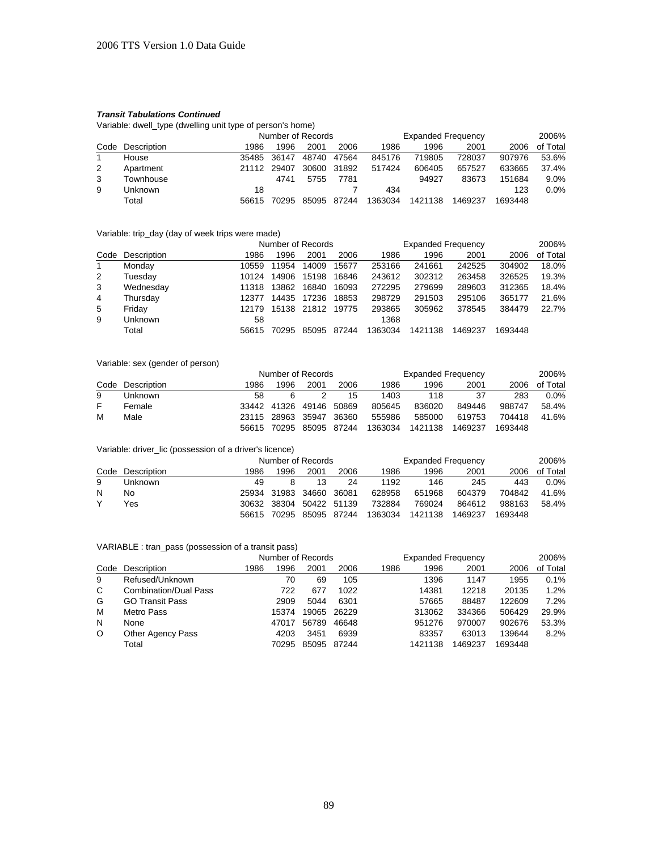Variable: dwell\_type (dwelling unit type of person's home)

|   |                  |       | Number of Records |       |       |         | <b>Expanded Frequency</b> | 2006%   |         |          |
|---|------------------|-------|-------------------|-------|-------|---------|---------------------------|---------|---------|----------|
|   | Code Description | 1986  | 1996              | 2001  | 2006  | 1986    | 1996                      | 2001    | 2006    | of Total |
|   | House            |       | 35485 36147       | 48740 | 47564 | 845176  | 719805                    | 728037  | 907976  | 53.6%    |
| 2 | Apartment        | 21112 | 29407             | 30600 | 31892 | 517424  | 606405                    | 657527  | 633665  | 37.4%    |
| 3 | Townhouse        |       | 4741              | 5755  | 7781  |         | 94927                     | 83673   | 151684  | $9.0\%$  |
| 9 | Unknown          | 18    |                   |       |       | 434     |                           |         | 123     | $0.0\%$  |
|   | Total            | 56615 | 70295             | 85095 | 87244 | 1363034 | 1421138                   | 1469237 | 1693448 |          |

## Variable: trip\_day (day of week trips were made)

|    |                  |       | Number of Records |             |       |         | <b>Expanded Frequency</b> | 2006%   |         |          |
|----|------------------|-------|-------------------|-------------|-------|---------|---------------------------|---------|---------|----------|
|    | Code Description | 1986  | 1996              | 2001        | 2006  | 1986    | 1996                      | 2001    | 2006    | of Total |
| -1 | Monday           | 10559 | 11954             | 14009       | 15677 | 253166  | 241661                    | 242525  | 304902  | 18.0%    |
| 2  | Tuesday          | 10124 | 14906             | 15198       | 16846 | 243612  | 302312                    | 263458  | 326525  | 19.3%    |
| 3  | Wednesday        | 11318 | 13862             | 16840       | 16093 | 272295  | 279699                    | 289603  | 312365  | 18.4%    |
| 4  | Thursday         | 12377 | 14435             | 17236       | 18853 | 298729  | 291503                    | 295106  | 365177  | 21.6%    |
| 5  | Friday           | 12179 |                   | 15138 21812 | 19775 | 293865  | 305962                    | 378545  | 384479  | 22.7%    |
| 9  | Unknown          | 58    |                   |             |       | 1368    |                           |         |         |          |
|    | Total            | 56615 | 70295             | 85095       | 87244 | 1363034 | 1421138                   | 1469237 | 1693448 |          |

## Variable: sex (gender of person)

|    |                  |       | Number of Records |                   |       |         | <b>Expanded Frequency</b> | 2006%   |         |          |
|----|------------------|-------|-------------------|-------------------|-------|---------|---------------------------|---------|---------|----------|
|    | Code Description | 1986  | 1996              | 2001              | 2006  | 1986    | 1996                      | 2001    | 2006    | of Total |
| 9  | Unknown          | 58    | 6                 |                   | 15    | 1403    | 118                       | 37      | 283     | $0.0\%$  |
| F. | Female           |       | 33442 41326       | 49146             | 50869 | 805645  | 836020                    | 849446  | 988747  | 58.4%    |
| м  | Male             |       |                   | 23115 28963 35947 | 36360 | 555986  | 585000                    | 619753  | 704418  | 41.6%    |
|    |                  | 56615 | 70295             | 85095 87244       |       | 1363034 | 1421138                   | 1469237 | 1693448 |          |

#### Variable: driver\_lic (possession of a driver's licence)

|   |                  |      | Number of Records |                         |                         |                                                 | <b>Expanded Frequency</b> | 2006%  |         |          |
|---|------------------|------|-------------------|-------------------------|-------------------------|-------------------------------------------------|---------------------------|--------|---------|----------|
|   | Code Description | 1986 | 1996              | 2001                    | 2006                    | 1986                                            | 1996                      | 2001   | 2006    | of Total |
| 9 | Unknown          | 49   |                   | 13                      | 24                      | 1192                                            | 146                       | 245    | 443     | $0.0\%$  |
| N | No               |      |                   | 25934 31983 34660 36081 |                         | 628958                                          | 651968                    | 604379 | 704842  | 41.6%    |
|   | Yes              |      |                   |                         | 30632 38304 50422 51139 | 732884                                          | 769024                    | 864612 | 988163  | 58.4%    |
|   |                  |      |                   |                         |                         | 56615 70295 85095 87244 1363034 1421138 1469237 |                           |        | 1693448 |          |

#### VARIABLE : tran\_pass (possession of a transit pass)

|         |                              | Number of Records |       |       |       | <b>Expanded Frequency</b> |         |         |         | 2006%    |  |  |
|---------|------------------------------|-------------------|-------|-------|-------|---------------------------|---------|---------|---------|----------|--|--|
| Code    | Description                  | 1986              | 1996  | 2001  | 2006  | 1986                      | 1996    | 2001    | 2006    | of Total |  |  |
| 9       | Refused/Unknown              |                   | 70    | 69    | 105   |                           | 1396    | 1147    | 1955    | 0.1%     |  |  |
| C       | <b>Combination/Dual Pass</b> |                   | 722   | 677   | 1022  |                           | 14381   | 12218   | 20135   | 1.2%     |  |  |
| G       | <b>GO Transit Pass</b>       |                   | 2909  | 5044  | 6301  |                           | 57665   | 88487   | 122609  | 7.2%     |  |  |
| м       | Metro Pass                   |                   | 15374 | 19065 | 26229 |                           | 313062  | 334366  | 506429  | 29.9%    |  |  |
| N       | None                         |                   | 47017 | 56789 | 46648 |                           | 951276  | 970007  | 902676  | 53.3%    |  |  |
| $\circ$ | Other Agency Pass            |                   | 4203  | 3451  | 6939  |                           | 83357   | 63013   | 139644  | 8.2%     |  |  |
|         | Total                        |                   | 70295 | 85095 | 87244 |                           | 1421138 | 1469237 | 1693448 |          |  |  |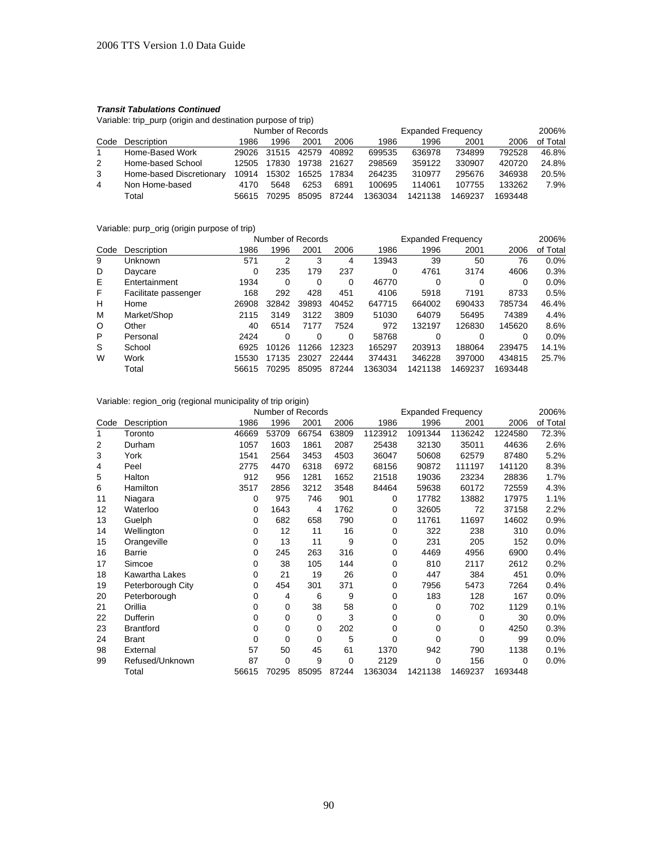Variable: trip\_purp (origin and destination purpose of trip)

|               |                          |       | Number of Records |       |       | <b>Expanded Frequency</b> |         |         |         | 2006%    |
|---------------|--------------------------|-------|-------------------|-------|-------|---------------------------|---------|---------|---------|----------|
|               | Code Description         | 1986  | 1996              | 2001  | 2006  | 1986                      | 1996    | 2001    | 2006    | of Total |
|               | Home-Based Work          | 29026 | 31515             | 42579 | 40892 | 699535                    | 636978  | 734899  | 792528  | 46.8%    |
| $\mathcal{P}$ | Home-based School        | 12505 | 17830             | 19738 | 21627 | 298569                    | 359122  | 330907  | 420720  | 24.8%    |
| 3             | Home-based Discretionary | 10914 | 15302             | 16525 | 17834 | 264235                    | 310977  | 295676  | 346938  | 20.5%    |
| 4             | Non Home-based           | 4170  | 5648              | 6253  | 6891  | 100695                    | 114061  | 107755  | 133262  | 7.9%     |
|               | Total                    | 56615 | 70295             | 85095 | 87244 | 1363034                   | 1421138 | 1469237 | 1693448 |          |

Variable: purp\_orig (origin purpose of trip)

|                      | Number of Records |          |       |          |         |         |         | 2006%                     |          |  |
|----------------------|-------------------|----------|-------|----------|---------|---------|---------|---------------------------|----------|--|
| Description          | 1986              | 1996     | 2001  | 2006     | 1986    | 1996    | 2001    | 2006                      | of Total |  |
| Unknown              | 571               | 2        | 3     | 4        | 13943   | 39      | 50      | 76                        | $0.0\%$  |  |
| Daycare              | 0                 | 235      | 179   | 237      | 0       | 4761    | 3174    | 4606                      | 0.3%     |  |
| Entertainment        | 1934              | 0        | 0     | 0        | 46770   | 0       | 0       | 0                         | $0.0\%$  |  |
| Facilitate passenger | 168               | 292      | 428   | 451      | 4106    | 5918    | 7191    | 8733                      | 0.5%     |  |
| Home                 | 26908             | 32842    | 39893 | 40452    | 647715  | 664002  | 690433  | 785734                    | 46.4%    |  |
| Market/Shop          | 2115              | 3149     | 3122  | 3809     | 51030   | 64079   | 56495   | 74389                     | 4.4%     |  |
| Other                | 40                | 6514     | 7177  | 7524     | 972     | 132197  | 126830  | 145620                    | 8.6%     |  |
| Personal             | 2424              | $\Omega$ | 0     | $\Omega$ | 58768   | 0       | 0       | 0                         | $0.0\%$  |  |
| School               | 6925              | 10126    | 11266 | 12323    | 165297  | 203913  | 188064  | 239475                    | 14.1%    |  |
| Work                 | 15530             | 17135    | 23027 | 22444    | 374431  | 346228  | 397000  | 434815                    | 25.7%    |  |
| Total                | 56615             | 70295    | 85095 | 87244    | 1363034 | 1421138 | 1469237 | 1693448                   |          |  |
|                      |                   |          |       |          |         |         |         | <b>Expanded Frequency</b> |          |  |

Variable: region\_orig (regional municipality of trip origin)

|      |                   | Number of Records |       |       |             |         | <b>Expanded Frequency</b> |          | 2006%   |          |  |
|------|-------------------|-------------------|-------|-------|-------------|---------|---------------------------|----------|---------|----------|--|
| Code | Description       | 1986              | 1996  | 2001  | 2006        | 1986    | 1996                      | 2001     | 2006    | of Total |  |
| 1    | Toronto           | 46669             | 53709 | 66754 | 63809       | 1123912 | 1091344                   | 1136242  | 1224580 | 72.3%    |  |
| 2    | Durham            | 1057              | 1603  | 1861  | 2087        | 25438   | 32130                     | 35011    | 44636   | 2.6%     |  |
| 3    | York              | 1541              | 2564  | 3453  | 4503        | 36047   | 50608                     | 62579    | 87480   | 5.2%     |  |
| 4    | Peel              | 2775              | 4470  | 6318  | 6972        | 68156   | 90872                     | 111197   | 141120  | 8.3%     |  |
| 5    | Halton            | 912               | 956   | 1281  | 1652        | 21518   | 19036                     | 23234    | 28836   | 1.7%     |  |
| 6    | Hamilton          | 3517              | 2856  | 3212  | 3548        | 84464   | 59638                     | 60172    | 72559   | 4.3%     |  |
| 11   | Niagara           | 0                 | 975   | 746   | 901         | 0       | 17782                     | 13882    | 17975   | 1.1%     |  |
| 12   | Waterloo          | 0                 | 1643  | 4     | 1762        | 0       | 32605                     | 72       | 37158   | 2.2%     |  |
| 13   | Guelph            | 0                 | 682   | 658   | 790         | 0       | 11761                     | 11697    | 14602   | 0.9%     |  |
| 14   | Wellington        | $\Omega$          | 12    | 11    | 16          | 0       | 322                       | 238      | 310     | 0.0%     |  |
| 15   | Orangeville       | $\Omega$          | 13    | 11    | 9           | 0       | 231                       | 205      | 152     | 0.0%     |  |
| 16   | Barrie            | 0                 | 245   | 263   | 316         | 0       | 4469                      | 4956     | 6900    | 0.4%     |  |
| 17   | Simcoe            | $\Omega$          | 38    | 105   | 144         | 0       | 810                       | 2117     | 2612    | 0.2%     |  |
| 18   | Kawartha Lakes    | $\Omega$          | 21    | 19    | 26          | 0       | 447                       | 384      | 451     | 0.0%     |  |
| 19   | Peterborough City | 0                 | 454   | 301   | 371         | 0       | 7956                      | 5473     | 7264    | 0.4%     |  |
| 20   | Peterborough      | 0                 | 4     | 6     | 9           | 0       | 183                       | 128      | 167     | 0.0%     |  |
| 21   | Orillia           | 0                 | 0     | 38    | 58          | 0       | 0                         | 702      | 1129    | 0.1%     |  |
| 22   | Dufferin          | 0                 | 0     | 0     | 3           | 0       | 0                         | 0        | 30      | 0.0%     |  |
| 23   | <b>Brantford</b>  | 0                 | 0     | 0     | 202         | 0       | $\mathbf 0$               | 0        | 4250    | 0.3%     |  |
| 24   | <b>Brant</b>      | 0                 | 0     | 0     | 5           | 0       | 0                         | $\Omega$ | 99      | 0.0%     |  |
| 98   | External          | 57                | 50    | 45    | 61          | 1370    | 942                       | 790      | 1138    | 0.1%     |  |
| 99   | Refused/Unknown   | 87                | 0     | 9     | $\mathbf 0$ | 2129    | 0                         | 156      | 0       | 0.0%     |  |
|      | Total             | 56615             | 70295 | 85095 | 87244       | 1363034 | 1421138                   | 1469237  | 1693448 |          |  |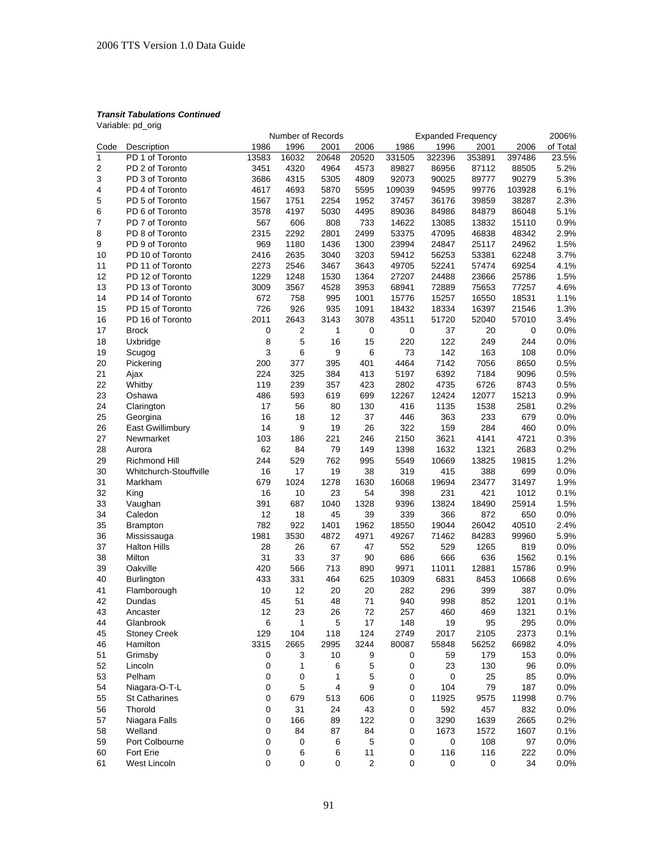Variable: pd\_orig

|              |                        |           | Number of Records |              |              |        | <b>Expanded Frequency</b> |           |        | 2006%    |
|--------------|------------------------|-----------|-------------------|--------------|--------------|--------|---------------------------|-----------|--------|----------|
| Code         | Description            | 1986      | 1996              | 2001         | 2006         | 1986   | 1996                      | 2001      | 2006   | of Total |
| $\mathbf{1}$ | PD 1 of Toronto        | 13583     | 16032             | 20648        | 20520        | 331505 | 322396                    | 353891    | 397486 | 23.5%    |
| 2            | PD 2 of Toronto        | 3451      | 4320              | 4964         | 4573         | 89827  | 86956                     | 87112     | 88505  | 5.2%     |
| 3            | PD 3 of Toronto        | 3686      | 4315              | 5305         | 4809         | 92073  | 90025                     | 89777     | 90279  | 5.3%     |
| 4            | PD 4 of Toronto        | 4617      | 4693              | 5870         | 5595         | 109039 | 94595                     | 99776     | 103928 | 6.1%     |
| 5            | PD 5 of Toronto        | 1567      | 1751              | 2254         | 1952         | 37457  | 36176                     | 39859     | 38287  | 2.3%     |
| 6            | PD 6 of Toronto        | 3578      | 4197              | 5030         | 4495         | 89036  | 84986                     | 84879     | 86048  | 5.1%     |
| 7            | PD 7 of Toronto        | 567       | 606               | 808          | 733          | 14622  | 13085                     | 13832     | 15110  | 0.9%     |
| 8            | PD 8 of Toronto        | 2315      | 2292              | 2801         | 2499         | 53375  | 47095                     | 46838     | 48342  | 2.9%     |
|              |                        |           |                   |              |              |        |                           |           |        |          |
| 9            | PD 9 of Toronto        | 969       | 1180              | 1436         | 1300         | 23994  | 24847                     | 25117     | 24962  | 1.5%     |
| 10           | PD 10 of Toronto       | 2416      | 2635              | 3040         | 3203         | 59412  | 56253                     | 53381     | 62248  | 3.7%     |
| 11           | PD 11 of Toronto       | 2273      | 2546              | 3467         | 3643         | 49705  | 52241                     | 57474     | 69254  | 4.1%     |
| 12           | PD 12 of Toronto       | 1229      | 1248              | 1530         | 1364         | 27207  | 24488                     | 23666     | 25786  | 1.5%     |
| 13           | PD 13 of Toronto       | 3009      | 3567              | 4528         | 3953         | 68941  | 72889                     | 75653     | 77257  | 4.6%     |
| 14           | PD 14 of Toronto       | 672       | 758               | 995          | 1001         | 15776  | 15257                     | 16550     | 18531  | 1.1%     |
| 15           | PD 15 of Toronto       | 726       | 926               | 935          | 1091         | 18432  | 18334                     | 16397     | 21546  | 1.3%     |
| 16           | PD 16 of Toronto       | 2011      | 2643              | 3143         | 3078         | 43511  | 51720                     | 52040     | 57010  | 3.4%     |
| 17           | <b>Brock</b>           | $\pmb{0}$ | 2                 | $\mathbf{1}$ | $\pmb{0}$    | 0      | 37                        | 20        | 0      | 0.0%     |
| 18           | Uxbridge               | 8         | 5                 | 16           | 15           | 220    | 122                       | 249       | 244    | 0.0%     |
| 19           | Scugog                 | 3         | 6                 | 9            | 6            | 73     | 142                       | 163       | 108    | 0.0%     |
| 20           | Pickering              | 200       | 377               | 395          | 401          | 4464   | 7142                      | 7056      | 8650   | 0.5%     |
| 21           | Ajax                   | 224       | 325               | 384          | 413          | 5197   | 6392                      | 7184      | 9096   | 0.5%     |
| 22           | Whitby                 | 119       | 239               | 357          | 423          | 2802   | 4735                      | 6726      | 8743   | 0.5%     |
| 23           | Oshawa                 | 486       | 593               | 619          | 699          | 12267  | 12424                     | 12077     | 15213  | 0.9%     |
| 24           | Clarington             | 17        | 56                | 80           | 130          | 416    | 1135                      | 1538      | 2581   | 0.2%     |
| 25           | Georgina               | 16        | 18                | 12           | 37           | 446    | 363                       | 233       | 679    | 0.0%     |
| 26           | East Gwillimbury       | 14        | 9                 | 19           | 26           | 322    | 159                       | 284       | 460    | 0.0%     |
|              |                        |           |                   |              |              | 2150   |                           |           |        |          |
| 27           | Newmarket              | 103       | 186               | 221          | 246          |        | 3621                      | 4141      | 4721   | 0.3%     |
| 28           | Aurora                 | 62        | 84                | 79           | 149          | 1398   | 1632                      | 1321      | 2683   | 0.2%     |
| 29           | <b>Richmond Hill</b>   | 244       | 529               | 762          | 995          | 5549   | 10669                     | 13825     | 19815  | 1.2%     |
| 30           | Whitchurch-Stouffville | 16        | 17                | 19           | 38           | 319    | 415                       | 388       | 699    | 0.0%     |
| 31           | Markham                | 679       | 1024              | 1278         | 1630         | 16068  | 19694                     | 23477     | 31497  | 1.9%     |
| 32           | King                   | 16        | 10                | 23           | 54           | 398    | 231                       | 421       | 1012   | 0.1%     |
| 33           | Vaughan                | 391       | 687               | 1040         | 1328         | 9396   | 13824                     | 18490     | 25914  | 1.5%     |
| 34           | Caledon                | 12        | 18                | 45           | 39           | 339    | 366                       | 872       | 650    | 0.0%     |
| 35           | <b>Brampton</b>        | 782       | 922               | 1401         | 1962         | 18550  | 19044                     | 26042     | 40510  | 2.4%     |
| 36           | Mississauga            | 1981      | 3530              | 4872         | 4971         | 49267  | 71462                     | 84283     | 99960  | 5.9%     |
| 37           | <b>Halton Hills</b>    | 28        | 26                | 67           | 47           | 552    | 529                       | 1265      | 819    | 0.0%     |
| 38           | Milton                 | 31        | 33                | 37           | 90           | 686    | 666                       | 636       | 1562   | 0.1%     |
| 39           | Oakville               | 420       | 566               | 713          | 890          | 9971   | 11011                     | 12881     | 15786  | 0.9%     |
| 40           | <b>Burlington</b>      | 433       | 331               | 464          | 625          | 10309  | 6831                      | 8453      | 10668  | 0.6%     |
| 41           | Flamborough            | 10        | 12                | 20           | 20           | 282    | 296                       | 399       | 387    | 0.0%     |
| 42           | Dundas                 | 45        | 51                | 48           | 71           | 940    | 998                       | 852       | 1201   | 0.1%     |
| 43           | Ancaster               | 12        | 23                | 26           | 72           | 257    | 460                       | 469       | 1321   | 0.1%     |
| 44           | Glanbrook              | 6         | 1                 | 5            | 17           | 148    | 19                        | 95        | 295    | 0.0%     |
| 45           | <b>Stoney Creek</b>    | 129       | 104               | 118          | 124          | 2749   | 2017                      | 2105      | 2373   | 0.1%     |
| 46           | Hamilton               | 3315      | 2665              | 2995         | 3244         | 80087  | 55848                     | 56252     | 66982  | 4.0%     |
|              | Grimsby                |           |                   |              |              |        |                           |           |        |          |
| 51           |                        | 0         | 3                 | 10           | 9            | 0      | 59                        | 179       | 153    | 0.0%     |
| 52           | Lincoln                | 0         | 1                 | 6            | 5            | 0      | 23                        | 130       | 96     | 0.0%     |
| 53           | Pelham                 | 0         | 0                 | 1            | 5            | 0      | 0                         | 25        | 85     | 0.0%     |
| 54           | Niagara-O-T-L          | 0         | 5                 | 4            | 9            | 0      | 104                       | 79        | 187    | 0.0%     |
| 55           | <b>St Catharines</b>   | 0         | 679               | 513          | 606          | 0      | 11925                     | 9575      | 11998  | 0.7%     |
| 56           | Thorold                | 0         | 31                | 24           | 43           | 0      | 592                       | 457       | 832    | 0.0%     |
| 57           | Niagara Falls          | 0         | 166               | 89           | 122          | 0      | 3290                      | 1639      | 2665   | 0.2%     |
| 58           | Welland                | 0         | 84                | 87           | 84           | 0      | 1673                      | 1572      | 1607   | 0.1%     |
| 59           | Port Colbourne         | 0         | 0                 | 6            | 5            | 0      | $\pmb{0}$                 | 108       | 97     | 0.0%     |
| 60           | Fort Erie              | 0         | 6                 | 6            | 11           | 0      | 116                       | 116       | 222    | 0.0%     |
| 61           | West Lincoln           | 0         | 0                 | $\pmb{0}$    | $\mathbf{2}$ | 0      | $\mathbf 0$               | $\pmb{0}$ | 34     | 0.0%     |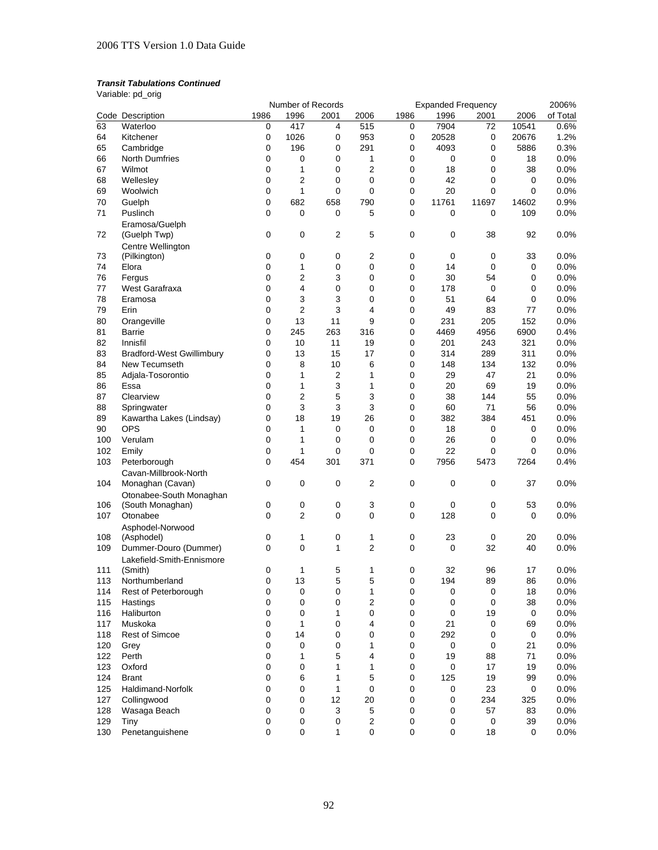Variable: pd\_orig

|     |                                           |          | Number of Records |      |                         |      | <b>Expanded Frequency</b> |             |             | 2006%    |
|-----|-------------------------------------------|----------|-------------------|------|-------------------------|------|---------------------------|-------------|-------------|----------|
|     | Code Description                          | 1986     | 1996              | 2001 | 2006                    | 1986 | 1996                      | 2001        | 2006        | of Total |
| 63  | Waterloo                                  | 0        | 417               | 4    | 515                     | 0    | 7904                      | 72          | 10541       | 0.6%     |
| 64  | Kitchener                                 | 0        | 1026              | 0    | 953                     | 0    | 20528                     | 0           | 20676       | 1.2%     |
| 65  | Cambridge                                 | 0        | 196               | 0    | 291                     | 0    | 4093                      | 0           | 5886        | 0.3%     |
| 66  | <b>North Dumfries</b>                     | 0        | 0                 | 0    | 1                       | 0    | 0                         | 0           | 18          | 0.0%     |
| 67  | Wilmot                                    | 0        | $\mathbf{1}$      | 0    | $\overline{2}$          | 0    | 18                        | 0           | 38          | 0.0%     |
| 68  | Wellesley                                 | 0        | 2                 | 0    | $\mathbf 0$             | 0    | 42                        | 0           | 0           | 0.0%     |
| 69  | Woolwich                                  | 0        | $\mathbf{1}$      | 0    | 0                       | 0    | 20                        | 0           | $\mathbf 0$ | 0.0%     |
|     |                                           |          |                   |      |                         |      |                           |             |             |          |
| 70  | Guelph                                    | 0        | 682               | 658  | 790                     | 0    | 11761                     | 11697       | 14602       | 0.9%     |
| 71  | Puslinch                                  | 0        | 0                 | 0    | 5                       | 0    | 0                         | 0           | 109         | 0.0%     |
| 72  | Eramosa/Guelph<br>(Guelph Twp)            | 0        | 0                 | 2    | 5                       | 0    | 0                         | 38          | 92          | 0.0%     |
| 73  | Centre Wellington<br>(Pilkington)         | 0        | 0                 | 0    | 2                       | 0    | 0                         | 0           | 33          | 0.0%     |
| 74  | Elora                                     | 0        | 1                 | 0    | 0                       | 0    | 14                        | $\mathbf 0$ | 0           | 0.0%     |
| 76  | Fergus                                    | 0        | 2                 | 3    | 0                       | 0    | 30                        | 54          | 0           | 0.0%     |
| 77  | West Garafraxa                            | 0        | 4                 | 0    | 0                       | 0    | 178                       | 0           | 0           | 0.0%     |
| 78  | Eramosa                                   | 0        | 3                 | 3    | 0                       | 0    | 51                        | 64          | 0           | 0.0%     |
| 79  | Erin                                      | 0        | 2                 | 3    | 4                       | 0    | 49                        | 83          | 77          | 0.0%     |
|     | Orangeville                               |          | 13                |      | 9                       |      |                           |             |             |          |
| 80  |                                           | 0        |                   | 11   |                         | 0    | 231                       | 205         | 152         | 0.0%     |
| 81  | Barrie                                    | 0        | 245               | 263  | 316                     | 0    | 4469                      | 4956        | 6900        | 0.4%     |
| 82  | Innisfil                                  | 0        | 10                | 11   | 19                      | 0    | 201                       | 243         | 321         | 0.0%     |
| 83  | <b>Bradford-West Gwillimbury</b>          | 0        | 13                | 15   | 17                      | 0    | 314                       | 289         | 311         | 0.0%     |
| 84  | New Tecumseth                             | 0        | 8                 | 10   | 6                       | 0    | 148                       | 134         | 132         | 0.0%     |
| 85  | Adjala-Tosorontio                         | 0        | 1                 | 2    | 1                       | 0    | 29                        | 47          | 21          | 0.0%     |
| 86  | Essa                                      | 0        | 1                 | 3    | 1                       | 0    | 20                        | 69          | 19          | 0.0%     |
| 87  | Clearview                                 | 0        | 2                 | 5    | 3                       | 0    | 38                        | 144         | 55          | 0.0%     |
| 88  | Springwater                               | 0        | 3                 | 3    | 3                       | 0    | 60                        | 71          | 56          | 0.0%     |
| 89  | Kawartha Lakes (Lindsay)                  | 0        | 18                | 19   | 26                      | 0    | 382                       | 384         | 451         | 0.0%     |
| 90  | <b>OPS</b>                                | 0        | 1                 | 0    | 0                       | 0    | 18                        | 0           | 0           | 0.0%     |
| 100 | Verulam                                   | 0        | 1                 | 0    | 0                       | 0    | 26                        | 0           | 0           | 0.0%     |
| 102 | Emily                                     | 0        | 1                 | 0    | 0                       | 0    | 22                        | 0           | 0           | 0.0%     |
| 103 | Peterborough                              | 0        | 454               | 301  | 371                     | 0    | 7956                      | 5473        | 7264        | 0.4%     |
|     |                                           |          |                   |      |                         |      |                           |             |             |          |
| 104 | Cavan-Millbrook-North<br>Monaghan (Cavan) | 0        | 0                 | 0    | 2                       | 0    | 0                         | 0           | 37          | 0.0%     |
|     | Otonabee-South Monaghan                   |          |                   |      |                         |      |                           |             |             |          |
| 106 | (South Monaghan)                          | 0        | 0                 | 0    | 3                       | 0    | 0                         | 0           | 53          | 0.0%     |
| 107 | Otonabee                                  | 0        | 2                 | 0    | 0                       | 0    | 128                       | 0           | 0           | 0.0%     |
|     | Asphodel-Norwood                          |          |                   |      |                         |      |                           |             |             |          |
| 108 | (Asphodel)                                | 0        | 1                 | 0    | 1                       | 0    | 23                        | $\pmb{0}$   | 20          | 0.0%     |
| 109 | Dummer-Douro (Dummer)                     | 0        | 0                 | 1    | 2                       | 0    | 0                         | 32          | 40          | 0.0%     |
|     | Lakefield-Smith-Ennismore                 |          |                   |      |                         |      |                           |             |             |          |
| 111 | (Smith)                                   | 0        | 1                 | 5    | 1                       | 0    | 32                        | 96          | 17          | 0.0%     |
| 113 | Northumberland                            | $\Omega$ | 13                | 5    | 5                       | 0    | 194                       | 89          | 86          | 0.0%     |
| 114 | Rest of Peterborough                      | 0        | 0                 | 0    | 1                       | 0    | 0                         | 0           | 18          | 0.0%     |
| 115 | Hastings                                  | 0        | 0                 | 0    | $\overline{\mathbf{c}}$ | 0    | $\mathbf 0$               | $\pmb{0}$   | 38          | 0.0%     |
| 116 | Haliburton                                | 0        | 0                 | 1    | 0                       | 0    | $\mathbf 0$               | 19          | 0           | 0.0%     |
| 117 | Muskoka                                   | 0        | 1                 | 0    | 4                       | 0    | 21                        | 0           | 69          | 0.0%     |
| 118 | <b>Rest of Simcoe</b>                     | 0        | 14                | 0    | 0                       | 0    | 292                       | 0           | 0           | 0.0%     |
| 120 |                                           | 0        | $\mathbf 0$       | 0    | 1                       | 0    | $\mathbf 0$               | 0           | 21          | 0.0%     |
| 122 | Grey<br>Perth                             | 0        | 1                 | 5    | 4                       | 0    | 19                        | 88          | 71          | 0.0%     |
|     |                                           |          |                   |      |                         |      |                           |             |             |          |
| 123 | Oxford                                    | 0        | 0                 | 1    | 1                       | 0    | $\pmb{0}$                 | 17          | 19          | 0.0%     |
| 124 | <b>Brant</b>                              | 0        | 6                 | 1    | 5                       | 0    | 125                       | 19          | 99          | 0.0%     |
| 125 | Haldimand-Norfolk                         | 0        | 0                 | 1    | 0                       | 0    | 0                         | 23          | 0           | 0.0%     |
| 127 | Collingwood                               | 0        | 0                 | 12   | 20                      | 0    | 0                         | 234         | 325         | 0.0%     |
| 128 | Wasaga Beach                              | 0        | 0                 | 3    | 5                       | 0    | 0                         | 57          | 83          | 0.0%     |
| 129 | Tiny                                      | 0        | 0                 | 0    | 2                       | 0    | 0                         | $\pmb{0}$   | 39          | 0.0%     |
| 130 | Penetanguishene                           | 0        | 0                 | 1    | $\pmb{0}$               | 0    | 0                         | 18          | 0           | 0.0%     |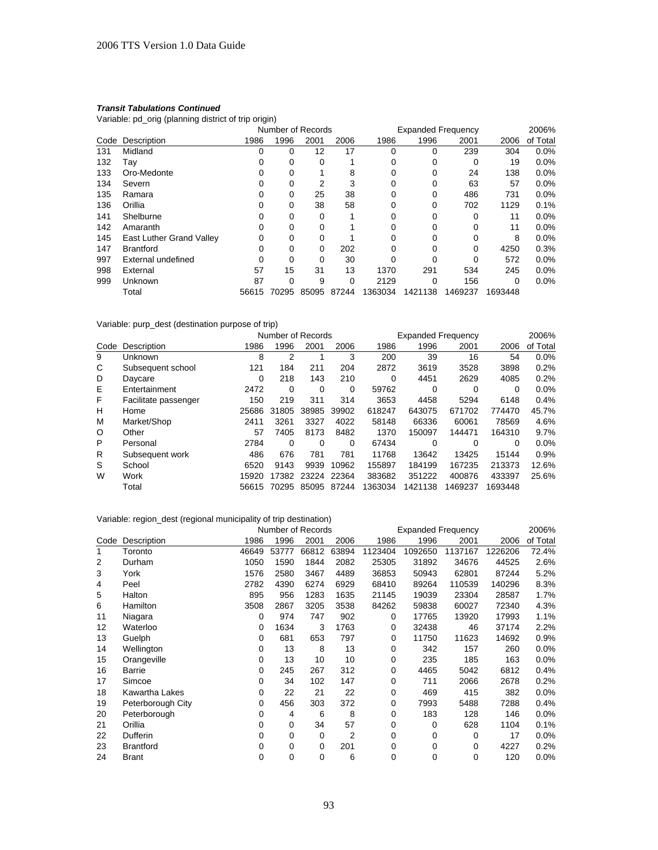Variable: pd\_orig (planning district of trip origin)

|      |                          | Number of Records |          |       |       | <b>Expanded Frequency</b> |         | 2006%   |         |          |
|------|--------------------------|-------------------|----------|-------|-------|---------------------------|---------|---------|---------|----------|
| Code | Description              | 1986              | 1996     | 2001  | 2006  | 1986                      | 1996    | 2001    | 2006    | of Total |
| 131  | Midland                  |                   | 0        | 12    | 17    | 0                         |         | 239     | 304     | 0.0%     |
| 132  | Tav                      |                   | 0        | 0     |       | 0                         | ი       | 0       | 19      | $0.0\%$  |
| 133  | Oro-Medonte              |                   | 0        |       | 8     | 0                         |         | 24      | 138     | 0.0%     |
| 134  | Severn                   |                   |          | 2     | 3     | 0                         |         | 63      | 57      | 0.0%     |
| 135  | Ramara                   | 0                 | 0        | 25    | 38    | 0                         | 0       | 486     | 731     | $0.0\%$  |
| 136  | Orillia                  |                   | 0        | 38    | 58    | $\Omega$                  |         | 702     | 1129    | 0.1%     |
| 141  | Shelburne                |                   | 0        | 0     |       | 0                         |         | 0       | 11      | 0.0%     |
| 142  | Amaranth                 | 0                 | 0        | 0     |       | 0                         |         | 0       | 11      | 0.0%     |
| 145  | East Luther Grand Valley | $\Omega$          | $\Omega$ | 0     |       |                           |         |         | 8       | 0.0%     |
| 147  | <b>Brantford</b>         |                   | 0        | 0     | 202   | 0                         |         | 0       | 4250    | 0.3%     |
| 997  | External undefined       | ∩                 | 0        | 0     | 30    | 0                         |         | 0       | 572     | 0.0%     |
| 998  | External                 | 57                | 15       | 31    | 13    | 1370                      | 291     | 534     | 245     | 0.0%     |
| 999  | Unknown                  | 87                | 0        | 9     | 0     | 2129                      |         | 156     | 0       | 0.0%     |
|      | Total                    | 56615             | 70295    | 85095 | 87244 | 1363034                   | 1421138 | 1469237 | 1693448 |          |

## Variable: purp\_dest (destination purpose of trip)

|         |                      |          | Number of Records |       | <b>Expanded Frequency</b> |         |          |         | 2006%   |          |
|---------|----------------------|----------|-------------------|-------|---------------------------|---------|----------|---------|---------|----------|
| Code    | Description          | 1986     | 1996              | 2001  | 2006                      | 1986    | 1996     | 2001    | 2006    | of Total |
| 9       | Unknown              | 8        | 2                 | 4     | 3                         | 200     | 39       | 16      | 54      | 0.0%     |
| C       | Subsequent school    | 121      | 184               | 211   | 204                       | 2872    | 3619     | 3528    | 3898    | 0.2%     |
| D       | Daycare              | $\Omega$ | 218               | 143   | 210                       | 0       | 4451     | 2629    | 4085    | 0.2%     |
| Ε       | Entertainment        | 2472     | 0                 | 0     | 0                         | 59762   | $\Omega$ | 0       | 0       | 0.0%     |
| F       | Facilitate passenger | 150      | 219               | 311   | 314                       | 3653    | 4458     | 5294    | 6148    | 0.4%     |
| н       | Home                 | 25686    | 31805             | 38985 | 39902                     | 618247  | 643075   | 671702  | 774470  | 45.7%    |
| M       | Market/Shop          | 2411     | 3261              | 3327  | 4022                      | 58148   | 66336    | 60061   | 78569   | 4.6%     |
| $\circ$ | Other                | 57       | 7405              | 8173  | 8482                      | 1370    | 150097   | 144471  | 164310  | 9.7%     |
| P       | Personal             | 2784     | 0                 | 0     | 0                         | 67434   | 0        | 0       | 0       | $0.0\%$  |
| R       | Subsequent work      | 486      | 676               | 781   | 781                       | 11768   | 13642    | 13425   | 15144   | 0.9%     |
| S       | School               | 6520     | 9143              | 9939  | 10962                     | 155897  | 184199   | 167235  | 213373  | 12.6%    |
| W       | Work                 | 15920    | 17382             | 23224 | 22364                     | 383682  | 351222   | 400876  | 433397  | 25.6%    |
|         | Total                | 56615    | 70295             | 85095 | 87244                     | 1363034 | 1421138  | 1469237 | 1693448 |          |

| Variable: region_dest (regional municipality of trip destination) |                   |       |          |       |       |         |         |             |         |          |  |
|-------------------------------------------------------------------|-------------------|-------|----------|-------|-------|---------|---------|-------------|---------|----------|--|
| 2006%<br><b>Expanded Frequency</b><br>Number of Records           |                   |       |          |       |       |         |         |             |         |          |  |
| Code                                                              | Description       | 1986  | 1996     | 2001  | 2006  | 1986    | 1996    | 2001        | 2006    | of Total |  |
| 1                                                                 | Toronto           | 46649 | 53777    | 66812 | 63894 | 1123404 | 1092650 | 1137167     | 1226206 | 72.4%    |  |
| 2                                                                 | Durham            | 1050  | 1590     | 1844  | 2082  | 25305   | 31892   | 34676       | 44525   | 2.6%     |  |
| 3                                                                 | York              | 1576  | 2580     | 3467  | 4489  | 36853   | 50943   | 62801       | 87244   | 5.2%     |  |
| 4                                                                 | Peel              | 2782  | 4390     | 6274  | 6929  | 68410   | 89264   | 110539      | 140296  | 8.3%     |  |
| 5                                                                 | Halton            | 895   | 956      | 1283  | 1635  | 21145   | 19039   | 23304       | 28587   | 1.7%     |  |
| 6                                                                 | <b>Hamilton</b>   | 3508  | 2867     | 3205  | 3538  | 84262   | 59838   | 60027       | 72340   | 4.3%     |  |
| 11                                                                | Niagara           | 0     | 974      | 747   | 902   | 0       | 17765   | 13920       | 17993   | 1.1%     |  |
| $12 \overline{ }$                                                 | Waterloo          | 0     | 1634     | 3     | 1763  | 0       | 32438   | 46          | 37174   | 2.2%     |  |
| 13                                                                | Guelph            | 0     | 681      | 653   | 797   | 0       | 11750   | 11623       | 14692   | 0.9%     |  |
| 14                                                                | Wellington        | 0     | 13       | 8     | 13    | 0       | 342     | 157         | 260     | 0.0%     |  |
| 15                                                                | Orangeville       | 0     | 13       | 10    | 10    | 0       | 235     | 185         | 163     | 0.0%     |  |
| 16                                                                | Barrie            | 0     | 245      | 267   | 312   | 0       | 4465    | 5042        | 6812    | 0.4%     |  |
| 17                                                                | Simcoe            | 0     | 34       | 102   | 147   | 0       | 711     | 2066        | 2678    | 0.2%     |  |
| 18                                                                | Kawartha Lakes    | 0     | 22       | 21    | 22    | 0       | 469     | 415         | 382     | 0.0%     |  |
| 19                                                                | Peterborough City | 0     | 456      | 303   | 372   | 0       | 7993    | 5488        | 7288    | 0.4%     |  |
| 20                                                                | Peterborough      | 0     | 4        | 6     | 8     | 0       | 183     | 128         | 146     | 0.0%     |  |
| 21                                                                | Orillia           | 0     | 0        | 34    | 57    | 0       | 0       | 628         | 1104    | 0.1%     |  |
| 22                                                                | <b>Dufferin</b>   | 0     | 0        | 0     | 2     | 0       | 0       | 0           | 17      | 0.0%     |  |
| 23                                                                | <b>Brantford</b>  | 0     | $\Omega$ | 0     | 201   | 0       | 0       | $\mathbf 0$ | 4227    | 0.2%     |  |
| 24                                                                | <b>Brant</b>      | 0     | 0        | 0     | 6     | 0       | 0       | 0           | 120     | 0.0%     |  |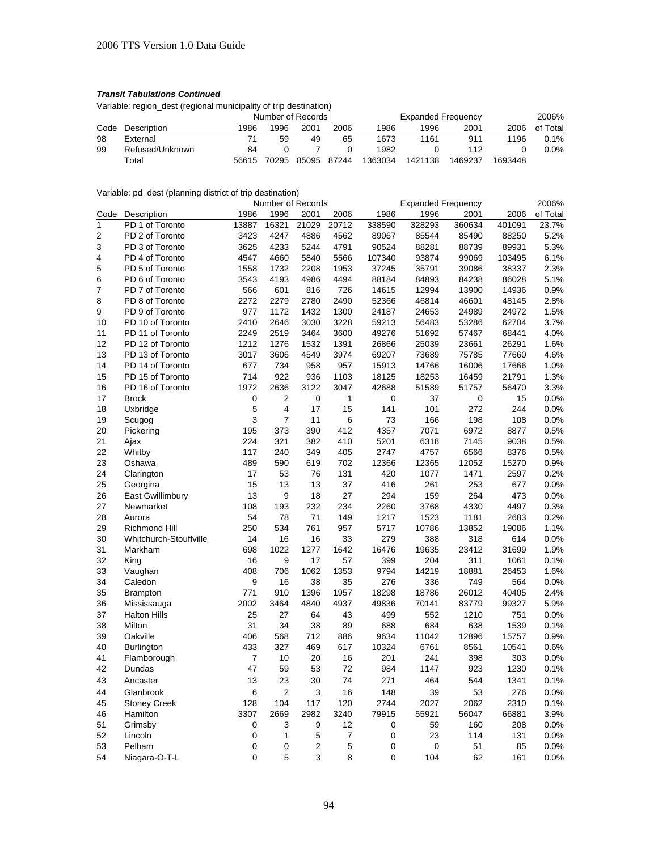Variable: region\_dest (regional municipality of trip destination)

|      |                 |       | Number of Records |       |       |         | <b>Expanded Frequency</b> |         | 2006%   |          |
|------|-----------------|-------|-------------------|-------|-------|---------|---------------------------|---------|---------|----------|
| Code | Description     | 1986  | 1996              | 2001  | 2006  | 1986    | 1996                      | 2001    | 2006    | of Total |
| 98   | External        |       | 59                | 49    | 65    | 1673    | 1161                      | 911     | 1196    | 0.1%     |
| 99   | Refused/Unknown | 84    |                   |       |       | 1982    |                           | 112     |         | 0.0%     |
|      | Total           | 56615 | 70295             | 85095 | 87244 | 1363034 | 1421138                   | 1469237 | 1693448 |          |

## Variable: pd\_dest (planning district of trip destination)

|                |                        |          | Number of Records |                |       |             | <b>Expanded Frequency</b> |        |        | 2006%    |
|----------------|------------------------|----------|-------------------|----------------|-------|-------------|---------------------------|--------|--------|----------|
| Code           | Description            | 1986     | 1996              | 2001           | 2006  | 1986        | 1996                      | 2001   | 2006   | of Total |
| $\overline{1}$ | PD 1 of Toronto        | 13887    | 16321             | 21029          | 20712 | 338590      | 328293                    | 360634 | 401091 | 23.7%    |
| $\overline{2}$ | PD 2 of Toronto        | 3423     | 4247              | 4886           | 4562  | 89067       | 85544                     | 85490  | 88250  | 5.2%     |
| 3              | PD 3 of Toronto        | 3625     | 4233              | 5244           | 4791  | 90524       | 88281                     | 88739  | 89931  | 5.3%     |
| $\overline{4}$ | PD 4 of Toronto        | 4547     | 4660              | 5840           | 5566  | 107340      | 93874                     | 99069  | 103495 | 6.1%     |
| 5              | PD 5 of Toronto        | 1558     | 1732              | 2208           | 1953  | 37245       | 35791                     | 39086  | 38337  | 2.3%     |
| 6              | PD 6 of Toronto        | 3543     | 4193              | 4986           | 4494  | 88184       | 84893                     | 84238  | 86028  | 5.1%     |
| 7              | PD 7 of Toronto        | 566      | 601               | 816            | 726   | 14615       | 12994                     | 13900  | 14936  | 0.9%     |
| 8              | PD 8 of Toronto        | 2272     | 2279              | 2780           | 2490  | 52366       | 46814                     | 46601  | 48145  | 2.8%     |
| 9              | PD 9 of Toronto        | 977      | 1172              | 1432           | 1300  | 24187       | 24653                     | 24989  | 24972  | 1.5%     |
| 10             | PD 10 of Toronto       | 2410     | 2646              | 3030           | 3228  | 59213       | 56483                     | 53286  | 62704  | 3.7%     |
| 11             | PD 11 of Toronto       | 2249     | 2519              | 3464           | 3600  | 49276       | 51692                     | 57467  | 68441  | 4.0%     |
| 12             | PD 12 of Toronto       | 1212     | 1276              | 1532           | 1391  | 26866       | 25039                     | 23661  | 26291  | 1.6%     |
| 13             | PD 13 of Toronto       | 3017     | 3606              | 4549           | 3974  | 69207       | 73689                     | 75785  | 77660  | 4.6%     |
| 14             | PD 14 of Toronto       | 677      | 734               | 958            | 957   | 15913       | 14766                     | 16006  | 17666  | 1.0%     |
| 15             | PD 15 of Toronto       | 714      | 922               | 936            | 1103  | 18125       | 18253                     | 16459  | 21791  | 1.3%     |
| 16             | PD 16 of Toronto       | 1972     | 2636              | 3122           | 3047  | 42688       | 51589                     | 51757  | 56470  | 3.3%     |
| 17             | <b>Brock</b>           | 0        | 2                 | 0              | 1     | 0           | 37                        | 0      | 15     | 0.0%     |
| 18             | Uxbridge               | 5        | 4                 | 17             | 15    | 141         | 101                       | 272    | 244    | 0.0%     |
| 19             | Scugog                 | 3        | 7                 | 11             | 6     | 73          | 166                       | 198    | 108    | 0.0%     |
| 20             | Pickering              | 195      | 373               | 390            | 412   | 4357        | 7071                      | 6972   | 8877   | 0.5%     |
| 21             | Ajax                   | 224      | 321               | 382            | 410   | 5201        | 6318                      | 7145   | 9038   | 0.5%     |
| 22             | Whitby                 | 117      | 240               | 349            | 405   | 2747        | 4757                      | 6566   | 8376   | 0.5%     |
| 23             | Oshawa                 | 489      | 590               | 619            | 702   | 12366       | 12365                     | 12052  | 15270  | 0.9%     |
| 24             | Clarington             | 17       | 53                | 76             | 131   | 420         | 1077                      | 1471   | 2597   | 0.2%     |
| 25             | Georgina               | 15       | 13                | 13             | 37    | 416         | 261                       | 253    | 677    | 0.0%     |
| 26             | East Gwillimbury       | 13       | 9                 | 18             | 27    | 294         | 159                       | 264    | 473    | 0.0%     |
| 27             | Newmarket              | 108      | 193               | 232            | 234   | 2260        | 3768                      | 4330   | 4497   | 0.3%     |
| 28             | Aurora                 | 54       | 78                | 71             | 149   | 1217        | 1523                      | 1181   | 2683   | 0.2%     |
| 29             | Richmond Hill          | 250      | 534               | 761            | 957   | 5717        | 10786                     | 13852  | 19086  | 1.1%     |
| 30             | Whitchurch-Stouffville | 14       | 16                | 16             | 33    | 279         | 388                       | 318    | 614    | 0.0%     |
| 31             | Markham                | 698      | 1022              | 1277           | 1642  | 16476       | 19635                     | 23412  | 31699  | 1.9%     |
| 32             | King                   | 16       | 9                 | 17             | 57    | 399         | 204                       | 311    | 1061   | 0.1%     |
| 33             | Vaughan                | 408      | 706               | 1062           | 1353  | 9794        | 14219                     | 18881  | 26453  | 1.6%     |
| 34             | Caledon                | 9        | 16                | 38             | 35    | 276         | 336                       | 749    | 564    | 0.0%     |
| 35             | <b>Brampton</b>        | 771      | 910               | 1396           | 1957  | 18298       | 18786                     | 26012  | 40405  | 2.4%     |
| 36             | Mississauga            | 2002     | 3464              | 4840           | 4937  | 49836       | 70141                     | 83779  | 99327  | 5.9%     |
| 37             | <b>Halton Hills</b>    | 25       | 27                | 64             | 43    | 499         | 552                       | 1210   | 751    | 0.0%     |
| 38             | Milton                 | 31       | 34                | 38             | 89    | 688         | 684                       | 638    | 1539   | 0.1%     |
| 39             | Oakville               | 406      | 568               | 712            | 886   | 9634        | 11042                     | 12896  | 15757  | 0.9%     |
| 40             | <b>Burlington</b>      | 433      | 327               | 469            | 617   | 10324       | 6761                      | 8561   | 10541  | 0.6%     |
| 41             | Flamborough            | 7        | 10                | 20             | 16    | 201         | 241                       | 398    | 303    | 0.0%     |
| 42             | Dundas                 | 47       | 59                | 53             | 72    | 984         | 1147                      | 923    | 1230   | 0.1%     |
| 43             | Ancaster               | 13       | 23                | 30             | 74    | 271         | 464                       | 544    | 1341   | 0.1%     |
| 44             | Glanbrook              | 6        | $\overline{2}$    | 3              | 16    | 148         | 39                        | 53     | 276    | 0.0%     |
| 45             | <b>Stoney Creek</b>    | 128      | 104               | 117            | 120   | 2744        | 2027                      | 2062   | 2310   | 0.1%     |
| 46             | Hamilton               | 3307     | 2669              | 2982           | 3240  | 79915       | 55921                     | 56047  | 66881  | 3.9%     |
| 51             | Grimsby                | 0        | 3                 | 9              | 12    | 0           | 59                        | 160    | 208    | 0.0%     |
| 52             | Lincoln                | 0        | 1                 | 5              | 7     | 0           | 23                        | 114    | 131    | 0.0%     |
| 53             | Pelham                 | 0        | 0                 | $\overline{2}$ | 5     | $\mathbf 0$ | 0                         | 51     | 85     | 0.0%     |
| 54             | Niagara-O-T-L          | $\Omega$ | 5                 | 3              | 8     | 0           | 104                       | 62     | 161    | 0.0%     |
|                |                        |          |                   |                |       |             |                           |        |        |          |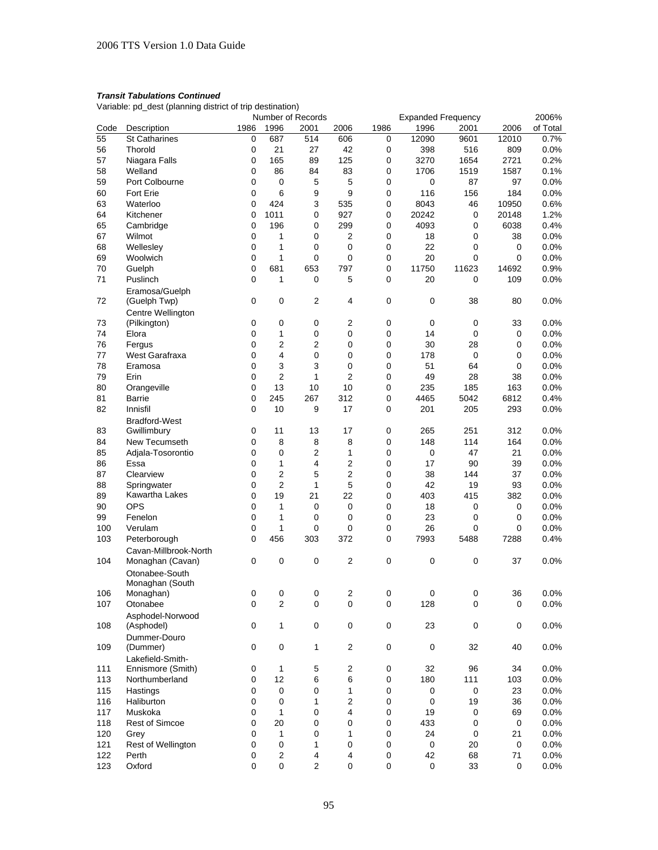Variable: pd\_dest (planning district of trip destination)

|      |                               |      |                | Number of Records       |                |             | <b>Expanded Frequency</b> |           |             | 2006%    |
|------|-------------------------------|------|----------------|-------------------------|----------------|-------------|---------------------------|-----------|-------------|----------|
| Code | Description                   | 1986 | 1996           | 2001                    | 2006           | 1986        | 1996                      | 2001      | 2006        | of Total |
| 55   | <b>St Catharines</b>          | 0    | 687            | 514                     | 606            | 0           | 12090                     | 9601      | 12010       | 0.7%     |
| 56   | Thorold                       | 0    | 21             | 27                      | 42             | 0           | 398                       | 516       | 809         | 0.0%     |
| 57   | Niagara Falls                 | 0    | 165            | 89                      | 125            | 0           | 3270                      | 1654      | 2721        | 0.2%     |
| 58   | Welland                       | 0    | 86             | 84                      | 83             | 0           | 1706                      | 1519      | 1587        | 0.1%     |
| 59   | Port Colbourne                | 0    | 0              | 5                       | 5              | 0           | 0                         | 87        | 97          | 0.0%     |
| 60   | <b>Fort Erie</b>              | 0    | 6              | 9                       | 9              | 0           | 116                       | 156       | 184         | 0.0%     |
| 63   | Waterloo                      | 0    | 424            | 3                       | 535            | 0           | 8043                      | 46        | 10950       | 0.6%     |
| 64   | Kitchener                     | 0    | 1011           | 0                       | 927            | 0           | 20242                     | 0         | 20148       | 1.2%     |
| 65   | Cambridge                     | 0    | 196            | 0                       | 299            | 0           | 4093                      | 0         | 6038        | 0.4%     |
| 67   | Wilmot                        | 0    | 1              | 0                       | 2              | 0           | 18                        | 0         | 38          | 0.0%     |
| 68   | Wellesley                     | 0    | 1              | 0                       | 0              | 0           | 22                        | 0         | 0           | 0.0%     |
| 69   | Woolwich                      | 0    | 1              | 0                       | 0              | 0           | 20                        | 0         | $\mathbf 0$ | 0.0%     |
| 70   | Guelph                        | 0    | 681            | 653                     | 797            | 0           | 11750                     | 11623     | 14692       | 0.9%     |
| 71   | Puslinch                      | 0    | 1              | 0                       | 5              | 0           | 20                        | 0         | 109         | 0.0%     |
|      | Eramosa/Guelph                |      |                |                         |                |             |                           |           |             |          |
| 72   | (Guelph Twp)                  | 0    | 0              | 2                       | $\overline{4}$ | 0           | 0                         | 38        | 80          | 0.0%     |
|      | Centre Wellington             |      |                |                         |                |             |                           |           |             |          |
| 73   | (Pilkington)                  | 0    | 0              | 0                       | $\overline{2}$ | 0           | 0                         | 0         | 33          | 0.0%     |
| 74   | Elora                         | 0    | 1              | 0                       | 0              | 0           | 14                        | 0         | 0           | 0.0%     |
| 76   | Fergus                        | 0    | 2              | 2                       | 0              | 0           | 30                        | 28        | 0           | 0.0%     |
| 77   | West Garafraxa                | 0    | 4              | 0                       | 0              | 0           | 178                       | 0         | 0           | 0.0%     |
| 78   | Eramosa                       | 0    | 3              | 3                       | 0              | 0           | 51                        | 64        | 0           | 0.0%     |
| 79   | Erin                          | 0    | $\overline{2}$ | 1                       | 2              | 0           | 49                        | 28        | 38          | 0.0%     |
| 80   |                               | 0    | 13             | 10                      | 10             | 0           | 235                       | 185       | 163         | 0.0%     |
| 81   | Orangeville<br>Barrie         | 0    | 245            | 267                     | 312            | 0           | 4465                      | 5042      | 6812        | 0.4%     |
| 82   | Innisfil                      | 0    | 10             | 9                       | 17             | 0           | 201                       | 205       | 293         | 0.0%     |
|      |                               |      |                |                         |                |             |                           |           |             |          |
| 83   | <b>Bradford-West</b>          | 0    | 11             | 13                      | 17             | 0           | 265                       | 251       | 312         | 0.0%     |
| 84   | Gwillimbury<br>New Tecumseth  | 0    | 8              | 8                       | 8              | 0           | 148                       | 114       | 164         | 0.0%     |
|      |                               |      |                |                         |                |             |                           | 47        |             |          |
| 85   | Adjala-Tosorontio             | 0    | 0              | 2                       | 1              | 0           | 0                         |           | 21          | 0.0%     |
| 86   | Essa                          | 0    | 1              | 4                       | 2              | 0           | 17                        | 90        | 39          | 0.0%     |
| 87   | Clearview                     | 0    | $\overline{2}$ | 5                       | $\overline{2}$ | 0           | 38                        | 144       | 37          | 0.0%     |
| 88   | Springwater<br>Kawartha Lakes | 0    | $\overline{2}$ | 1                       | 5              | 0           | 42                        | 19        | 93          | 0.0%     |
| 89   |                               | 0    | 19             | 21                      | 22             | 0           | 403                       | 415       | 382         | 0.0%     |
| 90   | OPS                           | 0    | 1              | 0                       | 0              | 0           | 18                        | 0         | 0           | 0.0%     |
| 99   | Fenelon                       | 0    | 1              | 0                       | 0              | 0           | 23                        | 0         | 0           | 0.0%     |
| 100  | Verulam                       | 0    | 1              | 0                       | 0              | 0           | 26                        | 0         | 0           | 0.0%     |
| 103  | Peterborough                  | 0    | 456            | 303                     | 372            | 0           | 7993                      | 5488      | 7288        | 0.4%     |
|      | Cavan-Millbrook-North         |      |                |                         |                |             |                           |           |             |          |
| 104  | Monaghan (Cavan)              | 0    | 0              | 0                       | 2              | 0           | 0                         | 0         | 37          | 0.0%     |
|      | Otonabee-South                |      |                |                         |                |             |                           |           |             |          |
|      | Monaghan (South               |      |                |                         |                |             |                           |           |             |          |
| 106  | Monaghan)                     | 0    | 0              | 0                       | 2              | 0           | 0                         | 0         | 36          | $0.0\%$  |
| 107  | Otonabee                      | 0    | $\overline{c}$ | $\pmb{0}$               | $\pmb{0}$      | 0           | 128                       | $\pmb{0}$ | 0           | 0.0%     |
|      | Asphodel-Norwood              |      |                |                         |                |             |                           |           |             |          |
| 108  | (Asphodel)                    | 0    | 1              | 0                       | $\mathbf 0$    | $\mathbf 0$ | 23                        | $\pmb{0}$ | $\mathbf 0$ | 0.0%     |
|      | Dummer-Douro                  |      |                |                         |                |             |                           |           |             |          |
| 109  | (Dummer)                      | 0    | 0              | 1                       | 2              | 0           | 0                         | 32        | 40          | 0.0%     |
|      | Lakefield-Smith-              |      |                |                         |                |             |                           |           |             |          |
| 111  | Ennismore (Smith)             | 0    | 1              | 5                       | $\overline{c}$ | 0           | 32                        | 96        | 34          | 0.0%     |
| 113  | Northumberland                | 0    | 12             | 6                       | 6              | 0           | 180                       | 111       | 103         | 0.0%     |
| 115  | Hastings                      | 0    | 0              | 0                       | 1              | 0           | 0                         | $\pmb{0}$ | 23          | 0.0%     |
| 116  | Haliburton                    | 0    | 0              | 1                       | 2              | 0           | $\pmb{0}$                 | 19        | 36          | $0.0\%$  |
| 117  | Muskoka                       | 0    | 1              | 0                       | 4              | 0           | 19                        | 0         | 69          | 0.0%     |
| 118  | <b>Rest of Simcoe</b>         | 0    | 20             | 0                       | 0              | 0           | 433                       | 0         | 0           | 0.0%     |
| 120  | Grey                          | 0    | 1              | 0                       | 1              | $\pmb{0}$   | 24                        | 0         | 21          | 0.0%     |
| 121  | Rest of Wellington            | 0    | 0              | 1                       | 0              | 0           | 0                         | 20        | $\pmb{0}$   | 0.0%     |
| 122  | Perth                         | 0    | 2              | $\overline{\mathbf{4}}$ | 4              | 0           | 42                        | 68        | 71          | 0.0%     |
| 123  | Oxford                        | 0    | 0              | $\mathbf{2}$            | 0              | 0           | 0                         | 33        | 0           | 0.0%     |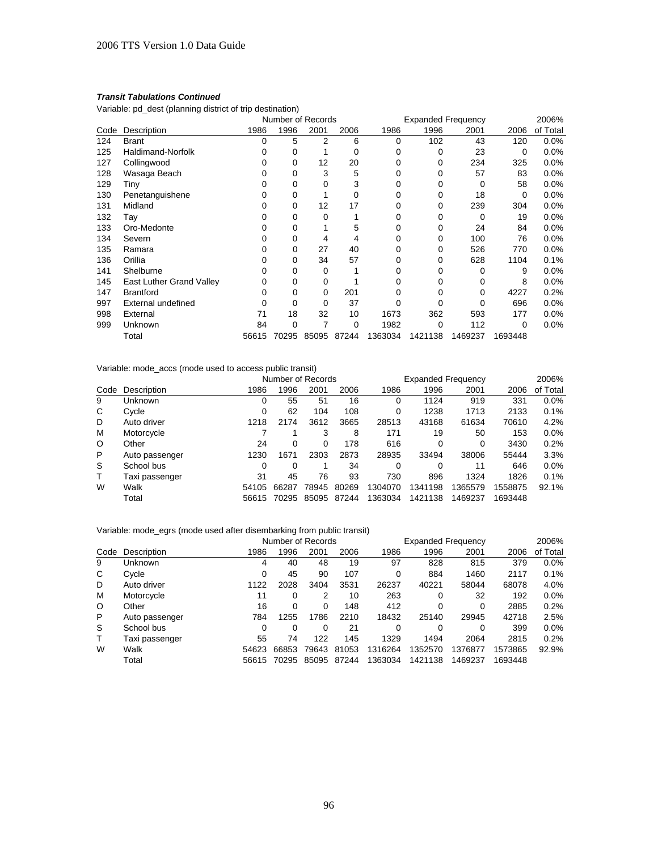Variable: pd\_dest (planning district of trip destination)

|      |                          | Number of Records |          |       |       | <b>Expanded Frequency</b> |         |         | 2006%   |          |
|------|--------------------------|-------------------|----------|-------|-------|---------------------------|---------|---------|---------|----------|
| Code | Description              | 1986              | 1996     | 2001  | 2006  | 1986                      | 1996    | 2001    | 2006    | of Total |
| 124  | <b>Brant</b>             | 0                 | 5        | 2     | 6     | 0                         | 102     | 43      | 120     | 0.0%     |
| 125  | <b>Haldimand-Norfolk</b> | O                 | 0        |       | 0     | 0                         | ი       | 23      | 0       | $0.0\%$  |
| 127  | Collingwood              |                   | 0        | 12    | 20    | 0                         | 0       | 234     | 325     | $0.0\%$  |
| 128  | Wasaga Beach             |                   | $\Omega$ | 3     | 5     | 0                         | ი       | 57      | 83      | $0.0\%$  |
| 129  | Tiny                     |                   | $\Omega$ | 0     | 3     | 0                         |         | 0       | 58      | 0.0%     |
| 130  | Penetanguishene          |                   | 0        |       | 0     | 0                         |         | 18      | 0       | $0.0\%$  |
| 131  | Midland                  |                   | 0        | 12    | 17    | 0                         | 0       | 239     | 304     | $0.0\%$  |
| 132  | Tay                      |                   | 0        | 0     |       | 0                         |         | 0       | 19      | 0.0%     |
| 133  | Oro-Medonte              |                   | 0        |       | 5     | 0                         | Ω       | 24      | 84      | 0.0%     |
| 134  | Severn                   |                   | 0        | 4     | 4     | 0                         | O       | 100     | 76      | $0.0\%$  |
| 135  | Ramara                   | 0                 | 0        | 27    | 40    | 0                         | 0       | 526     | 770     | $0.0\%$  |
| 136  | Orillia                  |                   | 0        | 34    | 57    | 0                         | Ω       | 628     | 1104    | 0.1%     |
| 141  | Shelburne                | ŋ                 | 0        | 0     |       | $\Omega$                  | n       | 0       | 9       | 0.0%     |
| 145  | East Luther Grand Valley | 0                 | 0        | 0     |       | 0                         |         | 0       | 8       | $0.0\%$  |
| 147  | <b>Brantford</b>         | 0                 | 0        | 0     | 201   | 0                         |         | 0       | 4227    | 0.2%     |
| 997  | External undefined       |                   | 0        | 0     | 37    | 0                         |         |         | 696     | $0.0\%$  |
| 998  | External                 | 71                | 18       | 32    | 10    | 1673                      | 362     | 593     | 177     | $0.0\%$  |
| 999  | Unknown                  | 84                | 0        | 7     | 0     | 1982                      | 0       | 112     | 0       | $0.0\%$  |
|      | Total                    | 56615             | 70295    | 85095 | 87244 | 1363034                   | 1421138 | 1469237 | 1693448 |          |

Variable: mode\_accs (mode used to access public transit)

|         |                |          | Number of Records |       |       |         | <b>Expanded Frequency</b> |         |         |          |
|---------|----------------|----------|-------------------|-------|-------|---------|---------------------------|---------|---------|----------|
| Code    | Description    | 1986     | 1996              | 2001  | 2006  | 1986    | 1996                      | 2001    | 2006    | of Total |
| 9       | Unknown        | $\Omega$ | 55                | 51    | 16    | 0       | 1124                      | 919     | 331     | 0.0%     |
| C       | Cycle          | 0        | 62                | 104   | 108   | 0       | 1238                      | 1713    | 2133    | 0.1%     |
| D       | Auto driver    | 1218     | 2174              | 3612  | 3665  | 28513   | 43168                     | 61634   | 70610   | 4.2%     |
| м       | Motorcycle     |          |                   | 3     | 8     | 171     | 19                        | 50      | 153     | $0.0\%$  |
| $\circ$ | Other          | 24       | 0                 | 0     | 178   | 616     |                           | 0       | 3430    | 0.2%     |
| P       | Auto passenger | 1230     | 1671              | 2303  | 2873  | 28935   | 33494                     | 38006   | 55444   | 3.3%     |
| S       | School bus     | 0        | 0                 |       | 34    | 0       | $\Omega$                  | 11      | 646     | $0.0\%$  |
| T       | Taxi passenger | 31       | 45                | 76    | 93    | 730     | 896                       | 1324    | 1826    | 0.1%     |
| W       | Walk           | 54105    | 66287             | 78945 | 80269 | 1304070 | 1341198                   | 1365579 | 1558875 | 92.1%    |
|         | Total          | 56615    | 70295             | 85095 | 87244 | 1363034 | 1421138                   | 1469237 | 1693448 |          |

# Variable: mode\_egrs (mode used after disembarking from public transit)

|         |                |       | Number of Records |       |       | <b>Expanded Frequency</b> |         |         |         | 2006%    |
|---------|----------------|-------|-------------------|-------|-------|---------------------------|---------|---------|---------|----------|
| Code    | Description    | 1986  | 1996              | 2001  | 2006  | 1986                      | 1996    | 2001    | 2006    | of Total |
| 9       | Unknown        | 4     | 40                | 48    | 19    | 97                        | 828     | 815     | 379     | $0.0\%$  |
| C       | Cycle          | 0     | 45                | 90    | 107   | 0                         | 884     | 1460    | 2117    | 0.1%     |
| D       | Auto driver    | 1122  | 2028              | 3404  | 3531  | 26237                     | 40221   | 58044   | 68078   | 4.0%     |
| м       | Motorcycle     | 11    | 0                 | 2     | 10    | 263                       | 0       | 32      | 192     | $0.0\%$  |
| $\circ$ | Other          | 16    | 0                 | 0     | 148   | 412                       | 0       | 0       | 2885    | 0.2%     |
| P       | Auto passenger | 784   | 1255              | 1786  | 2210  | 18432                     | 25140   | 29945   | 42718   | 2.5%     |
| S       | School bus     | 0     | 0                 | 0     | 21    | 0                         | 0       | 0       | 399     | $0.0\%$  |
| т       | Taxi passenger | 55    | 74                | 122   | 145   | 1329                      | 1494    | 2064    | 2815    | 0.2%     |
| W       | Walk           | 54623 | 66853             | 79643 | 81053 | 1316264                   | 1352570 | 1376877 | 1573865 | 92.9%    |
|         | Total          | 56615 | 70295             | 85095 | 87244 | 1363034                   | 1421138 | 1469237 | 1693448 |          |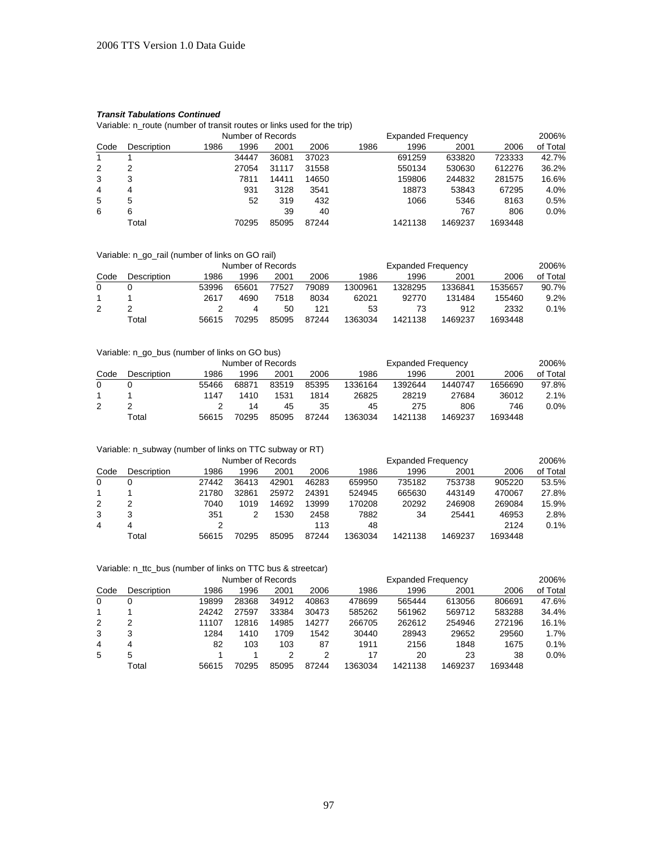Variable: n\_route (number of transit routes or links used for the trip)

|      |                    |      |       | Number of Records |       |      | <b>Expanded Frequency</b> |         |         | 2006%    |
|------|--------------------|------|-------|-------------------|-------|------|---------------------------|---------|---------|----------|
| Code | <b>Description</b> | 1986 | 1996  | 2001              | 2006  | 1986 | 1996                      | 2001    | 2006    | of Total |
| 1    |                    |      | 34447 | 36081             | 37023 |      | 691259                    | 633820  | 723333  | 42.7%    |
| 2    |                    |      | 27054 | 31117             | 31558 |      | 550134                    | 530630  | 612276  | 36.2%    |
| 3    |                    |      | 7811  | 14411             | 14650 |      | 159806                    | 244832  | 281575  | 16.6%    |
| 4    | 4                  |      | 931   | 3128              | 3541  |      | 18873                     | 53843   | 67295   | 4.0%     |
| 5    | 5                  |      | 52    | 319               | 432   |      | 1066                      | 5346    | 8163    | 0.5%     |
| 6    | 6                  |      |       | 39                | 40    |      |                           | 767     | 806     | $0.0\%$  |
|      | Total              |      | 70295 | 85095             | 87244 |      | 1421138                   | 1469237 | 1693448 |          |

#### Variable: n\_go\_rail (number of links on GO rail)

|      |             |       | Number of Records |       |       |         |         | 2006%   |         |          |
|------|-------------|-------|-------------------|-------|-------|---------|---------|---------|---------|----------|
| Code | Description | 1986  | 1996              | 2001  | 2006  | 1986    | 1996    | 2001    | 2006    | of Total |
|      |             | 53996 | 65601             | 77527 | 79089 | 1300961 | 1328295 | 1336841 | 1535657 | 90.7%    |
|      |             | 2617  | 4690              | 7518  | 8034  | 62021   | 92770   | 131484  | 155460  | $9.2\%$  |
| 2    |             |       |                   | 50    | 121   | 53      | 73      | 912     | 2332    | $0.1\%$  |
|      | Total       | 56615 | 70295             | 85095 | 87244 | 1363034 | 1421138 | 1469237 | 1693448 |          |

## Variable: n\_go\_bus (number of links on GO bus)

|      |             |       | Number of Records |       |       |         |         | 2006%   |         |          |
|------|-------------|-------|-------------------|-------|-------|---------|---------|---------|---------|----------|
| Code | Description | 1986  | 1996              | 2001  | 2006  | 1986    | 1996    | 2001    | 2006    | of Total |
| 0    |             | 55466 | 68871             | 83519 | 85395 | 1336164 | 1392644 | 1440747 | 1656690 | 97.8%    |
|      |             | 1147  | 1410              | 1531  | 1814  | 26825   | 28219   | 27684   | 36012   | 2.1%     |
| 2    |             |       | 14                | 45    | 35    | 45      | 275     | 806     | 746     | 0.0%     |
|      | Total       | 56615 | 70295             | 85095 | 87244 | 1363034 | 1421138 | 1469237 | 1693448 |          |

# Variable: n\_subway (number of links on TTC subway or RT)

|          |             |       | Number of Records |       |       |         | <b>Expanded Frequency</b> |         |         | 2006%    |
|----------|-------------|-------|-------------------|-------|-------|---------|---------------------------|---------|---------|----------|
| Code     | Description | 1986  | 1996              | 2001  | 2006  | 1986    | 1996                      | 2001    | 2006    | of Total |
| $\Omega$ |             | 27442 | 36413             | 42901 | 46283 | 659950  | 735182                    | 753738  | 905220  | 53.5%    |
|          |             | 21780 | 32861             | 25972 | 24391 | 524945  | 665630                    | 443149  | 470067  | 27.8%    |
| 2        |             | 7040  | 1019              | 14692 | 13999 | 170208  | 20292                     | 246908  | 269084  | 15.9%    |
| 3        | 3           | 351   |                   | 1530  | 2458  | 7882    | 34                        | 25441   | 46953   | 2.8%     |
| 4        |             |       |                   |       | 113   | 48      |                           |         | 2124    | 0.1%     |
|          | Total       | 56615 | 70295             | 85095 | 87244 | 1363034 | 1421138                   | 1469237 | 1693448 |          |

### Variable: n\_ttc\_bus (number of links on TTC bus & streetcar)

|          |             |       | Number of Records |       |       |         | <b>Expanded Frequency</b> |         |         | 2006%    |
|----------|-------------|-------|-------------------|-------|-------|---------|---------------------------|---------|---------|----------|
| Code     | Description | 1986  | 1996              | 2001  | 2006  | 1986    | 1996                      | 2001    | 2006    | of Total |
| $\Omega$ | 0           | 19899 | 28368             | 34912 | 40863 | 478699  | 565444                    | 613056  | 806691  | 47.6%    |
|          |             | 24242 | 27597             | 33384 | 30473 | 585262  | 561962                    | 569712  | 583288  | 34.4%    |
| 2        |             | 11107 | 12816             | 14985 | 14277 | 266705  | 262612                    | 254946  | 272196  | 16.1%    |
| 3        | 3           | 1284  | 1410              | 1709  | 1542  | 30440   | 28943                     | 29652   | 29560   | 1.7%     |
| 4        | 4           | 82    | 103               | 103   | 87    | 1911    | 2156                      | 1848    | 1675    | 0.1%     |
| 5        | 5           |       |                   | っ     | 2     | 17      | 20                        | 23      | 38      | $0.0\%$  |
|          | Total       | 56615 | 70295             | 85095 | 87244 | 1363034 | 1421138                   | 1469237 | 1693448 |          |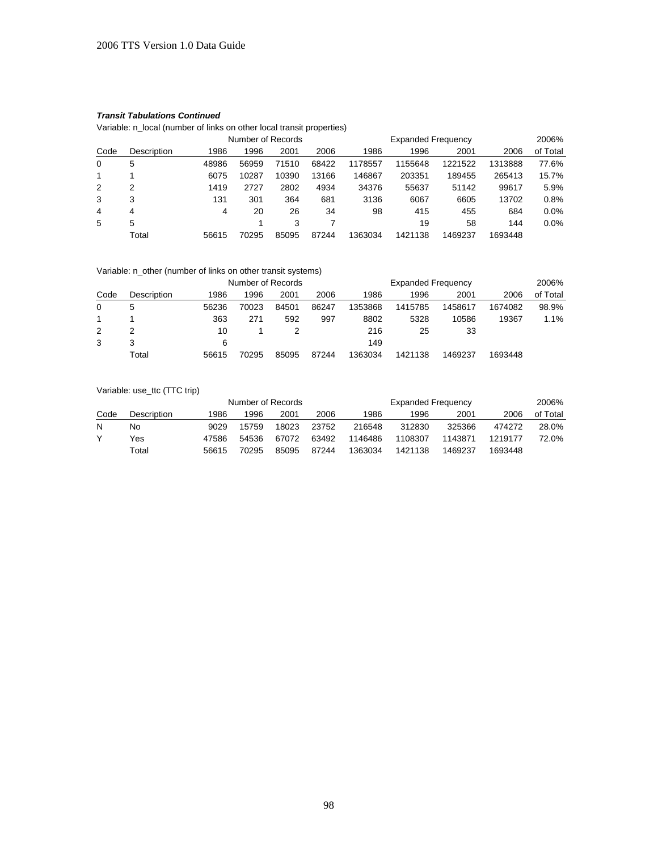Variable: n\_local (number of links on other local transit properties)

|          |             |       | Number of Records |       |       |         | 2006%   |         |         |          |
|----------|-------------|-------|-------------------|-------|-------|---------|---------|---------|---------|----------|
| Code     | Description | 1986  | 1996              | 2001  | 2006  | 1986    | 1996    | 2001    | 2006    | of Total |
| $\Omega$ | 5           | 48986 | 56959             | 71510 | 68422 | 1178557 | 1155648 | 1221522 | 1313888 | 77.6%    |
| 1        |             | 6075  | 10287             | 10390 | 13166 | 146867  | 203351  | 189455  | 265413  | 15.7%    |
| 2        |             | 1419  | 2727              | 2802  | 4934  | 34376   | 55637   | 51142   | 99617   | 5.9%     |
| 3        |             | 131   | 301               | 364   | 681   | 3136    | 6067    | 6605    | 13702   | 0.8%     |
| 4        | 4           | 4     | 20                | 26    | 34    | 98      | 415     | 455     | 684     | $0.0\%$  |
| 5        | 5           |       |                   | 3     |       |         | 19      | 58      | 144     | $0.0\%$  |
|          | Total       | 56615 | 70295             | 85095 | 87244 | 1363034 | 1421138 | 1469237 | 1693448 |          |

## Variable: n\_other (number of links on other transit systems)

| Code |              |       | Number of Records |       |       |         | 2006%   |         |         |          |
|------|--------------|-------|-------------------|-------|-------|---------|---------|---------|---------|----------|
|      | Description  | 1986  | 1996              | 2001  | 2006  | 1986    | 1996    | 2001    | 2006    | of Total |
| 0    | <sub>5</sub> | 56236 | 70023             | 84501 | 86247 | 1353868 | 1415785 | 1458617 | 1674082 | 98.9%    |
|      |              | 363   | 271               | 592   | 997   | 8802    | 5328    | 10586   | 19367   | $1.1\%$  |
| 2    |              | 10    |                   |       |       | 216     | 25      | 33      |         |          |
| 3    |              | 6     |                   |       |       | 149     |         |         |         |          |
|      | Total        | 56615 | 70295             | 85095 | 87244 | 1363034 | 1421138 | 1469237 | 1693448 |          |

## Variable: use\_ttc (TTC trip)

| Code |             |       | Number of Records |       |       |         | 2006%   |         |         |          |
|------|-------------|-------|-------------------|-------|-------|---------|---------|---------|---------|----------|
|      | Description | 1986  | 1996              | 2001  | 2006  | 1986    | 1996    | 2001    | 2006    | of Total |
| N    | No          | 9029  | 15759             | 18023 | 23752 | 216548  | 312830  | 325366  | 474272  | 28.0%    |
|      | Yes         | 47586 | 54536             | 67072 | 63492 | 1146486 | 1108307 | 1143871 | 1219177 | 72.0%    |
|      | Total       | 56615 | 70295             | 85095 | 87244 | 1363034 | 1421138 | 1469237 | 1693448 |          |